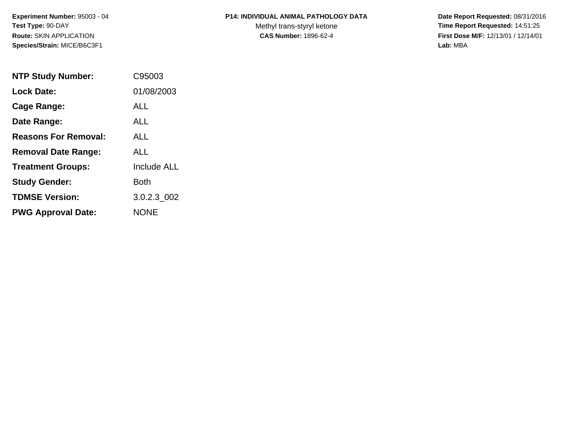**Experiment Number:** 95003 - 04**Test Type:** 90-DAY**Route:** SKIN APPLICATION**Species/Strain:** MICE/B6C3F1

## **P14: INDIVIDUAL ANIMAL PATHOLOGY DATA**

Methyl trans-styryl ketone<br>CAS Number: 1896-62-4

 **Date Report Requested:** 08/31/2016 **Time Report Requested:** 14:51:25 **First Dose M/F:** 12/13/01 / 12/14/01<br>Lab: MBA **Lab:** MBA

| <b>NTP Study Number:</b>    | C95003             |
|-----------------------------|--------------------|
| <b>Lock Date:</b>           | 01/08/2003         |
| Cage Range:                 | ALL                |
| Date Range:                 | ALL.               |
| <b>Reasons For Removal:</b> | ALL.               |
| <b>Removal Date Range:</b>  | ALL                |
| <b>Treatment Groups:</b>    | <b>Include ALL</b> |
| <b>Study Gender:</b>        | Both               |
| <b>TDMSE Version:</b>       | 3.0.2.3 002        |
| <b>PWG Approval Date:</b>   | <b>NONE</b>        |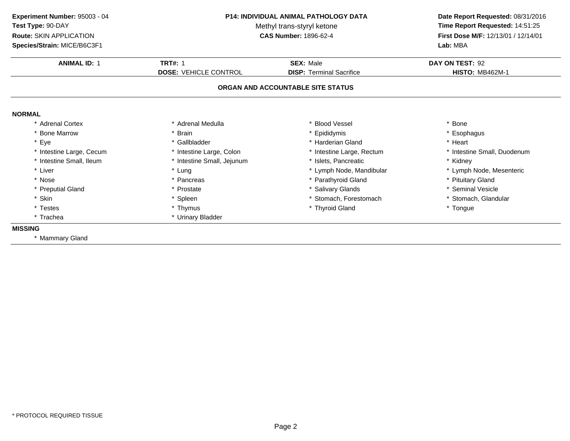**ANIMAL ID:** <sup>1</sup> **TRT#:** <sup>1</sup> **SEX:** Male **DAY ON TEST:** <sup>92</sup> **DOSE:** VEHICLE CONTROL**DISP:** Terminal Sacrifice **HISTO:** MB462M-1 **ORGAN AND ACCOUNTABLE SITE STATUSNORMAL** \* Adrenal Cortex\* Adrenal Medulla<br>\* Brain a the set of the set of the set of the set of the set of the set of the set of the set of the set of the set o<br>Set of the set of the set of the set of the set of the set of the set of the set of the set of the set of the s \* Bone Marrow \* Brain \* Epididymis \* Esophagus \* Eyee the second of the set of the set of the set of the set of the set of the set of the set of the set of the set of the set of the set of the set of the set of the set of the set of the set of the set of the set of the set \* Intestine Large, Cecumm and the state of the state of the state of the state of the state of the state of the state of the state of the state of the state of the state of the state of the state of the state of the state of the state of the stat \* Intestine Small, Ileum\* Intestine Small, Jejunum \* \* 1998 \* Islets, Pancreatic \* \* \* \* Kidney \* Kidney<br>
\* Lung \* Lymph Node, Mandibular \* The metal \* Lymph Node, Mesenteric \* Liver Liver \* Lung \* Lymph Node, Mandibular \* Lymph Node, Mesenteric \* Nosee the second of the second of the second vertex  $\ast$  Parathyroid Gland  $\ast$  Pituitary Gland  $\ast$  Pituitary Gland \* Preputial Gland \* Prostate \* Salivary Glands \* Seminal Vesicle \* Skin\* Spleen \* Stomach, Forestomach \* \* Stomach, \* Stomach, Glandular<br>\* Thymus \* Thyroid Gland \* \* Thymes \* Thomage \* Tonque \* Testes \* Thymus \* Thyroid Gland \* Tongue \* Trachea \* Urinary Bladder **MISSING** \* Mammary Gland**Experiment Number:** 95003 - 04 **P14: INDIVIDUAL ANIMAL PATHOLOGY DATA Date Report Requested:** 08/31/2016 **Test Type:** 90-DAYMethyl trans-styryl ketone<br>CAS Number: 1896-62-4 **Time Report Requested:** 14:51:25 **Route:** SKIN APPLICATION**First Dose M/F:** 12/13/01 / 12/14/01<br>**Lab:** MBA **Species/Strain:** MICE/B6C3F1**Lab:** MBA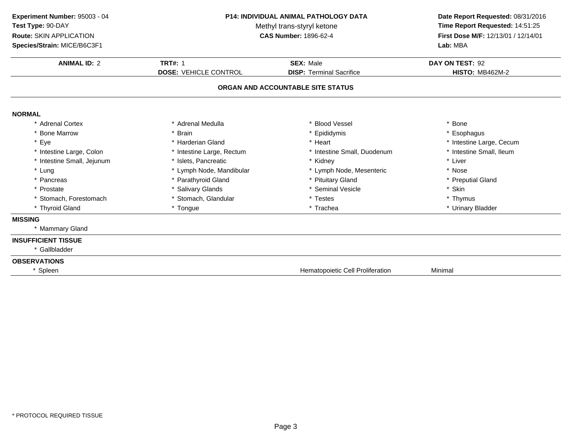| Experiment Number: 95003 - 04<br>Test Type: 90-DAY<br><b>Route: SKIN APPLICATION</b><br>Species/Strain: MICE/B6C3F1 | <b>P14: INDIVIDUAL ANIMAL PATHOLOGY DATA</b><br>Methyl trans-styryl ketone<br><b>CAS Number: 1896-62-4</b> |                                   | Date Report Requested: 08/31/2016<br>Time Report Requested: 14:51:25<br>First Dose M/F: 12/13/01 / 12/14/01<br>Lab: MBA |  |
|---------------------------------------------------------------------------------------------------------------------|------------------------------------------------------------------------------------------------------------|-----------------------------------|-------------------------------------------------------------------------------------------------------------------------|--|
| <b>ANIMAL ID: 2</b>                                                                                                 | <b>TRT#: 1</b>                                                                                             | <b>SEX: Male</b>                  | DAY ON TEST: 92                                                                                                         |  |
|                                                                                                                     | <b>DOSE: VEHICLE CONTROL</b>                                                                               | <b>DISP: Terminal Sacrifice</b>   | <b>HISTO: MB462M-2</b>                                                                                                  |  |
|                                                                                                                     |                                                                                                            | ORGAN AND ACCOUNTABLE SITE STATUS |                                                                                                                         |  |
| <b>NORMAL</b>                                                                                                       |                                                                                                            |                                   |                                                                                                                         |  |
| * Adrenal Cortex                                                                                                    | * Adrenal Medulla                                                                                          | <b>Blood Vessel</b>               | * Bone                                                                                                                  |  |
| <b>Bone Marrow</b>                                                                                                  | <b>Brain</b>                                                                                               | Epididymis                        | * Esophagus                                                                                                             |  |
| * Eye                                                                                                               | * Harderian Gland                                                                                          | * Heart                           | * Intestine Large, Cecum                                                                                                |  |
| * Intestine Large, Colon                                                                                            | * Intestine Large, Rectum                                                                                  | * Intestine Small, Duodenum       | * Intestine Small, Ileum                                                                                                |  |
| * Intestine Small, Jejunum                                                                                          | * Islets, Pancreatic                                                                                       | * Kidney                          | * Liver                                                                                                                 |  |
| * Lung                                                                                                              | * Lymph Node, Mandibular                                                                                   | * Lymph Node, Mesenteric          | * Nose                                                                                                                  |  |
| * Pancreas                                                                                                          | * Parathyroid Gland                                                                                        | * Pituitary Gland                 | * Preputial Gland                                                                                                       |  |
| * Prostate                                                                                                          | * Salivary Glands                                                                                          | * Seminal Vesicle                 | * Skin                                                                                                                  |  |
| * Stomach, Forestomach                                                                                              | * Stomach, Glandular                                                                                       | * Testes                          | * Thymus                                                                                                                |  |
| * Thyroid Gland                                                                                                     | * Tongue                                                                                                   | * Trachea                         | * Urinary Bladder                                                                                                       |  |
| <b>MISSING</b>                                                                                                      |                                                                                                            |                                   |                                                                                                                         |  |
| * Mammary Gland                                                                                                     |                                                                                                            |                                   |                                                                                                                         |  |
| <b>INSUFFICIENT TISSUE</b>                                                                                          |                                                                                                            |                                   |                                                                                                                         |  |
| * Gallbladder                                                                                                       |                                                                                                            |                                   |                                                                                                                         |  |
| <b>OBSERVATIONS</b>                                                                                                 |                                                                                                            |                                   |                                                                                                                         |  |
| * Spleen                                                                                                            |                                                                                                            | Hematopoietic Cell Proliferation  | Minimal                                                                                                                 |  |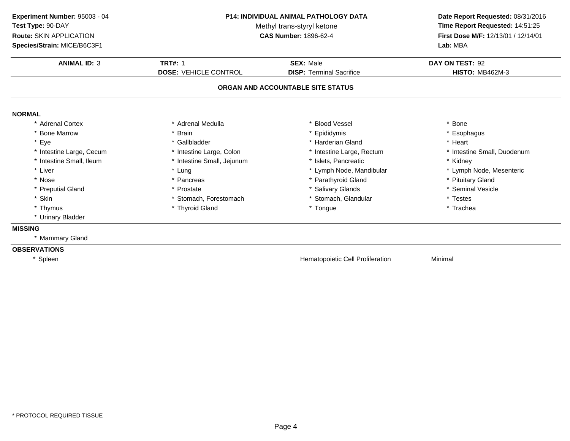| Experiment Number: 95003 - 04<br>Test Type: 90-DAY<br>Route: SKIN APPLICATION<br>Species/Strain: MICE/B6C3F1 | <b>P14: INDIVIDUAL ANIMAL PATHOLOGY DATA</b><br>Methyl trans-styryl ketone<br><b>CAS Number: 1896-62-4</b> |                                   | Time Report Requested: 14:51:25<br>First Dose M/F: 12/13/01 / 12/14/01<br>Lab: MBA |  | Date Report Requested: 08/31/2016 |
|--------------------------------------------------------------------------------------------------------------|------------------------------------------------------------------------------------------------------------|-----------------------------------|------------------------------------------------------------------------------------|--|-----------------------------------|
| <b>ANIMAL ID: 3</b>                                                                                          | <b>TRT#: 1</b>                                                                                             | <b>SEX: Male</b>                  | DAY ON TEST: 92                                                                    |  |                                   |
|                                                                                                              | <b>DOSE: VEHICLE CONTROL</b>                                                                               | <b>DISP: Terminal Sacrifice</b>   | <b>HISTO: MB462M-3</b>                                                             |  |                                   |
|                                                                                                              |                                                                                                            | ORGAN AND ACCOUNTABLE SITE STATUS |                                                                                    |  |                                   |
| <b>NORMAL</b>                                                                                                |                                                                                                            |                                   |                                                                                    |  |                                   |
| * Adrenal Cortex                                                                                             | * Adrenal Medulla                                                                                          | * Blood Vessel                    | * Bone                                                                             |  |                                   |
| * Bone Marrow                                                                                                | <b>Brain</b>                                                                                               | * Epididymis                      | * Esophagus                                                                        |  |                                   |
| * Eye                                                                                                        | * Gallbladder                                                                                              | * Harderian Gland                 | * Heart                                                                            |  |                                   |
| * Intestine Large, Cecum                                                                                     | * Intestine Large, Colon                                                                                   | * Intestine Large, Rectum         | * Intestine Small, Duodenum                                                        |  |                                   |
| * Intestine Small, Ileum                                                                                     | * Intestine Small, Jejunum                                                                                 | * Islets, Pancreatic              | * Kidney                                                                           |  |                                   |
| * Liver                                                                                                      | * Lung                                                                                                     | * Lymph Node, Mandibular          | * Lymph Node, Mesenteric                                                           |  |                                   |
| * Nose                                                                                                       | * Pancreas                                                                                                 | * Parathyroid Gland               | * Pituitary Gland                                                                  |  |                                   |
| * Preputial Gland                                                                                            | * Prostate                                                                                                 | * Salivary Glands                 | * Seminal Vesicle                                                                  |  |                                   |
| * Skin                                                                                                       | * Stomach, Forestomach                                                                                     | * Stomach, Glandular              | * Testes                                                                           |  |                                   |
| * Thymus                                                                                                     | * Thyroid Gland                                                                                            | * Tongue                          | * Trachea                                                                          |  |                                   |
| * Urinary Bladder                                                                                            |                                                                                                            |                                   |                                                                                    |  |                                   |
| <b>MISSING</b>                                                                                               |                                                                                                            |                                   |                                                                                    |  |                                   |
| * Mammary Gland                                                                                              |                                                                                                            |                                   |                                                                                    |  |                                   |
| <b>OBSERVATIONS</b>                                                                                          |                                                                                                            |                                   |                                                                                    |  |                                   |
| * Spleen                                                                                                     |                                                                                                            | Hematopoietic Cell Proliferation  | Minimal                                                                            |  |                                   |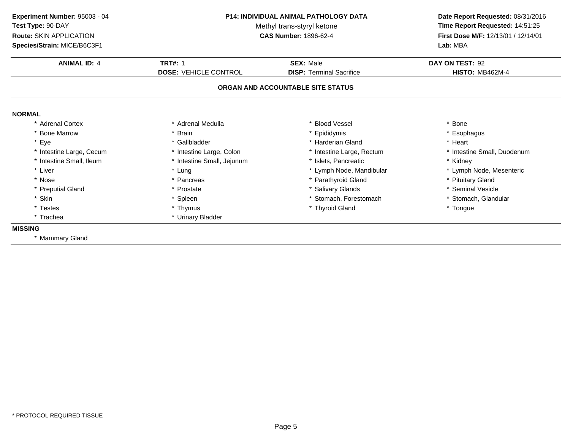**ANIMAL ID:** <sup>4</sup> **TRT#:** <sup>1</sup> **SEX:** Male **DAY ON TEST:** <sup>92</sup> **DOSE:** VEHICLE CONTROL**DISP:** Terminal Sacrifice **HISTO:** MB462M-4 **ORGAN AND ACCOUNTABLE SITE STATUSNORMAL** \* Adrenal Cortex\* Adrenal Medulla<br>\* Brain a the set of the set of the set of the set of the set of the set of the set of the set of the set of the set o<br>Set of the set of the set of the set of the set of the set of the set of the set of the set of the set of the s \* Bone Marrow \* Brain \* Epididymis \* Esophagus \* Eyee the second of the set of the set of the set of the set of the set of the set of the set of the set of the set of the set of the set of the set of the set of the set of the set of the set of the set of the set of the set \* Intestine Large, Cecumm and the state of the state of the state of the state of the state of the state of the state of the state of the state of the state of the state of the state of the state of the state of the state of the state of the stat \* Intestine Small, Ileum\* Intestine Small, Jejunum \* \* 1998 \* Islets, Pancreatic \* \* \* \* Kidney \* Kidney<br>
\* Lung \* Lymph Node, Mandibular \* The metal \* Lymph Node, Mesenteric \* Liver Liver \* Lung \* Lymph Node, Mandibular \* Lymph Node, Mesenteric \* Nosee the second of the second of the second vertex  $\ast$  Parathyroid Gland  $\ast$  Pituitary Gland  $\ast$  Pituitary Gland \* Preputial Gland \* Prostate \* Salivary Glands \* Seminal Vesicle \* Skin\* Spleen \* Stomach, Forestomach \* \* Stomach, \* Stomach, Glandular<br>\* Thymus \* Thyroid Gland \* \* Thymes \* Thomage \* Tonque \* Testes \* Thymus \* Thyroid Gland \* Tongue \* Trachea \* Urinary Bladder **MISSING** \* Mammary Gland**Experiment Number:** 95003 - 04 **P14: INDIVIDUAL ANIMAL PATHOLOGY DATA Date Report Requested:** 08/31/2016 **Test Type:** 90-DAYMethyl trans-styryl ketone<br>CAS Number: 1896-62-4 **Time Report Requested:** 14:51:25 **Route:** SKIN APPLICATION**First Dose M/F:** 12/13/01 / 12/14/01<br>**Lab:** MBA **Species/Strain:** MICE/B6C3F1**Lab:** MBA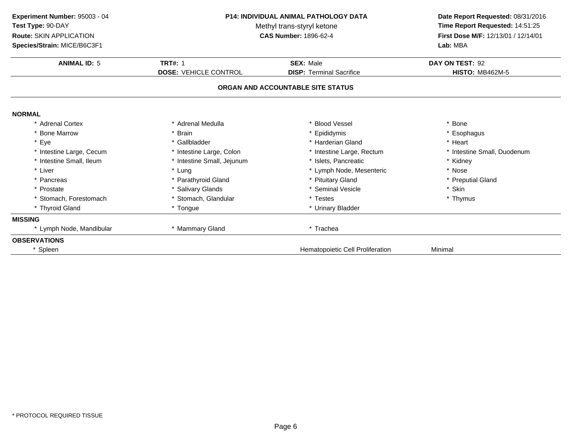| Experiment Number: 95003 - 04<br>Test Type: 90-DAY<br><b>Route: SKIN APPLICATION</b><br>Species/Strain: MICE/B6C3F1 | <b>P14: INDIVIDUAL ANIMAL PATHOLOGY DATA</b><br>Methyl trans-styryl ketone<br><b>CAS Number: 1896-62-4</b> |                                         | Date Report Requested: 08/31/2016<br>Time Report Requested: 14:51:25<br>First Dose M/F: 12/13/01 / 12/14/01<br>Lab: MBA |
|---------------------------------------------------------------------------------------------------------------------|------------------------------------------------------------------------------------------------------------|-----------------------------------------|-------------------------------------------------------------------------------------------------------------------------|
| <b>ANIMAL ID: 5</b>                                                                                                 | <b>TRT#: 1</b>                                                                                             | <b>SEX: Male</b>                        | DAY ON TEST: 92                                                                                                         |
|                                                                                                                     | <b>DOSE: VEHICLE CONTROL</b>                                                                               | <b>DISP:</b> Terminal Sacrifice         | <b>HISTO: MB462M-5</b>                                                                                                  |
|                                                                                                                     |                                                                                                            | ORGAN AND ACCOUNTABLE SITE STATUS       |                                                                                                                         |
| <b>NORMAL</b>                                                                                                       |                                                                                                            |                                         |                                                                                                                         |
| * Adrenal Cortex                                                                                                    | * Adrenal Medulla                                                                                          | * Blood Vessel                          | * Bone                                                                                                                  |
| * Bone Marrow                                                                                                       | * Brain                                                                                                    | * Epididymis                            | * Esophagus                                                                                                             |
| * Eye                                                                                                               | * Gallbladder                                                                                              | * Harderian Gland                       | * Heart                                                                                                                 |
| * Intestine Large, Cecum                                                                                            | * Intestine Large, Colon                                                                                   | * Intestine Large, Rectum               | * Intestine Small, Duodenum                                                                                             |
| * Intestine Small, Ileum                                                                                            | * Intestine Small, Jejunum                                                                                 | * Islets. Pancreatic                    | * Kidney                                                                                                                |
| * Liver                                                                                                             | * Lung                                                                                                     | * Lymph Node, Mesenteric                | * Nose                                                                                                                  |
| * Pancreas                                                                                                          | * Parathyroid Gland                                                                                        | * Pituitary Gland                       | * Preputial Gland                                                                                                       |
| * Prostate                                                                                                          | * Salivary Glands                                                                                          | * Seminal Vesicle                       | * Skin                                                                                                                  |
| * Stomach, Forestomach                                                                                              | * Stomach, Glandular                                                                                       | * Testes                                | * Thymus                                                                                                                |
| * Thyroid Gland                                                                                                     | * Tongue                                                                                                   | * Urinary Bladder                       |                                                                                                                         |
| <b>MISSING</b>                                                                                                      |                                                                                                            |                                         |                                                                                                                         |
| * Lymph Node, Mandibular                                                                                            | * Mammary Gland                                                                                            | * Trachea                               |                                                                                                                         |
| <b>OBSERVATIONS</b>                                                                                                 |                                                                                                            |                                         |                                                                                                                         |
| * Spleen                                                                                                            |                                                                                                            | <b>Hematopoietic Cell Proliferation</b> | Minimal                                                                                                                 |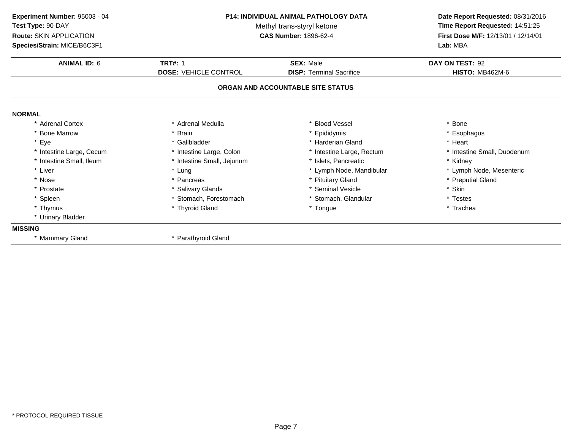| Experiment Number: 95003 - 04<br>Test Type: 90-DAY<br>Route: SKIN APPLICATION<br>Species/Strain: MICE/B6C3F1 | <b>P14: INDIVIDUAL ANIMAL PATHOLOGY DATA</b><br>Methyl trans-styryl ketone<br>CAS Number: 1896-62-4 |                                                                      | Date Report Requested: 08/31/2016<br>Time Report Requested: 14:51:25<br>First Dose M/F: 12/13/01 / 12/14/01<br>Lab: MBA |
|--------------------------------------------------------------------------------------------------------------|-----------------------------------------------------------------------------------------------------|----------------------------------------------------------------------|-------------------------------------------------------------------------------------------------------------------------|
| <b>ANIMAL ID: 6</b>                                                                                          | <b>TRT#: 1</b>                                                                                      | <b>SEX: Male</b>                                                     | DAY ON TEST: 92                                                                                                         |
|                                                                                                              | <b>DOSE: VEHICLE CONTROL</b>                                                                        | <b>DISP: Terminal Sacrifice</b><br>ORGAN AND ACCOUNTABLE SITE STATUS | <b>HISTO: MB462M-6</b>                                                                                                  |
|                                                                                                              |                                                                                                     |                                                                      |                                                                                                                         |
| <b>NORMAL</b>                                                                                                |                                                                                                     |                                                                      |                                                                                                                         |
| * Adrenal Cortex                                                                                             | * Adrenal Medulla                                                                                   | * Blood Vessel                                                       | * Bone                                                                                                                  |
| * Bone Marrow                                                                                                | * Brain                                                                                             | * Epididymis                                                         | * Esophagus                                                                                                             |
| * Eye                                                                                                        | * Gallbladder                                                                                       | * Harderian Gland                                                    | * Heart                                                                                                                 |
| * Intestine Large, Cecum                                                                                     | * Intestine Large, Colon                                                                            | * Intestine Large, Rectum                                            | * Intestine Small, Duodenum                                                                                             |
| * Intestine Small, Ileum                                                                                     | * Intestine Small, Jejunum                                                                          | * Islets, Pancreatic                                                 | * Kidney                                                                                                                |
| * Liver                                                                                                      | * Lung                                                                                              | * Lymph Node, Mandibular                                             | * Lymph Node, Mesenteric                                                                                                |
| * Nose                                                                                                       | * Pancreas                                                                                          | * Pituitary Gland                                                    | * Preputial Gland                                                                                                       |
| * Prostate                                                                                                   | * Salivary Glands                                                                                   | * Seminal Vesicle                                                    | * Skin                                                                                                                  |
| * Spleen                                                                                                     | * Stomach, Forestomach                                                                              | * Stomach, Glandular                                                 | * Testes                                                                                                                |
| * Thymus                                                                                                     | * Thyroid Gland                                                                                     | * Tongue                                                             | * Trachea                                                                                                               |
| * Urinary Bladder                                                                                            |                                                                                                     |                                                                      |                                                                                                                         |
| <b>MISSING</b>                                                                                               |                                                                                                     |                                                                      |                                                                                                                         |
| * Mammary Gland                                                                                              | * Parathyroid Gland                                                                                 |                                                                      |                                                                                                                         |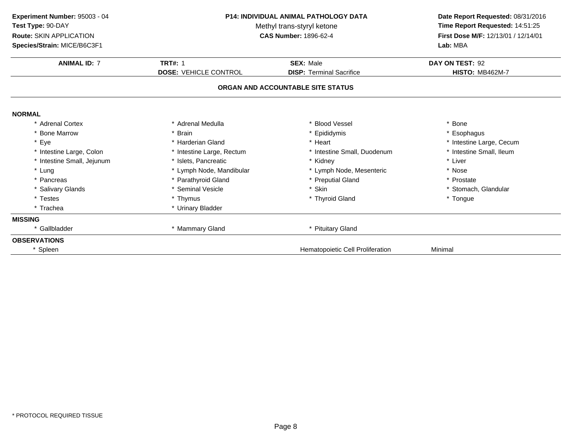| Experiment Number: 95003 - 04<br>Test Type: 90-DAY<br><b>Route: SKIN APPLICATION</b><br>Species/Strain: MICE/B6C3F1 | <b>P14: INDIVIDUAL ANIMAL PATHOLOGY DATA</b><br>Methyl trans-styryl ketone<br><b>CAS Number: 1896-62-4</b> |                                   | Date Report Requested: 08/31/2016<br>Time Report Requested: 14:51:25<br>First Dose M/F: 12/13/01 / 12/14/01<br>Lab: MBA |
|---------------------------------------------------------------------------------------------------------------------|------------------------------------------------------------------------------------------------------------|-----------------------------------|-------------------------------------------------------------------------------------------------------------------------|
| <b>ANIMAL ID: 7</b>                                                                                                 | <b>TRT#: 1</b>                                                                                             | <b>SEX: Male</b>                  | DAY ON TEST: 92                                                                                                         |
|                                                                                                                     | <b>DOSE: VEHICLE CONTROL</b>                                                                               | <b>DISP: Terminal Sacrifice</b>   | <b>HISTO: MB462M-7</b>                                                                                                  |
|                                                                                                                     |                                                                                                            | ORGAN AND ACCOUNTABLE SITE STATUS |                                                                                                                         |
| <b>NORMAL</b>                                                                                                       |                                                                                                            |                                   |                                                                                                                         |
| * Adrenal Cortex                                                                                                    | * Adrenal Medulla                                                                                          | * Blood Vessel                    | * Bone                                                                                                                  |
| * Bone Marrow                                                                                                       | * Brain                                                                                                    | * Epididymis                      | * Esophagus                                                                                                             |
| * Eye                                                                                                               | * Harderian Gland                                                                                          | * Heart                           | * Intestine Large, Cecum                                                                                                |
| * Intestine Large, Colon                                                                                            | * Intestine Large, Rectum                                                                                  | * Intestine Small, Duodenum       | * Intestine Small, Ileum                                                                                                |
| * Intestine Small, Jejunum                                                                                          | * Islets, Pancreatic                                                                                       | * Kidney                          | * Liver                                                                                                                 |
| * Lung                                                                                                              | * Lymph Node, Mandibular                                                                                   | * Lymph Node, Mesenteric          | * Nose                                                                                                                  |
| * Pancreas                                                                                                          | * Parathyroid Gland                                                                                        | * Preputial Gland                 | * Prostate                                                                                                              |
| * Salivary Glands                                                                                                   | * Seminal Vesicle                                                                                          | * Skin                            | * Stomach, Glandular                                                                                                    |
| * Testes                                                                                                            | * Thymus                                                                                                   | * Thyroid Gland                   | * Tongue                                                                                                                |
| * Trachea                                                                                                           | * Urinary Bladder                                                                                          |                                   |                                                                                                                         |
| <b>MISSING</b>                                                                                                      |                                                                                                            |                                   |                                                                                                                         |
| * Gallbladder                                                                                                       | * Mammary Gland                                                                                            | * Pituitary Gland                 |                                                                                                                         |
| <b>OBSERVATIONS</b>                                                                                                 |                                                                                                            |                                   |                                                                                                                         |
| * Spleen                                                                                                            |                                                                                                            | Hematopoietic Cell Proliferation  | Minimal                                                                                                                 |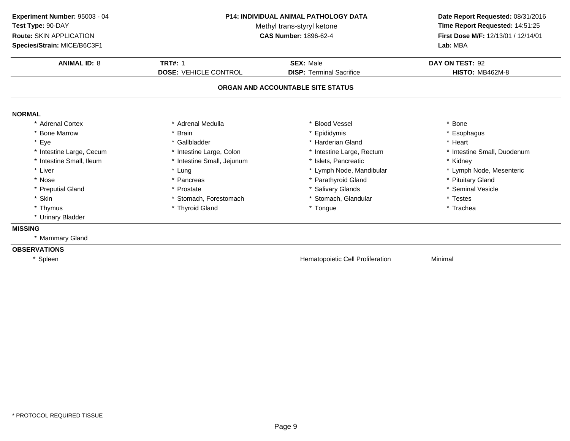**ANIMAL ID:** <sup>8</sup> **TRT#:** <sup>1</sup> **SEX:** Male **DAY ON TEST:** <sup>92</sup> **DOSE:** VEHICLE CONTROL**DISP:** Terminal Sacrifice **HISTO:** MB462M-8 **ORGAN AND ACCOUNTABLE SITE STATUSNORMAL** \* Adrenal Cortex\* Adrenal Medulla<br>\* Brain a the set of the set of the set of the set of the set of the set of the set of the set of the set of the set o<br>Set of the set of the set of the set of the set of the set of the set of the set of the set of the set of the s \* Bone Marrow \* Brain \* Epididymis \* Esophagus \* Eyee the second of the set of the set of the set of the set of the set of the set of the set of the set of the set of the set of the set of the set of the set of the set of the set of the set of the set of the set of the set \* Intestine Large, Cecumm and the state of the state of the state of the state of the state of the state of the state of the state of the state of the state of the state of the state of the state of the state of the state of the state of the stat \* Intestine Small, Ileum\* Intestine Small, Jejunum \* \* 1998 \* Islets, Pancreatic \* \* \* \* Kidney \* Kidney<br>
\* Lung \* Lymph Node, Mandibular \* The metal \* Lymph Node, Mesenteric \* Liver Liver \* Lung \* Lymph Node, Mandibular \* Lymph Node, Mesenteric \* Nosee the second of the second of the second vertex  $\ast$  Parathyroid Gland  $\ast$  Pituitary Gland  $\ast$  Pituitary Gland \* Preputial Gland \* Prostate \* Salivary Glands \* Seminal Vesicle \* Skin\* Stomach, Forestomach \* \* Stomach, Glandular \* Testes \* Testes \* Thyroid Gland<br>\* Thyroid Gland \* \* The \* Tongue \* Tongue \* Trachea \* Thymus \* Thyroid Gland \* Tongue \* Trachea \* Urinary Bladder **MISSING** \* Mammary Gland**OBSERVATIONS**\* SpleenHematopoietic Cell Proliferation Minimal **Experiment Number:** 95003 - 04 **P14: INDIVIDUAL ANIMAL PATHOLOGY DATA Date Report Requested:** 08/31/2016 **Test Type:** 90-DAYMethyl trans-styryl ketone<br>CAS Number: 1896-62-4 **Time Report Requested:** 14:51:25 **Route:** SKIN APPLICATION**First Dose M/F:** 12/13/01 / 12/14/01<br>**Lab:** MBA **Species/Strain:** MICE/B6C3F1**Lab:** MBA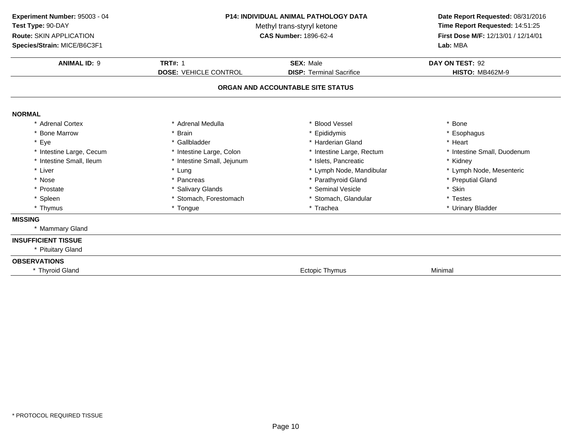| Experiment Number: 95003 - 04<br>Test Type: 90-DAY<br>Route: SKIN APPLICATION<br>Species/Strain: MICE/B6C3F1 | <b>P14: INDIVIDUAL ANIMAL PATHOLOGY DATA</b><br>Methyl trans-styryl ketone<br>CAS Number: 1896-62-4 |                                                     | Time Report Requested: 14:51:25<br>First Dose M/F: 12/13/01 / 12/14/01<br>Lab: MBA |  | Date Report Requested: 08/31/2016 |
|--------------------------------------------------------------------------------------------------------------|-----------------------------------------------------------------------------------------------------|-----------------------------------------------------|------------------------------------------------------------------------------------|--|-----------------------------------|
| <b>ANIMAL ID: 9</b>                                                                                          | <b>TRT#: 1</b><br><b>DOSE: VEHICLE CONTROL</b>                                                      | <b>SEX: Male</b><br><b>DISP: Terminal Sacrifice</b> | DAY ON TEST: 92<br><b>HISTO: MB462M-9</b>                                          |  |                                   |
|                                                                                                              |                                                                                                     |                                                     |                                                                                    |  |                                   |
|                                                                                                              |                                                                                                     | ORGAN AND ACCOUNTABLE SITE STATUS                   |                                                                                    |  |                                   |
| <b>NORMAL</b>                                                                                                |                                                                                                     |                                                     |                                                                                    |  |                                   |
| * Adrenal Cortex                                                                                             | * Adrenal Medulla                                                                                   | * Blood Vessel                                      | * Bone                                                                             |  |                                   |
| * Bone Marrow                                                                                                | * Brain                                                                                             | * Epididymis                                        | * Esophagus                                                                        |  |                                   |
| * Eye                                                                                                        | * Gallbladder                                                                                       | * Harderian Gland                                   | * Heart                                                                            |  |                                   |
| * Intestine Large, Cecum                                                                                     | * Intestine Large, Colon                                                                            | * Intestine Large, Rectum                           | * Intestine Small, Duodenum                                                        |  |                                   |
| * Intestine Small, Ileum                                                                                     | * Intestine Small, Jejunum                                                                          | * Islets, Pancreatic                                | * Kidney                                                                           |  |                                   |
| * Liver                                                                                                      | * Lung                                                                                              | * Lymph Node, Mandibular                            | * Lymph Node, Mesenteric                                                           |  |                                   |
| * Nose                                                                                                       | * Pancreas                                                                                          | * Parathyroid Gland                                 | * Preputial Gland                                                                  |  |                                   |
| * Prostate                                                                                                   | * Salivary Glands                                                                                   | <b>Seminal Vesicle</b>                              | * Skin                                                                             |  |                                   |
| * Spleen                                                                                                     | * Stomach, Forestomach                                                                              | * Stomach, Glandular                                | * Testes                                                                           |  |                                   |
| * Thymus                                                                                                     | * Tongue                                                                                            | * Trachea                                           | * Urinary Bladder                                                                  |  |                                   |
| <b>MISSING</b>                                                                                               |                                                                                                     |                                                     |                                                                                    |  |                                   |
| * Mammary Gland                                                                                              |                                                                                                     |                                                     |                                                                                    |  |                                   |
| <b>INSUFFICIENT TISSUE</b>                                                                                   |                                                                                                     |                                                     |                                                                                    |  |                                   |
| * Pituitary Gland                                                                                            |                                                                                                     |                                                     |                                                                                    |  |                                   |
| <b>OBSERVATIONS</b>                                                                                          |                                                                                                     |                                                     |                                                                                    |  |                                   |
| * Thyroid Gland                                                                                              |                                                                                                     | <b>Ectopic Thymus</b>                               | Minimal                                                                            |  |                                   |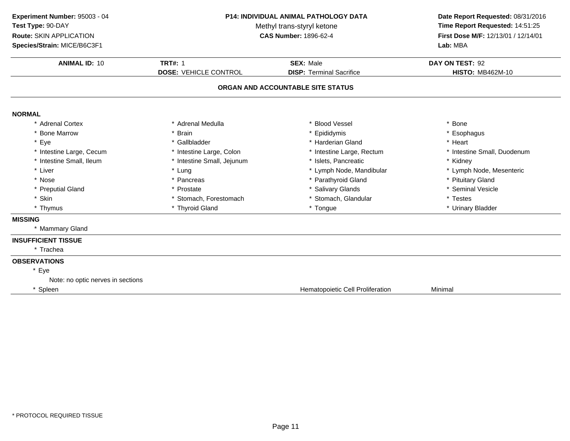| Experiment Number: 95003 - 04<br>Test Type: 90-DAY<br>Route: SKIN APPLICATION<br>Species/Strain: MICE/B6C3F1 | <b>P14: INDIVIDUAL ANIMAL PATHOLOGY DATA</b><br>Methyl trans-styryl ketone<br><b>CAS Number: 1896-62-4</b> |                                                     | Date Report Requested: 08/31/2016<br>Time Report Requested: 14:51:25<br>First Dose M/F: 12/13/01 / 12/14/01<br>Lab: MBA |  |
|--------------------------------------------------------------------------------------------------------------|------------------------------------------------------------------------------------------------------------|-----------------------------------------------------|-------------------------------------------------------------------------------------------------------------------------|--|
| <b>ANIMAL ID: 10</b>                                                                                         | <b>TRT#: 1</b><br><b>DOSE: VEHICLE CONTROL</b>                                                             | <b>SEX: Male</b><br><b>DISP: Terminal Sacrifice</b> | DAY ON TEST: 92<br><b>HISTO: MB462M-10</b>                                                                              |  |
|                                                                                                              |                                                                                                            | ORGAN AND ACCOUNTABLE SITE STATUS                   |                                                                                                                         |  |
| <b>NORMAL</b>                                                                                                |                                                                                                            |                                                     |                                                                                                                         |  |
| * Adrenal Cortex                                                                                             | * Adrenal Medulla                                                                                          | * Blood Vessel                                      | * Bone                                                                                                                  |  |
| <b>Bone Marrow</b>                                                                                           | * Brain                                                                                                    | * Epididymis                                        | * Esophagus                                                                                                             |  |
| * Eye                                                                                                        | * Gallbladder                                                                                              | * Harderian Gland                                   | * Heart                                                                                                                 |  |
| * Intestine Large, Cecum                                                                                     | * Intestine Large, Colon                                                                                   | * Intestine Large, Rectum                           | * Intestine Small, Duodenum                                                                                             |  |
| * Intestine Small, Ileum                                                                                     | * Intestine Small, Jejunum                                                                                 | * Islets, Pancreatic                                | * Kidney                                                                                                                |  |
| * Liver                                                                                                      | * Lung                                                                                                     | * Lymph Node, Mandibular                            | * Lymph Node, Mesenteric                                                                                                |  |
| * Nose                                                                                                       | * Pancreas                                                                                                 | * Parathyroid Gland                                 | * Pituitary Gland                                                                                                       |  |
| * Preputial Gland                                                                                            | * Prostate                                                                                                 | * Salivary Glands                                   | * Seminal Vesicle                                                                                                       |  |
| * Skin                                                                                                       | * Stomach, Forestomach                                                                                     | * Stomach, Glandular                                | * Testes                                                                                                                |  |
| * Thymus                                                                                                     | * Thyroid Gland                                                                                            | * Tongue                                            | * Urinary Bladder                                                                                                       |  |
| <b>MISSING</b>                                                                                               |                                                                                                            |                                                     |                                                                                                                         |  |
| * Mammary Gland                                                                                              |                                                                                                            |                                                     |                                                                                                                         |  |
| <b>INSUFFICIENT TISSUE</b>                                                                                   |                                                                                                            |                                                     |                                                                                                                         |  |
| * Trachea                                                                                                    |                                                                                                            |                                                     |                                                                                                                         |  |
| <b>OBSERVATIONS</b>                                                                                          |                                                                                                            |                                                     |                                                                                                                         |  |
| * Eye                                                                                                        |                                                                                                            |                                                     |                                                                                                                         |  |
| Note: no optic nerves in sections                                                                            |                                                                                                            |                                                     |                                                                                                                         |  |
| * Spleen                                                                                                     |                                                                                                            | Hematopoietic Cell Proliferation                    | Minimal                                                                                                                 |  |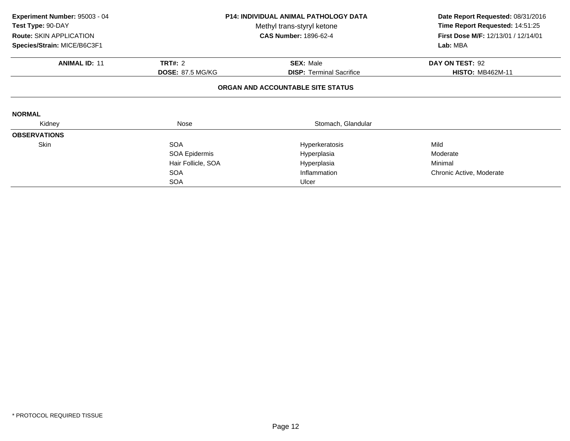| Experiment Number: 95003 - 04 | <b>P14: INDIVIDUAL ANIMAL PATHOLOGY DATA</b><br>Test Type: 90-DAY<br>Methyl trans-styryl ketone |                                   | Date Report Requested: 08/31/2016   |
|-------------------------------|-------------------------------------------------------------------------------------------------|-----------------------------------|-------------------------------------|
|                               |                                                                                                 |                                   | Time Report Requested: 14:51:25     |
| Route: SKIN APPLICATION       |                                                                                                 | <b>CAS Number: 1896-62-4</b>      | First Dose M/F: 12/13/01 / 12/14/01 |
| Species/Strain: MICE/B6C3F1   |                                                                                                 |                                   | Lab: MBA                            |
| <b>ANIMAL ID: 11</b>          | <b>TRT#: 2</b>                                                                                  | <b>SEX: Male</b>                  | DAY ON TEST: 92                     |
|                               | <b>DOSE: 87.5 MG/KG</b>                                                                         | <b>DISP: Terminal Sacrifice</b>   | <b>HISTO: MB462M-11</b>             |
|                               |                                                                                                 | ORGAN AND ACCOUNTABLE SITE STATUS |                                     |
| <b>NORMAL</b>                 |                                                                                                 |                                   |                                     |
| Kidney                        | Nose                                                                                            | Stomach, Glandular                |                                     |
| <b>OBSERVATIONS</b>           |                                                                                                 |                                   |                                     |
| Skin                          | <b>SOA</b>                                                                                      | Hyperkeratosis                    | Mild                                |
|                               | SOA Epidermis                                                                                   | Hyperplasia                       | Moderate                            |
|                               | Hair Follicle, SOA                                                                              | Hyperplasia                       | Minimal                             |
|                               | <b>SOA</b>                                                                                      | Inflammation                      | Chronic Active, Moderate            |
|                               | <b>SOA</b>                                                                                      | Ulcer                             |                                     |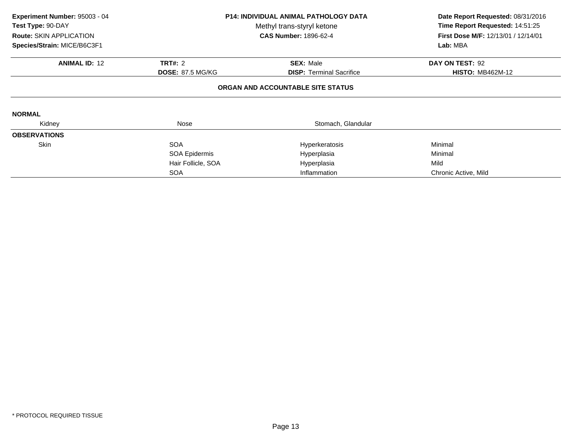| Experiment Number: 95003 - 04<br>Test Type: 90-DAY<br><b>Route: SKIN APPLICATION</b><br>Species/Strain: MICE/B6C3F1 |                         | <b>P14: INDIVIDUAL ANIMAL PATHOLOGY DATA</b><br>Methyl trans-styryl ketone<br><b>CAS Number: 1896-62-4</b> | Date Report Requested: 08/31/2016<br>Time Report Requested: 14:51:25<br>First Dose M/F: 12/13/01 / 12/14/01<br>Lab: MBA |
|---------------------------------------------------------------------------------------------------------------------|-------------------------|------------------------------------------------------------------------------------------------------------|-------------------------------------------------------------------------------------------------------------------------|
| <b>ANIMAL ID: 12</b>                                                                                                | <b>TRT#: 2</b>          | <b>SEX: Male</b>                                                                                           | DAY ON TEST: 92                                                                                                         |
|                                                                                                                     | <b>DOSE: 87.5 MG/KG</b> | <b>DISP:</b> Terminal Sacrifice                                                                            | <b>HISTO: MB462M-12</b>                                                                                                 |
|                                                                                                                     |                         | ORGAN AND ACCOUNTABLE SITE STATUS                                                                          |                                                                                                                         |
| <b>NORMAL</b>                                                                                                       |                         |                                                                                                            |                                                                                                                         |
| Kidney                                                                                                              | Nose                    | Stomach, Glandular                                                                                         |                                                                                                                         |
| <b>OBSERVATIONS</b>                                                                                                 |                         |                                                                                                            |                                                                                                                         |
| <b>Skin</b>                                                                                                         | <b>SOA</b>              | Hyperkeratosis                                                                                             | Minimal                                                                                                                 |
|                                                                                                                     | SOA Epidermis           | Hyperplasia                                                                                                | Minimal                                                                                                                 |
|                                                                                                                     | Hair Follicle, SOA      | Hyperplasia                                                                                                | Mild                                                                                                                    |
|                                                                                                                     | <b>SOA</b>              | Inflammation                                                                                               | Chronic Active, Mild                                                                                                    |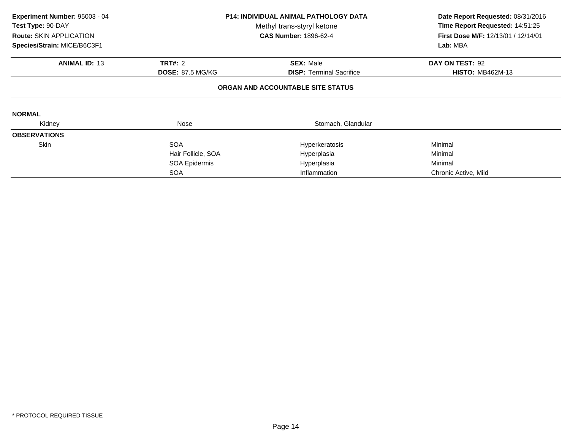| Experiment Number: 95003 - 04<br>Test Type: 90-DAY<br><b>Route: SKIN APPLICATION</b><br>Species/Strain: MICE/B6C3F1 | <b>P14: INDIVIDUAL ANIMAL PATHOLOGY DATA</b><br>Methyl trans-styryl ketone<br><b>CAS Number: 1896-62-4</b> |                                   | Date Report Requested: 08/31/2016<br>Time Report Requested: 14:51:25<br>First Dose M/F: 12/13/01 / 12/14/01<br>Lab: MBA |
|---------------------------------------------------------------------------------------------------------------------|------------------------------------------------------------------------------------------------------------|-----------------------------------|-------------------------------------------------------------------------------------------------------------------------|
| <b>ANIMAL ID: 13</b>                                                                                                | <b>TRT#: 2</b>                                                                                             | <b>SEX: Male</b>                  | DAY ON TEST: 92                                                                                                         |
|                                                                                                                     | <b>DOSE: 87.5 MG/KG</b>                                                                                    | <b>DISP:</b> Terminal Sacrifice   | <b>HISTO: MB462M-13</b>                                                                                                 |
|                                                                                                                     |                                                                                                            | ORGAN AND ACCOUNTABLE SITE STATUS |                                                                                                                         |
| <b>NORMAL</b>                                                                                                       |                                                                                                            |                                   |                                                                                                                         |
| Kidney                                                                                                              | Nose                                                                                                       | Stomach, Glandular                |                                                                                                                         |
| <b>OBSERVATIONS</b>                                                                                                 |                                                                                                            |                                   |                                                                                                                         |
| <b>Skin</b>                                                                                                         | <b>SOA</b>                                                                                                 | Hyperkeratosis                    | Minimal                                                                                                                 |
|                                                                                                                     | Hair Follicle, SOA                                                                                         | Hyperplasia                       | Minimal                                                                                                                 |
|                                                                                                                     | SOA Epidermis                                                                                              | Hyperplasia                       | Minimal                                                                                                                 |
|                                                                                                                     | <b>SOA</b>                                                                                                 | Inflammation                      | Chronic Active, Mild                                                                                                    |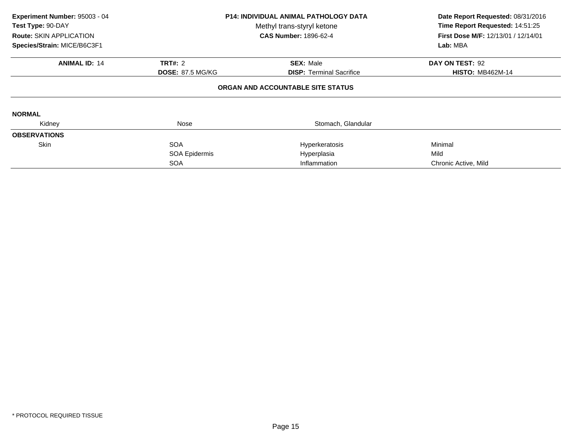| Experiment Number: 95003 - 04<br>Test Type: 90-DAY<br><b>Route: SKIN APPLICATION</b><br>Species/Strain: MICE/B6C3F1 | <b>P14: INDIVIDUAL ANIMAL PATHOLOGY DATA</b><br>Methyl trans-styryl ketone<br><b>CAS Number: 1896-62-4</b><br>TRT#: 2<br><b>SEX: Male</b><br><b>DOSE: 87.5 MG/KG</b><br><b>DISP:</b> Terminal Sacrifice |                                   | Date Report Requested: 08/31/2016<br>Time Report Requested: 14:51:25<br>First Dose M/F: 12/13/01 / 12/14/01<br>Lab: MBA |
|---------------------------------------------------------------------------------------------------------------------|---------------------------------------------------------------------------------------------------------------------------------------------------------------------------------------------------------|-----------------------------------|-------------------------------------------------------------------------------------------------------------------------|
| <b>ANIMAL ID: 14</b>                                                                                                |                                                                                                                                                                                                         |                                   | DAY ON TEST: 92<br><b>HISTO: MB462M-14</b>                                                                              |
|                                                                                                                     |                                                                                                                                                                                                         | ORGAN AND ACCOUNTABLE SITE STATUS |                                                                                                                         |
| <b>NORMAL</b>                                                                                                       |                                                                                                                                                                                                         |                                   |                                                                                                                         |
| Kidney                                                                                                              | Nose                                                                                                                                                                                                    | Stomach, Glandular                |                                                                                                                         |
| <b>OBSERVATIONS</b>                                                                                                 |                                                                                                                                                                                                         |                                   |                                                                                                                         |
| Skin                                                                                                                | <b>SOA</b>                                                                                                                                                                                              | Hyperkeratosis                    | Minimal                                                                                                                 |
|                                                                                                                     | SOA Epidermis                                                                                                                                                                                           | Hyperplasia                       | Mild                                                                                                                    |
|                                                                                                                     | <b>SOA</b>                                                                                                                                                                                              | Inflammation                      | Chronic Active, Mild                                                                                                    |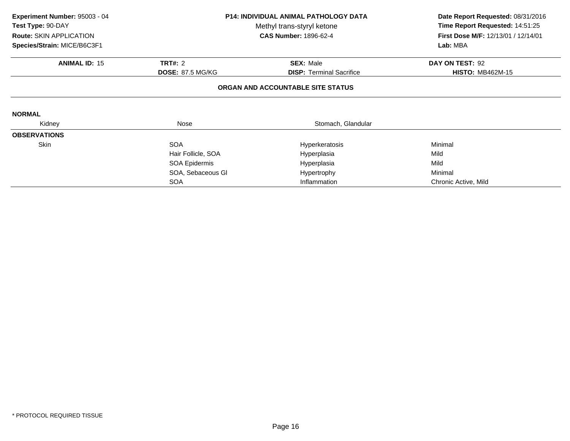| Experiment Number: 95003 - 04<br>Test Type: 90-DAY<br><b>Route: SKIN APPLICATION</b><br>Species/Strain: MICE/B6C3F1 | <b>P14: INDIVIDUAL ANIMAL PATHOLOGY DATA</b><br>Methyl trans-styryl ketone<br><b>CAS Number: 1896-62-4</b><br><b>TRT#: 2</b><br><b>SEX: Male</b><br><b>DOSE: 87.5 MG/KG</b><br><b>DISP:</b> Terminal Sacrifice |                                   | Date Report Requested: 08/31/2016<br>Time Report Requested: 14:51:25<br>First Dose M/F: 12/13/01 / 12/14/01<br>Lab: MBA |
|---------------------------------------------------------------------------------------------------------------------|----------------------------------------------------------------------------------------------------------------------------------------------------------------------------------------------------------------|-----------------------------------|-------------------------------------------------------------------------------------------------------------------------|
| <b>ANIMAL ID: 15</b>                                                                                                |                                                                                                                                                                                                                |                                   | DAY ON TEST: 92<br><b>HISTO: MB462M-15</b>                                                                              |
|                                                                                                                     |                                                                                                                                                                                                                | ORGAN AND ACCOUNTABLE SITE STATUS |                                                                                                                         |
| <b>NORMAL</b>                                                                                                       |                                                                                                                                                                                                                |                                   |                                                                                                                         |
| Kidney                                                                                                              | Nose                                                                                                                                                                                                           | Stomach, Glandular                |                                                                                                                         |
| <b>OBSERVATIONS</b>                                                                                                 |                                                                                                                                                                                                                |                                   |                                                                                                                         |
| <b>Skin</b>                                                                                                         | <b>SOA</b>                                                                                                                                                                                                     | Hyperkeratosis                    | Minimal                                                                                                                 |
|                                                                                                                     | Hair Follicle, SOA                                                                                                                                                                                             | Hyperplasia                       | Mild                                                                                                                    |
|                                                                                                                     | SOA Epidermis                                                                                                                                                                                                  | Hyperplasia                       | Mild                                                                                                                    |
|                                                                                                                     | SOA, Sebaceous GI                                                                                                                                                                                              | Hypertrophy                       | Minimal                                                                                                                 |
|                                                                                                                     | <b>SOA</b>                                                                                                                                                                                                     | Inflammation                      | Chronic Active, Mild                                                                                                    |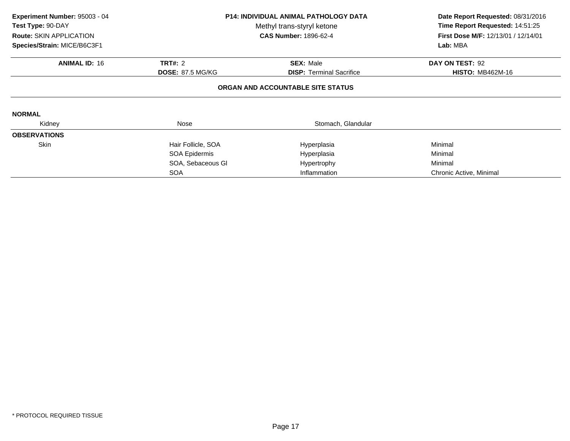| Experiment Number: 95003 - 04<br>Test Type: 90-DAY<br><b>Route: SKIN APPLICATION</b><br>Species/Strain: MICE/B6C3F1 |                         | <b>P14: INDIVIDUAL ANIMAL PATHOLOGY DATA</b><br>Methyl trans-styryl ketone<br><b>CAS Number: 1896-62-4</b> | Date Report Requested: 08/31/2016<br>Time Report Requested: 14:51:25<br>First Dose M/F: 12/13/01 / 12/14/01<br>Lab: MBA |
|---------------------------------------------------------------------------------------------------------------------|-------------------------|------------------------------------------------------------------------------------------------------------|-------------------------------------------------------------------------------------------------------------------------|
| <b>ANIMAL ID: 16</b>                                                                                                | <b>TRT#: 2</b>          | <b>SEX: Male</b>                                                                                           | DAY ON TEST: 92                                                                                                         |
|                                                                                                                     | <b>DOSE: 87.5 MG/KG</b> | <b>DISP:</b> Terminal Sacrifice                                                                            | <b>HISTO: MB462M-16</b>                                                                                                 |
|                                                                                                                     |                         | ORGAN AND ACCOUNTABLE SITE STATUS                                                                          |                                                                                                                         |
| <b>NORMAL</b>                                                                                                       |                         |                                                                                                            |                                                                                                                         |
| Kidney                                                                                                              | Nose                    | Stomach, Glandular                                                                                         |                                                                                                                         |
| <b>OBSERVATIONS</b>                                                                                                 |                         |                                                                                                            |                                                                                                                         |
| <b>Skin</b>                                                                                                         | Hair Follicle, SOA      | Hyperplasia                                                                                                | Minimal                                                                                                                 |
|                                                                                                                     | SOA Epidermis           | Hyperplasia                                                                                                | Minimal                                                                                                                 |
|                                                                                                                     | SOA, Sebaceous GI       | Hypertrophy                                                                                                | Minimal                                                                                                                 |
|                                                                                                                     | <b>SOA</b>              | Inflammation                                                                                               | Chronic Active, Minimal                                                                                                 |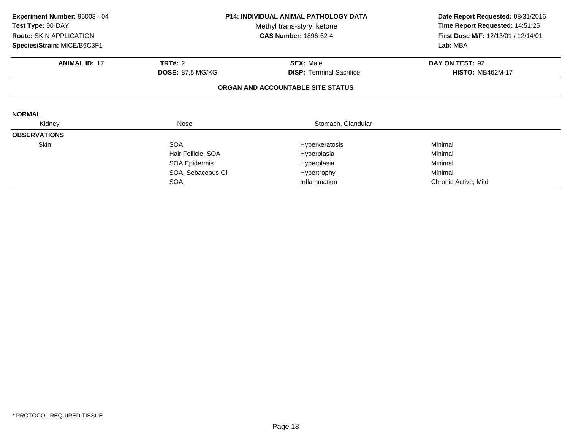| Experiment Number: 95003 - 04<br>Test Type: 90-DAY<br><b>Route: SKIN APPLICATION</b><br>Species/Strain: MICE/B6C3F1 | <b>P14: INDIVIDUAL ANIMAL PATHOLOGY DATA</b><br>Methyl trans-styryl ketone<br><b>CAS Number: 1896-62-4</b><br><b>TRT#: 2</b><br><b>SEX: Male</b><br><b>DOSE: 87.5 MG/KG</b><br><b>DISP:</b> Terminal Sacrifice |                                   | Date Report Requested: 08/31/2016<br>Time Report Requested: 14:51:25<br>First Dose M/F: 12/13/01 / 12/14/01<br>Lab: MBA |
|---------------------------------------------------------------------------------------------------------------------|----------------------------------------------------------------------------------------------------------------------------------------------------------------------------------------------------------------|-----------------------------------|-------------------------------------------------------------------------------------------------------------------------|
| <b>ANIMAL ID: 17</b>                                                                                                |                                                                                                                                                                                                                |                                   | DAY ON TEST: 92<br><b>HISTO: MB462M-17</b>                                                                              |
|                                                                                                                     |                                                                                                                                                                                                                | ORGAN AND ACCOUNTABLE SITE STATUS |                                                                                                                         |
| <b>NORMAL</b>                                                                                                       |                                                                                                                                                                                                                |                                   |                                                                                                                         |
| Kidney                                                                                                              | Nose                                                                                                                                                                                                           | Stomach, Glandular                |                                                                                                                         |
| <b>OBSERVATIONS</b>                                                                                                 |                                                                                                                                                                                                                |                                   |                                                                                                                         |
| <b>Skin</b>                                                                                                         | <b>SOA</b>                                                                                                                                                                                                     | Hyperkeratosis                    | Minimal                                                                                                                 |
|                                                                                                                     | Hair Follicle, SOA                                                                                                                                                                                             | Hyperplasia                       | Minimal                                                                                                                 |
|                                                                                                                     | SOA Epidermis                                                                                                                                                                                                  | Hyperplasia                       | Minimal                                                                                                                 |
|                                                                                                                     | SOA, Sebaceous GI                                                                                                                                                                                              | Hypertrophy                       | Minimal                                                                                                                 |
|                                                                                                                     | <b>SOA</b>                                                                                                                                                                                                     | Inflammation                      | Chronic Active, Mild                                                                                                    |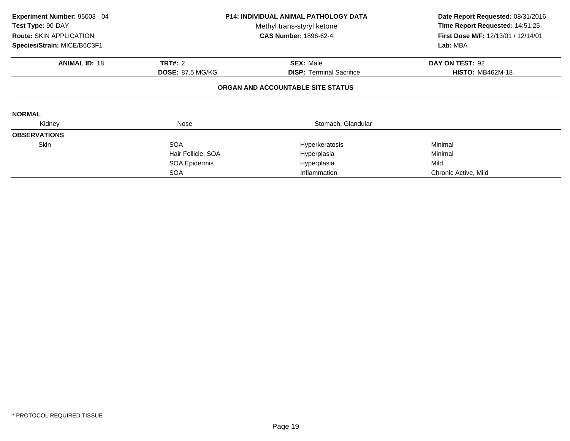| Experiment Number: 95003 - 04<br>Test Type: 90-DAY<br><b>Route: SKIN APPLICATION</b><br>Species/Strain: MICE/B6C3F1 |                         | <b>P14: INDIVIDUAL ANIMAL PATHOLOGY DATA</b><br>Methyl trans-styryl ketone<br><b>CAS Number: 1896-62-4</b> | Date Report Requested: 08/31/2016<br>Time Report Requested: 14:51:25<br><b>First Dose M/F: 12/13/01 / 12/14/01</b><br>Lab: MBA |
|---------------------------------------------------------------------------------------------------------------------|-------------------------|------------------------------------------------------------------------------------------------------------|--------------------------------------------------------------------------------------------------------------------------------|
| <b>ANIMAL ID: 18</b>                                                                                                | <b>TRT#: 2</b>          | <b>SEX: Male</b>                                                                                           | DAY ON TEST: 92                                                                                                                |
|                                                                                                                     | <b>DOSE: 87.5 MG/KG</b> | <b>DISP:</b> Terminal Sacrifice                                                                            | <b>HISTO: MB462M-18</b>                                                                                                        |
|                                                                                                                     |                         | ORGAN AND ACCOUNTABLE SITE STATUS                                                                          |                                                                                                                                |
| <b>NORMAL</b>                                                                                                       |                         |                                                                                                            |                                                                                                                                |
| Kidney                                                                                                              | Nose                    | Stomach, Glandular                                                                                         |                                                                                                                                |
| <b>OBSERVATIONS</b>                                                                                                 |                         |                                                                                                            |                                                                                                                                |
| <b>Skin</b>                                                                                                         | <b>SOA</b>              | Hyperkeratosis                                                                                             | Minimal                                                                                                                        |
|                                                                                                                     | Hair Follicle, SOA      | Hyperplasia                                                                                                | Minimal                                                                                                                        |
|                                                                                                                     | SOA Epidermis           | Hyperplasia                                                                                                | Mild                                                                                                                           |
|                                                                                                                     | <b>SOA</b>              | Inflammation                                                                                               | Chronic Active, Mild                                                                                                           |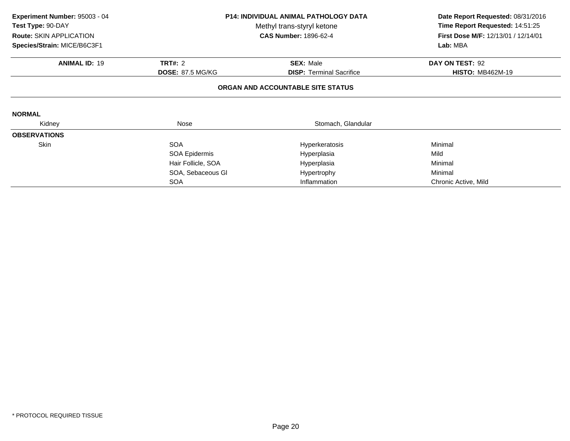| Experiment Number: 95003 - 04<br>Test Type: 90-DAY<br><b>Route: SKIN APPLICATION</b> | <b>P14: INDIVIDUAL ANIMAL PATHOLOGY DATA</b><br>Methyl trans-styryl ketone<br><b>CAS Number: 1896-62-4</b> |                                   | Date Report Requested: 08/31/2016<br>Time Report Requested: 14:51:25<br>First Dose M/F: 12/13/01 / 12/14/01<br>Lab: MBA |
|--------------------------------------------------------------------------------------|------------------------------------------------------------------------------------------------------------|-----------------------------------|-------------------------------------------------------------------------------------------------------------------------|
| Species/Strain: MICE/B6C3F1                                                          |                                                                                                            |                                   |                                                                                                                         |
| <b>ANIMAL ID: 19</b>                                                                 | <b>TRT#: 2</b>                                                                                             | <b>SEX: Male</b>                  | DAY ON TEST: 92                                                                                                         |
|                                                                                      | <b>DOSE: 87.5 MG/KG</b>                                                                                    | <b>DISP:</b> Terminal Sacrifice   | <b>HISTO: MB462M-19</b>                                                                                                 |
|                                                                                      |                                                                                                            | ORGAN AND ACCOUNTABLE SITE STATUS |                                                                                                                         |
| <b>NORMAL</b>                                                                        |                                                                                                            |                                   |                                                                                                                         |
| Kidney                                                                               | Nose                                                                                                       | Stomach, Glandular                |                                                                                                                         |
| <b>OBSERVATIONS</b>                                                                  |                                                                                                            |                                   |                                                                                                                         |
| Skin                                                                                 | <b>SOA</b>                                                                                                 | Hyperkeratosis                    | Minimal                                                                                                                 |
|                                                                                      | SOA Epidermis                                                                                              | Hyperplasia                       | Mild                                                                                                                    |
|                                                                                      | Hair Follicle, SOA                                                                                         | Hyperplasia                       | Minimal                                                                                                                 |
|                                                                                      | SOA, Sebaceous GI                                                                                          | Hypertrophy                       | Minimal                                                                                                                 |
|                                                                                      | <b>SOA</b>                                                                                                 | Inflammation                      | Chronic Active, Mild                                                                                                    |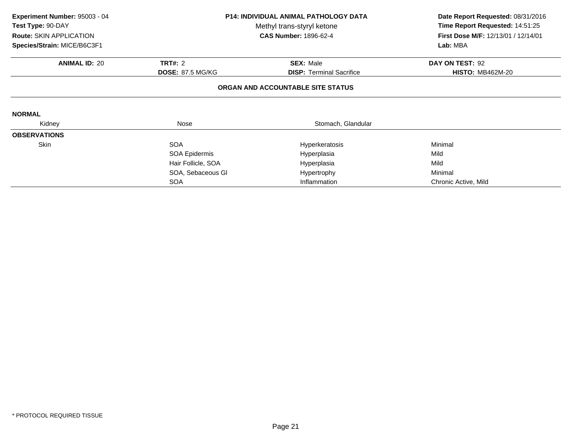| Experiment Number: 95003 - 04<br>Test Type: 90-DAY<br><b>Route: SKIN APPLICATION</b> | <b>P14: INDIVIDUAL ANIMAL PATHOLOGY DATA</b><br>Methyl trans-styryl ketone<br><b>CAS Number: 1896-62-4</b> |                                   | Date Report Requested: 08/31/2016<br>Time Report Requested: 14:51:25<br>First Dose M/F: 12/13/01 / 12/14/01<br>Lab: MBA |
|--------------------------------------------------------------------------------------|------------------------------------------------------------------------------------------------------------|-----------------------------------|-------------------------------------------------------------------------------------------------------------------------|
| Species/Strain: MICE/B6C3F1                                                          |                                                                                                            |                                   |                                                                                                                         |
| <b>ANIMAL ID: 20</b>                                                                 | <b>TRT#: 2</b>                                                                                             | <b>SEX: Male</b>                  | DAY ON TEST: 92                                                                                                         |
|                                                                                      | <b>DOSE: 87.5 MG/KG</b>                                                                                    | <b>DISP:</b> Terminal Sacrifice   | <b>HISTO: MB462M-20</b>                                                                                                 |
|                                                                                      |                                                                                                            | ORGAN AND ACCOUNTABLE SITE STATUS |                                                                                                                         |
| <b>NORMAL</b>                                                                        |                                                                                                            |                                   |                                                                                                                         |
| Kidney                                                                               | Nose                                                                                                       | Stomach, Glandular                |                                                                                                                         |
| <b>OBSERVATIONS</b>                                                                  |                                                                                                            |                                   |                                                                                                                         |
| Skin                                                                                 | <b>SOA</b>                                                                                                 | Hyperkeratosis                    | Minimal                                                                                                                 |
|                                                                                      | SOA Epidermis                                                                                              | Hyperplasia                       | Mild                                                                                                                    |
|                                                                                      | Hair Follicle, SOA                                                                                         | Hyperplasia                       | Mild                                                                                                                    |
|                                                                                      | SOA, Sebaceous GI                                                                                          | Hypertrophy                       | Minimal                                                                                                                 |
|                                                                                      | <b>SOA</b>                                                                                                 | Inflammation                      | Chronic Active, Mild                                                                                                    |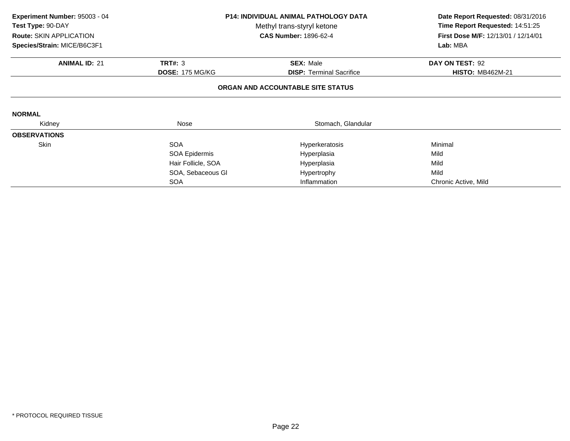| Experiment Number: 95003 - 04<br>Test Type: 90-DAY<br><b>Route: SKIN APPLICATION</b> | <b>P14: INDIVIDUAL ANIMAL PATHOLOGY DATA</b><br>Methyl trans-styryl ketone<br><b>CAS Number: 1896-62-4</b> |                                                     | Date Report Requested: 08/31/2016<br>Time Report Requested: 14:51:25<br>First Dose M/F: 12/13/01 / 12/14/01 |
|--------------------------------------------------------------------------------------|------------------------------------------------------------------------------------------------------------|-----------------------------------------------------|-------------------------------------------------------------------------------------------------------------|
| Species/Strain: MICE/B6C3F1                                                          |                                                                                                            |                                                     | Lab: MBA                                                                                                    |
| <b>ANIMAL ID: 21</b>                                                                 | <b>TRT#: 3</b><br><b>DOSE: 175 MG/KG</b>                                                                   | <b>SEX: Male</b><br><b>DISP:</b> Terminal Sacrifice | DAY ON TEST: 92<br><b>HISTO: MB462M-21</b>                                                                  |
|                                                                                      |                                                                                                            | ORGAN AND ACCOUNTABLE SITE STATUS                   |                                                                                                             |
| <b>NORMAL</b>                                                                        |                                                                                                            |                                                     |                                                                                                             |
| Kidney                                                                               | Nose                                                                                                       | Stomach, Glandular                                  |                                                                                                             |
| <b>OBSERVATIONS</b>                                                                  |                                                                                                            |                                                     |                                                                                                             |
| Skin                                                                                 | <b>SOA</b>                                                                                                 | Hyperkeratosis                                      | Minimal                                                                                                     |
|                                                                                      | SOA Epidermis                                                                                              | Hyperplasia                                         | Mild                                                                                                        |
|                                                                                      | Hair Follicle, SOA                                                                                         | Hyperplasia                                         | Mild                                                                                                        |
|                                                                                      | SOA, Sebaceous GI                                                                                          | Hypertrophy                                         | Mild                                                                                                        |
|                                                                                      | <b>SOA</b>                                                                                                 | Inflammation                                        | Chronic Active, Mild                                                                                        |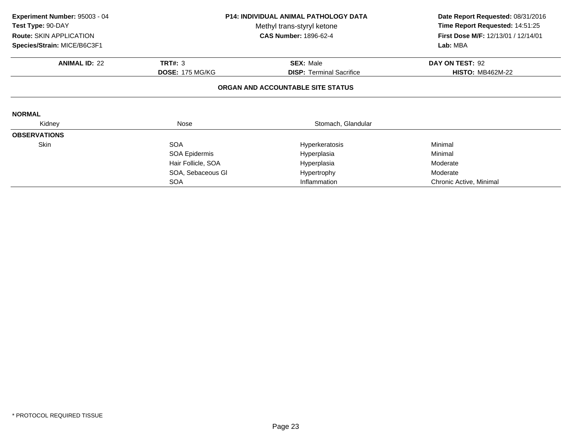| Experiment Number: 95003 - 04                   | <b>P14: INDIVIDUAL ANIMAL PATHOLOGY DATA</b> |                                   | Date Report Requested: 08/31/2016   |
|-------------------------------------------------|----------------------------------------------|-----------------------------------|-------------------------------------|
| Test Type: 90-DAY<br>Methyl trans-styryl ketone |                                              |                                   | Time Report Requested: 14:51:25     |
| <b>Route: SKIN APPLICATION</b>                  |                                              | <b>CAS Number: 1896-62-4</b>      | First Dose M/F: 12/13/01 / 12/14/01 |
| Species/Strain: MICE/B6C3F1                     |                                              |                                   | Lab: MBA                            |
| <b>ANIMAL ID: 22</b>                            | <b>TRT#: 3</b>                               | <b>SEX: Male</b>                  | DAY ON TEST: 92                     |
|                                                 | <b>DOSE: 175 MG/KG</b>                       | <b>DISP: Terminal Sacrifice</b>   | <b>HISTO: MB462M-22</b>             |
|                                                 |                                              | ORGAN AND ACCOUNTABLE SITE STATUS |                                     |
| <b>NORMAL</b>                                   |                                              |                                   |                                     |
| Kidney                                          | Nose                                         | Stomach, Glandular                |                                     |
| <b>OBSERVATIONS</b>                             |                                              |                                   |                                     |
| Skin                                            | <b>SOA</b>                                   | Hyperkeratosis                    | Minimal                             |
|                                                 | SOA Epidermis                                | Hyperplasia                       | Minimal                             |
|                                                 | Hair Follicle, SOA                           | Hyperplasia                       | Moderate                            |
|                                                 | SOA, Sebaceous GI                            | Hypertrophy                       | Moderate                            |
|                                                 | <b>SOA</b>                                   | Inflammation                      | Chronic Active, Minimal             |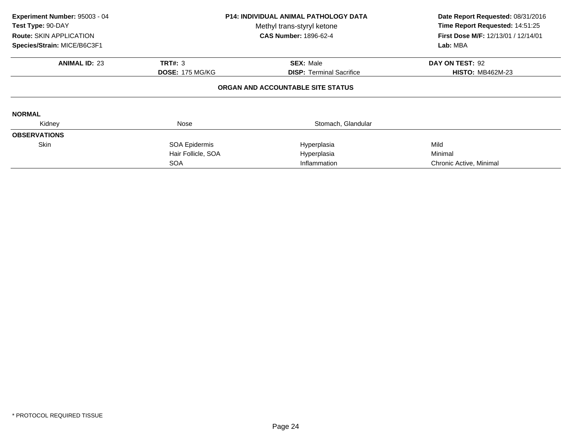| Experiment Number: 95003 - 04<br>Test Type: 90-DAY<br>Route: SKIN APPLICATION<br>Species/Strain: MICE/B6C3F1 | <b>P14: INDIVIDUAL ANIMAL PATHOLOGY DATA</b><br>Methyl trans-styryl ketone<br><b>CAS Number: 1896-62-4</b><br><b>ANIMAL ID: 23</b><br><b>TRT#: 3</b><br><b>SEX: Male</b><br><b>DOSE: 175 MG/KG</b><br><b>DISP:</b> Terminal Sacrifice |                                   | Date Report Requested: 08/31/2016<br>Time Report Requested: 14:51:25<br>First Dose M/F: 12/13/01 / 12/14/01<br>Lab: MBA |
|--------------------------------------------------------------------------------------------------------------|---------------------------------------------------------------------------------------------------------------------------------------------------------------------------------------------------------------------------------------|-----------------------------------|-------------------------------------------------------------------------------------------------------------------------|
|                                                                                                              |                                                                                                                                                                                                                                       |                                   | DAY ON TEST: 92<br><b>HISTO: MB462M-23</b>                                                                              |
|                                                                                                              |                                                                                                                                                                                                                                       | ORGAN AND ACCOUNTABLE SITE STATUS |                                                                                                                         |
| <b>NORMAL</b>                                                                                                |                                                                                                                                                                                                                                       |                                   |                                                                                                                         |
| Kidney                                                                                                       | Nose                                                                                                                                                                                                                                  | Stomach, Glandular                |                                                                                                                         |
| <b>OBSERVATIONS</b>                                                                                          |                                                                                                                                                                                                                                       |                                   |                                                                                                                         |
| Skin                                                                                                         | SOA Epidermis                                                                                                                                                                                                                         | Hyperplasia                       | Mild                                                                                                                    |
|                                                                                                              | Hair Follicle, SOA                                                                                                                                                                                                                    | Hyperplasia                       | Minimal                                                                                                                 |
|                                                                                                              | <b>SOA</b>                                                                                                                                                                                                                            | Inflammation                      | Chronic Active, Minimal                                                                                                 |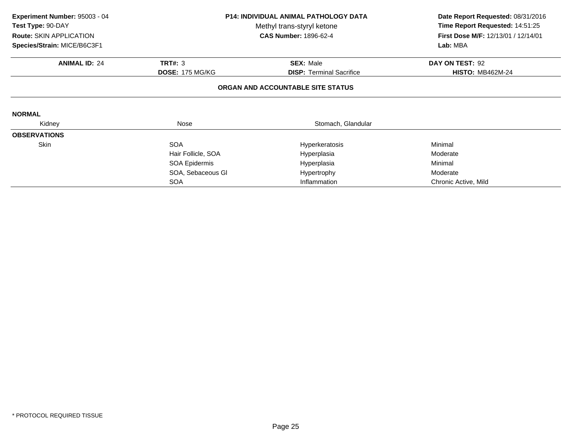| Experiment Number: 95003 - 04                   | <b>P14: INDIVIDUAL ANIMAL PATHOLOGY DATA</b> |                                   | Date Report Requested: 08/31/2016   |
|-------------------------------------------------|----------------------------------------------|-----------------------------------|-------------------------------------|
| Test Type: 90-DAY<br>Methyl trans-styryl ketone |                                              | Time Report Requested: 14:51:25   |                                     |
| Route: SKIN APPLICATION                         |                                              | <b>CAS Number: 1896-62-4</b>      | First Dose M/F: 12/13/01 / 12/14/01 |
| Species/Strain: MICE/B6C3F1                     |                                              |                                   | Lab: MBA                            |
| <b>ANIMAL ID: 24</b>                            | <b>TRT#: 3</b>                               | <b>SEX: Male</b>                  | DAY ON TEST: 92                     |
|                                                 | <b>DOSE: 175 MG/KG</b>                       | <b>DISP: Terminal Sacrifice</b>   | <b>HISTO: MB462M-24</b>             |
|                                                 |                                              | ORGAN AND ACCOUNTABLE SITE STATUS |                                     |
| <b>NORMAL</b>                                   |                                              |                                   |                                     |
| Kidney                                          | Nose                                         | Stomach, Glandular                |                                     |
| <b>OBSERVATIONS</b>                             |                                              |                                   |                                     |
| Skin                                            | <b>SOA</b>                                   | Hyperkeratosis                    | Minimal                             |
|                                                 | Hair Follicle, SOA                           | Hyperplasia                       | Moderate                            |
|                                                 | SOA Epidermis                                | Hyperplasia                       | Minimal                             |
|                                                 | SOA, Sebaceous GI                            | Hypertrophy                       | Moderate                            |
|                                                 | <b>SOA</b>                                   | Inflammation                      | Chronic Active, Mild                |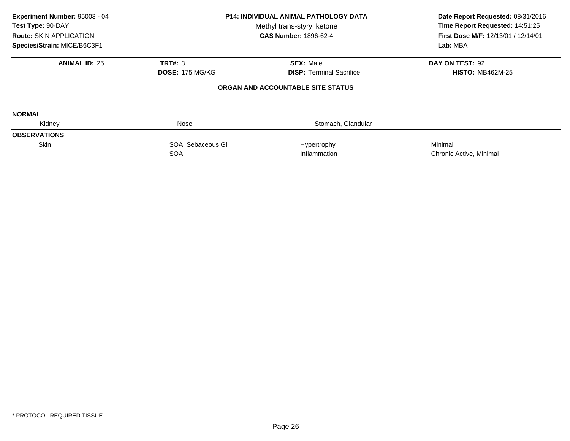| Experiment Number: 95003 - 04<br>Test Type: 90-DAY<br>Route: SKIN APPLICATION<br>Species/Strain: MICE/B6C3F1 | <b>P14: INDIVIDUAL ANIMAL PATHOLOGY DATA</b><br>Methyl trans-styryl ketone<br><b>CAS Number: 1896-62-4</b> |                                   | Date Report Requested: 08/31/2016<br>Time Report Requested: 14:51:25<br>First Dose M/F: 12/13/01 / 12/14/01<br>Lab: MBA |
|--------------------------------------------------------------------------------------------------------------|------------------------------------------------------------------------------------------------------------|-----------------------------------|-------------------------------------------------------------------------------------------------------------------------|
| <b>ANIMAL ID: 25</b>                                                                                         | TRT#: 3                                                                                                    | <b>SEX: Male</b>                  | DAY ON TEST: 92                                                                                                         |
|                                                                                                              | <b>DOSE: 175 MG/KG</b>                                                                                     | <b>DISP:</b> Terminal Sacrifice   | <b>HISTO: MB462M-25</b>                                                                                                 |
|                                                                                                              |                                                                                                            | ORGAN AND ACCOUNTABLE SITE STATUS |                                                                                                                         |
| <b>NORMAL</b>                                                                                                |                                                                                                            |                                   |                                                                                                                         |
| Kidney                                                                                                       | Nose                                                                                                       | Stomach, Glandular                |                                                                                                                         |
| <b>OBSERVATIONS</b>                                                                                          |                                                                                                            |                                   |                                                                                                                         |
| <b>Skin</b>                                                                                                  | SOA, Sebaceous Gl                                                                                          | Hypertrophy                       | Minimal                                                                                                                 |
|                                                                                                              | <b>SOA</b>                                                                                                 | Inflammation                      | Chronic Active, Minimal                                                                                                 |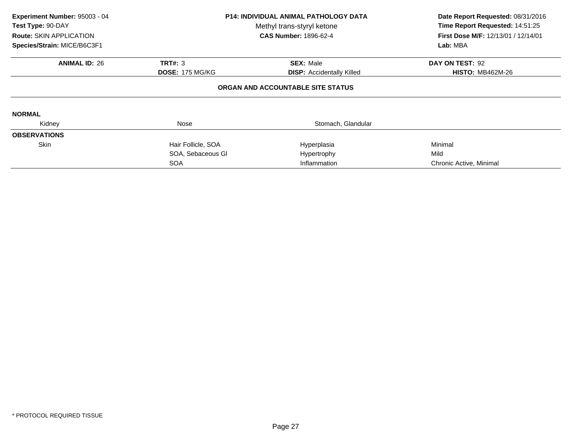| Experiment Number: 95003 - 04<br>Test Type: 90-DAY<br><b>Route: SKIN APPLICATION</b><br>Species/Strain: MICE/B6C3F1 | <b>P14: INDIVIDUAL ANIMAL PATHOLOGY DATA</b><br>Methyl trans-styryl ketone<br><b>CAS Number: 1896-62-4</b> |                                                      | Date Report Requested: 08/31/2016<br>Time Report Requested: 14:51:25<br><b>First Dose M/F: 12/13/01 / 12/14/01</b><br>Lab: MBA |
|---------------------------------------------------------------------------------------------------------------------|------------------------------------------------------------------------------------------------------------|------------------------------------------------------|--------------------------------------------------------------------------------------------------------------------------------|
| <b>ANIMAL ID: 26</b>                                                                                                | TRT#: 3<br><b>DOSE: 175 MG/KG</b>                                                                          | <b>SEX: Male</b><br><b>DISP:</b> Accidentally Killed | DAY ON TEST: 92<br><b>HISTO: MB462M-26</b>                                                                                     |
|                                                                                                                     |                                                                                                            | ORGAN AND ACCOUNTABLE SITE STATUS                    |                                                                                                                                |
| <b>NORMAL</b>                                                                                                       |                                                                                                            |                                                      |                                                                                                                                |
| Kidney                                                                                                              | Nose                                                                                                       | Stomach, Glandular                                   |                                                                                                                                |
| <b>OBSERVATIONS</b>                                                                                                 |                                                                                                            |                                                      |                                                                                                                                |
| <b>Skin</b>                                                                                                         | Hair Follicle, SOA                                                                                         | Hyperplasia                                          | Minimal                                                                                                                        |
|                                                                                                                     | SOA, Sebaceous Gl                                                                                          | Hypertrophy                                          | Mild                                                                                                                           |
|                                                                                                                     | <b>SOA</b>                                                                                                 | Inflammation                                         | Chronic Active, Minimal                                                                                                        |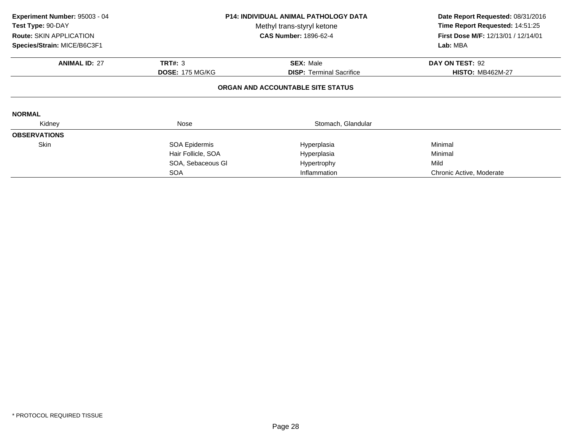| Experiment Number: 95003 - 04<br>Test Type: 90-DAY<br><b>Route: SKIN APPLICATION</b><br>Species/Strain: MICE/B6C3F1 |                        | <b>P14: INDIVIDUAL ANIMAL PATHOLOGY DATA</b><br>Methyl trans-styryl ketone<br><b>CAS Number: 1896-62-4</b> | Date Report Requested: 08/31/2016<br>Time Report Requested: 14:51:25<br>First Dose M/F: 12/13/01 / 12/14/01<br>Lab: MBA |
|---------------------------------------------------------------------------------------------------------------------|------------------------|------------------------------------------------------------------------------------------------------------|-------------------------------------------------------------------------------------------------------------------------|
| <b>ANIMAL ID: 27</b>                                                                                                | <b>TRT#: 3</b>         | <b>SEX: Male</b>                                                                                           | DAY ON TEST: 92                                                                                                         |
|                                                                                                                     | <b>DOSE: 175 MG/KG</b> | <b>DISP: Terminal Sacrifice</b>                                                                            | <b>HISTO: MB462M-27</b>                                                                                                 |
|                                                                                                                     |                        | ORGAN AND ACCOUNTABLE SITE STATUS                                                                          |                                                                                                                         |
| <b>NORMAL</b>                                                                                                       |                        |                                                                                                            |                                                                                                                         |
| Kidney                                                                                                              | Nose                   | Stomach, Glandular                                                                                         |                                                                                                                         |
| <b>OBSERVATIONS</b>                                                                                                 |                        |                                                                                                            |                                                                                                                         |
| Skin                                                                                                                | SOA Epidermis          | Hyperplasia                                                                                                | Minimal                                                                                                                 |
|                                                                                                                     | Hair Follicle, SOA     | Hyperplasia                                                                                                | Minimal                                                                                                                 |
|                                                                                                                     | SOA, Sebaceous GI      | Hypertrophy                                                                                                | Mild                                                                                                                    |
|                                                                                                                     | <b>SOA</b>             | Inflammation                                                                                               | Chronic Active, Moderate                                                                                                |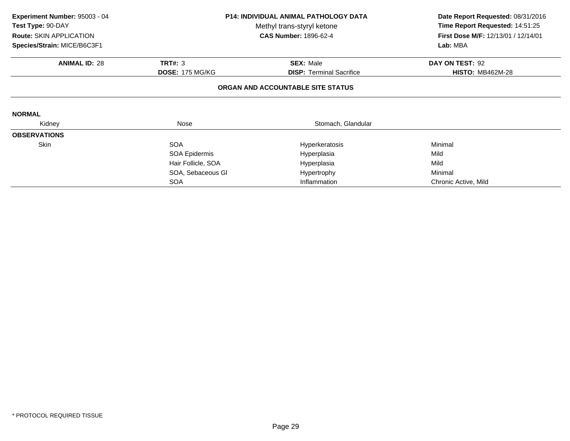| Experiment Number: 95003 - 04<br>Test Type: 90-DAY | <b>P14: INDIVIDUAL ANIMAL PATHOLOGY DATA</b><br>Methyl trans-styryl ketone<br><b>CAS Number: 1896-62-4</b><br><b>Route: SKIN APPLICATION</b> |                                                     | Date Report Requested: 08/31/2016<br>Time Report Requested: 14:51:25<br>First Dose M/F: 12/13/01 / 12/14/01<br>Lab: MBA |
|----------------------------------------------------|----------------------------------------------------------------------------------------------------------------------------------------------|-----------------------------------------------------|-------------------------------------------------------------------------------------------------------------------------|
| Species/Strain: MICE/B6C3F1                        |                                                                                                                                              |                                                     |                                                                                                                         |
| <b>ANIMAL ID: 28</b>                               | <b>TRT#: 3</b><br><b>DOSE: 175 MG/KG</b>                                                                                                     | <b>SEX: Male</b><br><b>DISP:</b> Terminal Sacrifice | DAY ON TEST: 92<br><b>HISTO: MB462M-28</b>                                                                              |
|                                                    |                                                                                                                                              | ORGAN AND ACCOUNTABLE SITE STATUS                   |                                                                                                                         |
| <b>NORMAL</b>                                      |                                                                                                                                              |                                                     |                                                                                                                         |
| Kidney                                             | Nose                                                                                                                                         | Stomach, Glandular                                  |                                                                                                                         |
| <b>OBSERVATIONS</b>                                |                                                                                                                                              |                                                     |                                                                                                                         |
| Skin                                               | <b>SOA</b>                                                                                                                                   | Hyperkeratosis                                      | Minimal                                                                                                                 |
|                                                    | SOA Epidermis                                                                                                                                | Hyperplasia                                         | Mild                                                                                                                    |
|                                                    | Hair Follicle, SOA                                                                                                                           | Hyperplasia                                         | Mild                                                                                                                    |
|                                                    | SOA, Sebaceous GI                                                                                                                            | Hypertrophy                                         | Minimal                                                                                                                 |
|                                                    | <b>SOA</b>                                                                                                                                   | Inflammation                                        | Chronic Active, Mild                                                                                                    |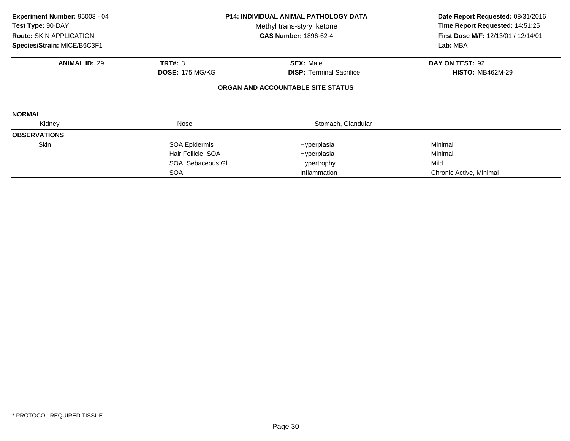| Experiment Number: 95003 - 04<br>Test Type: 90-DAY<br><b>Route: SKIN APPLICATION</b><br>Species/Strain: MICE/B6C3F1 | <b>P14: INDIVIDUAL ANIMAL PATHOLOGY DATA</b><br>Methyl trans-styryl ketone<br><b>CAS Number: 1896-62-4</b> |                                   | Date Report Requested: 08/31/2016<br>Time Report Requested: 14:51:25<br>First Dose M/F: 12/13/01 / 12/14/01<br>Lab: MBA |
|---------------------------------------------------------------------------------------------------------------------|------------------------------------------------------------------------------------------------------------|-----------------------------------|-------------------------------------------------------------------------------------------------------------------------|
| <b>ANIMAL ID: 29</b>                                                                                                | <b>TRT#: 3</b>                                                                                             | <b>SEX: Male</b>                  | DAY ON TEST: 92                                                                                                         |
|                                                                                                                     | <b>DOSE: 175 MG/KG</b>                                                                                     | <b>DISP:</b> Terminal Sacrifice   | <b>HISTO: MB462M-29</b>                                                                                                 |
|                                                                                                                     |                                                                                                            | ORGAN AND ACCOUNTABLE SITE STATUS |                                                                                                                         |
| <b>NORMAL</b>                                                                                                       |                                                                                                            |                                   |                                                                                                                         |
| Kidney                                                                                                              | Nose                                                                                                       | Stomach, Glandular                |                                                                                                                         |
| <b>OBSERVATIONS</b>                                                                                                 |                                                                                                            |                                   |                                                                                                                         |
| <b>Skin</b>                                                                                                         | SOA Epidermis                                                                                              | Hyperplasia                       | Minimal                                                                                                                 |
|                                                                                                                     | Hair Follicle, SOA                                                                                         | Hyperplasia                       | Minimal                                                                                                                 |
|                                                                                                                     | SOA, Sebaceous GI                                                                                          | Hypertrophy                       | Mild                                                                                                                    |
|                                                                                                                     | <b>SOA</b>                                                                                                 | Inflammation                      | Chronic Active, Minimal                                                                                                 |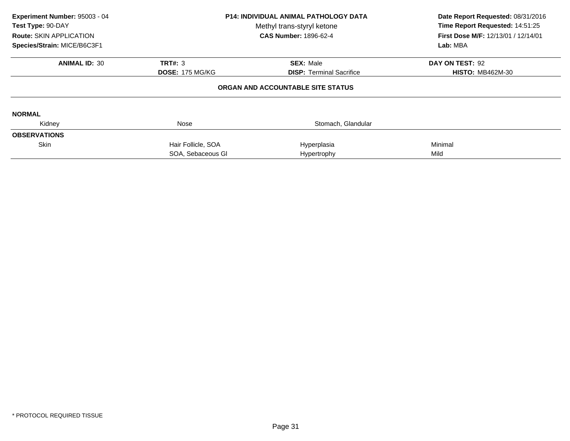| Experiment Number: 95003 - 04<br>Test Type: 90-DAY<br><b>Route: SKIN APPLICATION</b><br>Species/Strain: MICE/B6C3F1 | <b>P14: INDIVIDUAL ANIMAL PATHOLOGY DATA</b><br>Methyl trans-styryl ketone<br><b>CAS Number: 1896-62-4</b> |                                   | Date Report Requested: 08/31/2016<br>Time Report Requested: 14:51:25<br><b>First Dose M/F: 12/13/01 / 12/14/01</b><br>Lab: MBA |  |
|---------------------------------------------------------------------------------------------------------------------|------------------------------------------------------------------------------------------------------------|-----------------------------------|--------------------------------------------------------------------------------------------------------------------------------|--|
| <b>ANIMAL ID: 30</b>                                                                                                | <b>TRT#: 3</b>                                                                                             | <b>SEX: Male</b>                  | DAY ON TEST: 92                                                                                                                |  |
|                                                                                                                     | <b>DOSE: 175 MG/KG</b>                                                                                     | <b>DISP:</b> Terminal Sacrifice   | <b>HISTO: MB462M-30</b>                                                                                                        |  |
|                                                                                                                     |                                                                                                            | ORGAN AND ACCOUNTABLE SITE STATUS |                                                                                                                                |  |
| <b>NORMAL</b>                                                                                                       |                                                                                                            |                                   |                                                                                                                                |  |
| Kidney                                                                                                              | <b>Nose</b>                                                                                                | Stomach, Glandular                |                                                                                                                                |  |
| <b>OBSERVATIONS</b>                                                                                                 |                                                                                                            |                                   |                                                                                                                                |  |
| <b>Skin</b>                                                                                                         | Hair Follicle, SOA                                                                                         | Hyperplasia                       | Minimal                                                                                                                        |  |
|                                                                                                                     | SOA, Sebaceous GI                                                                                          | Hypertrophy                       | Mild                                                                                                                           |  |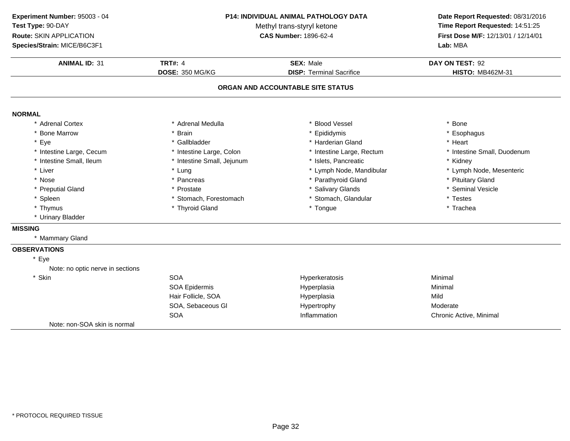**ANIMAL ID:** <sup>31</sup> **TRT#:** <sup>4</sup> **SEX:** Male **DAY ON TEST:** <sup>92</sup> **DOSE:** 350 MG/KG**DISP:** Terminal Sacrifice **HISTO:** MB462M-31 **ORGAN AND ACCOUNTABLE SITE STATUSNORMAL** \* Adrenal Cortex \* Adrenal Medullaa the set of the set of the set of the set of the set of the set of the set of the set of the set of the set o<br>Set of the set of the set of the set of the set of the set of the set of the set of the set of the set of the s \* Bone Marrow \* Brain \* Epididymis \* Esophagus \* Eyee the second of the set of the set of the set of the set of the set of the set of the set of the set of the set of the set of the set of the set of the set of the set of the set of the set of the set of the set of the set \* Intestine Large, Cecumm and the state of the state of the state of the state of the state of the state of the state of the state of the state of the state of the state of the state of the state of the state of the state of the state of the stat \* Intestine Small, Ileum\* Intestine Small, Jejunum \* 1990 \* 1991 \* Islets, Pancreatic \* The many \* Kidney \* Kidney<br>
\* Lung \* Lymph Nome, Mandibular \* Kymph Node, Mesenteric \* Liver Liver \* Lung \* Lymph Node, Mandibular \* Lymph Node, Mesenteric \* Nosee the second of the second of the second vertex  $\ast$  Parathyroid Gland  $\ast$  Pituitary Gland  $\ast$  Pituitary Gland \* Preputial Gland \* Prostate \* Salivary Glands \* Seminal Vesicle \* Spleen\* Stomach, Forestomach \* \* Stomach, Glandular \* Testes \* Testes \* Testes \* Thyroid Gland<br>\* Thyroid Gland \* \* Trachea \* Thymus \* Thyroid Gland \* Tongue \* Trachea \* Urinary Bladder **MISSING** \* Mammary Gland**OBSERVATIONS**\* EyeNote: no optic nerve in sections\* Skinn SOA A Research of the Hyperkeratosis and the Minimal Minimal Service of the Minimal Service of the Minimal Service of the Minimal Service of the Minimal Service of the Minimal Service of the Minimal Service of the Minimal Serv SOA Epidermis Hyperplasiaa Minimal Hair Follicle, SOAA Mild SOA, Sebaceous Gl Hypertrophy ModerateA contraction contraction and the Inflammation contractive Chronic Active, Minimal SOANote: non-SOA skin is normal**Experiment Number:** 95003 - 04 **P14: INDIVIDUAL ANIMAL PATHOLOGY DATA Date Report Requested:** 08/31/2016 **Test Type:** 90-DAYMethyl trans-styryl ketone<br>CAS Number: 1896-62-4 **Time Report Requested:** 14:51:25 **Route:** SKIN APPLICATION**First Dose M/F:** 12/13/01 / 12/14/01<br>**Lab:** MBA **Species/Strain:** MICE/B6C3F1**Lab:** MBA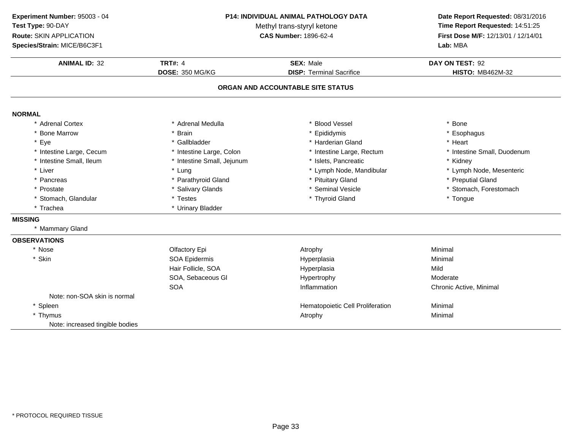**ANIMAL ID:** <sup>32</sup> **TRT#:** <sup>4</sup> **SEX:** Male **DAY ON TEST:** <sup>92</sup> **DOSE:** 350 MG/KG**DISP:** Terminal Sacrifice **HISTO:** MB462M-32 **ORGAN AND ACCOUNTABLE SITE STATUSNORMAL** \* Adrenal Cortex \* Adrenal Medullaa the set of the set of the set of the set of the set of the set of the set of the set of the set of the set o<br>Set of the set of the set of the set of the set of the set of the set of the set of the set of the set of the s \* Bone Marrow \* Brain \* Epididymis \* Esophagus \* Eyee the second of the set of the set of the set of the set of the set of the set of the set of the set of the set of the set of the set of the set of the set of the set of the set of the set of the set of the set of the set \* Intestine Large, Cecumm and the state of the state of the state of the state of the state of the state of the state of the state of the state of the state of the state of the state of the state of the state of the state of the state of the stat \* Intestine Small, Ileum\* Intestine Small, Jejunum \* 1990 \* 1991 \* Islets, Pancreatic \* The many \* Kidney \* Kidney<br>
\* Lung \* Lymph Nome, Mandibular \* Kymph Node, Mesenteric \* Liver Liver \* Lung\* Lymph Node, Mandibular<br>\* Pituitary Gland \* Pancreas\* Parathyroid Gland<br>\* Salivary Glands \* Pituitary Gland \* **and \* Preputial Gland \* Preputial Gland \*** Steminal Vesicle \* 8. And \* Steminal American \* Steminal Preputial Gland \* Steminal Yesicle \* 8. And \* Steminal \* Steminal \* Steminal \* 8. And \* Steminal \* St \* Prostatee the state of the Salivary Glands the state of the seminal Vesicle the state of the stomach, Forestomach entries the state of the state of the state of the state of the state of the state of the state of the state of the \* Stomach, Glandular \* Testes \* Testes \* Thyroid Gland \* Tongue \* Trachea \* Urinary Bladder **MISSING** \* Mammary Gland**OBSERVATIONS**\* Nosee and the Colfactory Epi and the Atrophy Atrophy and the Minimal \* Skin SOA Epidermis Hyperplasia Minimal Hair Follicle, SOAA Mild SOA, Sebaceous Gl Hypertrophy ModerateA contraction contraction and the Inflammation contractive Chronic Active, Minimal **SOA** Note: non-SOA skin is normal\* SpleenHematopoietic Cell Proliferation **Minimal**<br>Atrophy Minimal \* Thymus Atrophy Minimal Note: increased tingible bodies**Experiment Number:** 95003 - 04 **P14: INDIVIDUAL ANIMAL PATHOLOGY DATA Date Report Requested:** 08/31/2016 **Test Type:** 90-DAYMethyl trans-styryl ketone<br>CAS Number: 1896-62-4 **Time Report Requested:** 14:51:25 **Route:** SKIN APPLICATION**First Dose M/F:** 12/13/01 / 12/14/01<br>**Lab:** MBA **Species/Strain:** MICE/B6C3F1**Lab:** MBA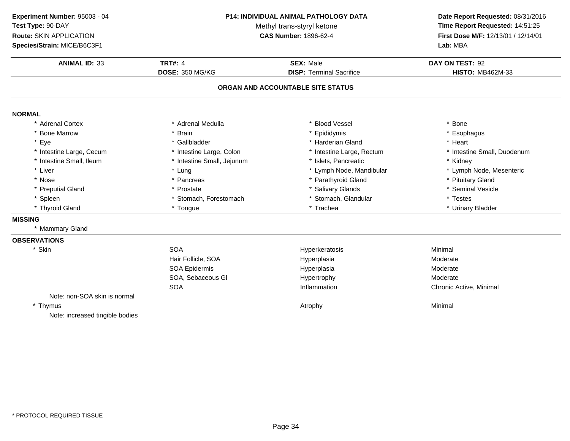**ANIMAL ID:** <sup>33</sup> **TRT#:** <sup>4</sup> **SEX:** Male **DAY ON TEST:** <sup>92</sup> **DOSE:** 350 MG/KG**DISP:** Terminal Sacrifice **HISTO:** MB462M-33 **ORGAN AND ACCOUNTABLE SITE STATUSNORMAL** \* Adrenal Cortex \* Adrenal Medullaa the set of the set of the set of the set of the set of the set of the set of the set of the set of the set o<br>Set of the set of the set of the set of the set of the set of the set of the set of the set of the set of the s \* Bone Marrow \* Brain \* Epididymis \* Esophagus \* Eyee the second of the set of the set of the set of the set of the set of the set of the set of the set of the set of the set of the set of the set of the set of the set of the set of the set of the set of the set of the set \* Intestine Large, Cecumm and the state of the state of the state of the state of the state of the state of the state of the state of the state of the state of the state of the state of the state of the state of the state of the state of the stat \* Intestine Small, Ileum\* Intestine Small, Jejunum \* 1990 \* 1991 \* Islets, Pancreatic \* The many \* Kidney \* Kidney \* Lymph Node, Mesenteric \* Lymph Node, Mesenteric \* Lymph Node, Mesenteric \* Liver Liver \* Lung \* Lymph Node, Mandibular \* Lymph Node, Mesenteric \* Nosee the second of the second of the second vertex  $\ast$  Parathyroid Gland  $\ast$  Pituitary Gland  $\ast$  Pituitary Gland \* Preputial Gland \* Prostate \* Salivary Glands \* Seminal Vesicle \* Spleen\* Stomach, Forestomach \* \* Stomach, Glandular \* Testes \* Testes \* Testes \* Tongue \* Trachea \* Trachea \* Trachea \*  $\frac{1}{2}$  \* Urinary Bladder \* Thyroid Gland \* Tongue \* Trachea \* Urinary Bladder **MISSING** \* Mammary Gland**OBSERVATIONS**\* Skinn SOA A Research of the Hyperkeratosis and the Minimal Minimal Service of the Minimal Service of the Minimal Service of the Minimal Service of the Minimal Service of the Minimal Service of the Minimal Service of the Minimal Serv Hair Follicle, SOAA merupakan Hyperplasia (Moderate Moderate Moderate Moderate Moderate Moderate Mo SOA Epidermis Hyperplasia Moderate SOA, Sebaceous Gl Hypertrophy ModerateA contraction contraction and the Inflammation contractive Chronic Active, Minimal **SOA** Note: non-SOA skin is normal\* Thymuss and the contract of the contract of the contract of the contract of the contract of the contract of the contract of  $\lambda$ Note: increased tingible bodies**Experiment Number:** 95003 - 04 **P14: INDIVIDUAL ANIMAL PATHOLOGY DATA Date Report Requested:** 08/31/2016 **Test Type:** 90-DAYMethyl trans-styryl ketone<br>CAS Number: 1896-62-4 **Time Report Requested:** 14:51:25 **Route:** SKIN APPLICATION**First Dose M/F:** 12/13/01 / 12/14/01<br>**Lab:** MBA **Species/Strain:** MICE/B6C3F1**Lab:** MBA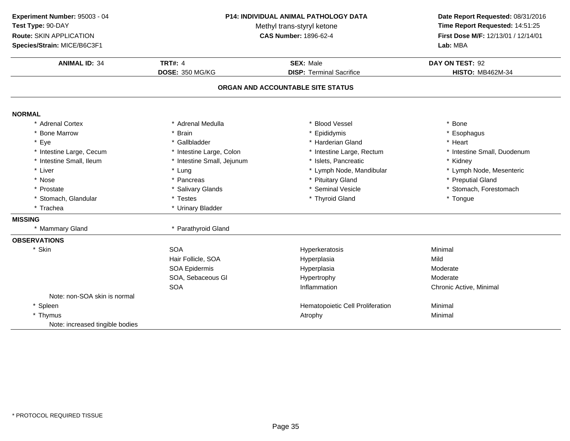**ANIMAL ID:** <sup>34</sup> **TRT#:** <sup>4</sup> **SEX:** Male **DAY ON TEST:** <sup>92</sup> **DOSE:** 350 MG/KG**DISP:** Terminal Sacrifice **HISTO:** MB462M-34 **ORGAN AND ACCOUNTABLE SITE STATUSNORMAL** \* Adrenal Cortex \* Adrenal Medullaa the set of the set of the set of the set of the set of the set of the set of the set of the set of the set o<br>Set of the set of the set of the set of the set of the set of the set of the set of the set of the set of the s \* Bone Marrow \* Brain \* Epididymis \* Esophagus \* Eyee the second of the set of the set of the set of the set of the set of the set of the set of the set of the set of the set of the set of the set of the set of the set of the set of the set of the set of the set of the set \* Intestine Large, Cecumm and the state of the state of the state of the state of the state of the state of the state of the state of the state of the state of the state of the state of the state of the state of the state of the state of the stat \* Intestine Small, Ileum\* Intestine Small, Jejunum \* 1990 \* 1991 \* Islets, Pancreatic \* The many \* Kidney \* Kidney \* Lymph Node, Mesenteric \* Lymph Node, Mesenteric \* Lymph Node, Mesenteric \* Liver Liver \* Lung \* Lymph Node, Mandibular \* Lymph Node, Mesenteric \* Nosee the second of the second of the second of the second of the second of the second of the second of the second  $^*$  Preputial Gland \* Prostatee the state of the Salivary Glands the state of the seminal Vesicle the state of the stomach, Forestomach entries the state of the state of the state of the state of the state of the state of the state of the state of the \* Stomach, Glandular \* Testes \* Testes \* Thyroid Gland \* Tongue \* Trachea \* Urinary Bladder **MISSING** \* Mammary GlandParathyroid Gland **OBSERVATIONS**\* Skinn SOA A Research of the Hyperkeratosis and the Minimal Minimal Service of the Minimal Service of the Minimal Service of the Minimal Service of the Minimal Service of the Minimal Service of the Minimal Service of the Minimal Serv Hair Follicle, SOAHyperplasia Mild SOA Epidermis Hyperplasia Moderate SOA, Sebaceous Gl Hypertrophy ModerateA contraction contraction and the Inflammation contractive Chronic Active, Minimal **SOA** Note: non-SOA skin is normal\* SpleenHematopoietic Cell Proliferation **Minimal**<br>Atrophy Minimal \* Thymus Atrophy Minimal Note: increased tingible bodies**Experiment Number:** 95003 - 04 **P14: INDIVIDUAL ANIMAL PATHOLOGY DATA Date Report Requested:** 08/31/2016 **Test Type:** 90-DAYMethyl trans-styryl ketone<br>CAS Number: 1896-62-4 **Time Report Requested:** 14:51:25 **Route:** SKIN APPLICATION**First Dose M/F:** 12/13/01 / 12/14/01<br>**Lab:** MBA **Species/Strain:** MICE/B6C3F1**Lab:** MBA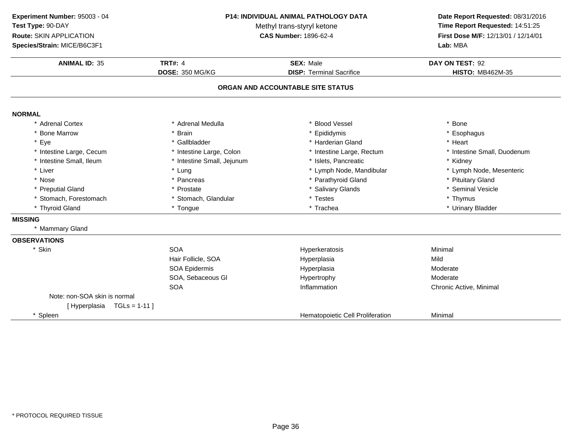**ANIMAL ID:** <sup>35</sup> **TRT#:** <sup>4</sup> **SEX:** Male **DAY ON TEST:** <sup>92</sup> **DOSE:** 350 MG/KG**DISP:** Terminal Sacrifice **HISTO:** MB462M-35 **ORGAN AND ACCOUNTABLE SITE STATUSNORMAL** \* Adrenal Cortex \* Adrenal Medullaa the set of the set of the set of the set of the set of the set of the set of the set of the set of the set o<br>Set of the set of the set of the set of the set of the set of the set of the set of the set of the set of the s \* Bone Marrow \* Brain \* Epididymis \* Esophagus \* Eyee the second of the set of the set of the set of the set of the set of the set of the set of the set of the set of the set of the set of the set of the set of the set of the set of the set of the set of the set of the set \* Intestine Large, Cecumm and the state of the state of the state of the state of the state of the state of the state of the state of the state of the state of the state of the state of the state of the state of the state of the state of the stat \* Intestine Small, Ileum\* Intestine Small, Jejunum \* 1990 \* 1991 \* Islets, Pancreatic \* The many \* Kidney \* Kidney<br>
\* Lung \* Lymph Nome, Mandibular \* Kymph Node, Mesenteric \* Liver Liver \* Lung \* Lymph Node, Mandibular \* Lymph Node, Mesenteric \* Nosee the second of the second of the second vertex  $\ast$  Parathyroid Gland  $\ast$  Pituitary Gland  $\ast$  Pituitary Gland \* Preputial Gland \* Prostate \* Salivary Glands \* Seminal Vesicle \* Stomach, Forestomach\* Stomach, Glandular \* \* Testes \* Testes \* Thymus \* Thymus \* Thymus \* Thymus \* Thymus \* Thymus \* Thymus \* Theorem \* Trachea \* Thyroid Gland \* Tongue \* Trachea \* Urinary Bladder **MISSING** \* Mammary Gland**OBSERVATIONS**\* Skinn SOA A Research of the Hyperkeratosis and the Minimal Minimal Service of the Minimal Service of the Minimal Service of the Minimal Service of the Minimal Service of the Minimal Service of the Minimal Service of the Minimal Serv Hair Follicle, SOAHyperplasia Mild SOA Epidermis Hyperplasia Moderate SOA, Sebaceous Gl Hypertrophy ModerateA contraction contraction and the Inflammation contractive Chronic Active, Minimal **SOA** Note: non-SOA skin is normal[ Hyperplasia TGLs = 1-11 ]\* SpleenHematopoietic Cell Proliferation Minimal **Experiment Number:** 95003 - 04 **P14: INDIVIDUAL ANIMAL PATHOLOGY DATA Date Report Requested:** 08/31/2016 **Test Type:** 90-DAYMethyl trans-styryl ketone<br>CAS Number: 1896-62-4 **Time Report Requested:** 14:51:25 **Route:** SKIN APPLICATION**First Dose M/F:** 12/13/01 / 12/14/01<br>**Lab:** MBA **Species/Strain:** MICE/B6C3F1**Lab:** MBA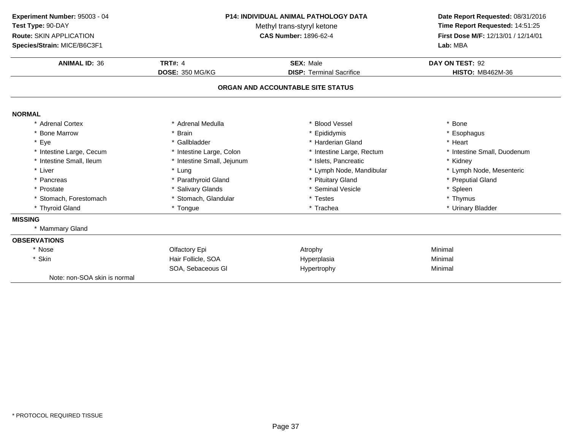**ANIMAL ID:** <sup>36</sup> **TRT#:** <sup>4</sup> **SEX:** Male **DAY ON TEST:** <sup>92</sup> **DOSE:** 350 MG/KG**DISP:** Terminal Sacrifice **HISTO:** MB462M-36 **ORGAN AND ACCOUNTABLE SITE STATUSNORMAL** \* Adrenal Cortex\* Adrenal Medulla<br>\* Brain a the set of the set of the set of the set of the set of the set of the set of the set of the set of the set o<br>Set of the set of the set of the set of the set of the set of the set of the set of the set of the set of the s \* Bone Marrow \* Brain \* Epididymis \* Esophagus \* Eyee the second of the set of the set of the set of the set of the set of the set of the set of the set of the set of the set of the set of the set of the set of the set of the set of the set of the set of the set of the set \* Intestine Large, Cecumm and the state of the state of the state of the state of the state of the state of the state of the state of the state of the state of the state of the state of the state of the state of the state of the state of the stat \* Intestine Small, Ileum\* Intestine Small, Jejunum \* 1990 \* 1991 \* Islets, Pancreatic \* The many \* Kidney \* Kidney<br>
\* Lung \* Lymph Note, Mandibular \* Kymph Note, Mesenteric \* Liver \* Lung \* Lymph Node, Mandibular<br>\* Pituitary Gland \* Pancreas\* Parathyroid Gland<br>\* Salivary Glands \* Pituitary Gland \* Preputial Gland<br>
\* Seminal Vesicle \* \* Spleen \* Spleen \* Prostate \* Salivary Glands \* Seminal Vesicle \* Spleen \* Stomach, Forestomach\* Stomach, Glandular \* \* Testes \* Testes \* Thymus \* Thymus \* Thymus \* Thymus \* Thymus \* Thymus \* Thymus \* Thymus \* Thymus \* Thymus \* Thymus \* Thymus \* Thymus \* Thymus \* Thymus \* Thymus \* Thymus \* Thymus \* Thymus \* Thymus \* \* Thyroid Gland \* Tongue \* Trachea \* Urinary Bladder **MISSING** \* Mammary Gland**OBSERVATIONS**\* Nosee and the Colfactory Epi and the Atrophy Atrophy and the Minimal \* Skin Hair Follicle, SOA Hyperplasia Minimal SOA, Sebaceous Gl Hypertrophy Minimal Note: non-SOA skin is normal**Experiment Number:** 95003 - 04 **P14: INDIVIDUAL ANIMAL PATHOLOGY DATA Date Report Requested:** 08/31/2016 **Test Type:** 90-DAYMethyl trans-styryl ketone<br>CAS Number: 1896-62-4 **Time Report Requested:** 14:51:25 **Route:** SKIN APPLICATION**First Dose M/F:** 12/13/01 / 12/14/01<br>**Lab:** MBA **Species/Strain:** MICE/B6C3F1**Lab:** MBA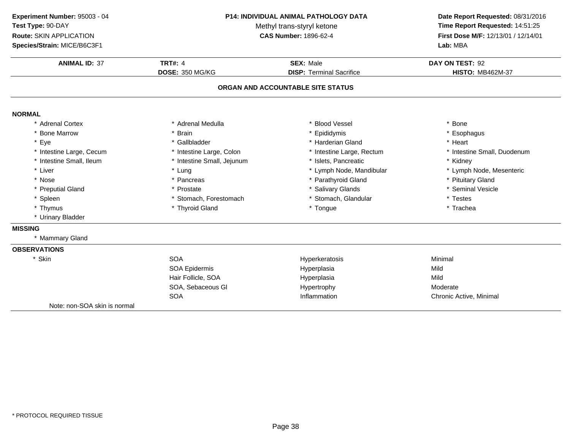**ANIMAL ID:** <sup>37</sup> **TRT#:** <sup>4</sup> **SEX:** Male **DAY ON TEST:** <sup>92</sup> **DOSE:** 350 MG/KG**DISP:** Terminal Sacrifice **HISTO:** MB462M-37 **ORGAN AND ACCOUNTABLE SITE STATUSNORMAL** \* Adrenal Cortex \* Adrenal Medullaa the set of the set of the set of the set of the set of the set of the set of the set of the set of the set o<br>Set of the set of the set of the set of the set of the set of the set of the set of the set of the set of the s \* Bone Marrow \* Brain \* Epididymis \* Esophagus \* Eyee the second of the set of the set of the set of the set of the set of the set of the set of the set of the set of the set of the set of the set of the set of the set of the set of the set of the set of the set of the set \* Intestine Large, Cecumm and the state of the state of the state of the state of the state of the state of the state of the state of the state of the state of the state of the state of the state of the state of the state of the state of the stat \* Intestine Small, Ileum\* Intestine Small, Jejunum \* 1990 \* 1991 \* Islets, Pancreatic \* The many \* Kidney \* Kidney<br>
\* Lung \* Lymph Note, Mandibular \* Kymph Note, Mesenteric \* Liver Liver \* Lung \* Lymph Node, Mandibular \* Lymph Node, Mesenteric \* Nosee the second of the second of the second vertex  $\ast$  Parathyroid Gland  $\ast$  Pituitary Gland  $\ast$  Pituitary Gland \* Preputial Gland \* Prostate \* Salivary Glands \* Seminal Vesicle \* Spleen\* Stomach, Forestomach \* \* Stomach, Glandular \* Testes \* Testes \* Testes \* Thyroid Gland<br>\* Thyroid Gland \* \* Trachea \* Thymus \* Thyroid Gland \* Tongue \* Trachea \* Urinary Bladder **MISSING** \* Mammary Gland**OBSERVATIONS**\* Skinn SOA A Research Minimal Research Hyperkeratosis and the Minimal Minimal Research Minimal Research Minimal Research M<br>A Research Minimal Research Minimal Research Minimal Research Minimal Research Minimal Research Minimal Resear SOA Epidermis Hyperplasiaa Mild Hair Follicle, SOAA Mild SOA, Sebaceous Gl Hypertrophy ModerateA contraction contraction and the Inflammation contractive Chronic Active, Minimal SOANote: non-SOA skin is normal**Experiment Number:** 95003 - 04 **P14: INDIVIDUAL ANIMAL PATHOLOGY DATA Date Report Requested:** 08/31/2016 **Test Type:** 90-DAYMethyl trans-styryl ketone<br>CAS Number: 1896-62-4 **Time Report Requested:** 14:51:25 **Route:** SKIN APPLICATION**First Dose M/F:** 12/13/01 / 12/14/01<br>**Lab:** MBA **Species/Strain:** MICE/B6C3F1**Lab:** MBA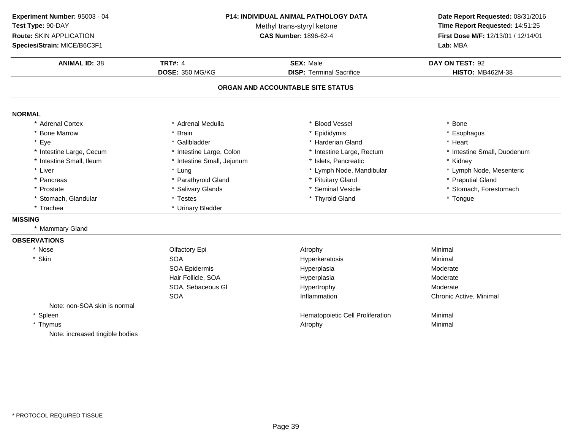**ANIMAL ID:** <sup>38</sup> **TRT#:** <sup>4</sup> **SEX:** Male **DAY ON TEST:** <sup>92</sup> **DOSE:** 350 MG/KG**DISP:** Terminal Sacrifice **HISTO:** MB462M-38 **ORGAN AND ACCOUNTABLE SITE STATUSNORMAL** \* Adrenal Cortex \* Adrenal Medullaa the set of the set of the set of the set of the set of the set of the set of the set of the set of the set o<br>Set of the set of the set of the set of the set of the set of the set of the set of the set of the set of the s \* Bone Marrow \* Brain \* Epididymis \* Esophagus \* Eyee the second of the set of the set of the set of the set of the set of the set of the set of the set of the set of the set of the set of the set of the set of the set of the set of the set of the set of the set of the set \* Intestine Large, Cecumm and the state of the state of the state of the state of the state of the state of the state of the state of the state of the state of the state of the state of the state of the state of the state of the state of the stat \* Intestine Small, Ileum\* Intestine Small, Jejunum \* 1990 \* 1991 \* Islets, Pancreatic \* The many \* Kidney \* Kidney<br>
\* Lung \* Lymph Nome, Mandibular \* Kymph Node, Mesenteric \* Liver Liver \* Lung\* Lymph Node, Mandibular<br>\* Pituitary Gland \* Pancreas\* Parathyroid Gland<br>\* Salivary Glands \* Pituitary Gland \* **and \* Preputial Gland \* Preputial Gland \*** Steminal Vesicle \* 8. 1999<br>\* Steminal Vesicle \* \* 8. 1999 \* 1999 \* Stemach. Forestomach \* Prostatee the state of the Salivary Glands the state of the seminal Vesicle the state of the stomach, Forestomach entries the state of the state of the state of the state of the state of the state of the state of the state of the \* Stomach, Glandular \* Testes \* Testes \* Thyroid Gland \* Tongue \* Trachea \* Urinary Bladder **MISSING** \* Mammary Gland**OBSERVATIONS**\* Nosee and the Colfactory Epi and the Atrophy Atrophy and the Minimal \* Skinn SOA A Research Minimal Research Hyperkeratosis and the Minimal Minimal Research Minimal Research Minimal Research M<br>A Research Minimal Research Minimal Research Minimal Research Minimal Research Minimal Research Minimal Resear SOA Epidermis HyperplasiaModerate<br>Moderate Hair Follicle, SOAA Research Moderate Hyperplasia SOA, Sebaceous Gl Hypertrophy ModerateA contraction contraction and the Inflammation contractive Chronic Active, Minimal **SOA** Note: non-SOA skin is normal\* SpleenHematopoietic Cell Proliferation **Minimal**<br>Atrophy Minimal \* Thymus Atrophy Minimal Note: increased tingible bodies**Experiment Number:** 95003 - 04 **P14: INDIVIDUAL ANIMAL PATHOLOGY DATA Date Report Requested:** 08/31/2016 **Test Type:** 90-DAYMethyl trans-styryl ketone<br>CAS Number: 1896-62-4 **Time Report Requested:** 14:51:25 **Route:** SKIN APPLICATION**First Dose M/F:** 12/13/01 / 12/14/01<br>**Lab:** MBA **Species/Strain:** MICE/B6C3F1**Lab:** MBA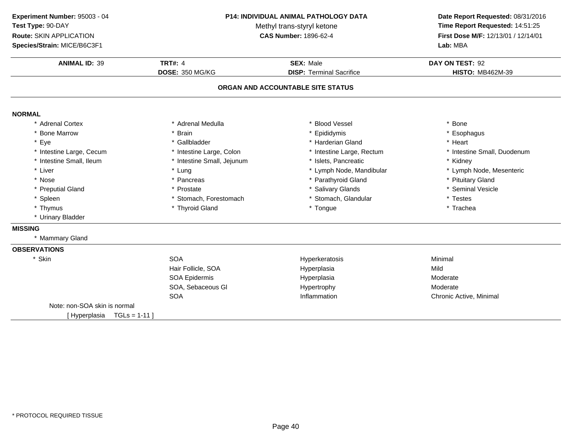**Experiment Number:** 95003 - 04**Test Type:** 90-DAY**Route:** SKIN APPLICATION

**Species/Strain:** MICE/B6C3F1

#### **P14: INDIVIDUAL ANIMAL PATHOLOGY DATA**

Methyl trans-styryl ketone<br>CAS Number: 1896-62-4

### **Date Report Requested:** 08/31/2016 **Time Report Requested:** 14:51:25 **First Dose M/F:** 12/13/01 / 12/14/01<br>Lab: MBA **Lab:** MBA

| <b>ANIMAL ID: 39</b>              | <b>TRT#: 4</b>             | <b>SEX: Male</b>                | DAY ON TEST: 92             |  |  |
|-----------------------------------|----------------------------|---------------------------------|-----------------------------|--|--|
|                                   | DOSE: 350 MG/KG            | <b>DISP: Terminal Sacrifice</b> | <b>HISTO: MB462M-39</b>     |  |  |
| ORGAN AND ACCOUNTABLE SITE STATUS |                            |                                 |                             |  |  |
| <b>NORMAL</b>                     |                            |                                 |                             |  |  |
| * Adrenal Cortex                  | * Adrenal Medulla          | * Blood Vessel                  | * Bone                      |  |  |
| <b>Bone Marrow</b>                | Brain                      | * Epididymis                    | * Esophagus                 |  |  |
| * Eye                             | * Gallbladder              | * Harderian Gland               | * Heart                     |  |  |
| * Intestine Large, Cecum          | * Intestine Large, Colon   | * Intestine Large, Rectum       | * Intestine Small, Duodenum |  |  |
| * Intestine Small, Ileum          | * Intestine Small, Jejunum | * Islets, Pancreatic            | * Kidney                    |  |  |
| * Liver                           | * Lung                     | * Lymph Node, Mandibular        | * Lymph Node, Mesenteric    |  |  |
| * Nose                            | * Pancreas                 | * Parathyroid Gland             | * Pituitary Gland           |  |  |
| * Preputial Gland                 | * Prostate                 | * Salivary Glands               | * Seminal Vesicle           |  |  |
| * Spleen                          | * Stomach, Forestomach     | * Stomach, Glandular            | * Testes                    |  |  |
| * Thymus                          | * Thyroid Gland            | * Tongue                        | * Trachea                   |  |  |
| * Urinary Bladder                 |                            |                                 |                             |  |  |
| <b>MISSING</b>                    |                            |                                 |                             |  |  |
| * Mammary Gland                   |                            |                                 |                             |  |  |
| <b>OBSERVATIONS</b>               |                            |                                 |                             |  |  |
| * Skin                            | <b>SOA</b>                 | Hyperkeratosis                  | Minimal                     |  |  |
|                                   | Hair Follicle, SOA         | Hyperplasia                     | Mild                        |  |  |
|                                   | SOA Epidermis              | Hyperplasia                     | Moderate                    |  |  |
|                                   | SOA, Sebaceous GI          | Hypertrophy                     | Moderate                    |  |  |
|                                   | <b>SOA</b>                 | Inflammation                    | Chronic Active, Minimal     |  |  |
| Note: non-SOA skin is normal      |                            |                                 |                             |  |  |
| [Hyperplasia TGLs = 1-11]         |                            |                                 |                             |  |  |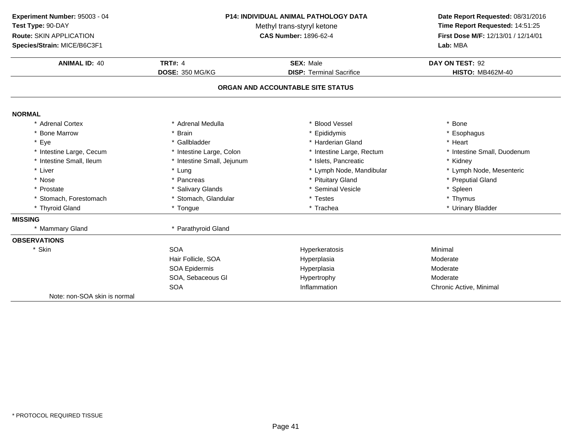**ANIMAL ID:** <sup>40</sup>**TRT#:** 4 **SEX:** Male **DAY ON TEST:** 92 **DOSE:** 350 MG/KG**DISP:** Terminal Sacrifice **HISTO:** MB462M-40 **ORGAN AND ACCOUNTABLE SITE STATUSNORMAL** \* Adrenal Cortex \* Adrenal Medullaa the set of the set of the set of the set of the set of the set of the set of the set of the set of the set o<br>Set of the set of the set of the set of the set of the set of the set of the set of the set of the set of the s \* Bone Marrow \* Brain \* Epididymis \* Esophagus \* Eyee the second of the set of the set of the set of the set of the set of the set of the set of the set of the set of the set of the set of the set of the set of the set of the set of the set of the set of the set of the set \* Intestine Large, Cecumm and the state of the state of the state of the state of the state of the state of the state of the state of the state of the state of the state of the state of the state of the state of the state of the state of the stat \* Intestine Small, Ileum\* Intestine Small, Jejunum \* 1990 \* 1991 \* Islets, Pancreatic \* The many \* Kidney \* Kidney<br>
\* Lung \* Lymph Note, Mandibular \* Kymph Note, Mesenteric \* Liver Liver \* Lung \* Lymph Node, Mandibular \* Lymph Node, Mesenteric \* Nosee the second of the second of the second of the second of the second of the second of the second of the second  $^*$  Preputial Gland \* Prostate \* Salivary Glands \* Seminal Vesicle \* Spleen \* Stomach, Forestomach\* Stomach, Glandular \* \* Testes \* Testes \* Thymus \* Thymus \* Thymus \* Thymus \* Thymus \* Thymus \* Thymus \* Theorem \* Trachea \* Thyroid Gland \* Tongue \* Trachea \* Urinary Bladder **MISSING** \* Mammary Gland \* Parathyroid Gland **OBSERVATIONS**\* Skinn SOA A Research of the Hyperkeratosis and the Minimal Minimal Service of the Minimal Service of the Minimal Service of the Minimal Service of the Minimal Service of the Minimal Service of the Minimal Service of the Minimal Serv Hair Follicle, SOAA merupakan Hyperplasia (Moderate Moderate Moderate Moderate Moderate Moderate Mo SOA Epidermis Hyperplasia Moderate SOA, Sebaceous Gl Hypertrophy ModerateA contraction contraction and the Inflammation contractive Chronic Active, Minimal **SOA** Note: non-SOA skin is normal**Experiment Number:** 95003 - 04 **P14: INDIVIDUAL ANIMAL PATHOLOGY DATA Date Report Requested:** 08/31/2016 **Test Type:** 90-DAYMethyl trans-styryl ketone<br>CAS Number: 1896-62-4 **Time Report Requested:** 14:51:25 **Route:** SKIN APPLICATION**First Dose M/F:** 12/13/01 / 12/14/01<br>**Lab:** MBA **Species/Strain:** MICE/B6C3F1**Lab:** MBA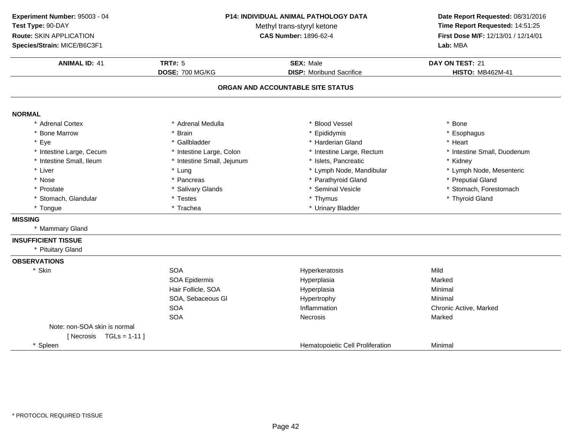**ANIMAL ID:** <sup>41</sup> **TRT#:** <sup>5</sup> **SEX:** Male **DAY ON TEST:** <sup>21</sup> **DOSE:** 700 MG/KG**DISP:** Moribund Sacrifice **HISTO:** MB462M-41 **ORGAN AND ACCOUNTABLE SITE STATUSNORMAL** \* Adrenal Cortex \* Adrenal Medullaa the set of the set of the set of the set of the set of the set of the set of the set of the set of the set o<br>Set of the set of the set of the set of the set of the set of the set of the set of the set of the set of the s \* Bone Marrow \* Brain \* Epididymis \* Esophagus \* Eyee the second of the set of the set of the set of the set of the set of the set of the set of the set of the set of the set of the set of the set of the set of the set of the set of the set of the set of the set of the set \* Intestine Large, Cecumm and the state of the state of the state of the state of the state of the state of the state of the state of the state of the state of the state of the state of the state of the state of the state of the state of the stat \* Intestine Small, Ileum\* Intestine Small, Jejunum \* 1990 \* 1991 \* Islets, Pancreatic \* The many \* Kidney \* Kidney<br>
\* Lung \* Lymph Nome, Mandibular \* Kymph Node, Mesenteric \* Liver Liver \* Lung \* Lymph Node, Mandibular \* Lymph Node, Mesenteric \* Nosee the second of the second of the second of the second of the second of the second of the second of the second  $\ast$  Preputial Gland \* Prostatee the state of the Salivary Glands the state of the seminal Vesicle the state of the stomach, Forestomach entries the state of the state of the state of the state of the state of the state of the state of the state of the \* Stomach, Glandular \* Testes \* Thymus \* Thyroid Gland\* Tongue\* Urinary Bladder **MISSING** \* Mammary Gland**INSUFFICIENT TISSUE** \* Pituitary Gland**OBSERVATIONS**\* Skinn SOA A Superversion of Hyperkeratosis Contraction of the Mild SOA Epidermis Hyperplasiaa and a study of the Marked Hair Follicle, SOA Hyperplasia Minimal SOA, Sebaceous Gl Hypertrophyy Minimal SOAInflammation **Chronic Active, Marked Necrosis**<br>
Necrosis Marked Necrosis SOAA Contract Contract Necrosis Contract Contract Contract Marked Marked Note: non-SOA skin is normal $[$  Necrosis  $TGLs = 1-11]$ \* SpleenHematopoietic Cell Proliferation **Minimal Experiment Number:** 95003 - 04 **P14: INDIVIDUAL ANIMAL PATHOLOGY DATA Date Report Requested:** 08/31/2016 **Test Type:** 90-DAYMethyl trans-styryl ketone<br>CAS Number: 1896-62-4 **Time Report Requested:** 14:51:25 **Route:** SKIN APPLICATION**First Dose M/F:** 12/13/01 / 12/14/01<br>**Lab:** MBA **Species/Strain:** MICE/B6C3F1**Lab:** MBA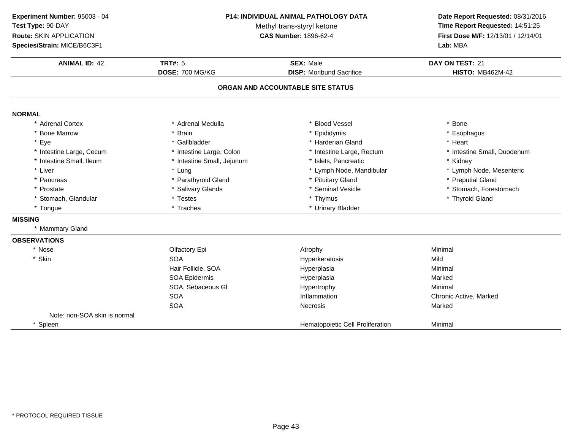**ANIMAL ID:** <sup>42</sup> **TRT#:** <sup>5</sup> **SEX:** Male **DAY ON TEST:** <sup>21</sup> **DOSE:** 700 MG/KG**DISP:** Moribund Sacrifice **HISTO:** MB462M-42 **ORGAN AND ACCOUNTABLE SITE STATUSNORMAL** \* Adrenal Cortex \* Adrenal Medullaa the set of the set of the set of the set of the set of the set of the set of the set of the set of the set o<br>Set of the set of the set of the set of the set of the set of the set of the set of the set of the set of the s \* Bone Marrow \* Brain \* Epididymis \* Esophagus \* Eyee the second of the set of the set of the set of the set of the set of the set of the set of the set of the set of the set of the set of the set of the set of the set of the set of the set of the set of the set of the set \* Intestine Large, Cecumm and the state of the state of the state of the state of the state of the state of the state of the state of the state of the state of the state of the state of the state of the state of the state of the state of the stat \* Intestine Small, Ileum\* Intestine Small, Jejunum \* 1990 \* 1991 \* Islets, Pancreatic \* The many \* Kidney \* Kidney<br>
\* Lung \* Lymph Nome, Mandibular \* Kymph Node, Mesenteric \* Liver Liver \* Lung\* Lymph Node, Mandibular<br>\* Pituitary Gland \* Pancreas\* Parathyroid Gland<br>\* Salivary Glands \* Pituitary Gland **\*** Preputial Gland \* Preputial Gland \* Preputial Gland \* Stomach . \* Prostatee the state of the Salivary Glands the state of the seminal Vesicle the state of the stomach, Forestomach entries the state of the state of the state of the state of the state of the state of the state of the state of the \* Stomach, Glandular \* Testes \* Thymus \* Thyroid Gland\* Tongue\* Urinary Bladder **MISSING** \* Mammary Gland**OBSERVATIONS**\* Nosee and the Colfactory Epi and the Atrophy Atrophy and the Minimal \* Skinn SOA A Superversion of Hyperkeratosis Contraction of the Mild Hair Follicle, SOA Hyperplasia Minimal SOA Epidermis Hyperplasiaa and a study of the Marked SOA, Sebaceous Gl Hypertrophyy Minimal SOAInflammation Chronic Active, Marked<br>
Necrosis Marked<br>
Narked SOAA the cross of the Mecrosis and the Marked Marked Marked Street and Marked Street and Marked Street and Marked Street and Marked Street and Marked Street and Marked Street and Marked Street and Marked Street and Marked Str Note: non-SOA skin is normal\* SpleenHematopoietic Cell Proliferation **Minimal Experiment Number:** 95003 - 04 **P14: INDIVIDUAL ANIMAL PATHOLOGY DATA Date Report Requested:** 08/31/2016 **Test Type:** 90-DAYMethyl trans-styryl ketone<br>CAS Number: 1896-62-4 **Time Report Requested:** 14:51:25 **Route:** SKIN APPLICATION**First Dose M/F:** 12/13/01 / 12/14/01<br>**Lab:** MBA **Species/Strain:** MICE/B6C3F1**Lab:** MBA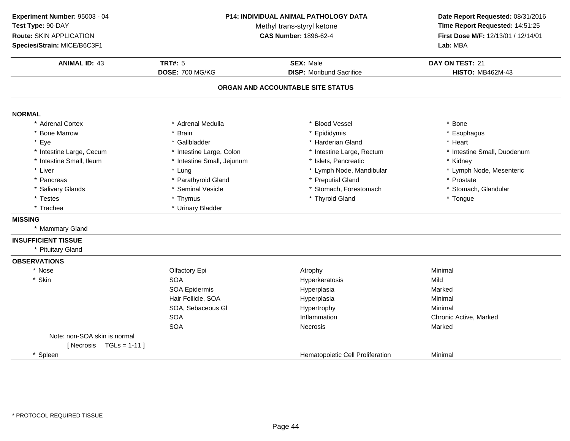**ANIMAL ID:** <sup>43</sup> **TRT#:** <sup>5</sup> **SEX:** Male **DAY ON TEST:** <sup>21</sup> **DOSE:** 700 MG/KG**DISP:** Moribund Sacrifice **HISTO:** MB462M-43 **ORGAN AND ACCOUNTABLE SITE STATUSNORMAL** \* Adrenal Cortex \* Adrenal Medullaa the set of the set of the set of the set of the set of the set of the set of the set of the set of the set o<br>Set of the set of the set of the set of the set of the set of the set of the set of the set of the set of the s \* Bone Marrow \* Brain \* Epididymis \* Esophagus \* Eyee the second of the set of the set of the set of the set of the set of the set of the set of the set of the set of the set of the set of the set of the set of the set of the set of the set of the set of the set of the set \* Intestine Large, Cecumm and the state of the state of the state of the state of the state of the state of the state of the state of the state of the state of the state of the state of the state of the state of the state of the state of the stat \* Intestine Small, Ileum\* Intestine Small, Jejunum \* 1990 \* 1991 \* Islets, Pancreatic \* The many \* Kidney \* Kidney<br>
\* Lung \* Lymph Nome, Mandibular \* Kymph Node, Mesenteric \* Liver Liver \* Lung\* Lymph Node, Mandibular \* \* Lymph N<br>\* Preputial Gland \* \* Prostate \* Pancreas \* Parathyroid Gland\* Preputial Gland \* \* Prostate \* \* Prostate \* Prostate \* Stomach. Glandular \* Salivary Glands \* Seminal Vesicle\* Stomach, Forestomach \* Testes \* Thymus \* Thyroid Gland \* Tongue \* Trachea \* Urinary Bladder **MISSING** \* Mammary Gland**INSUFFICIENT TISSUE** \* Pituitary Gland**OBSERVATIONS**\* Nosee and the Colfactory Epi and the Atrophy Atrophy and the Minimal \* Skinn SOA Hyperkeratosis Mild SOA Epidermis Hyperplasiaa Marked Hair Follicle, SOA Hyperplasia Minimal SOA, Sebaceous Gl HypertrophyHypertrophy **Minimal**<br>
Inflammation **Minimal SOA** Inflammation Chronic Active, Marked<br>
Necrosis Marked<br>
Marked SOAA contract the Contract of Necrosis and Marked Marked Marked Structure of Marked Marked Structure of Marked Structure of Marked Structure of Marked Structure of Marked Structure of Marked Structure of Marked Structure of M Note: non-SOA skin is normal $[$  Necrosis  $TGLs = 1-11]$ \* SpleenHematopoietic Cell Proliferation **Minimal Experiment Number:** 95003 - 04 **P14: INDIVIDUAL ANIMAL PATHOLOGY DATA Date Report Requested:** 08/31/2016 **Test Type:** 90-DAYMethyl trans-styryl ketone<br>CAS Number: 1896-62-4 **Time Report Requested:** 14:51:25 **Route:** SKIN APPLICATION**First Dose M/F:** 12/13/01 / 12/14/01<br>**Lab:** MBA **Species/Strain:** MICE/B6C3F1**Lab:** MBA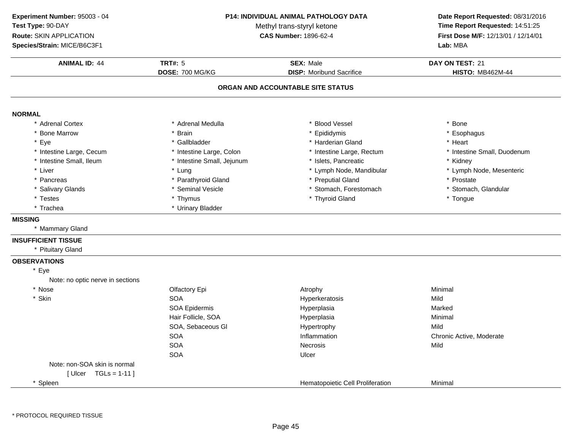**ANIMAL ID:** <sup>44</sup> **TRT#:** <sup>5</sup> **SEX:** Male **DAY ON TEST:** <sup>21</sup> **DOSE:** 700 MG/KG**DISP:** Moribund Sacrifice **HISTO:** MB462M-44 **ORGAN AND ACCOUNTABLE SITE STATUSNORMAL** \* Adrenal Cortex \* Adrenal Medullaa the set of the set of the set of the set of the set of the set of the set of the set of the set of the set o<br>Set of the set of the set of the set of the set of the set of the set of the set of the set of the set of the s \* Bone Marrow \* Brain \* Epididymis \* Esophagus \* Eyee the second of the set of the set of the set of the set of the set of the set of the set of the set of the set of the set of the set of the set of the set of the set of the set of the set of the set of the set of the set \* Intestine Large, Cecumm and the state of the state of the state of the state of the state of the state of the state of the state of the state of the state of the state of the state of the state of the state of the state of the state of the stat \* Intestine Small, Ileum\* Intestine Small, Jejunum \* 1990 \* 1991 \* Islets, Pancreatic \* The many \* Kidney \* Kidney<br>
\* Lung \* Lymph Nome, Mandibular \* Kymph Node, Mesenteric \* Liver Liver \* Lung\* Lymph Node, Mandibular \* \* Lymph N<br>\* Preputial Gland \* \* Prostate \* Pancreas \* Parathyroid Gland\* Preputial Gland \* \* Prostate \* \* Prostate \* Prostate \* Stomach. Glandular \* Salivary Glands \* Seminal Vesicle\* Stomach, Forestomach \* Testes \* Thymus \* Thyroid Gland \* Tongue \* Trachea \* Urinary Bladder **MISSING** \* Mammary Gland**INSUFFICIENT TISSUE** \* Pituitary Gland**OBSERVATIONS**\* EyeNote: no optic nerve in sections\* Nosee and the Colfactory Epi and the Atrophy Atrophy and the Minimal \* Skinn SOA A Superversion of Hyperkeratosis Contraction of the Mild SOA Epidermis Hyperplasiaa and a study of the Marked Hair Follicle, SOA Hyperplasia Minimal SOA, Sebaceous Gl Hypertrophyy Mild A chronic Active, Moderate and Inflammation chronic Active, Moderate and Inflammation chronic Active, Moderate SOASOAA Secretary Mecrosis and the Mild SOAA Ulcer Note: non-SOA skin is normal[ Ulcer TGLs = 1-11 ]\* SpleenHematopoietic Cell Proliferation **Minimal Experiment Number:** 95003 - 04 **P14: INDIVIDUAL ANIMAL PATHOLOGY DATA Date Report Requested:** 08/31/2016 **Test Type:** 90-DAYMethyl trans-styryl ketone<br>CAS Number: 1896-62-4 **Time Report Requested:** 14:51:25 **Route:** SKIN APPLICATION**First Dose M/F:** 12/13/01 / 12/14/01<br>**Lab:** MBA **Species/Strain:** MICE/B6C3F1**Lab:** MBA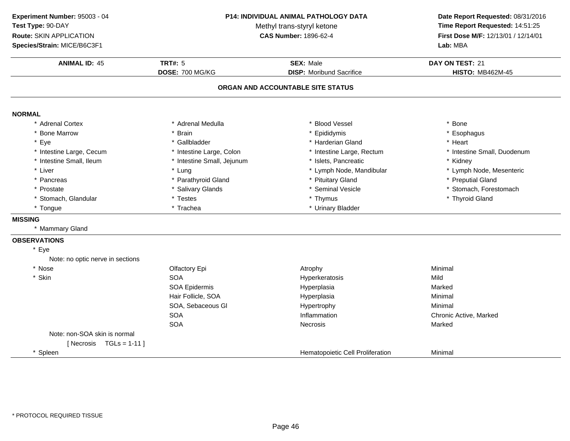**Experiment Number:** 95003 - 04**Test Type:** 90-DAY

**Route:** SKIN APPLICATION

**Species/Strain:** MICE/B6C3F1

#### **P14: INDIVIDUAL ANIMAL PATHOLOGY DATA**

Methyl trans-styryl ketone<br>CAS Number: 1896-62-4

### **Date Report Requested:** 08/31/2016 **Time Report Requested:** 14:51:25 **First Dose M/F:** 12/13/01 / 12/14/01<br>Lab: MBA **Lab:** MBA

| <b>ANIMAL ID: 45</b>             | <b>TRT#: 5</b>             | <b>SEX: Male</b>                  | DAY ON TEST: 21             |
|----------------------------------|----------------------------|-----------------------------------|-----------------------------|
|                                  | DOSE: 700 MG/KG            | <b>DISP:</b> Moribund Sacrifice   | <b>HISTO: MB462M-45</b>     |
|                                  |                            | ORGAN AND ACCOUNTABLE SITE STATUS |                             |
| <b>NORMAL</b>                    |                            |                                   |                             |
| * Adrenal Cortex                 | * Adrenal Medulla          | * Blood Vessel                    | * Bone                      |
| <b>Bone Marrow</b>               | * Brain                    | * Epididymis                      | * Esophagus                 |
| $\star$<br>Eye                   | * Gallbladder              | * Harderian Gland                 | * Heart                     |
| * Intestine Large, Cecum         | * Intestine Large, Colon   | * Intestine Large, Rectum         | * Intestine Small, Duodenum |
| * Intestine Small, Ileum         | * Intestine Small, Jejunum | * Islets, Pancreatic              | * Kidney                    |
| * Liver                          | * Lung                     | * Lymph Node, Mandibular          | * Lymph Node, Mesenteric    |
| Pancreas                         | * Parathyroid Gland        | * Pituitary Gland                 | * Preputial Gland           |
| * Prostate                       | * Salivary Glands          | * Seminal Vesicle                 | * Stomach, Forestomach      |
| * Stomach, Glandular             | * Testes                   | * Thymus                          | * Thyroid Gland             |
| * Tongue                         | * Trachea                  | * Urinary Bladder                 |                             |
| <b>MISSING</b>                   |                            |                                   |                             |
| * Mammary Gland                  |                            |                                   |                             |
| <b>OBSERVATIONS</b>              |                            |                                   |                             |
| * Eye                            |                            |                                   |                             |
| Note: no optic nerve in sections |                            |                                   |                             |
| * Nose                           | Olfactory Epi              | Atrophy                           | Minimal                     |
| * Skin                           | <b>SOA</b>                 | Hyperkeratosis                    | Mild                        |
|                                  | SOA Epidermis              | Hyperplasia                       | Marked                      |
|                                  | Hair Follicle, SOA         | Hyperplasia                       | Minimal                     |
|                                  | SOA, Sebaceous GI          | Hypertrophy                       | Minimal                     |
|                                  | <b>SOA</b>                 | Inflammation                      | Chronic Active, Marked      |
|                                  | <b>SOA</b>                 | <b>Necrosis</b>                   | Marked                      |
| Note: non-SOA skin is normal     |                            |                                   |                             |
| [Necrosis $TGLs = 1-11$ ]        |                            |                                   |                             |
| * Spleen                         |                            | Hematopoietic Cell Proliferation  | Minimal                     |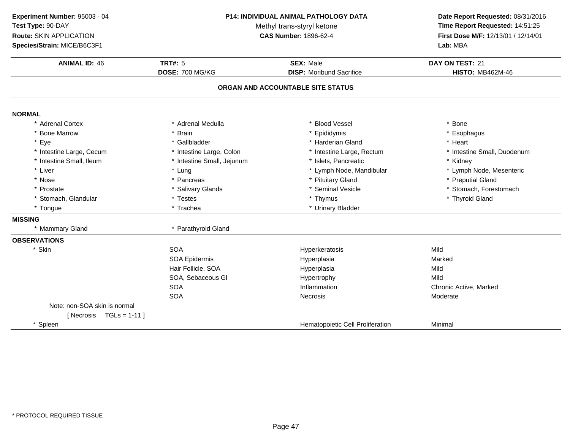**ANIMAL ID:** <sup>46</sup> **TRT#:** <sup>5</sup> **SEX:** Male **DAY ON TEST:** <sup>21</sup> **DOSE:** 700 MG/KG**DISP:** Moribund Sacrifice **HISTO:** MB462M-46 **ORGAN AND ACCOUNTABLE SITE STATUSNORMAL** \* Adrenal Cortex \* Adrenal Medullaa the set of the set of the set of the set of the set of the set of the set of the set of the set of the set o<br>Set of the set of the set of the set of the set of the set of the set of the set of the set of the set of the s \* Bone Marrow \* Brain \* Epididymis \* Esophagus \* Eyee the second of the set of the set of the set of the set of the set of the set of the set of the set of the set of the set of the set of the set of the set of the set of the set of the set of the set of the set of the set \* Intestine Large, Cecumm and the state of the state of the state of the state of the state of the state of the state of the state of the state of the state of the state of the state of the state of the state of the state of the state of the stat \* Intestine Small, Ileum\* Intestine Small, Jejunum \* 1990 \* 1991 \* Islets, Pancreatic \* The many \* Kidney \* Kidney<br>
\* Lung \* Lymph Nome, Mandibular \* Kymph Node, Mesenteric \* Liver Liver \* Lung \* Lymph Node, Mandibular \* Lymph Node, Mesenteric \* Nosee the second of the second of the second of the second of the second of the second of the second of the second  $^*$  Preputial Gland \* Prostatee the state of the Salivary Glands the state of the seminal Vesicle the state of the stomach, Forestomach entries the state of the state of the state of the state of the state of the state of the state of the state of the \* Stomach, Glandular \* Testes \* Thymus \* Thyroid Gland\* Tongue\* Urinary Bladder **MISSING** \* Mammary Gland \* Parathyroid Gland **OBSERVATIONS**\* Skinn SOA Hyperkeratosis Mild SOA Epidermis Hyperplasiaa Marked Hair Follicle, SOAHyperplasia Mild<br>Hypertrophy Mild Mild SOA, Sebaceous Gl Hypertrophyy Mild A contraction and inflammation contractive chronic Active, Marked **SOA** SOAA contract of the experience of the Necrosis contract of the Moderate Moderate Note: non-SOA skin is normal $[$  Necrosis  $TGLs = 1-11]$ \* SpleenHematopoietic Cell Proliferation **Minimal Experiment Number:** 95003 - 04 **P14: INDIVIDUAL ANIMAL PATHOLOGY DATA Date Report Requested:** 08/31/2016 **Test Type:** 90-DAYMethyl trans-styryl ketone<br>CAS Number: 1896-62-4 **Time Report Requested:** 14:51:25 **Route:** SKIN APPLICATION**First Dose M/F:** 12/13/01 / 12/14/01<br>**Lab:** MBA **Species/Strain:** MICE/B6C3F1**Lab:** MBA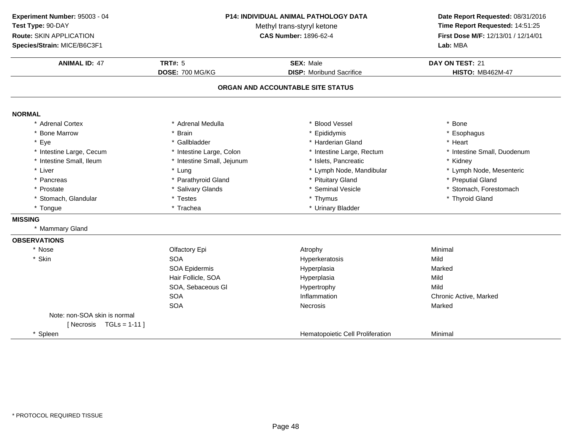**ANIMAL ID:** <sup>47</sup> **TRT#:** <sup>5</sup> **SEX:** Male **DAY ON TEST:** <sup>21</sup> **DOSE:** 700 MG/KG**DISP:** Moribund Sacrifice **HISTO:** MB462M-47 **ORGAN AND ACCOUNTABLE SITE STATUSNORMAL** \* Adrenal Cortex \* Adrenal Medullaa the set of the set of the set of the set of the set of the set of the set of the set of the set of the set o<br>Set of the set of the set of the set of the set of the set of the set of the set of the set of the set of the s \* Bone Marrow \* Brain \* Epididymis \* Esophagus \* Eyee the second of the set of the set of the set of the set of the set of the set of the set of the set of the set of the set of the set of the set of the set of the set of the set of the set of the set of the set of the set \* Intestine Large, Cecumm and the state of the state of the state of the state of the state of the state of the state of the state of the state of the state of the state of the state of the state of the state of the state of the state of the stat \* Intestine Small, Ileum\* Intestine Small, Jejunum \* 1990 \* 1991 \* Islets, Pancreatic \* The many \* Kidney \* Kidney<br>
\* Lung \* Lymph Nome, Mandibular \* Kymph Node, Mesenteric \* Liver Liver \* Lung\* Lymph Node, Mandibular<br>\* Pituitary Gland \* Pancreas\* Parathyroid Gland<br>\* Salivary Glands \* Pituitary Gland \* 1999 \* Preputial Gland<br>\* Seminal Vesicle \* 1999 \* 1999 \* 1999 \* Stomach. Forestomach \* Prostatee the state of the Salivary Glands the state of the seminal Vesicle the state of the stomach, Forestomach entries the state of the state of the state of the state of the state of the state of the state of the state of the \* Stomach, Glandular \* Testes \* Thymus \* Thyroid Gland\* Tongue\* Urinary Bladder **MISSING** \* Mammary Gland**OBSERVATIONS**\* Nosee and the Colfactory Epi and the Atrophy Atrophy and the Minimal \* Skinn SOA A Superversion of Hyperkeratosis Contraction of the Mild SOA Epidermis Hyperplasiaa Marked Hair Follicle, SOAA Mild SOA, Sebaceous Gl Hypertrophyy Mild A chronic Active, Marked SOASOAA the cross of the Mecrosis and the Marked Marked Marked Street and Marked Street and Marked Street and Marked Street and Marked Street and Marked Street and Marked Street and Marked Street and Marked Street and Marked Str Note: non-SOA skin is normal $[$  Necrosis  $TGLs = 1-11]$ \* SpleenHematopoietic Cell Proliferation **Minimal Experiment Number:** 95003 - 04 **P14: INDIVIDUAL ANIMAL PATHOLOGY DATA Date Report Requested:** 08/31/2016 **Test Type:** 90-DAYMethyl trans-styryl ketone<br>CAS Number: 1896-62-4 **Time Report Requested:** 14:51:25 **Route:** SKIN APPLICATION**First Dose M/F:** 12/13/01 / 12/14/01<br>**Lab:** MBA **Species/Strain:** MICE/B6C3F1**Lab:** MBA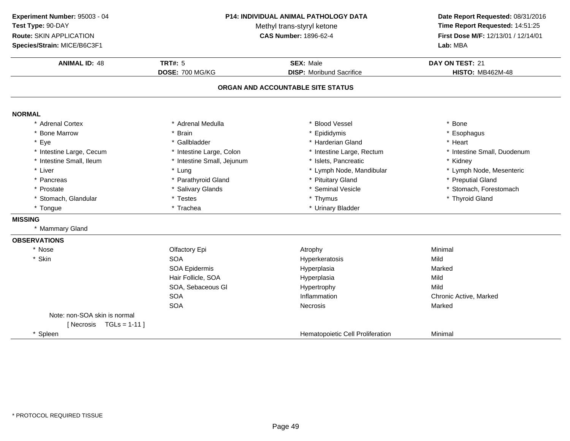**Experiment Number:** 95003 - 04**Test Type:** 90-DAY

**Route:** SKIN APPLICATION

**Species/Strain:** MICE/B6C3F1

#### **P14: INDIVIDUAL ANIMAL PATHOLOGY DATA**

Methyl trans-styryl ketone<br>CAS Number: 1896-62-4

# **Date Report Requested:** 08/31/2016 **Time Report Requested:** 14:51:25 **First Dose M/F:** 12/13/01 / 12/14/01<br>Lab: MBA

| <b>Species/Strain: MICE/B6C3F1</b> |                            |                                   | Lab: MBA                    |  |
|------------------------------------|----------------------------|-----------------------------------|-----------------------------|--|
| <b>ANIMAL ID: 48</b>               | <b>TRT#: 5</b>             | <b>SEX: Male</b>                  | DAY ON TEST: 21             |  |
|                                    | DOSE: 700 MG/KG            | <b>DISP:</b> Moribund Sacrifice   | <b>HISTO: MB462M-48</b>     |  |
|                                    |                            | ORGAN AND ACCOUNTABLE SITE STATUS |                             |  |
| <b>NORMAL</b>                      |                            |                                   |                             |  |
| * Adrenal Cortex                   | * Adrenal Medulla          | <b>Blood Vessel</b>               | * Bone                      |  |
| * Bone Marrow                      | * Brain                    | * Epididymis                      | * Esophagus                 |  |
| * Eye                              | * Gallbladder              | * Harderian Gland                 | * Heart                     |  |
| * Intestine Large, Cecum           | * Intestine Large, Colon   | * Intestine Large, Rectum         | * Intestine Small, Duodenum |  |
| * Intestine Small, Ileum           | * Intestine Small, Jejunum | * Islets, Pancreatic              | * Kidney                    |  |
| * Liver                            | * Lung                     | * Lymph Node, Mandibular          | * Lymph Node, Mesenteric    |  |
| * Pancreas                         | * Parathyroid Gland        | * Pituitary Gland                 | * Preputial Gland           |  |
| * Prostate                         | * Salivary Glands          | * Seminal Vesicle                 | * Stomach, Forestomach      |  |
| * Stomach, Glandular               | * Testes                   | * Thymus                          | * Thyroid Gland             |  |
| * Tongue                           | * Trachea                  | * Urinary Bladder                 |                             |  |
| <b>MISSING</b>                     |                            |                                   |                             |  |
| * Mammary Gland                    |                            |                                   |                             |  |
| <b>OBSERVATIONS</b>                |                            |                                   |                             |  |
| * Nose                             | Olfactory Epi              | Atrophy                           | Minimal                     |  |
| * Skin                             | <b>SOA</b>                 | Hyperkeratosis                    | Mild                        |  |
|                                    | SOA Epidermis              | Hyperplasia                       | Marked                      |  |
|                                    | Hair Follicle, SOA         | Hyperplasia                       | Mild                        |  |
|                                    | SOA, Sebaceous GI          | Hypertrophy                       | Mild                        |  |
|                                    | <b>SOA</b>                 | Inflammation                      | Chronic Active, Marked      |  |
|                                    | <b>SOA</b>                 | <b>Necrosis</b>                   | Marked                      |  |
| Note: non-SOA skin is normal       |                            |                                   |                             |  |
| [Necrosis $TGLs = 1-11$ ]          |                            |                                   |                             |  |
| * Spleen                           |                            | Hematopoietic Cell Proliferation  | Minimal                     |  |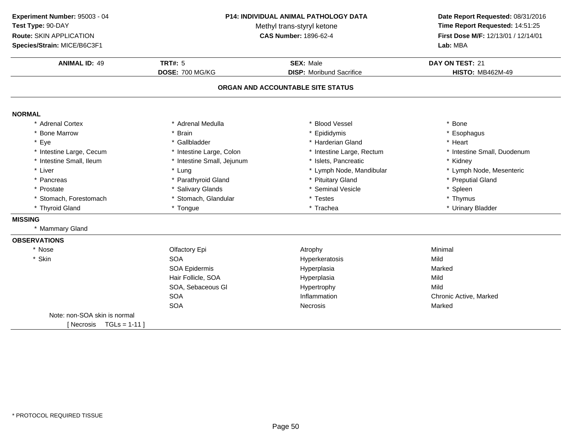**ANIMAL ID:** <sup>49</sup> **TRT#:** <sup>5</sup> **SEX:** Male **DAY ON TEST:** <sup>21</sup> **DOSE:** 700 MG/KG**DISP:** Moribund Sacrifice **HISTO:** MB462M-49 **ORGAN AND ACCOUNTABLE SITE STATUSExperiment Number:** 95003 - 04 **P14: INDIVIDUAL ANIMAL PATHOLOGY DATATest Type:** 90-DAYMethyl trans-styryl ketone<br>CAS Number: 1896-62-4 **Route:** SKIN APPLICATION**Species/Strain:** MICE/B6C3F1**Lab:** MBA

| <b>NORMAL</b>                 |                            |                           |                             |
|-------------------------------|----------------------------|---------------------------|-----------------------------|
| * Adrenal Cortex              | * Adrenal Medulla          | * Blood Vessel            | * Bone                      |
| * Bone Marrow                 | * Brain                    | * Epididymis              | * Esophagus                 |
| * Eye                         | * Gallbladder              | * Harderian Gland         | * Heart                     |
| * Intestine Large, Cecum      | * Intestine Large, Colon   | * Intestine Large, Rectum | * Intestine Small, Duodenum |
| * Intestine Small, Ileum      | * Intestine Small, Jejunum | * Islets, Pancreatic      | * Kidney                    |
| * Liver                       | * Lung                     | * Lymph Node, Mandibular  | * Lymph Node, Mesenteric    |
| * Pancreas                    | * Parathyroid Gland        | * Pituitary Gland         | * Preputial Gland           |
| * Prostate                    | * Salivary Glands          | * Seminal Vesicle         | * Spleen                    |
| * Stomach, Forestomach        | * Stomach, Glandular       | * Testes                  | * Thymus                    |
| * Thyroid Gland               | * Tongue                   | * Trachea                 | * Urinary Bladder           |
| <b>MISSING</b>                |                            |                           |                             |
| * Mammary Gland               |                            |                           |                             |
| <b>OBSERVATIONS</b>           |                            |                           |                             |
| * Nose                        | Olfactory Epi              | Atrophy                   | Minimal                     |
| * Skin                        | <b>SOA</b>                 | Hyperkeratosis            | Mild                        |
|                               | SOA Epidermis              | Hyperplasia               | Marked                      |
|                               | Hair Follicle, SOA         | Hyperplasia               | Mild                        |
|                               | SOA, Sebaceous GI          | Hypertrophy               | Mild                        |
|                               | <b>SOA</b>                 | Inflammation              | Chronic Active, Marked      |
|                               | <b>SOA</b>                 | <b>Necrosis</b>           | Marked                      |
| Note: non-SOA skin is normal  |                            |                           |                             |
| $TGLs = 1-11$ ]<br>[ Necrosis |                            |                           |                             |
|                               |                            |                           |                             |

**Date Report Requested:** 08/31/2016

**Time Report Requested:** 14:51:25

**First Dose M/F:** 12/13/01 / 12/14/01<br>**Lab:** MBA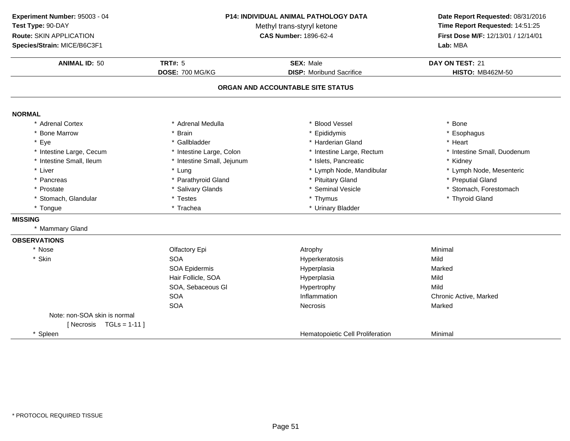| Experiment Number: 95003 - 04<br>Test Type: 90-DAY<br><b>Route: SKIN APPLICATION</b><br>Species/Strain: MICE/B6C3F1 | P14: INDIVIDUAL ANIMAL PATHOLOGY DATA<br>Methyl trans-styryl ketone<br><b>CAS Number: 1896-62-4</b> |                                                     | Date Report Requested: 08/31/2016<br>Time Report Requested: 14:51:25<br>First Dose M/F: 12/13/01 / 12/14/01<br>Lab: MBA |  |
|---------------------------------------------------------------------------------------------------------------------|-----------------------------------------------------------------------------------------------------|-----------------------------------------------------|-------------------------------------------------------------------------------------------------------------------------|--|
| <b>ANIMAL ID: 50</b>                                                                                                | <b>TRT#: 5</b><br>DOSE: 700 MG/KG                                                                   | <b>SEX: Male</b><br><b>DISP:</b> Moribund Sacrifice | DAY ON TEST: 21<br><b>HISTO: MB462M-50</b>                                                                              |  |
|                                                                                                                     |                                                                                                     | ORGAN AND ACCOUNTABLE SITE STATUS                   |                                                                                                                         |  |
| <b>NORMAL</b>                                                                                                       |                                                                                                     |                                                     |                                                                                                                         |  |
| * Adrenal Cortex                                                                                                    | * Adrenal Medulla                                                                                   | * Blood Vessel                                      | * Bone                                                                                                                  |  |
| * Bone Marrow                                                                                                       | * Brain                                                                                             | * Epididymis                                        | * Esophagus                                                                                                             |  |
| * Eye                                                                                                               | * Gallbladder                                                                                       | * Harderian Gland                                   | * Heart                                                                                                                 |  |
| * Intestine Large, Cecum                                                                                            | * Intestine Large, Colon                                                                            | * Intestine Large, Rectum                           | * Intestine Small, Duodenum                                                                                             |  |
| * Intestine Small, Ileum                                                                                            | * Intestine Small, Jejunum                                                                          | * Islets, Pancreatic                                | * Kidney                                                                                                                |  |
| * Liver                                                                                                             | * Lung                                                                                              | * Lymph Node, Mandibular                            | * Lymph Node, Mesenteric                                                                                                |  |
| * Pancreas                                                                                                          | * Parathyroid Gland                                                                                 | * Pituitary Gland                                   | * Preputial Gland                                                                                                       |  |
| * Prostate                                                                                                          | * Salivary Glands                                                                                   | * Seminal Vesicle                                   | * Stomach, Forestomach                                                                                                  |  |
| * Stomach, Glandular                                                                                                | * Testes                                                                                            | * Thymus                                            | * Thyroid Gland                                                                                                         |  |
| * Tongue                                                                                                            | * Trachea                                                                                           | * Urinary Bladder                                   |                                                                                                                         |  |
| <b>MISSING</b>                                                                                                      |                                                                                                     |                                                     |                                                                                                                         |  |
| * Mammary Gland                                                                                                     |                                                                                                     |                                                     |                                                                                                                         |  |
| <b>OBSERVATIONS</b>                                                                                                 |                                                                                                     |                                                     |                                                                                                                         |  |
| * Nose                                                                                                              | Olfactory Epi                                                                                       | Atrophy                                             | Minimal                                                                                                                 |  |
| * Skin                                                                                                              | <b>SOA</b>                                                                                          | Hyperkeratosis                                      | Mild                                                                                                                    |  |
|                                                                                                                     | <b>SOA Epidermis</b>                                                                                | Hyperplasia                                         | Marked                                                                                                                  |  |
|                                                                                                                     | Hair Follicle, SOA                                                                                  | Hyperplasia                                         | Mild                                                                                                                    |  |
|                                                                                                                     | SOA, Sebaceous Gl                                                                                   | Hypertrophy                                         | Mild                                                                                                                    |  |
|                                                                                                                     | <b>SOA</b>                                                                                          | Inflammation                                        | Chronic Active, Marked                                                                                                  |  |
|                                                                                                                     | <b>SOA</b>                                                                                          | Necrosis                                            | Marked                                                                                                                  |  |
| Note: non-SOA skin is normal                                                                                        |                                                                                                     |                                                     |                                                                                                                         |  |
| [Necrosis $TGLs = 1-11$ ]                                                                                           |                                                                                                     |                                                     |                                                                                                                         |  |
| * Spleen                                                                                                            |                                                                                                     | Hematopoietic Cell Proliferation                    | Minimal                                                                                                                 |  |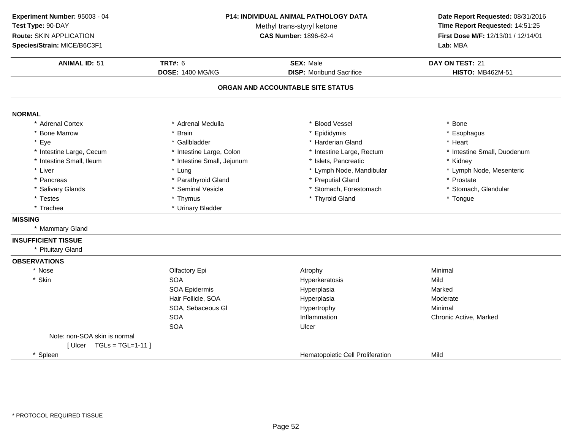**ANIMAL ID:** <sup>51</sup> **TRT#:** <sup>6</sup> **SEX:** Male **DAY ON TEST:** <sup>21</sup> **DOSE:** 1400 MG/KG**DISP:** Moribund Sacrifice **HISTO:** MB462M-51 **ORGAN AND ACCOUNTABLE SITE STATUSNORMAL** \* Adrenal Cortex \* Adrenal Medullaa the set of the set of the set of the set of the set of the set of the set of the set of the set of the set o<br>Set of the set of the set of the set of the set of the set of the set of the set of the set of the set of the s \* Bone Marrow \* Brain \* Epididymis \* Esophagus \* Eyee the second of the set of the set of the set of the set of the set of the set of the set of the set of the set of the set of the set of the set of the set of the set of the set of the set of the set of the set of the set \* Intestine Large, Cecumm and the state of the state of the state of the state of the state of the state of the state of the state of the state of the state of the state of the state of the state of the state of the state of the state of the stat \* Intestine Small, Ileum\* Intestine Small, Jejunum \* 1990 \* 1991 \* Islets, Pancreatic \* The many \* Kidney \* Kidney<br>
\* Lung \* Lymph Nome, Mandibular \* Kymph Node, Mesenteric \* Liver Liver \* Lung\* Lymph Node, Mandibular \* \* Lymph N<br>\* Preputial Gland \* \* Prostate \* Pancreas \* Parathyroid Gland\* Preputial Gland \* \* Prostate \* \* Prostate \* Prostate \* Stomach. Glandular \* Salivary Glands \* Seminal Vesicle\* Stomach, Forestomach \* Testes \* Thymus \* Thyroid Gland \* Tongue \* Trachea \* Urinary Bladder **MISSING** \* Mammary Gland**INSUFFICIENT TISSUE** \* Pituitary Gland**OBSERVATIONS**\* Nosee and the Colfactory Epi and the Atrophy Atrophy and the Minimal \* Skinn SOA Hyperkeratosis Mild SOA Epidermis Hyperplasiaa Marked Hair Follicle, SOAA merupakan Hyperplasia (Moderate Moderate Moderate Moderate Moderate Moderate Mo SOA, Sebaceous Gl Hypertrophy Minimal **SOA**  Inflammation Chronic Active, Marked SOAA Ulcer Note: non-SOA skin is normal $[$  Ulcer  $TGLs = TGL=1-11$  ] \* SpleenHematopoietic Cell Proliferation **Mild Experiment Number:** 95003 - 04 **P14: INDIVIDUAL ANIMAL PATHOLOGY DATA Date Report Requested:** 08/31/2016 **Test Type:** 90-DAYMethyl trans-styryl ketone<br>CAS Number: 1896-62-4 **Time Report Requested:** 14:51:25 **Route:** SKIN APPLICATION**First Dose M/F:** 12/13/01 / 12/14/01<br>**Lab:** MBA **Species/Strain:** MICE/B6C3F1**Lab:** MBA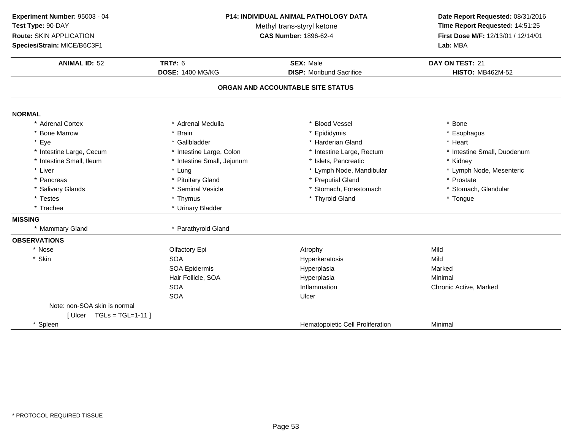**ANIMAL ID:** <sup>52</sup> **TRT#:** <sup>6</sup> **SEX:** Male **DAY ON TEST:** <sup>21</sup> **DOSE:** 1400 MG/KG**DISP:** Moribund Sacrifice **HISTO:** MB462M-52 **ORGAN AND ACCOUNTABLE SITE STATUSNORMAL** \* Adrenal Cortex \* Adrenal Medullaa the set of the set of the set of the set of the set of the set of the set of the set of the set of the set o<br>Set of the set of the set of the set of the set of the set of the set of the set of the set of the set of the s \* Bone Marrow \* Brain \* Epididymis \* Esophagus \* Eyee the second of the set of the set of the set of the set of the set of the set of the set of the set of the set of the set of the set of the set of the set of the set of the set of the set of the set of the set of the set \* Intestine Large, Cecumm and the state of the state of the state of the state of the state of the state of the state of the state of the state of the state of the state of the state of the state of the state of the state of the state of the stat \* Intestine Small, Ileum\* Intestine Small, Jejunum \* 151ets, Pancreatic \* 1990 \* Kidney \* Kidney<br>
\* Lung \* Kung \* Lymph Node, Mandibular \* Kung \* Lymph Node, Mesenteric \* Liver Liver \* Lung\* Lymph Node, Mandibular \* \* Lymph N<br>\* Preputial Gland \* Pancreas \* Pituitary Gland\* Preputial Gland \* \* Prostate \* \* Prostate \* \* Prostate \* \* Prostate \* \* Stomach. Glandular \* Salivary Glands \* Seminal Vesicle\* Stomach, Forestomach \* Testes \* Thymus \* Thyroid Gland \* Tongue \* Trachea \* Urinary Bladder **MISSING** \* Mammary GlandParathyroid Gland **OBSERVATIONS**\* Nosee the contract of the Clfactory Epi the contract of the Atrophy Mild Atrophy Mild \* Skinn SOA A Superversion of Hyperkeratosis Contraction of the Mild SOA Epidermis Hyperplasiaa Marked Hair Follicle, SOA Hyperplasia Minimal **SOA** Inflammation **Chronic Active, Marked Ulcer** SOAA Ulcer Note: non-SOA skin is normal[ Ulcer TGLs = TGL=1-11 ]\* SpleenHematopoietic Cell Proliferation **Minimal Experiment Number:** 95003 - 04 **P14: INDIVIDUAL ANIMAL PATHOLOGY DATA Date Report Requested:** 08/31/2016 **Test Type:** 90-DAYMethyl trans-styryl ketone<br>CAS Number: 1896-62-4 **Time Report Requested:** 14:51:25 **Route:** SKIN APPLICATION**First Dose M/F:** 12/13/01 / 12/14/01<br>**Lab:** MBA **Species/Strain:** MICE/B6C3F1**Lab:** MBA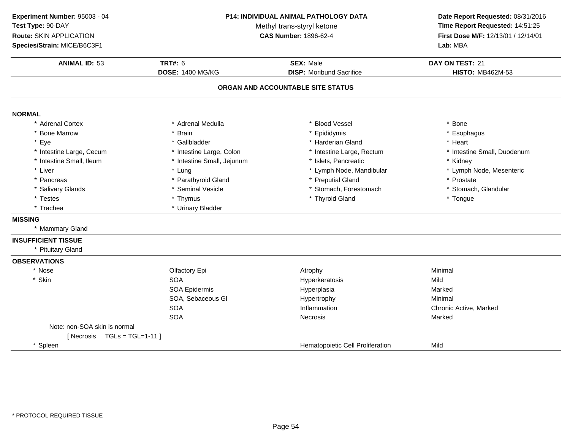**ANIMAL ID:** <sup>53</sup> **TRT#:** <sup>6</sup> **SEX:** Male **DAY ON TEST:** <sup>21</sup> **DOSE:** 1400 MG/KG**DISP:** Moribund Sacrifice **HISTO:** MB462M-53 **ORGAN AND ACCOUNTABLE SITE STATUSNORMAL** \* Adrenal Cortex \* Adrenal Medullaa the set of the set of the set of the set of the set of the set of the set of the set of the set of the set o<br>Set of the set of the set of the set of the set of the set of the set of the set of the set of the set of the s \* Bone Marrow \* Brain \* Epididymis \* Esophagus \* Eyee the second of the set of the set of the set of the set of the set of the set of the set of the set of the set of the set of the set of the set of the set of the set of the set of the set of the set of the set of the set \* Intestine Large, Cecumm and the state of the state of the state of the state of the state of the state of the state of the state of the state of the state of the state of the state of the state of the state of the state of the state of the stat \* Intestine Small, Ileum\* Intestine Small, Jejunum \* 1990 \* 1991 \* Islets, Pancreatic \* The many \* Kidney \* Kidney<br>
\* Lung \* Lymph Nome, Mandibular \* Kymph Node, Mesenteric \* Liver Liver \* Lung\* Lymph Node, Mandibular \* \* Lymph N<br>\* Preputial Gland \* Pancreas \* Parathyroid Gland\* Preputial Gland \* \* Prostate \* \* Prostate \* \* Prostate \* \* Prostate \* \* Stomach. Glandular \* Salivary Glands \* Seminal Vesicle\* Stomach, Forestomach \* Testes \* Thymus \* Thyroid Gland \* Tongue \* Trachea \* Urinary Bladder **MISSING** \* Mammary Gland**INSUFFICIENT TISSUE** \* Pituitary Gland**OBSERVATIONS**\* Nosee and the Colfactory Epi and the Atrophy Atrophy and the Minimal \* Skinn SOA Hyperkeratosis Mild SOA Epidermis Hyperplasiaa Marked SOA, Sebaceous Gl Hypertrophyy Minimal SOAInflammation **Chronic Active, Marked Necrosis**<br>
Necrosis Marked Necrosis SOAA Contract Contract Necrosis Contract Contract Contract Marked Marked Note: non-SOA skin is normal $[$  Necrosis  $TGL = TGL = 1-11$  ] \* SpleenHematopoietic Cell Proliferation Mild **Experiment Number:** 95003 - 04 **P14: INDIVIDUAL ANIMAL PATHOLOGY DATA Date Report Requested:** 08/31/2016 **Test Type:** 90-DAYMethyl trans-styryl ketone<br>CAS Number: 1896-62-4 **Time Report Requested:** 14:51:25 **Route:** SKIN APPLICATION**First Dose M/F:** 12/13/01 / 12/14/01<br>**Lab:** MBA **Species/Strain:** MICE/B6C3F1**Lab:** MBA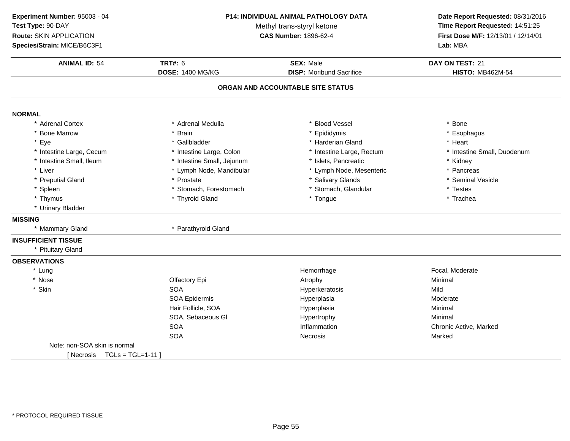**ANIMAL ID:** <sup>54</sup> **TRT#:** <sup>6</sup> **SEX:** Male **DAY ON TEST:** <sup>21</sup> **DOSE:** 1400 MG/KG**DISP:** Moribund Sacrifice **HISTO:** MB462M-54 **ORGAN AND ACCOUNTABLE SITE STATUSNORMAL** \* Adrenal Cortex \* Adrenal Medullaa the set of the set of the set of the set of the set of the set of the set of the set of the set of the set o<br>Set of the set of the set of the set of the set of the set of the set of the set of the set of the set of the s \* Bone Marrow \* Brain \* Epididymis \* Esophagus \* Eyee the second of the set of the set of the set of the set of the set of the set of the set of the set of the set of the set of the set of the set of the set of the set of the set of the set of the set of the set of the set \* Intestine Large, Cecumm and the state of the state of the state of the state of the state of the state of the state of the state of the state of the state of the state of the state of the state of the state of the state of the state of the stat \* Intestine Small, Ileum\* Intestine Small, Jejunum \* \* 1918 \* 1918, Pancreatic \* Antestine Small, Jejunum \* \* \* \* \* Kidney \* Lymph Node, Mesenteric \* \* Pancre \* Liver \* Lymph Node, Mandibular \* Pancreas<br>\* Seminal Vesicle \* Preputial Gland \* Prostate \* Salivary Glands \* Seminal Vesicle \* Spleenn the stomach, Forestomach the stomach, Stomach, Glandular the stomach of the stess of the step stomach,  $\sim$   $\frac{1}{2}$  and  $\sim$   $\sim$  50  $\sim$  50  $\sim$  50  $\sim$  50  $\sim$  50  $\sim$  50  $\sim$  50  $\sim$  50  $\sim$  50  $\sim$  50  $\sim$  50  $\sim$  \* Thymus \* Thyroid Gland \* Tongue \* Trachea \* Urinary Bladder **MISSING** \* Mammary Gland \* Parathyroid Gland **INSUFFICIENT TISSUE** \* Pituitary Gland**OBSERVATIONS**\* Lungg entity of the Hemorrhage Focal, Moderate Service of the Hemorrhage Focal, Moderate Service of the Service of the Hemorrhage  $\sim$  Focal, Moderate  $\sim$ \* Nosee and the Colfactory Epi and the Atrophy Atrophy and the Minimal \* Skinn SOA A Superversion of Hyperkeratosis Contraction of the Mild SOA Epidermis Hyperplasia Moderate Hair Follicle, SOA Hyperplasia Minimal SOA, Sebaceous Gl Hypertrophyy Minimal SOAInflammation Chronic Active, Marked<br>
Necrosis Marked<br>
Marked SOAA the cross of the Mecrosis and the Marked Marked Marked Street and Marked Street and Marked Street and Marked Street and Marked Street and Marked Street and Marked Street and Marked Street and Marked Street and Marked Str Note: non-SOA skin is normal[ Necrosis TGLs = TGL=1-11 ]**Experiment Number:** 95003 - 04 **P14: INDIVIDUAL ANIMAL PATHOLOGY DATA Date Report Requested:** 08/31/2016 **Test Type:** 90-DAYMethyl trans-styryl ketone<br>CAS Number: 1896-62-4 **Time Report Requested:** 14:51:25 **Route:** SKIN APPLICATION**First Dose M/F:** 12/13/01 / 12/14/01<br>**Lab:** MBA **Species/Strain:** MICE/B6C3F1**Lab:** MBA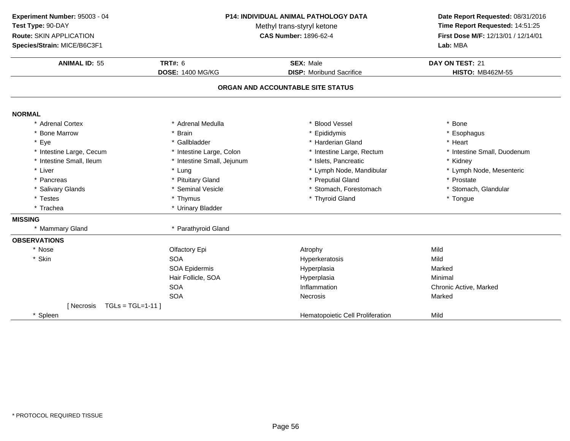| Experiment Number: 95003 - 04   |                            | <b>P14: INDIVIDUAL ANIMAL PATHOLOGY DATA</b> | Date Report Requested: 08/31/2016   |
|---------------------------------|----------------------------|----------------------------------------------|-------------------------------------|
| Test Type: 90-DAY               |                            | Methyl trans-styryl ketone                   | Time Report Requested: 14:51:25     |
| Route: SKIN APPLICATION         |                            | <b>CAS Number: 1896-62-4</b>                 | First Dose M/F: 12/13/01 / 12/14/01 |
| Species/Strain: MICE/B6C3F1     |                            |                                              | Lab: MBA                            |
| <b>ANIMAL ID: 55</b>            | <b>TRT#: 6</b>             | <b>SEX: Male</b>                             | DAY ON TEST: 21                     |
|                                 | <b>DOSE: 1400 MG/KG</b>    | <b>DISP:</b> Moribund Sacrifice              | <b>HISTO: MB462M-55</b>             |
|                                 |                            | ORGAN AND ACCOUNTABLE SITE STATUS            |                                     |
| <b>NORMAL</b>                   |                            |                                              |                                     |
| * Adrenal Cortex                | * Adrenal Medulla          | * Blood Vessel                               | * Bone                              |
| * Bone Marrow                   | * Brain                    | * Epididymis                                 | * Esophagus                         |
| * Eye                           | * Gallbladder              | * Harderian Gland                            | * Heart                             |
| * Intestine Large, Cecum        | * Intestine Large, Colon   | * Intestine Large, Rectum                    | * Intestine Small, Duodenum         |
| * Intestine Small, Ileum        | * Intestine Small, Jejunum | * Islets, Pancreatic                         | * Kidney                            |
| * Liver                         | * Lung                     | * Lymph Node, Mandibular                     | * Lymph Node, Mesenteric            |
| * Pancreas                      | * Pituitary Gland          | * Preputial Gland                            | * Prostate                          |
| * Salivary Glands               | * Seminal Vesicle          | * Stomach, Forestomach                       | * Stomach, Glandular                |
| * Testes                        | * Thymus                   | * Thyroid Gland                              | * Tongue                            |
| * Trachea                       | * Urinary Bladder          |                                              |                                     |
| <b>MISSING</b>                  |                            |                                              |                                     |
| * Mammary Gland                 | * Parathyroid Gland        |                                              |                                     |
| <b>OBSERVATIONS</b>             |                            |                                              |                                     |
| * Nose                          | Olfactory Epi              | Atrophy                                      | Mild                                |
| * Skin                          | <b>SOA</b>                 | Hyperkeratosis                               | Mild                                |
|                                 | <b>SOA Epidermis</b>       | Hyperplasia                                  | Marked                              |
|                                 | Hair Follicle, SOA         | Hyperplasia                                  | Minimal                             |
|                                 | <b>SOA</b>                 | Inflammation                                 | Chronic Active, Marked              |
|                                 | <b>SOA</b>                 | Necrosis                                     | Marked                              |
| $TGLs = TGL=1-11$<br>[ Necrosis |                            |                                              |                                     |
| * Spleen                        |                            | Hematopoietic Cell Proliferation             | Mild                                |

 $\overline{\phantom{0}}$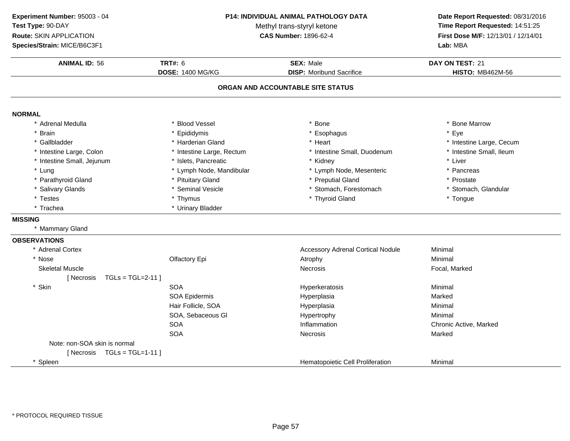**Experiment Number:** 95003 - 04**Test Type:** 90-DAY**Route:** SKIN APPLICATION**Species/Strain:** MICE/B6C3F1**Lab:** MBA

#### **P14: INDIVIDUAL ANIMAL PATHOLOGY DATA**

Methyl trans-styryl ketone<br>CAS Number: 1896-62-4

# **Date Report Requested:** 08/31/2016 **Time Report Requested:** 14:51:25 **First Dose M/F:** 12/13/01 / 12/14/01<br>Lab: MBA

| <b>ANIMAL ID: 56</b>            | <b>TRT#: 6</b><br><b>DOSE: 1400 MG/KG</b> | <b>SEX: Male</b><br><b>DISP:</b> Moribund Sacrifice | DAY ON TEST: 21<br><b>HISTO: MB462M-56</b> |
|---------------------------------|-------------------------------------------|-----------------------------------------------------|--------------------------------------------|
|                                 |                                           |                                                     |                                            |
|                                 |                                           | ORGAN AND ACCOUNTABLE SITE STATUS                   |                                            |
| <b>NORMAL</b>                   |                                           |                                                     |                                            |
| * Adrenal Medulla               | * Blood Vessel                            | Bone                                                | * Bone Marrow                              |
| <b>Brain</b>                    | * Epididymis                              | * Esophagus                                         | * Eye                                      |
| * Gallbladder                   | * Harderian Gland                         | * Heart                                             | * Intestine Large, Cecum                   |
| Intestine Large, Colon          | * Intestine Large, Rectum                 | * Intestine Small, Duodenum                         | * Intestine Small, Ileum                   |
| * Intestine Small, Jejunum      | * Islets, Pancreatic                      | * Kidney                                            | * Liver                                    |
| * Lung                          | * Lymph Node, Mandibular                  | * Lymph Node, Mesenteric                            | * Pancreas                                 |
| * Parathyroid Gland             | * Pituitary Gland                         | * Preputial Gland                                   | * Prostate                                 |
| * Salivary Glands               | * Seminal Vesicle                         | * Stomach, Forestomach                              | * Stomach, Glandular                       |
| * Testes                        | * Thymus                                  | * Thyroid Gland                                     | * Tongue                                   |
| * Trachea                       | * Urinary Bladder                         |                                                     |                                            |
| <b>MISSING</b>                  |                                           |                                                     |                                            |
| * Mammary Gland                 |                                           |                                                     |                                            |
| <b>OBSERVATIONS</b>             |                                           |                                                     |                                            |
| * Adrenal Cortex                |                                           | <b>Accessory Adrenal Cortical Nodule</b>            | Minimal                                    |
| * Nose                          | Olfactory Epi                             | Atrophy                                             | Minimal                                    |
| <b>Skeletal Muscle</b>          |                                           | <b>Necrosis</b>                                     | Focal, Marked                              |
| $TGLs = TGL=2-11$<br>[ Necrosis |                                           |                                                     |                                            |
| * Skin                          | <b>SOA</b>                                | Hyperkeratosis                                      | Minimal                                    |
|                                 | <b>SOA Epidermis</b>                      | Hyperplasia                                         | Marked                                     |
|                                 | Hair Follicle, SOA                        | Hyperplasia                                         | Minimal                                    |
|                                 | SOA, Sebaceous GI                         | Hypertrophy                                         | Minimal                                    |
|                                 | <b>SOA</b>                                | Inflammation                                        | Chronic Active, Marked                     |
|                                 | <b>SOA</b>                                | Necrosis                                            | Marked                                     |
| Note: non-SOA skin is normal    |                                           |                                                     |                                            |
| $TGLs = TGL=1-11$<br>[ Necrosis |                                           |                                                     |                                            |
| * Spleen                        |                                           | Hematopoietic Cell Proliferation                    | Minimal                                    |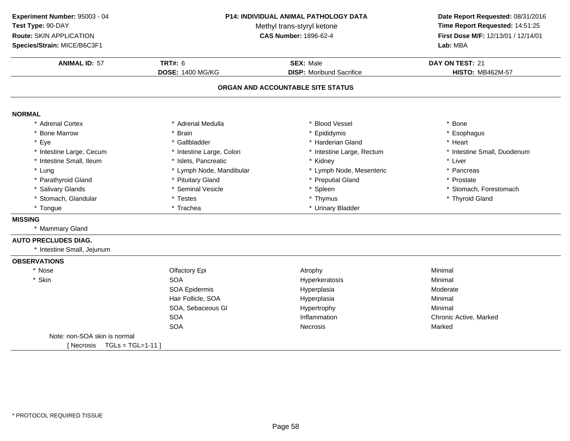**ANIMAL ID:** <sup>57</sup> **TRT#:** <sup>6</sup> **SEX:** Male **DAY ON TEST:** <sup>21</sup> **DOSE:** 1400 MG/KG**DISP:** Moribund Sacrifice **HISTO:** MB462M-57 **ORGAN AND ACCOUNTABLE SITE STATUSNORMAL** \* Adrenal Cortex \* Adrenal Medullaa the set of the set of the set of the set of the set of the set of the set of the set of the set of the set o<br>Set of the set of the set of the set of the set of the set of the set of the set of the set of the set of the s \* Bone Marrow \* Brain \* Epididymis \* Esophagus \* Eyee the second of the set of the set of the set of the set of the set of the set of the set of the set of the set of the set of the set of the set of the set of the set of the set of the set of the set of the set of the set \* Intestine Large, Cecumm and the state of the state of the state of the state of the state of the state of the state of the state of the state of the state of the state of the state of the state of the state of the state of the state of the stat \* Intestine Small, Ileum \* Islets, Pancreatic \* Kidney \* Liver \* Lung\* Lymph Node, Mandibular \* Mandibular \* Lymph Node, Mesenteric \* \* Pancreas \* Prostate \* Prostate \* Prostate \* Prostate \* Prostate \* Prostate \* Prostate \* Prostate \* Prostate \* Prostate \* Prostate \* Prostate \* Prostate \* P \* Parathyroid Glandd **All 2018** \* Pituitary Gland **All 2018** \* Preputial Gland **\*** Prostate \* Prostate \* Salivary Glands\* Seminal Vesicle<br>\* Testes \* Spleen \* Stomach, Forestomach<br>\* Thymus \* Thymus \* Thymus \* Thymus \* Thymus \* Thymus \* Thymus \* Thymus \* Thymus \* Thymus \* Thymus \* Thymus \* Th \* Stomach, Glandular \* Testes \* Thymus \* Thyroid Gland\* Tongue\* Urinary Bladder **MISSING** \* Mammary Gland**AUTO PRECLUDES DIAG.**\* Intestine Small, Jejunum**OBSERVATIONS**\* Nosee and the Colfactory Epi and the Atrophy Atrophy and the Minimal \* Skinn SOA A Research of the Hyperkeratosis and the Minimal Minimal Service of the Minimal Service of the Minimal Service of the Minimal Service of the Minimal Service of the Minimal Service of the Minimal Service of the Minimal Serv SOA Epidermis HyperplasiaModerate<br>Minimal Hair Follicle, SOA Hyperplasia Minimal SOA, Sebaceous Gl Hypertrophy Minimal **SOA** Inflammation Chronic Active, Marked<br>
Necrosis Marked<br>
Narked SOAA contract the Contract of Necrosis and Marked Marked Marked Structure of Marked Marked Structure of Marked Structure of Marked Structure of Marked Structure of Marked Structure of Marked Structure of Marked Structure of M Note: non-SOA skin is normal $[$  Necrosis  $TGL = TGL = 1-11$  ] **Experiment Number:** 95003 - 04 **P14: INDIVIDUAL ANIMAL PATHOLOGY DATA Date Report Requested:** 08/31/2016 **Test Type:** 90-DAYMethyl trans-styryl ketone<br>CAS Number: 1896-62-4 **Time Report Requested:** 14:51:25 **Route:** SKIN APPLICATION**First Dose M/F:** 12/13/01 / 12/14/01<br>**Lab:** MBA **Species/Strain:** MICE/B6C3F1**Lab:** MBA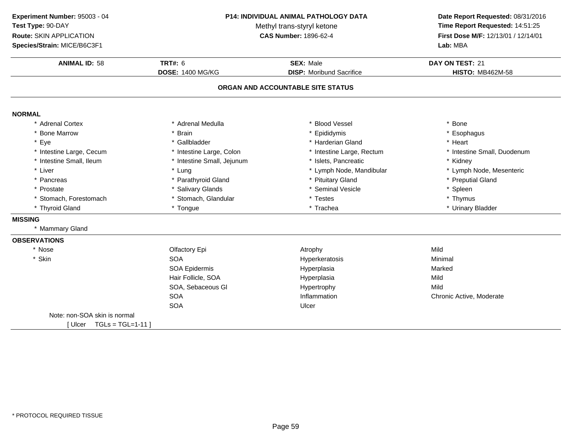| Experiment Number: 95003 - 04 |  |
|-------------------------------|--|
| <b>Test Type: 90-DAY</b>      |  |

**Route:** SKIN APPLICATION

**Species/Strain:** MICE/B6C3F1

### **P14: INDIVIDUAL ANIMAL PATHOLOGY DATA**

Methyl trans-styryl ketone<br>CAS Number: 1896-62-4

# **Date Report Requested:** 08/31/2016 **Time Report Requested:** 14:51:25 **First Dose M/F:** 12/13/01 / 12/14/01<br>Lab: MBA

| <b>ANIMAL ID: 58</b>         | TRT#: $6$                  | <b>SEX: Male</b>                  | DAY ON TEST: 21             |
|------------------------------|----------------------------|-----------------------------------|-----------------------------|
|                              | <b>DOSE: 1400 MG/KG</b>    | <b>DISP:</b> Moribund Sacrifice   | <b>HISTO: MB462M-58</b>     |
|                              |                            | ORGAN AND ACCOUNTABLE SITE STATUS |                             |
| <b>NORMAL</b>                |                            |                                   |                             |
| * Adrenal Cortex             | * Adrenal Medulla          | * Blood Vessel                    | * Bone                      |
| * Bone Marrow                | * Brain                    | * Epididymis                      | * Esophagus                 |
| * Eye                        | * Gallbladder              | * Harderian Gland                 | * Heart                     |
| * Intestine Large, Cecum     | * Intestine Large, Colon   | * Intestine Large, Rectum         | * Intestine Small, Duodenum |
| * Intestine Small, Ileum     | * Intestine Small, Jejunum | * Islets, Pancreatic              | * Kidney                    |
| * Liver                      | * Lung                     | * Lymph Node, Mandibular          | * Lymph Node, Mesenteric    |
| * Pancreas                   | * Parathyroid Gland        | * Pituitary Gland                 | * Preputial Gland           |
| * Prostate                   | * Salivary Glands          | * Seminal Vesicle                 | * Spleen                    |
| * Stomach, Forestomach       | * Stomach, Glandular       | * Testes                          | * Thymus                    |
| * Thyroid Gland              | * Tongue                   | * Trachea                         | * Urinary Bladder           |
| <b>MISSING</b>               |                            |                                   |                             |
| * Mammary Gland              |                            |                                   |                             |
| <b>OBSERVATIONS</b>          |                            |                                   |                             |
| * Nose                       | Olfactory Epi              | Atrophy                           | Mild                        |
| * Skin                       | <b>SOA</b>                 | Hyperkeratosis                    | Minimal                     |
|                              | <b>SOA Epidermis</b>       | Hyperplasia                       | Marked                      |
|                              | Hair Follicle, SOA         | Hyperplasia                       | Mild                        |
|                              | SOA, Sebaceous GI          | Hypertrophy                       | Mild                        |
|                              | <b>SOA</b>                 | Inflammation                      | Chronic Active, Moderate    |
|                              | <b>SOA</b>                 | Ulcer                             |                             |
| Note: non-SOA skin is normal |                            |                                   |                             |
| [Ulcer $TGLs = TGL=1-11$ ]   |                            |                                   |                             |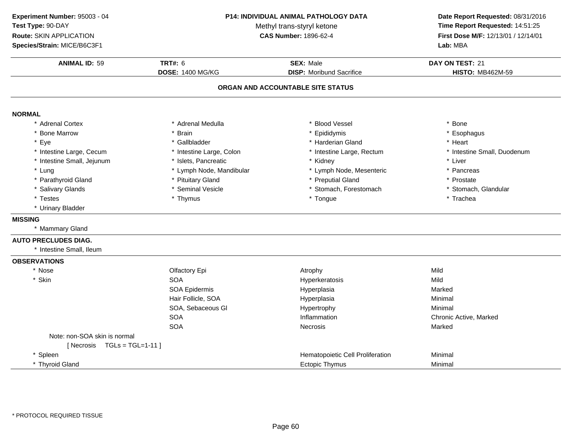**ANIMAL ID:**: 59 **DOSE:**<u>: 1400 MG/KG</u> **Experiment Number:** 95003 - 04 **P14: INDIVIDUAL ANIMAL PATHOLOGY DATATest Type:** 90-DAYMethyl trans-styryl ketone<br>CAS Number: 1896-62-4 **Route:** SKIN APPLICATION**Species/Strain:** MICE/B6C3F1**Lab:** MBA

### **Date Report Requested:** 08/31/2016 **Time Report Requested:** 14:51:25

**First Dose M/F:** 12/13/01 / 12/14/01<br>Lab: MBA

| <b>ANIMAL ID: 59</b>              | <b>TRT#: 6</b>           | <b>SEX: Male</b>                 | DAY ON TEST: 21             |  |  |
|-----------------------------------|--------------------------|----------------------------------|-----------------------------|--|--|
|                                   | <b>DOSE: 1400 MG/KG</b>  | <b>DISP:</b> Moribund Sacrifice  | <b>HISTO: MB462M-59</b>     |  |  |
| ORGAN AND ACCOUNTABLE SITE STATUS |                          |                                  |                             |  |  |
| <b>NORMAL</b>                     |                          |                                  |                             |  |  |
| * Adrenal Cortex                  | * Adrenal Medulla        | * Blood Vessel                   | * Bone                      |  |  |
| <b>Bone Marrow</b>                | <b>Brain</b>             | * Epididymis                     | Esophagus                   |  |  |
| Eye<br>$\star$                    | * Gallbladder            | * Harderian Gland                | * Heart                     |  |  |
| * Intestine Large, Cecum          | * Intestine Large, Colon | * Intestine Large, Rectum        | * Intestine Small, Duodenum |  |  |
| * Intestine Small, Jejunum        | * Islets, Pancreatic     | * Kidney                         | * Liver                     |  |  |
| * Lung                            | * Lymph Node, Mandibular | * Lymph Node, Mesenteric         | * Pancreas                  |  |  |
| * Parathyroid Gland               | * Pituitary Gland        | * Preputial Gland                | * Prostate                  |  |  |
| * Salivary Glands                 | * Seminal Vesicle        | * Stomach, Forestomach           | * Stomach, Glandular        |  |  |
| * Testes                          | * Thymus                 | * Tongue                         | * Trachea                   |  |  |
| * Urinary Bladder                 |                          |                                  |                             |  |  |
| <b>MISSING</b>                    |                          |                                  |                             |  |  |
| * Mammary Gland                   |                          |                                  |                             |  |  |
| <b>AUTO PRECLUDES DIAG.</b>       |                          |                                  |                             |  |  |
| * Intestine Small, Ileum          |                          |                                  |                             |  |  |
| <b>OBSERVATIONS</b>               |                          |                                  |                             |  |  |
| * Nose                            | Olfactory Epi            | Atrophy                          | Mild                        |  |  |
| * Skin                            | <b>SOA</b>               | Hyperkeratosis                   | Mild                        |  |  |
|                                   | SOA Epidermis            | Hyperplasia                      | Marked                      |  |  |
|                                   | Hair Follicle, SOA       | Hyperplasia                      | Minimal                     |  |  |
|                                   | SOA, Sebaceous Gl        | Hypertrophy                      | Minimal                     |  |  |
|                                   | <b>SOA</b>               | Inflammation                     | Chronic Active, Marked      |  |  |
|                                   | <b>SOA</b>               | <b>Necrosis</b>                  | Marked                      |  |  |
| Note: non-SOA skin is normal      |                          |                                  |                             |  |  |
| [Necrosis TGLs = TGL=1-11]        |                          |                                  |                             |  |  |
| * Spleen                          |                          | Hematopoietic Cell Proliferation | Minimal                     |  |  |
| * Thyroid Gland                   |                          | Ectopic Thymus                   | Minimal                     |  |  |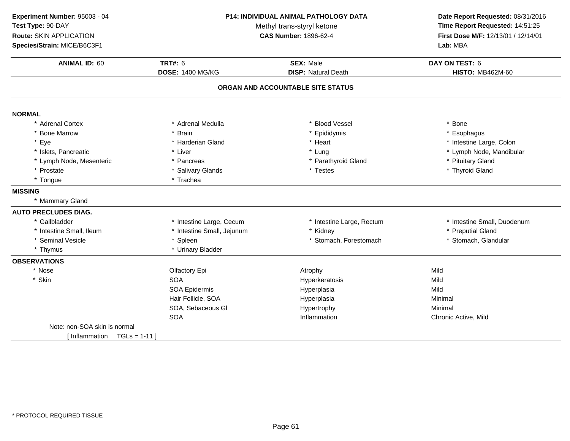**ANIMAL ID:** <sup>60</sup> **TRT#:** <sup>6</sup> **SEX:** Male **DAY ON TEST:** <sup>6</sup> **DOSE:** 1400 MG/KG**DISP:** Natural Death **HISTO:** MB462M-60 **ORGAN AND ACCOUNTABLE SITE STATUSNORMAL** \* Adrenal Cortex \* Adrenal Medullaa the set of the set of the set of the set of the set of the set of the set of the set of the set of the set o<br>Set of the set of the set of the set of the set of the set of the set of the set of the set of the set of the s \* Bone Marrow \* Brain \* Epididymis \* Esophagus \* Eyee the second of the Marderian Gland the second term  $\ast$  Heart the second term  $\ast$  the large, Colon term  $\ast$  the state Large, Colon \* Islets, Pancreatic \* Liver \* Lung \* Lymph Node, Mandibular \* Lymph Node, Mesenteric\* Pancreas \* Parathyroid Gland \* Pituitary Gland<br>\* Thyroid Gland \* Prostatee the state of the Salivary Glands the state of the state of the state of the state of the state of the state o<br>And the state of the state of the state of the state of the state of the state of the state of the state of th \* Tongue \* Trachea **MISSING** \* Mammary Gland**AUTO PRECLUDES DIAG.**\* Gallbladder \* Intestine Large, Cecum \* Intestine Large, Rectum \* 10 \* Intestine Small, Duodenum<br>\* Kidney \* Preputial Gland \* Intestine Small, Ileum\* Intestine Small, Jejunum \* \* Kidney \* Kidney \* Preputial Gland \* Preputial Gland<br>
\* Stomach, Forestomach \* \* Stomach \* Stomach, Glandular \* Seminal Vesicle\* Stomach, Forestomach \* Thymus \* Urinary Bladder **OBSERVATIONS**\* Nosee and the Colfactory Epi and the Atrophy Atrophy and the Mild \* Skinn SOA Hyperkeratosis Mild SOA Epidermis Hyperplasiaa Mild Hair Follicle, SOA Hyperplasia Minimal SOA, Sebaceous Gl Hypertrophy Minimal SOA Inflammation Chronic Active, Mild Note: non-SOA skin is normal $[Inflammation **TGLs = 1-11**]$ **Experiment Number:** 95003 - 04 **P14: INDIVIDUAL ANIMAL PATHOLOGY DATA Date Report Requested:** 08/31/2016 **Test Type:** 90-DAYMethyl trans-styryl ketone<br>CAS Number: 1896-62-4 **Time Report Requested:** 14:51:25 **Route:** SKIN APPLICATION**First Dose M/F:** 12/13/01 / 12/14/01<br>**Lab:** MBA **Species/Strain:** MICE/B6C3F1**Lab:** MBA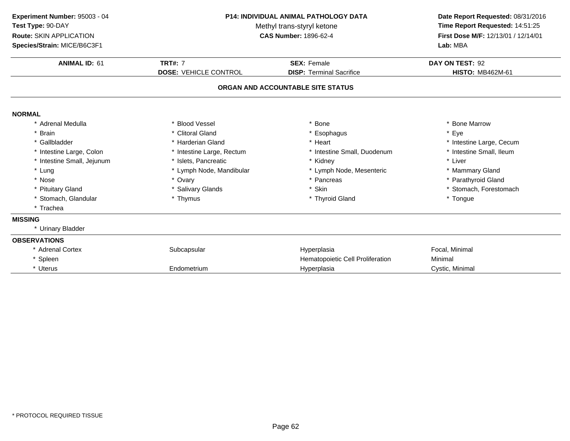| Experiment Number: 95003 - 04<br>Test Type: 90-DAY<br>Route: SKIN APPLICATION<br>Species/Strain: MICE/B6C3F1 | <b>P14: INDIVIDUAL ANIMAL PATHOLOGY DATA</b><br>Methyl trans-styryl ketone<br><b>CAS Number: 1896-62-4</b> |                                   | Date Report Requested: 08/31/2016<br>Time Report Requested: 14:51:25<br>First Dose M/F: 12/13/01 / 12/14/01<br>Lab: MBA |  |
|--------------------------------------------------------------------------------------------------------------|------------------------------------------------------------------------------------------------------------|-----------------------------------|-------------------------------------------------------------------------------------------------------------------------|--|
| <b>ANIMAL ID: 61</b>                                                                                         | <b>TRT#: 7</b>                                                                                             | <b>SEX: Female</b>                |                                                                                                                         |  |
|                                                                                                              | <b>DOSE: VEHICLE CONTROL</b>                                                                               | <b>DISP: Terminal Sacrifice</b>   | <b>HISTO: MB462M-61</b>                                                                                                 |  |
|                                                                                                              |                                                                                                            | ORGAN AND ACCOUNTABLE SITE STATUS |                                                                                                                         |  |
| <b>NORMAL</b>                                                                                                |                                                                                                            |                                   |                                                                                                                         |  |
| * Adrenal Medulla                                                                                            | * Blood Vessel                                                                                             | Bone                              | <b>Bone Marrow</b>                                                                                                      |  |
| * Brain                                                                                                      | * Clitoral Gland                                                                                           | Esophagus                         | * Eye                                                                                                                   |  |
| * Gallbladder                                                                                                | * Harderian Gland                                                                                          | * Heart                           | * Intestine Large, Cecum                                                                                                |  |
| * Intestine Large, Colon                                                                                     | * Intestine Large, Rectum                                                                                  | * Intestine Small, Duodenum       | * Intestine Small, Ileum                                                                                                |  |
| * Intestine Small, Jejunum                                                                                   | * Islets. Pancreatic                                                                                       | * Kidney                          | * Liver                                                                                                                 |  |
| * Lung                                                                                                       | * Lymph Node, Mandibular                                                                                   | * Lymph Node, Mesenteric          | * Mammary Gland                                                                                                         |  |
| * Nose                                                                                                       | * Ovary                                                                                                    | * Pancreas                        | * Parathyroid Gland                                                                                                     |  |
| * Pituitary Gland                                                                                            | * Salivary Glands                                                                                          | * Skin                            | * Stomach, Forestomach                                                                                                  |  |
| * Stomach, Glandular                                                                                         | * Thymus                                                                                                   | * Thyroid Gland                   | * Tongue                                                                                                                |  |
| * Trachea                                                                                                    |                                                                                                            |                                   |                                                                                                                         |  |
| <b>MISSING</b>                                                                                               |                                                                                                            |                                   |                                                                                                                         |  |
| * Urinary Bladder                                                                                            |                                                                                                            |                                   |                                                                                                                         |  |
| <b>OBSERVATIONS</b>                                                                                          |                                                                                                            |                                   |                                                                                                                         |  |
| * Adrenal Cortex                                                                                             | Subcapsular                                                                                                | Hyperplasia                       | Focal, Minimal                                                                                                          |  |
| * Spleen                                                                                                     |                                                                                                            | Hematopoietic Cell Proliferation  | Minimal                                                                                                                 |  |
| * Uterus                                                                                                     | Endometrium                                                                                                | Hyperplasia                       | Cystic, Minimal                                                                                                         |  |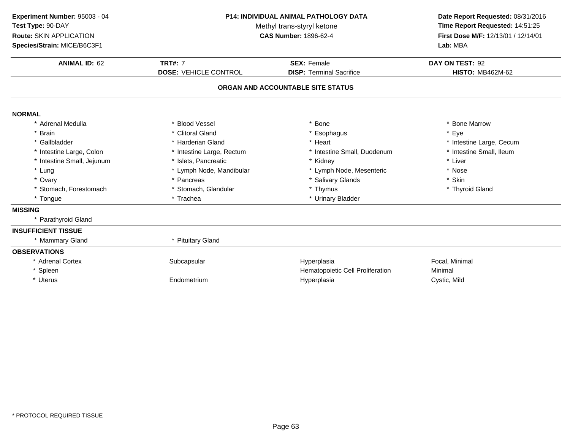| <b>TRT#: 7</b><br><b>SEX: Female</b><br>DAY ON TEST: 92<br><b>ANIMAL ID: 62</b><br><b>DOSE: VEHICLE CONTROL</b><br><b>HISTO: MB462M-62</b><br><b>DISP: Terminal Sacrifice</b><br>ORGAN AND ACCOUNTABLE SITE STATUS<br><b>NORMAL</b><br>* Blood Vessel<br>Bone<br>* Bone Marrow<br>* Adrenal Medulla<br>* Eye<br>* Brain<br>* Clitoral Gland<br>* Esophagus<br>* Gallbladder<br>* Harderian Gland<br>* Intestine Large, Cecum<br>* Heart<br>* Intestine Small, Ileum<br>* Intestine Large, Colon<br>* Intestine Large, Rectum<br>* Intestine Small, Duodenum<br>* Liver<br>* Intestine Small, Jejunum<br>* Islets, Pancreatic<br>* Kidney<br>* Lung<br>* Lymph Node, Mandibular<br>* Lymph Node, Mesenteric<br>* Nose<br>* Ovary<br><b>Salivary Glands</b><br>* Skin<br>* Pancreas<br>* Thymus<br>* Stomach, Forestomach<br>* Stomach, Glandular<br>* Thyroid Gland<br>* Trachea<br>* Urinary Bladder<br>* Tongue<br><b>MISSING</b><br>* Parathyroid Gland<br><b>INSUFFICIENT TISSUE</b> | <b>P14: INDIVIDUAL ANIMAL PATHOLOGY DATA</b><br>Experiment Number: 95003 - 04<br>Test Type: 90-DAY<br>Methyl trans-styryl ketone<br>Route: SKIN APPLICATION<br><b>CAS Number: 1896-62-4</b><br>Species/Strain: MICE/B6C3F1 |                   | Date Report Requested: 08/31/2016<br>Time Report Requested: 14:51:25<br>First Dose M/F: 12/13/01 / 12/14/01<br>Lab: MBA |  |
|-----------------------------------------------------------------------------------------------------------------------------------------------------------------------------------------------------------------------------------------------------------------------------------------------------------------------------------------------------------------------------------------------------------------------------------------------------------------------------------------------------------------------------------------------------------------------------------------------------------------------------------------------------------------------------------------------------------------------------------------------------------------------------------------------------------------------------------------------------------------------------------------------------------------------------------------------------------------------------------------|----------------------------------------------------------------------------------------------------------------------------------------------------------------------------------------------------------------------------|-------------------|-------------------------------------------------------------------------------------------------------------------------|--|
|                                                                                                                                                                                                                                                                                                                                                                                                                                                                                                                                                                                                                                                                                                                                                                                                                                                                                                                                                                                         |                                                                                                                                                                                                                            |                   |                                                                                                                         |  |
|                                                                                                                                                                                                                                                                                                                                                                                                                                                                                                                                                                                                                                                                                                                                                                                                                                                                                                                                                                                         |                                                                                                                                                                                                                            |                   |                                                                                                                         |  |
|                                                                                                                                                                                                                                                                                                                                                                                                                                                                                                                                                                                                                                                                                                                                                                                                                                                                                                                                                                                         |                                                                                                                                                                                                                            |                   |                                                                                                                         |  |
|                                                                                                                                                                                                                                                                                                                                                                                                                                                                                                                                                                                                                                                                                                                                                                                                                                                                                                                                                                                         |                                                                                                                                                                                                                            |                   |                                                                                                                         |  |
|                                                                                                                                                                                                                                                                                                                                                                                                                                                                                                                                                                                                                                                                                                                                                                                                                                                                                                                                                                                         |                                                                                                                                                                                                                            |                   |                                                                                                                         |  |
|                                                                                                                                                                                                                                                                                                                                                                                                                                                                                                                                                                                                                                                                                                                                                                                                                                                                                                                                                                                         |                                                                                                                                                                                                                            |                   |                                                                                                                         |  |
|                                                                                                                                                                                                                                                                                                                                                                                                                                                                                                                                                                                                                                                                                                                                                                                                                                                                                                                                                                                         |                                                                                                                                                                                                                            |                   |                                                                                                                         |  |
|                                                                                                                                                                                                                                                                                                                                                                                                                                                                                                                                                                                                                                                                                                                                                                                                                                                                                                                                                                                         |                                                                                                                                                                                                                            |                   |                                                                                                                         |  |
|                                                                                                                                                                                                                                                                                                                                                                                                                                                                                                                                                                                                                                                                                                                                                                                                                                                                                                                                                                                         |                                                                                                                                                                                                                            |                   |                                                                                                                         |  |
|                                                                                                                                                                                                                                                                                                                                                                                                                                                                                                                                                                                                                                                                                                                                                                                                                                                                                                                                                                                         |                                                                                                                                                                                                                            |                   |                                                                                                                         |  |
|                                                                                                                                                                                                                                                                                                                                                                                                                                                                                                                                                                                                                                                                                                                                                                                                                                                                                                                                                                                         |                                                                                                                                                                                                                            |                   |                                                                                                                         |  |
|                                                                                                                                                                                                                                                                                                                                                                                                                                                                                                                                                                                                                                                                                                                                                                                                                                                                                                                                                                                         |                                                                                                                                                                                                                            |                   |                                                                                                                         |  |
|                                                                                                                                                                                                                                                                                                                                                                                                                                                                                                                                                                                                                                                                                                                                                                                                                                                                                                                                                                                         |                                                                                                                                                                                                                            |                   |                                                                                                                         |  |
|                                                                                                                                                                                                                                                                                                                                                                                                                                                                                                                                                                                                                                                                                                                                                                                                                                                                                                                                                                                         |                                                                                                                                                                                                                            |                   |                                                                                                                         |  |
|                                                                                                                                                                                                                                                                                                                                                                                                                                                                                                                                                                                                                                                                                                                                                                                                                                                                                                                                                                                         |                                                                                                                                                                                                                            |                   |                                                                                                                         |  |
|                                                                                                                                                                                                                                                                                                                                                                                                                                                                                                                                                                                                                                                                                                                                                                                                                                                                                                                                                                                         | * Mammary Gland                                                                                                                                                                                                            | * Pituitary Gland |                                                                                                                         |  |
| <b>OBSERVATIONS</b>                                                                                                                                                                                                                                                                                                                                                                                                                                                                                                                                                                                                                                                                                                                                                                                                                                                                                                                                                                     |                                                                                                                                                                                                                            |                   |                                                                                                                         |  |
| * Adrenal Cortex<br>Focal, Minimal<br>Subcapsular<br>Hyperplasia                                                                                                                                                                                                                                                                                                                                                                                                                                                                                                                                                                                                                                                                                                                                                                                                                                                                                                                        |                                                                                                                                                                                                                            |                   |                                                                                                                         |  |
| * Spleen<br>Hematopoietic Cell Proliferation<br>Minimal                                                                                                                                                                                                                                                                                                                                                                                                                                                                                                                                                                                                                                                                                                                                                                                                                                                                                                                                 |                                                                                                                                                                                                                            |                   |                                                                                                                         |  |
| * Uterus<br>Endometrium<br>Hyperplasia<br>Cystic, Mild                                                                                                                                                                                                                                                                                                                                                                                                                                                                                                                                                                                                                                                                                                                                                                                                                                                                                                                                  |                                                                                                                                                                                                                            |                   |                                                                                                                         |  |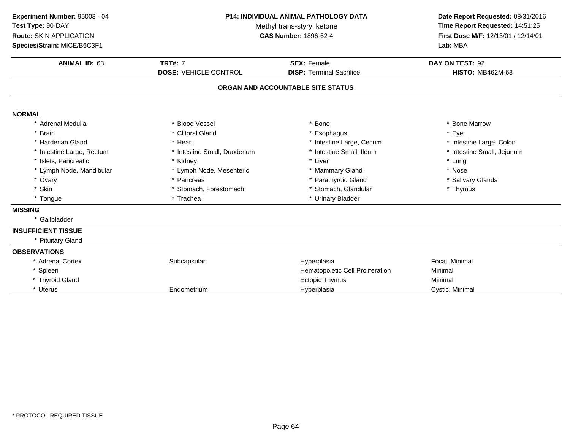| Experiment Number: 95003 - 04<br>Test Type: 90-DAY<br>Route: SKIN APPLICATION<br>Species/Strain: MICE/B6C3F1 | <b>P14: INDIVIDUAL ANIMAL PATHOLOGY DATA</b><br>Methyl trans-styryl ketone<br><b>CAS Number: 1896-62-4</b> |                                                       | Date Report Requested: 08/31/2016<br>Time Report Requested: 14:51:25<br>First Dose M/F: 12/13/01 / 12/14/01<br>Lab: MBA |
|--------------------------------------------------------------------------------------------------------------|------------------------------------------------------------------------------------------------------------|-------------------------------------------------------|-------------------------------------------------------------------------------------------------------------------------|
| <b>ANIMAL ID: 63</b>                                                                                         | <b>TRT#: 7</b><br><b>DOSE: VEHICLE CONTROL</b>                                                             | <b>SEX: Female</b><br><b>DISP: Terminal Sacrifice</b> | DAY ON TEST: 92<br><b>HISTO: MB462M-63</b>                                                                              |
|                                                                                                              |                                                                                                            | ORGAN AND ACCOUNTABLE SITE STATUS                     |                                                                                                                         |
| <b>NORMAL</b>                                                                                                |                                                                                                            |                                                       |                                                                                                                         |
| * Adrenal Medulla                                                                                            | * Blood Vessel                                                                                             | Bone                                                  | * Bone Marrow                                                                                                           |
| * Brain                                                                                                      | * Clitoral Gland                                                                                           | * Esophagus                                           | * Eye                                                                                                                   |
| * Harderian Gland                                                                                            | * Heart                                                                                                    | * Intestine Large, Cecum                              | * Intestine Large, Colon                                                                                                |
| * Intestine Large, Rectum                                                                                    | * Intestine Small, Duodenum                                                                                | * Intestine Small, Ileum                              | * Intestine Small, Jejunum                                                                                              |
| * Islets, Pancreatic                                                                                         | * Kidney                                                                                                   | * Liver                                               | * Lung                                                                                                                  |
| * Lymph Node, Mandibular                                                                                     | * Lymph Node, Mesenteric                                                                                   | * Mammary Gland                                       | * Nose                                                                                                                  |
| * Ovary                                                                                                      | * Pancreas                                                                                                 | * Parathyroid Gland                                   | * Salivary Glands                                                                                                       |
| * Skin                                                                                                       | * Stomach, Forestomach                                                                                     | * Stomach, Glandular                                  | * Thymus                                                                                                                |
| * Tongue                                                                                                     | * Trachea                                                                                                  | * Urinary Bladder                                     |                                                                                                                         |
| <b>MISSING</b>                                                                                               |                                                                                                            |                                                       |                                                                                                                         |
| * Gallbladder                                                                                                |                                                                                                            |                                                       |                                                                                                                         |
| <b>INSUFFICIENT TISSUE</b>                                                                                   |                                                                                                            |                                                       |                                                                                                                         |
| * Pituitary Gland                                                                                            |                                                                                                            |                                                       |                                                                                                                         |
| <b>OBSERVATIONS</b>                                                                                          |                                                                                                            |                                                       |                                                                                                                         |
| * Adrenal Cortex                                                                                             | Subcapsular                                                                                                | Hyperplasia                                           | Focal, Minimal                                                                                                          |
| * Spleen                                                                                                     |                                                                                                            | Hematopoietic Cell Proliferation                      | Minimal                                                                                                                 |
| * Thyroid Gland                                                                                              |                                                                                                            | <b>Ectopic Thymus</b>                                 | Minimal                                                                                                                 |
| * Uterus                                                                                                     | Endometrium                                                                                                | Hyperplasia                                           | Cystic, Minimal                                                                                                         |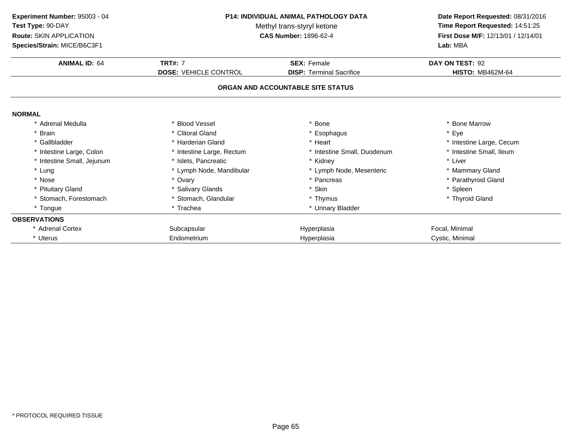| Experiment Number: 95003 - 04<br>Test Type: 90-DAY     | <b>P14: INDIVIDUAL ANIMAL PATHOLOGY DATA</b><br>Methyl trans-styryl ketone<br><b>CAS Number: 1896-62-4</b> |                                   | Date Report Requested: 08/31/2016<br>Time Report Requested: 14:51:25<br>First Dose M/F: 12/13/01 / 12/14/01<br>Lab: MBA |
|--------------------------------------------------------|------------------------------------------------------------------------------------------------------------|-----------------------------------|-------------------------------------------------------------------------------------------------------------------------|
| Route: SKIN APPLICATION<br>Species/Strain: MICE/B6C3F1 |                                                                                                            |                                   |                                                                                                                         |
| <b>ANIMAL ID: 64</b>                                   | <b>TRT#: 7</b>                                                                                             | <b>SEX: Female</b>                | DAY ON TEST: 92                                                                                                         |
|                                                        | <b>DOSE: VEHICLE CONTROL</b>                                                                               | <b>DISP: Terminal Sacrifice</b>   | <b>HISTO: MB462M-64</b>                                                                                                 |
|                                                        |                                                                                                            | ORGAN AND ACCOUNTABLE SITE STATUS |                                                                                                                         |
| <b>NORMAL</b>                                          |                                                                                                            |                                   |                                                                                                                         |
| * Adrenal Medulla                                      | * Blood Vessel                                                                                             | <b>Bone</b>                       | * Bone Marrow                                                                                                           |
| * Brain                                                | * Clitoral Gland                                                                                           | Esophagus                         | * Eye                                                                                                                   |
| * Gallbladder                                          | * Harderian Gland                                                                                          | Heart                             | * Intestine Large, Cecum                                                                                                |
| * Intestine Large, Colon                               | * Intestine Large, Rectum                                                                                  | * Intestine Small, Duodenum       | * Intestine Small, Ileum                                                                                                |
| * Intestine Small, Jejunum                             | * Islets, Pancreatic                                                                                       | Kidnev                            | * Liver                                                                                                                 |
| * Lung                                                 | * Lymph Node, Mandibular                                                                                   | * Lymph Node, Mesenteric          | * Mammary Gland                                                                                                         |
| * Nose                                                 | * Ovary                                                                                                    | * Pancreas                        | * Parathyroid Gland                                                                                                     |
| * Pituitary Gland                                      | * Salivary Glands                                                                                          | * Skin                            | * Spleen                                                                                                                |
| * Stomach, Forestomach                                 | * Stomach, Glandular                                                                                       | * Thymus                          | * Thyroid Gland                                                                                                         |
| * Tongue                                               | * Trachea                                                                                                  | * Urinary Bladder                 |                                                                                                                         |
| <b>OBSERVATIONS</b>                                    |                                                                                                            |                                   |                                                                                                                         |
| * Adrenal Cortex                                       | Subcapsular                                                                                                | Hyperplasia                       | Focal, Minimal                                                                                                          |
| * Uterus                                               | Endometrium                                                                                                | Hyperplasia                       | Cystic, Minimal                                                                                                         |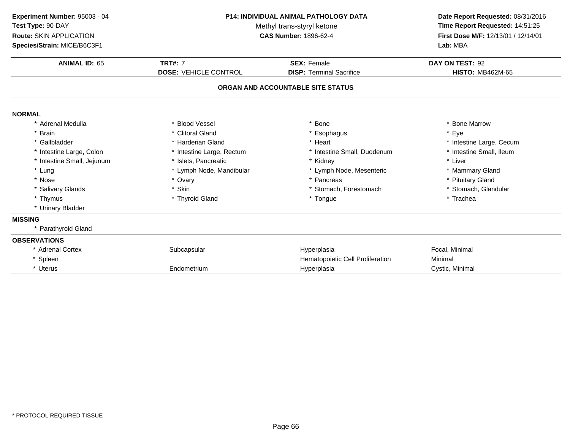| Experiment Number: 95003 - 04<br>Test Type: 90-DAY<br><b>Route: SKIN APPLICATION</b> | <b>P14: INDIVIDUAL ANIMAL PATHOLOGY DATA</b><br>Methyl trans-styryl ketone<br><b>CAS Number: 1896-62-4</b> |                                   | Date Report Requested: 08/31/2016<br>Time Report Requested: 14:51:25<br>First Dose M/F: 12/13/01 / 12/14/01 |
|--------------------------------------------------------------------------------------|------------------------------------------------------------------------------------------------------------|-----------------------------------|-------------------------------------------------------------------------------------------------------------|
| Species/Strain: MICE/B6C3F1                                                          |                                                                                                            |                                   | Lab: MBA                                                                                                    |
| <b>ANIMAL ID: 65</b>                                                                 | <b>TRT#: 7</b>                                                                                             | <b>SEX: Female</b>                | DAY ON TEST: 92                                                                                             |
|                                                                                      | <b>DOSE: VEHICLE CONTROL</b>                                                                               | <b>DISP: Terminal Sacrifice</b>   | <b>HISTO: MB462M-65</b>                                                                                     |
|                                                                                      |                                                                                                            | ORGAN AND ACCOUNTABLE SITE STATUS |                                                                                                             |
| <b>NORMAL</b>                                                                        |                                                                                                            |                                   |                                                                                                             |
| * Adrenal Medulla                                                                    | * Blood Vessel                                                                                             | Bone                              | * Bone Marrow                                                                                               |
| <b>Brain</b>                                                                         | * Clitoral Gland                                                                                           | Esophagus                         | Eye                                                                                                         |
| * Gallbladder                                                                        | * Harderian Gland                                                                                          | * Heart                           | * Intestine Large, Cecum                                                                                    |
| * Intestine Large, Colon                                                             | * Intestine Large, Rectum                                                                                  | * Intestine Small, Duodenum       | * Intestine Small, Ileum                                                                                    |
| * Intestine Small, Jejunum                                                           | * Islets. Pancreatic                                                                                       | * Kidney                          | * Liver                                                                                                     |
| * Lung                                                                               | * Lymph Node, Mandibular                                                                                   | * Lymph Node, Mesenteric          | * Mammary Gland                                                                                             |
| * Nose                                                                               | * Ovary                                                                                                    | * Pancreas                        | * Pituitary Gland                                                                                           |
| * Salivary Glands                                                                    | * Skin                                                                                                     | * Stomach, Forestomach            | * Stomach, Glandular                                                                                        |
| * Thymus                                                                             | * Thyroid Gland                                                                                            | * Tongue                          | * Trachea                                                                                                   |
| * Urinary Bladder                                                                    |                                                                                                            |                                   |                                                                                                             |
| <b>MISSING</b>                                                                       |                                                                                                            |                                   |                                                                                                             |
| * Parathyroid Gland                                                                  |                                                                                                            |                                   |                                                                                                             |
| <b>OBSERVATIONS</b>                                                                  |                                                                                                            |                                   |                                                                                                             |
| * Adrenal Cortex                                                                     | Subcapsular                                                                                                | Hyperplasia                       | Focal, Minimal                                                                                              |
| * Spleen                                                                             |                                                                                                            | Hematopoietic Cell Proliferation  | Minimal                                                                                                     |
| * Uterus                                                                             | Endometrium                                                                                                | Hyperplasia                       | Cystic, Minimal                                                                                             |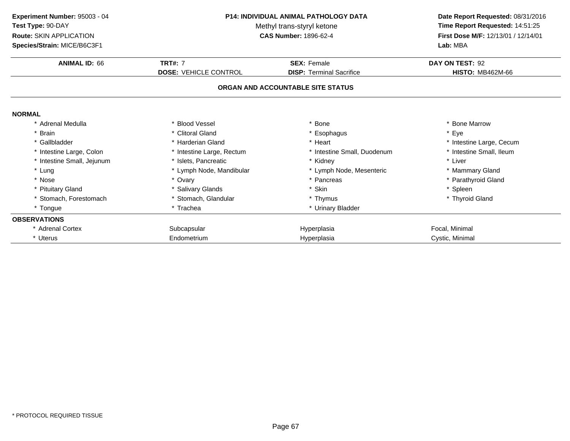| Experiment Number: 95003 - 04<br>Test Type: 90-DAY | <b>P14: INDIVIDUAL ANIMAL PATHOLOGY DATA</b><br>Methyl trans-styryl ketone<br><b>CAS Number: 1896-62-4</b> |                                   | Date Report Requested: 08/31/2016<br>Time Report Requested: 14:51:25<br>First Dose M/F: 12/13/01 / 12/14/01 |  |
|----------------------------------------------------|------------------------------------------------------------------------------------------------------------|-----------------------------------|-------------------------------------------------------------------------------------------------------------|--|
| Route: SKIN APPLICATION                            |                                                                                                            |                                   |                                                                                                             |  |
| Species/Strain: MICE/B6C3F1                        |                                                                                                            |                                   | Lab: MBA                                                                                                    |  |
| <b>ANIMAL ID: 66</b>                               | <b>TRT#: 7</b>                                                                                             | <b>SEX: Female</b>                | DAY ON TEST: 92                                                                                             |  |
|                                                    | <b>DOSE: VEHICLE CONTROL</b>                                                                               | <b>DISP: Terminal Sacrifice</b>   | <b>HISTO: MB462M-66</b>                                                                                     |  |
|                                                    |                                                                                                            | ORGAN AND ACCOUNTABLE SITE STATUS |                                                                                                             |  |
| <b>NORMAL</b>                                      |                                                                                                            |                                   |                                                                                                             |  |
| * Adrenal Medulla                                  | * Blood Vessel                                                                                             | <b>Bone</b>                       | * Bone Marrow                                                                                               |  |
| * Brain                                            | * Clitoral Gland                                                                                           | Esophagus                         | * Eye                                                                                                       |  |
| * Gallbladder                                      | * Harderian Gland                                                                                          | Heart                             | * Intestine Large, Cecum                                                                                    |  |
| * Intestine Large, Colon                           | * Intestine Large, Rectum                                                                                  | * Intestine Small, Duodenum       | * Intestine Small, Ileum                                                                                    |  |
| * Intestine Small, Jejunum                         | * Islets, Pancreatic                                                                                       | Kidnev                            | * Liver                                                                                                     |  |
| * Lung                                             | * Lymph Node, Mandibular                                                                                   | * Lymph Node, Mesenteric          | * Mammary Gland                                                                                             |  |
| * Nose                                             | * Ovary                                                                                                    | * Pancreas                        | * Parathyroid Gland                                                                                         |  |
| * Pituitary Gland                                  | * Salivary Glands                                                                                          | * Skin                            | * Spleen                                                                                                    |  |
| * Stomach, Forestomach                             | * Stomach, Glandular                                                                                       | * Thymus                          | * Thyroid Gland                                                                                             |  |
| * Tongue                                           | * Trachea                                                                                                  | * Urinary Bladder                 |                                                                                                             |  |
| <b>OBSERVATIONS</b>                                |                                                                                                            |                                   |                                                                                                             |  |
| * Adrenal Cortex                                   | Subcapsular                                                                                                | Hyperplasia                       | Focal, Minimal                                                                                              |  |
| * Uterus                                           | Endometrium                                                                                                | Hyperplasia                       | Cystic, Minimal                                                                                             |  |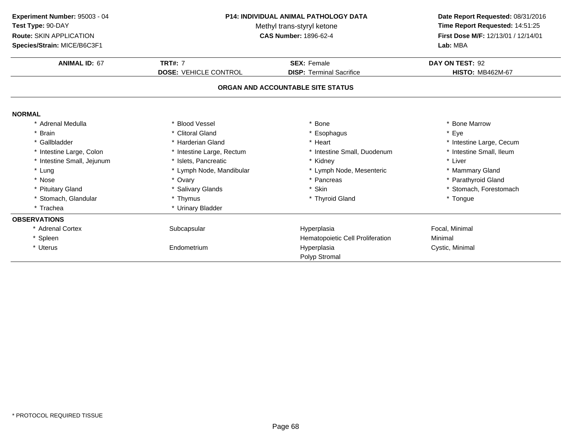| Experiment Number: 95003 - 04 | <b>P14: INDIVIDUAL ANIMAL PATHOLOGY DATA</b><br>Methyl trans-styryl ketone<br><b>CAS Number: 1896-62-4</b> |                                   | Date Report Requested: 08/31/2016<br>Time Report Requested: 14:51:25<br>First Dose M/F: 12/13/01 / 12/14/01 |
|-------------------------------|------------------------------------------------------------------------------------------------------------|-----------------------------------|-------------------------------------------------------------------------------------------------------------|
| Test Type: 90-DAY             |                                                                                                            |                                   |                                                                                                             |
| Route: SKIN APPLICATION       |                                                                                                            |                                   |                                                                                                             |
| Species/Strain: MICE/B6C3F1   |                                                                                                            |                                   | Lab: MBA                                                                                                    |
| <b>ANIMAL ID: 67</b>          | <b>TRT#: 7</b>                                                                                             | <b>SEX: Female</b>                | DAY ON TEST: 92                                                                                             |
|                               | <b>DOSE: VEHICLE CONTROL</b>                                                                               | <b>DISP: Terminal Sacrifice</b>   | <b>HISTO: MB462M-67</b>                                                                                     |
|                               |                                                                                                            | ORGAN AND ACCOUNTABLE SITE STATUS |                                                                                                             |
| <b>NORMAL</b>                 |                                                                                                            |                                   |                                                                                                             |
| * Adrenal Medulla             | * Blood Vessel                                                                                             | * Bone                            | * Bone Marrow                                                                                               |
| * Brain                       | * Clitoral Gland                                                                                           | * Esophagus                       | * Eye                                                                                                       |
| * Gallbladder                 | * Harderian Gland                                                                                          | * Heart                           | * Intestine Large, Cecum                                                                                    |
| * Intestine Large, Colon      | * Intestine Large, Rectum                                                                                  | * Intestine Small, Duodenum       | * Intestine Small, Ileum                                                                                    |
| * Intestine Small, Jejunum    | * Islets, Pancreatic                                                                                       | * Kidney                          | * Liver                                                                                                     |
| * Lung                        | * Lymph Node, Mandibular                                                                                   | * Lymph Node, Mesenteric          | * Mammary Gland                                                                                             |
| * Nose                        | * Ovary                                                                                                    | * Pancreas                        | * Parathyroid Gland                                                                                         |
| * Pituitary Gland             | * Salivary Glands                                                                                          | * Skin                            | * Stomach, Forestomach                                                                                      |
| * Stomach, Glandular          | * Thymus                                                                                                   | * Thyroid Gland                   | * Tongue                                                                                                    |
| * Trachea                     | * Urinary Bladder                                                                                          |                                   |                                                                                                             |
| <b>OBSERVATIONS</b>           |                                                                                                            |                                   |                                                                                                             |
| * Adrenal Cortex              | Subcapsular                                                                                                | Hyperplasia                       | Focal, Minimal                                                                                              |
| * Spleen                      |                                                                                                            | Hematopoietic Cell Proliferation  | Minimal                                                                                                     |
| * Uterus                      | Endometrium                                                                                                | Hyperplasia                       | Cystic, Minimal                                                                                             |
|                               |                                                                                                            | Polyp Stromal                     |                                                                                                             |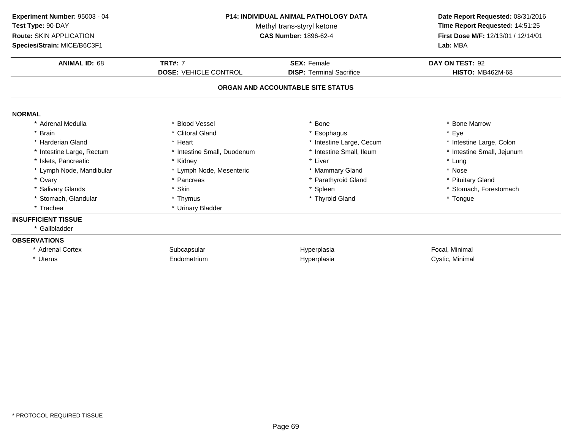| Experiment Number: 95003 - 04<br>Test Type: 90-DAY<br>Route: SKIN APPLICATION<br>Species/Strain: MICE/B6C3F1 | <b>P14: INDIVIDUAL ANIMAL PATHOLOGY DATA</b><br>Methyl trans-styryl ketone<br><b>CAS Number: 1896-62-4</b> |                                   | Date Report Requested: 08/31/2016<br>Time Report Requested: 14:51:25<br>First Dose M/F: 12/13/01 / 12/14/01<br>Lab: MBA |  |
|--------------------------------------------------------------------------------------------------------------|------------------------------------------------------------------------------------------------------------|-----------------------------------|-------------------------------------------------------------------------------------------------------------------------|--|
| <b>ANIMAL ID: 68</b>                                                                                         | <b>TRT#: 7</b>                                                                                             | <b>SEX: Female</b>                | DAY ON TEST: 92                                                                                                         |  |
|                                                                                                              | <b>DOSE: VEHICLE CONTROL</b>                                                                               | <b>DISP: Terminal Sacrifice</b>   | <b>HISTO: MB462M-68</b>                                                                                                 |  |
|                                                                                                              |                                                                                                            | ORGAN AND ACCOUNTABLE SITE STATUS |                                                                                                                         |  |
| <b>NORMAL</b>                                                                                                |                                                                                                            |                                   |                                                                                                                         |  |
| * Adrenal Medulla                                                                                            | * Blood Vessel                                                                                             | * Bone                            | * Bone Marrow                                                                                                           |  |
| * Brain                                                                                                      | * Clitoral Gland                                                                                           | * Esophagus                       | * Eye                                                                                                                   |  |
| * Harderian Gland                                                                                            | * Heart                                                                                                    | * Intestine Large, Cecum          | * Intestine Large, Colon                                                                                                |  |
| * Intestine Large, Rectum                                                                                    | * Intestine Small, Duodenum                                                                                | * Intestine Small, Ileum          | * Intestine Small, Jejunum                                                                                              |  |
| * Islets, Pancreatic                                                                                         | * Kidney                                                                                                   | * Liver                           | * Lung                                                                                                                  |  |
| * Lymph Node, Mandibular                                                                                     | * Lymph Node, Mesenteric                                                                                   | * Mammary Gland                   | * Nose                                                                                                                  |  |
| * Ovary                                                                                                      | * Pancreas                                                                                                 | * Parathyroid Gland               | * Pituitary Gland                                                                                                       |  |
| * Salivary Glands                                                                                            | * Skin                                                                                                     | * Spleen                          | * Stomach, Forestomach                                                                                                  |  |
| * Stomach, Glandular                                                                                         | * Thymus                                                                                                   | * Thyroid Gland                   | * Tongue                                                                                                                |  |
| * Trachea                                                                                                    | * Urinary Bladder                                                                                          |                                   |                                                                                                                         |  |
| <b>INSUFFICIENT TISSUE</b>                                                                                   |                                                                                                            |                                   |                                                                                                                         |  |
| * Gallbladder                                                                                                |                                                                                                            |                                   |                                                                                                                         |  |
| <b>OBSERVATIONS</b>                                                                                          |                                                                                                            |                                   |                                                                                                                         |  |
| * Adrenal Cortex                                                                                             | Subcapsular                                                                                                | Hyperplasia                       | Focal, Minimal                                                                                                          |  |
| * Uterus                                                                                                     | Endometrium                                                                                                | Hyperplasia                       | Cystic, Minimal                                                                                                         |  |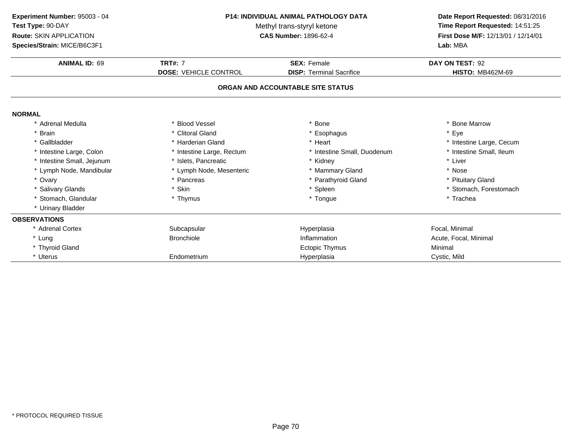| Experiment Number: 95003 - 04<br>Test Type: 90-DAY<br>Route: SKIN APPLICATION<br>Species/Strain: MICE/B6C3F1 | P14: INDIVIDUAL ANIMAL PATHOLOGY DATA<br>Methyl trans-styryl ketone<br><b>CAS Number: 1896-62-4</b> |                                   | Date Report Requested: 08/31/2016<br>Time Report Requested: 14:51:25<br>First Dose M/F: 12/13/01 / 12/14/01<br>Lab: MBA |
|--------------------------------------------------------------------------------------------------------------|-----------------------------------------------------------------------------------------------------|-----------------------------------|-------------------------------------------------------------------------------------------------------------------------|
| <b>ANIMAL ID: 69</b>                                                                                         | <b>TRT#: 7</b>                                                                                      | <b>SEX: Female</b>                | DAY ON TEST: 92                                                                                                         |
|                                                                                                              | <b>DOSE: VEHICLE CONTROL</b>                                                                        | <b>DISP: Terminal Sacrifice</b>   | <b>HISTO: MB462M-69</b>                                                                                                 |
|                                                                                                              |                                                                                                     | ORGAN AND ACCOUNTABLE SITE STATUS |                                                                                                                         |
| <b>NORMAL</b>                                                                                                |                                                                                                     |                                   |                                                                                                                         |
| * Adrenal Medulla                                                                                            | * Blood Vessel                                                                                      | * Bone                            | * Bone Marrow                                                                                                           |
| * Brain                                                                                                      | * Clitoral Gland                                                                                    | * Esophagus                       | * Eye                                                                                                                   |
| * Gallbladder                                                                                                | * Harderian Gland                                                                                   | * Heart                           | * Intestine Large, Cecum                                                                                                |
| * Intestine Large, Colon                                                                                     | * Intestine Large, Rectum                                                                           | * Intestine Small, Duodenum       | * Intestine Small, Ileum                                                                                                |
| * Intestine Small, Jejunum                                                                                   | * Islets, Pancreatic                                                                                | * Kidney                          | * Liver                                                                                                                 |
| * Lymph Node, Mandibular                                                                                     | * Lymph Node, Mesenteric                                                                            | * Mammary Gland                   | * Nose                                                                                                                  |
| * Ovary                                                                                                      | * Pancreas                                                                                          | * Parathyroid Gland               | * Pituitary Gland                                                                                                       |
| * Salivary Glands                                                                                            | * Skin                                                                                              | * Spleen                          | * Stomach, Forestomach                                                                                                  |
| * Stomach, Glandular                                                                                         | * Thymus                                                                                            | * Tongue                          | * Trachea                                                                                                               |
| * Urinary Bladder                                                                                            |                                                                                                     |                                   |                                                                                                                         |
| <b>OBSERVATIONS</b>                                                                                          |                                                                                                     |                                   |                                                                                                                         |
| * Adrenal Cortex                                                                                             | Subcapsular                                                                                         | Hyperplasia                       | Focal, Minimal                                                                                                          |
| * Lung                                                                                                       | <b>Bronchiole</b>                                                                                   | Inflammation                      | Acute, Focal, Minimal                                                                                                   |
| * Thyroid Gland                                                                                              |                                                                                                     | Ectopic Thymus                    | Minimal                                                                                                                 |
| * Uterus                                                                                                     | Endometrium                                                                                         | Hyperplasia                       | Cystic, Mild                                                                                                            |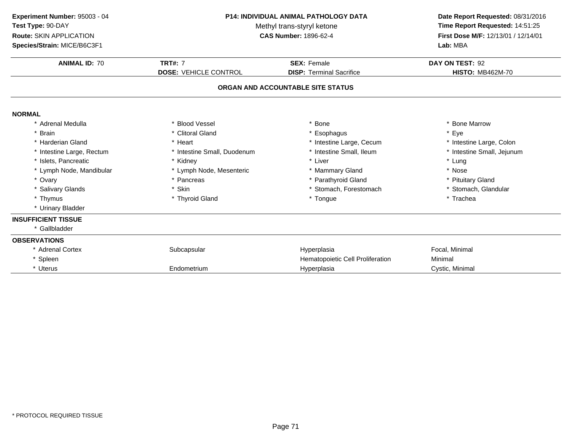| Experiment Number: 95003 - 04<br>Test Type: 90-DAY<br><b>Route: SKIN APPLICATION</b><br>Species/Strain: MICE/B6C3F1 | <b>P14: INDIVIDUAL ANIMAL PATHOLOGY DATA</b><br>Methyl trans-styryl ketone<br><b>CAS Number: 1896-62-4</b><br><b>TRT#: 7</b><br><b>SEX: Female</b> |                                   | Date Report Requested: 08/31/2016<br>Time Report Requested: 14:51:25<br>First Dose M/F: 12/13/01 / 12/14/01<br>Lab: MBA<br>DAY ON TEST: 92 |
|---------------------------------------------------------------------------------------------------------------------|----------------------------------------------------------------------------------------------------------------------------------------------------|-----------------------------------|--------------------------------------------------------------------------------------------------------------------------------------------|
| <b>ANIMAL ID: 70</b>                                                                                                |                                                                                                                                                    |                                   |                                                                                                                                            |
|                                                                                                                     | <b>DOSE: VEHICLE CONTROL</b>                                                                                                                       | <b>DISP: Terminal Sacrifice</b>   | <b>HISTO: MB462M-70</b>                                                                                                                    |
|                                                                                                                     |                                                                                                                                                    | ORGAN AND ACCOUNTABLE SITE STATUS |                                                                                                                                            |
| <b>NORMAL</b>                                                                                                       |                                                                                                                                                    |                                   |                                                                                                                                            |
| * Adrenal Medulla                                                                                                   | * Blood Vessel                                                                                                                                     | <b>Bone</b>                       | * Bone Marrow                                                                                                                              |
| * Brain                                                                                                             | * Clitoral Gland                                                                                                                                   | * Esophagus                       | * Eye                                                                                                                                      |
| * Harderian Gland                                                                                                   | * Heart                                                                                                                                            | * Intestine Large, Cecum          | * Intestine Large, Colon                                                                                                                   |
| * Intestine Large, Rectum                                                                                           | * Intestine Small, Duodenum                                                                                                                        | * Intestine Small, Ileum          | * Intestine Small, Jejunum                                                                                                                 |
| * Islets, Pancreatic                                                                                                | * Kidney                                                                                                                                           | * Liver                           | * Lung                                                                                                                                     |
| * Lymph Node, Mandibular                                                                                            | * Lymph Node, Mesenteric                                                                                                                           | * Mammary Gland                   | * Nose                                                                                                                                     |
| * Ovary                                                                                                             | * Pancreas                                                                                                                                         | Parathyroid Gland                 | * Pituitary Gland                                                                                                                          |
| * Salivary Glands                                                                                                   | * Skin                                                                                                                                             | * Stomach, Forestomach            | * Stomach, Glandular                                                                                                                       |
| * Thymus                                                                                                            | * Thyroid Gland                                                                                                                                    | * Tongue                          | * Trachea                                                                                                                                  |
| * Urinary Bladder                                                                                                   |                                                                                                                                                    |                                   |                                                                                                                                            |
| <b>INSUFFICIENT TISSUE</b>                                                                                          |                                                                                                                                                    |                                   |                                                                                                                                            |
| * Gallbladder                                                                                                       |                                                                                                                                                    |                                   |                                                                                                                                            |
| <b>OBSERVATIONS</b>                                                                                                 |                                                                                                                                                    |                                   |                                                                                                                                            |
| * Adrenal Cortex                                                                                                    | Subcapsular                                                                                                                                        | Hyperplasia                       | Focal, Minimal                                                                                                                             |
| * Spleen                                                                                                            |                                                                                                                                                    | Hematopoietic Cell Proliferation  | Minimal                                                                                                                                    |
| * Uterus                                                                                                            | Endometrium                                                                                                                                        | Hyperplasia                       | Cystic, Minimal                                                                                                                            |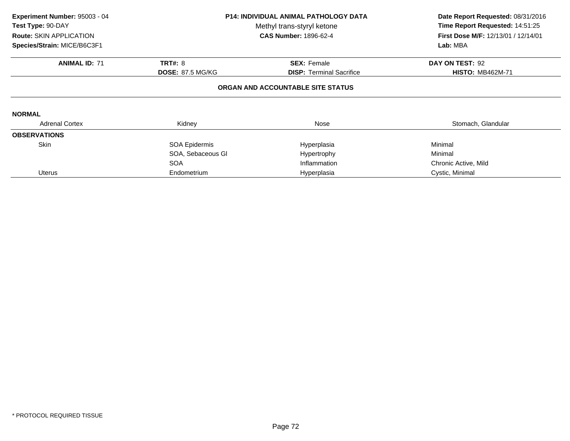| Experiment Number: 95003 - 04<br>Test Type: 90-DAY<br>Route: SKIN APPLICATION<br>Species/Strain: MICE/B6C3F1 |                         | <b>P14: INDIVIDUAL ANIMAL PATHOLOGY DATA</b><br>Methyl trans-styryl ketone<br><b>CAS Number: 1896-62-4</b> | Date Report Requested: 08/31/2016<br>Time Report Requested: 14:51:25<br>First Dose M/F: 12/13/01 / 12/14/01<br>Lab: MBA |
|--------------------------------------------------------------------------------------------------------------|-------------------------|------------------------------------------------------------------------------------------------------------|-------------------------------------------------------------------------------------------------------------------------|
| <b>ANIMAL ID: 71</b>                                                                                         | <b>TRT#: 8</b>          | <b>SEX: Female</b>                                                                                         | DAY ON TEST: 92                                                                                                         |
|                                                                                                              | <b>DOSE: 87.5 MG/KG</b> | <b>DISP:</b> Terminal Sacrifice                                                                            | <b>HISTO: MB462M-71</b>                                                                                                 |
|                                                                                                              |                         | ORGAN AND ACCOUNTABLE SITE STATUS                                                                          |                                                                                                                         |
| <b>NORMAL</b>                                                                                                |                         |                                                                                                            |                                                                                                                         |
| <b>Adrenal Cortex</b>                                                                                        | Kidney                  | Nose                                                                                                       | Stomach, Glandular                                                                                                      |
| <b>OBSERVATIONS</b>                                                                                          |                         |                                                                                                            |                                                                                                                         |
| <b>Skin</b>                                                                                                  | SOA Epidermis           | Hyperplasia                                                                                                | Minimal                                                                                                                 |
|                                                                                                              | SOA, Sebaceous GI       | Hypertrophy                                                                                                | Minimal                                                                                                                 |
|                                                                                                              | <b>SOA</b>              | Inflammation                                                                                               | Chronic Active, Mild                                                                                                    |
| <b>Uterus</b>                                                                                                | Endometrium             | Hyperplasia                                                                                                | Cystic, Minimal                                                                                                         |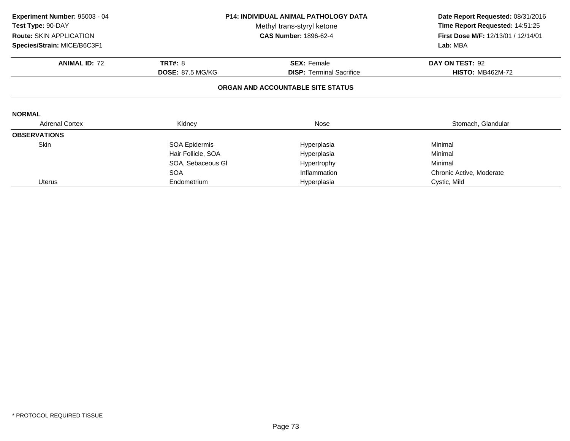| Experiment Number: 95003 - 04 | <b>P14: INDIVIDUAL ANIMAL PATHOLOGY DATA</b><br>Methyl trans-styryl ketone |                                   | Date Report Requested: 08/31/2016<br>Time Report Requested: 14:51:25 |
|-------------------------------|----------------------------------------------------------------------------|-----------------------------------|----------------------------------------------------------------------|
| Test Type: 90-DAY             |                                                                            |                                   |                                                                      |
| Route: SKIN APPLICATION       |                                                                            | <b>CAS Number: 1896-62-4</b>      | First Dose M/F: 12/13/01 / 12/14/01                                  |
| Species/Strain: MICE/B6C3F1   |                                                                            |                                   | Lab: MBA                                                             |
| <b>ANIMAL ID: 72</b>          | <b>TRT#: 8</b>                                                             | <b>SEX: Female</b>                | DAY ON TEST: 92                                                      |
|                               | <b>DOSE: 87.5 MG/KG</b>                                                    | <b>DISP:</b> Terminal Sacrifice   | <b>HISTO: MB462M-72</b>                                              |
|                               |                                                                            | ORGAN AND ACCOUNTABLE SITE STATUS |                                                                      |
| <b>NORMAL</b>                 |                                                                            |                                   |                                                                      |
| <b>Adrenal Cortex</b>         | Kidney                                                                     | Nose                              | Stomach, Glandular                                                   |
| <b>OBSERVATIONS</b>           |                                                                            |                                   |                                                                      |
| <b>Skin</b>                   | SOA Epidermis                                                              | Hyperplasia                       | Minimal                                                              |
|                               | Hair Follicle, SOA                                                         | Hyperplasia                       | Minimal                                                              |
|                               | SOA, Sebaceous GI                                                          | Hypertrophy                       | Minimal                                                              |
|                               | <b>SOA</b>                                                                 | Inflammation                      | Chronic Active, Moderate                                             |
| <b>Uterus</b>                 | Endometrium                                                                | Hyperplasia                       | Cystic, Mild                                                         |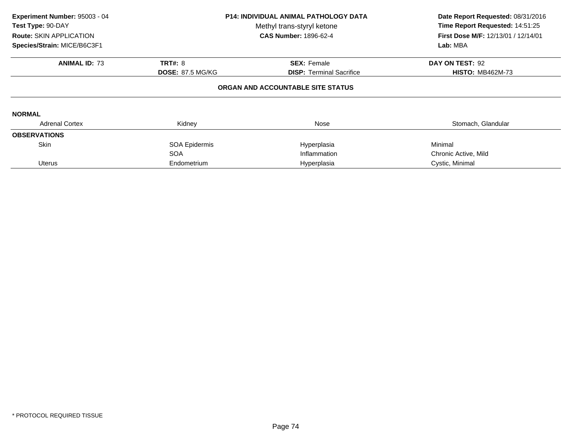| Experiment Number: 95003 - 04<br>Test Type: 90-DAY<br><b>Route: SKIN APPLICATION</b><br>Species/Strain: MICE/B6C3F1 | <b>P14: INDIVIDUAL ANIMAL PATHOLOGY DATA</b><br>Methyl trans-styryl ketone<br><b>CAS Number: 1896-62-4</b> |                                   | Date Report Requested: 08/31/2016<br>Time Report Requested: 14:51:25<br>First Dose M/F: 12/13/01 / 12/14/01<br>Lab: MBA |
|---------------------------------------------------------------------------------------------------------------------|------------------------------------------------------------------------------------------------------------|-----------------------------------|-------------------------------------------------------------------------------------------------------------------------|
| <b>ANIMAL ID: 73</b>                                                                                                | <b>TRT#: 8</b>                                                                                             | <b>SEX: Female</b>                | DAY ON TEST: 92                                                                                                         |
|                                                                                                                     | <b>DOSE: 87.5 MG/KG</b>                                                                                    | <b>DISP:</b> Terminal Sacrifice   | <b>HISTO: MB462M-73</b>                                                                                                 |
|                                                                                                                     |                                                                                                            | ORGAN AND ACCOUNTABLE SITE STATUS |                                                                                                                         |
| <b>NORMAL</b>                                                                                                       |                                                                                                            |                                   |                                                                                                                         |
| <b>Adrenal Cortex</b>                                                                                               | Kidney                                                                                                     | Nose                              | Stomach, Glandular                                                                                                      |
| <b>OBSERVATIONS</b>                                                                                                 |                                                                                                            |                                   |                                                                                                                         |
| <b>Skin</b>                                                                                                         | <b>SOA Epidermis</b>                                                                                       | Hyperplasia                       | Minimal                                                                                                                 |
|                                                                                                                     | <b>SOA</b>                                                                                                 | Inflammation                      | Chronic Active, Mild                                                                                                    |
| Uterus                                                                                                              | Endometrium                                                                                                | Hyperplasia                       | Cystic, Minimal                                                                                                         |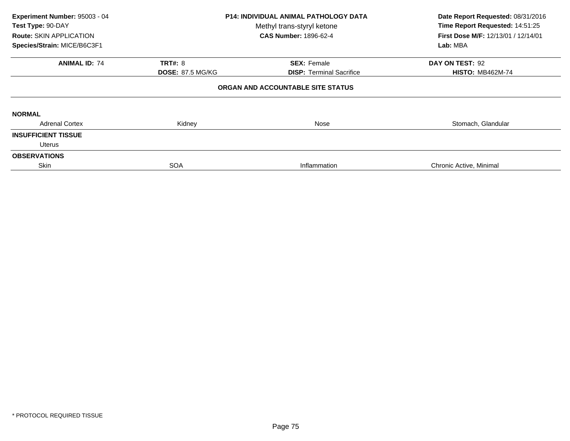| Experiment Number: 95003 - 04<br>Test Type: 90-DAY<br><b>Route: SKIN APPLICATION</b><br>Species/Strain: MICE/B6C3F1 | <b>P14: INDIVIDUAL ANIMAL PATHOLOGY DATA</b><br>Methyl trans-styryl ketone<br><b>CAS Number: 1896-62-4</b> |                                   | Date Report Requested: 08/31/2016<br>Time Report Requested: 14:51:25<br><b>First Dose M/F: 12/13/01 / 12/14/01</b><br>Lab: MBA |
|---------------------------------------------------------------------------------------------------------------------|------------------------------------------------------------------------------------------------------------|-----------------------------------|--------------------------------------------------------------------------------------------------------------------------------|
| <b>ANIMAL ID: 74</b>                                                                                                | <b>TRT#: 8</b>                                                                                             | <b>SEX: Female</b>                | DAY ON TEST: 92                                                                                                                |
|                                                                                                                     | <b>DOSE: 87.5 MG/KG</b>                                                                                    | <b>DISP:</b> Terminal Sacrifice   | <b>HISTO: MB462M-74</b>                                                                                                        |
|                                                                                                                     |                                                                                                            | ORGAN AND ACCOUNTABLE SITE STATUS |                                                                                                                                |
| <b>NORMAL</b>                                                                                                       |                                                                                                            |                                   |                                                                                                                                |
| <b>Adrenal Cortex</b>                                                                                               | Kidney                                                                                                     | Nose                              | Stomach, Glandular                                                                                                             |
| <b>INSUFFICIENT TISSUE</b>                                                                                          |                                                                                                            |                                   |                                                                                                                                |
| Uterus                                                                                                              |                                                                                                            |                                   |                                                                                                                                |
| <b>OBSERVATIONS</b>                                                                                                 |                                                                                                            |                                   |                                                                                                                                |
| Skin                                                                                                                | <b>SOA</b>                                                                                                 | Inflammation                      | Chronic Active, Minimal                                                                                                        |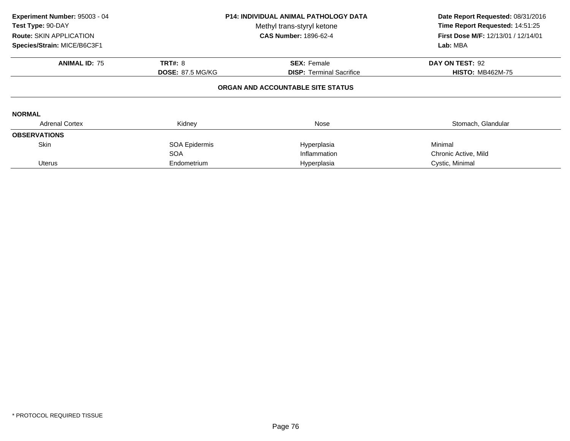| Experiment Number: 95003 - 04<br><b>P14: INDIVIDUAL ANIMAL PATHOLOGY DATA</b><br>Test Type: 90-DAY<br>Methyl trans-styryl ketone<br><b>CAS Number: 1896-62-4</b><br><b>Route: SKIN APPLICATION</b> |                                 | Date Report Requested: 08/31/2016<br>Time Report Requested: 14:51:25<br><b>First Dose M/F: 12/13/01 / 12/14/01</b> |  |
|----------------------------------------------------------------------------------------------------------------------------------------------------------------------------------------------------|---------------------------------|--------------------------------------------------------------------------------------------------------------------|--|
|                                                                                                                                                                                                    |                                 | Lab: MBA                                                                                                           |  |
| <b>TRT#: 8</b>                                                                                                                                                                                     | <b>SEX: Female</b>              | DAY ON TEST: 92                                                                                                    |  |
| <b>DOSE: 87.5 MG/KG</b>                                                                                                                                                                            | <b>DISP:</b> Terminal Sacrifice | <b>HISTO: MB462M-75</b>                                                                                            |  |
|                                                                                                                                                                                                    |                                 |                                                                                                                    |  |
|                                                                                                                                                                                                    |                                 |                                                                                                                    |  |
| Kidney                                                                                                                                                                                             | Nose                            | Stomach, Glandular                                                                                                 |  |
|                                                                                                                                                                                                    |                                 |                                                                                                                    |  |
| SOA Epidermis                                                                                                                                                                                      | Hyperplasia                     | Minimal                                                                                                            |  |
| <b>SOA</b>                                                                                                                                                                                         | Inflammation                    | Chronic Active, Mild                                                                                               |  |
| Endometrium                                                                                                                                                                                        | Hyperplasia                     | Cystic, Minimal                                                                                                    |  |
|                                                                                                                                                                                                    |                                 | ORGAN AND ACCOUNTABLE SITE STATUS                                                                                  |  |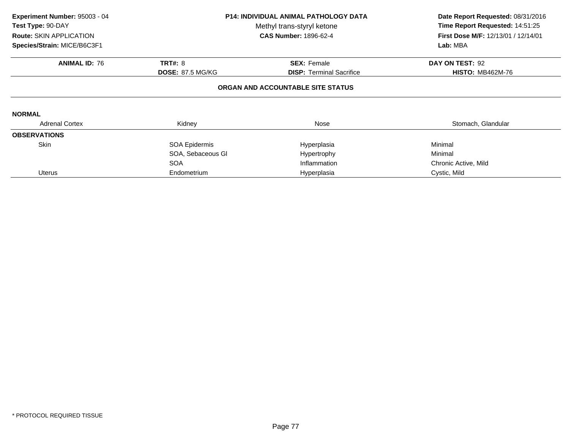| Experiment Number: 95003 - 04<br>Test Type: 90-DAY<br>Route: SKIN APPLICATION<br>Species/Strain: MICE/B6C3F1 | <b>P14: INDIVIDUAL ANIMAL PATHOLOGY DATA</b><br>Methyl trans-styryl ketone<br><b>CAS Number: 1896-62-4</b> |                                   | Lab: MBA                | Date Report Requested: 08/31/2016<br>Time Report Requested: 14:51:25<br>First Dose M/F: 12/13/01 / 12/14/01 |
|--------------------------------------------------------------------------------------------------------------|------------------------------------------------------------------------------------------------------------|-----------------------------------|-------------------------|-------------------------------------------------------------------------------------------------------------|
| <b>ANIMAL ID: 76</b>                                                                                         | <b>TRT#: 8</b>                                                                                             | <b>SEX: Female</b>                | DAY ON TEST: 92         |                                                                                                             |
|                                                                                                              | <b>DOSE: 87.5 MG/KG</b>                                                                                    | <b>DISP:</b> Terminal Sacrifice   | <b>HISTO: MB462M-76</b> |                                                                                                             |
|                                                                                                              |                                                                                                            | ORGAN AND ACCOUNTABLE SITE STATUS |                         |                                                                                                             |
| <b>NORMAL</b>                                                                                                |                                                                                                            |                                   |                         |                                                                                                             |
| <b>Adrenal Cortex</b>                                                                                        | Kidney                                                                                                     | Nose                              | Stomach, Glandular      |                                                                                                             |
| <b>OBSERVATIONS</b>                                                                                          |                                                                                                            |                                   |                         |                                                                                                             |
| <b>Skin</b>                                                                                                  | SOA Epidermis                                                                                              | Hyperplasia                       | Minimal                 |                                                                                                             |
|                                                                                                              | SOA, Sebaceous GI                                                                                          | Hypertrophy                       | Minimal                 |                                                                                                             |
|                                                                                                              | <b>SOA</b>                                                                                                 | Inflammation                      | Chronic Active, Mild    |                                                                                                             |
| <b>Uterus</b>                                                                                                | Endometrium                                                                                                | Hyperplasia                       | Cystic, Mild            |                                                                                                             |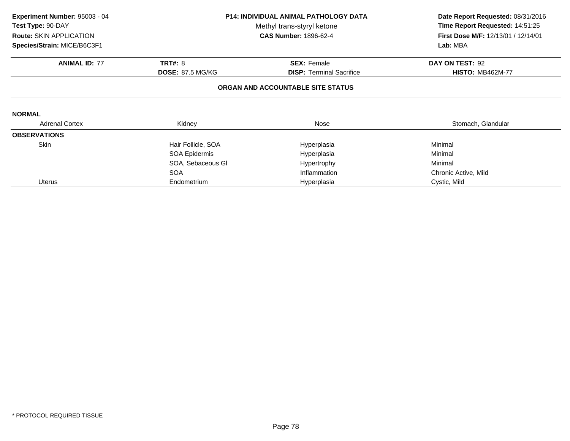| Experiment Number: 95003 - 04  | <b>P14: INDIVIDUAL ANIMAL PATHOLOGY DATA</b> |                                   | Date Report Requested: 08/31/2016   |
|--------------------------------|----------------------------------------------|-----------------------------------|-------------------------------------|
| Test Type: 90-DAY              |                                              | Methyl trans-styryl ketone        | Time Report Requested: 14:51:25     |
| <b>Route: SKIN APPLICATION</b> |                                              | <b>CAS Number: 1896-62-4</b>      | First Dose M/F: 12/13/01 / 12/14/01 |
| Species/Strain: MICE/B6C3F1    |                                              |                                   | Lab: MBA                            |
| <b>ANIMAL ID: 77</b>           | <b>TRT#: 8</b>                               | <b>SEX: Female</b>                | DAY ON TEST: 92                     |
|                                | <b>DOSE: 87.5 MG/KG</b>                      | <b>DISP: Terminal Sacrifice</b>   | <b>HISTO: MB462M-77</b>             |
|                                |                                              | ORGAN AND ACCOUNTABLE SITE STATUS |                                     |
| <b>NORMAL</b>                  |                                              |                                   |                                     |
| <b>Adrenal Cortex</b>          | Kidney                                       | Nose                              | Stomach, Glandular                  |
| <b>OBSERVATIONS</b>            |                                              |                                   |                                     |
| <b>Skin</b>                    | Hair Follicle, SOA                           | Hyperplasia                       | Minimal                             |
|                                | SOA Epidermis                                | Hyperplasia                       | Minimal                             |
|                                | SOA, Sebaceous GI                            | Hypertrophy                       | Minimal                             |
|                                | <b>SOA</b>                                   | Inflammation                      | Chronic Active, Mild                |
| <b>Uterus</b>                  | Endometrium                                  | Hyperplasia                       | Cystic, Mild                        |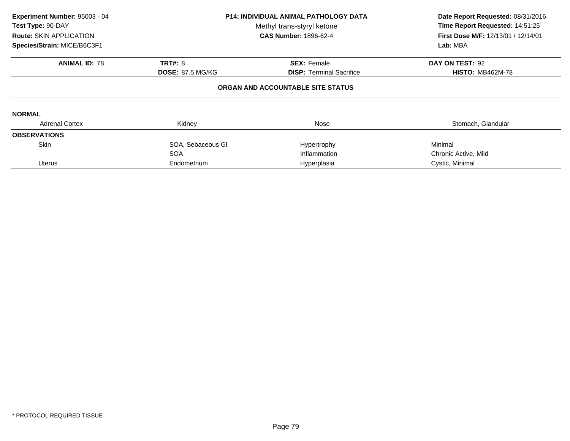| Experiment Number: 95003 - 04<br>Test Type: 90-DAY<br><b>Route: SKIN APPLICATION</b><br>Species/Strain: MICE/B6C3F1 | <b>P14: INDIVIDUAL ANIMAL PATHOLOGY DATA</b><br>Methyl trans-styryl ketone<br><b>CAS Number: 1896-62-4</b> |                                   | Date Report Requested: 08/31/2016<br>Time Report Requested: 14:51:25<br><b>First Dose M/F: 12/13/01 / 12/14/01</b><br>Lab: MBA |
|---------------------------------------------------------------------------------------------------------------------|------------------------------------------------------------------------------------------------------------|-----------------------------------|--------------------------------------------------------------------------------------------------------------------------------|
| <b>ANIMAL ID: 78</b>                                                                                                | <b>TRT#: 8</b>                                                                                             | <b>SEX: Female</b>                | DAY ON TEST: 92                                                                                                                |
|                                                                                                                     | <b>DOSE: 87.5 MG/KG</b>                                                                                    | <b>DISP:</b> Terminal Sacrifice   | <b>HISTO: MB462M-78</b>                                                                                                        |
|                                                                                                                     |                                                                                                            | ORGAN AND ACCOUNTABLE SITE STATUS |                                                                                                                                |
| <b>NORMAL</b>                                                                                                       |                                                                                                            |                                   |                                                                                                                                |
| <b>Adrenal Cortex</b>                                                                                               | Kidney                                                                                                     | Nose                              | Stomach, Glandular                                                                                                             |
| <b>OBSERVATIONS</b>                                                                                                 |                                                                                                            |                                   |                                                                                                                                |
| <b>Skin</b>                                                                                                         | SOA, Sebaceous GI                                                                                          | Hypertrophy                       | Minimal                                                                                                                        |
|                                                                                                                     | <b>SOA</b>                                                                                                 | Inflammation                      | Chronic Active, Mild                                                                                                           |
| <b>Uterus</b>                                                                                                       | Endometrium                                                                                                | Hyperplasia                       | Cystic, Minimal                                                                                                                |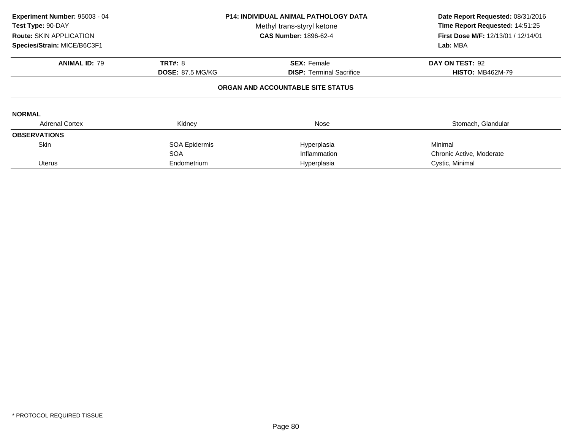| Experiment Number: 95003 - 04<br>Test Type: 90-DAY<br><b>Route: SKIN APPLICATION</b><br>Species/Strain: MICE/B6C3F1 | <b>P14: INDIVIDUAL ANIMAL PATHOLOGY DATA</b><br>Methyl trans-styryl ketone<br><b>CAS Number: 1896-62-4</b> |                                   | Date Report Requested: 08/31/2016<br>Time Report Requested: 14:51:25<br>First Dose M/F: 12/13/01 / 12/14/01<br>Lab: MBA |
|---------------------------------------------------------------------------------------------------------------------|------------------------------------------------------------------------------------------------------------|-----------------------------------|-------------------------------------------------------------------------------------------------------------------------|
| <b>ANIMAL ID: 79</b>                                                                                                | <b>TRT#: 8</b>                                                                                             | <b>SEX: Female</b>                | DAY ON TEST: 92                                                                                                         |
|                                                                                                                     | <b>DOSE: 87.5 MG/KG</b>                                                                                    | <b>DISP:</b> Terminal Sacrifice   | <b>HISTO: MB462M-79</b>                                                                                                 |
|                                                                                                                     |                                                                                                            | ORGAN AND ACCOUNTABLE SITE STATUS |                                                                                                                         |
| <b>NORMAL</b>                                                                                                       |                                                                                                            |                                   |                                                                                                                         |
| <b>Adrenal Cortex</b>                                                                                               | Kidney                                                                                                     | Nose                              | Stomach, Glandular                                                                                                      |
| <b>OBSERVATIONS</b>                                                                                                 |                                                                                                            |                                   |                                                                                                                         |
| <b>Skin</b>                                                                                                         | SOA Epidermis                                                                                              | Hyperplasia                       | Minimal                                                                                                                 |
|                                                                                                                     | <b>SOA</b>                                                                                                 | Inflammation                      | Chronic Active, Moderate                                                                                                |
| Uterus                                                                                                              | Endometrium                                                                                                | Hyperplasia                       | Cystic, Minimal                                                                                                         |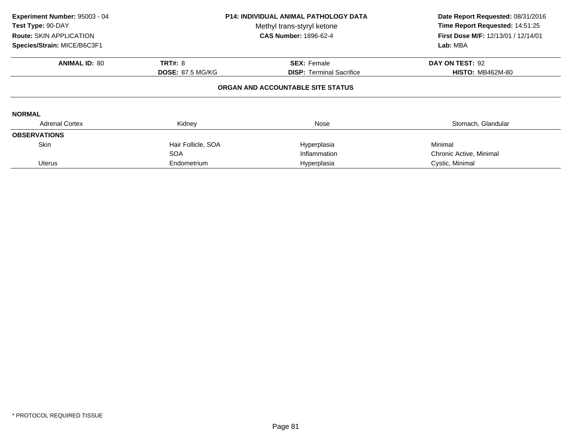| Experiment Number: 95003 - 04<br>Test Type: 90-DAY<br><b>Route: SKIN APPLICATION</b> | <b>P14: INDIVIDUAL ANIMAL PATHOLOGY DATA</b><br>Methyl trans-styryl ketone<br><b>CAS Number: 1896-62-4</b> |                                   | Date Report Requested: 08/31/2016<br>Time Report Requested: 14:51:25<br><b>First Dose M/F: 12/13/01 / 12/14/01</b><br>Lab: MBA |  |
|--------------------------------------------------------------------------------------|------------------------------------------------------------------------------------------------------------|-----------------------------------|--------------------------------------------------------------------------------------------------------------------------------|--|
| Species/Strain: MICE/B6C3F1                                                          |                                                                                                            |                                   |                                                                                                                                |  |
| <b>ANIMAL ID: 80</b>                                                                 | <b>TRT#: 8</b>                                                                                             | <b>SEX: Female</b>                | DAY ON TEST: 92                                                                                                                |  |
|                                                                                      | <b>DOSE: 87.5 MG/KG</b>                                                                                    | <b>DISP:</b> Terminal Sacrifice   | <b>HISTO: MB462M-80</b>                                                                                                        |  |
| <b>NORMAL</b>                                                                        |                                                                                                            | ORGAN AND ACCOUNTABLE SITE STATUS |                                                                                                                                |  |
| <b>Adrenal Cortex</b>                                                                | Kidney                                                                                                     | Nose                              | Stomach, Glandular                                                                                                             |  |
| <b>OBSERVATIONS</b>                                                                  |                                                                                                            |                                   |                                                                                                                                |  |
| <b>Skin</b>                                                                          | Hair Follicle, SOA                                                                                         | Hyperplasia                       | Minimal                                                                                                                        |  |
|                                                                                      | <b>SOA</b>                                                                                                 | Inflammation                      | Chronic Active, Minimal                                                                                                        |  |
| <b>Uterus</b>                                                                        | Endometrium                                                                                                | Hyperplasia                       | Cystic, Minimal                                                                                                                |  |
|                                                                                      |                                                                                                            |                                   |                                                                                                                                |  |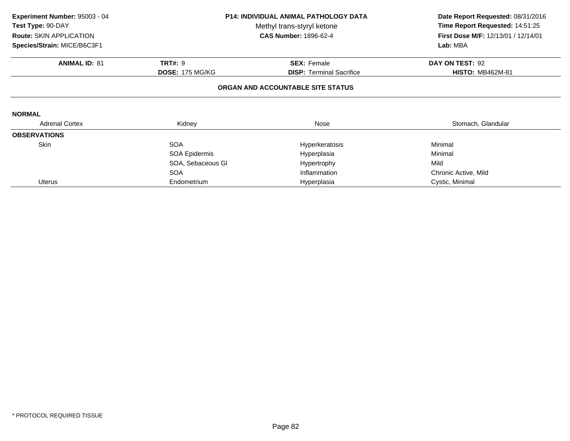| Experiment Number: 95003 - 04 | <b>P14: INDIVIDUAL ANIMAL PATHOLOGY DATA</b><br>Methyl trans-styryl ketone |                                   | Date Report Requested: 08/31/2016<br>Time Report Requested: 14:51:25 |
|-------------------------------|----------------------------------------------------------------------------|-----------------------------------|----------------------------------------------------------------------|
| Test Type: 90-DAY             |                                                                            |                                   |                                                                      |
| Route: SKIN APPLICATION       |                                                                            | <b>CAS Number: 1896-62-4</b>      | First Dose M/F: 12/13/01 / 12/14/01                                  |
| Species/Strain: MICE/B6C3F1   |                                                                            |                                   | Lab: MBA                                                             |
| <b>ANIMAL ID: 81</b>          | <b>TRT#: 9</b>                                                             | <b>SEX: Female</b>                | DAY ON TEST: 92                                                      |
|                               | <b>DOSE: 175 MG/KG</b>                                                     | <b>DISP:</b> Terminal Sacrifice   | <b>HISTO: MB462M-81</b>                                              |
|                               |                                                                            | ORGAN AND ACCOUNTABLE SITE STATUS |                                                                      |
| <b>NORMAL</b>                 |                                                                            |                                   |                                                                      |
| <b>Adrenal Cortex</b>         | Kidney                                                                     | Nose                              | Stomach, Glandular                                                   |
| <b>OBSERVATIONS</b>           |                                                                            |                                   |                                                                      |
| Skin                          | <b>SOA</b>                                                                 | Hyperkeratosis                    | Minimal                                                              |
|                               | SOA Epidermis                                                              | Hyperplasia                       | Minimal                                                              |
|                               | SOA, Sebaceous GI                                                          | Hypertrophy                       | Mild                                                                 |
|                               | <b>SOA</b>                                                                 | Inflammation                      | Chronic Active, Mild                                                 |
| <b>Uterus</b>                 | Endometrium                                                                | Hyperplasia                       | Cystic, Minimal                                                      |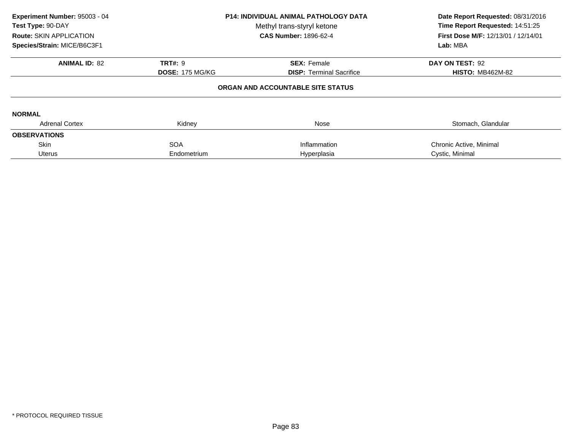| Experiment Number: 95003 - 04<br>Test Type: 90-DAY<br><b>Route: SKIN APPLICATION</b><br>Species/Strain: MICE/B6C3F1 | <b>P14: INDIVIDUAL ANIMAL PATHOLOGY DATA</b><br>Methyl trans-styryl ketone<br><b>CAS Number: 1896-62-4</b> |                                   | Date Report Requested: 08/31/2016<br>Time Report Requested: 14:51:25<br>First Dose M/F: 12/13/01 / 12/14/01<br>Lab: MBA |
|---------------------------------------------------------------------------------------------------------------------|------------------------------------------------------------------------------------------------------------|-----------------------------------|-------------------------------------------------------------------------------------------------------------------------|
| <b>ANIMAL ID: 82</b>                                                                                                | <b>TRT#: 9</b>                                                                                             | <b>SEX: Female</b>                | DAY ON TEST: 92                                                                                                         |
|                                                                                                                     | <b>DOSE: 175 MG/KG</b>                                                                                     | <b>DISP: Terminal Sacrifice</b>   | <b>HISTO: MB462M-82</b>                                                                                                 |
|                                                                                                                     |                                                                                                            | ORGAN AND ACCOUNTABLE SITE STATUS |                                                                                                                         |
| <b>NORMAL</b>                                                                                                       |                                                                                                            |                                   |                                                                                                                         |
| <b>Adrenal Cortex</b>                                                                                               | Kidney                                                                                                     | Nose                              | Stomach, Glandular                                                                                                      |
| <b>OBSERVATIONS</b>                                                                                                 |                                                                                                            |                                   |                                                                                                                         |
| <b>Skin</b>                                                                                                         | <b>SOA</b>                                                                                                 | Inflammation                      | Chronic Active, Minimal                                                                                                 |
| <b>Uterus</b>                                                                                                       | Endometrium                                                                                                | Hyperplasia                       | Cystic, Minimal                                                                                                         |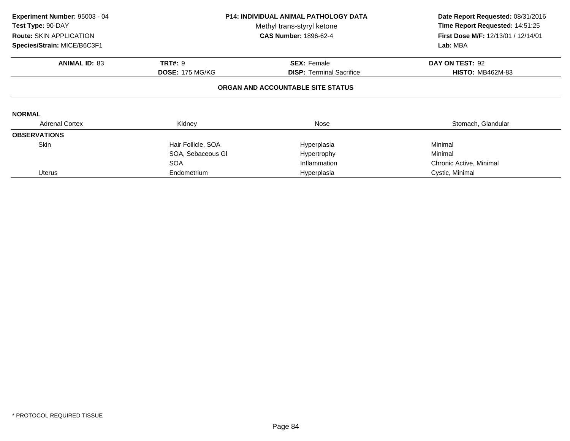| Experiment Number: 95003 - 04<br>Test Type: 90-DAY<br>Route: SKIN APPLICATION<br>Species/Strain: MICE/B6C3F1 | P14: INDIVIDUAL ANIMAL PATHOLOGY DATA<br>Methyl trans-styryl ketone<br><b>CAS Number: 1896-62-4</b> |                                   | Lab: MBA                |  | Date Report Requested: 08/31/2016<br>Time Report Requested: 14:51:25<br>First Dose M/F: 12/13/01 / 12/14/01 |
|--------------------------------------------------------------------------------------------------------------|-----------------------------------------------------------------------------------------------------|-----------------------------------|-------------------------|--|-------------------------------------------------------------------------------------------------------------|
| <b>ANIMAL ID: 83</b>                                                                                         | <b>TRT#: 9</b>                                                                                      | <b>SEX: Female</b>                | DAY ON TEST: 92         |  |                                                                                                             |
|                                                                                                              | <b>DOSE: 175 MG/KG</b>                                                                              | <b>DISP: Terminal Sacrifice</b>   | <b>HISTO: MB462M-83</b> |  |                                                                                                             |
|                                                                                                              |                                                                                                     | ORGAN AND ACCOUNTABLE SITE STATUS |                         |  |                                                                                                             |
| <b>NORMAL</b>                                                                                                |                                                                                                     |                                   |                         |  |                                                                                                             |
| <b>Adrenal Cortex</b>                                                                                        | Kidney                                                                                              | Nose                              | Stomach, Glandular      |  |                                                                                                             |
| <b>OBSERVATIONS</b>                                                                                          |                                                                                                     |                                   |                         |  |                                                                                                             |
| Skin                                                                                                         | Hair Follicle, SOA                                                                                  | Hyperplasia                       | Minimal                 |  |                                                                                                             |
|                                                                                                              | SOA, Sebaceous GI                                                                                   | Hypertrophy                       | Minimal                 |  |                                                                                                             |
|                                                                                                              | <b>SOA</b>                                                                                          | Inflammation                      | Chronic Active, Minimal |  |                                                                                                             |
| <b>Uterus</b>                                                                                                | Endometrium                                                                                         | Hyperplasia                       | Cystic, Minimal         |  |                                                                                                             |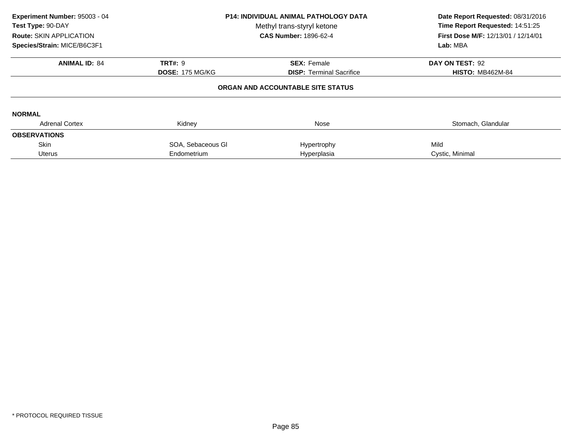| Experiment Number: 95003 - 04<br>Test Type: 90-DAY<br>Route: SKIN APPLICATION<br>Species/Strain: MICE/B6C3F1 | <b>P14: INDIVIDUAL ANIMAL PATHOLOGY DATA</b><br>Methyl trans-styryl ketone<br><b>CAS Number: 1896-62-4</b> |                                   | Date Report Requested: 08/31/2016<br>Time Report Requested: 14:51:25<br>First Dose M/F: 12/13/01 / 12/14/01<br>Lab: MBA |  |
|--------------------------------------------------------------------------------------------------------------|------------------------------------------------------------------------------------------------------------|-----------------------------------|-------------------------------------------------------------------------------------------------------------------------|--|
| <b>ANIMAL ID: 84</b>                                                                                         | <b>TRT#: 9</b>                                                                                             | <b>SEX: Female</b>                | DAY ON TEST: 92                                                                                                         |  |
|                                                                                                              | <b>DOSE: 175 MG/KG</b>                                                                                     | <b>DISP: Terminal Sacrifice</b>   | <b>HISTO: MB462M-84</b>                                                                                                 |  |
|                                                                                                              |                                                                                                            | ORGAN AND ACCOUNTABLE SITE STATUS |                                                                                                                         |  |
| <b>NORMAL</b>                                                                                                |                                                                                                            |                                   |                                                                                                                         |  |
| <b>Adrenal Cortex</b>                                                                                        | Kidney                                                                                                     | Nose                              | Stomach, Glandular                                                                                                      |  |
| <b>OBSERVATIONS</b>                                                                                          |                                                                                                            |                                   |                                                                                                                         |  |
| <b>Skin</b>                                                                                                  | SOA, Sebaceous GI                                                                                          | Hypertrophy                       | Mild                                                                                                                    |  |
| <b>Uterus</b>                                                                                                | Endometrium                                                                                                | Hyperplasia                       | Cystic, Minimal                                                                                                         |  |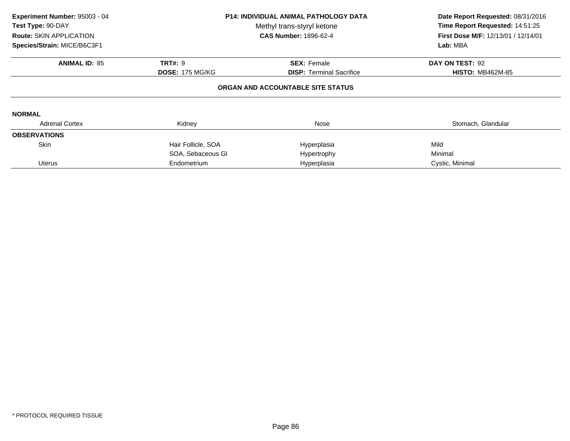| Experiment Number: 95003 - 04<br><b>Test Type: 90-DAY</b><br><b>Route: SKIN APPLICATION</b><br>Species/Strain: MICE/B6C3F1 |                        | <b>P14: INDIVIDUAL ANIMAL PATHOLOGY DATA</b><br>Methyl trans-styryl ketone<br><b>CAS Number: 1896-62-4</b> | Date Report Requested: 08/31/2016<br>Time Report Requested: 14:51:25<br><b>First Dose M/F: 12/13/01 / 12/14/01</b><br>Lab: MBA |
|----------------------------------------------------------------------------------------------------------------------------|------------------------|------------------------------------------------------------------------------------------------------------|--------------------------------------------------------------------------------------------------------------------------------|
| <b>ANIMAL ID: 85</b>                                                                                                       | <b>TRT#: 9</b>         | <b>SEX: Female</b>                                                                                         | DAY ON TEST: 92                                                                                                                |
|                                                                                                                            | <b>DOSE: 175 MG/KG</b> | <b>DISP:</b> Terminal Sacrifice                                                                            | <b>HISTO: MB462M-85</b>                                                                                                        |
|                                                                                                                            |                        | ORGAN AND ACCOUNTABLE SITE STATUS                                                                          |                                                                                                                                |
| <b>NORMAL</b>                                                                                                              |                        |                                                                                                            |                                                                                                                                |
| <b>Adrenal Cortex</b>                                                                                                      | Kidney                 | Nose                                                                                                       | Stomach, Glandular                                                                                                             |
| <b>OBSERVATIONS</b>                                                                                                        |                        |                                                                                                            |                                                                                                                                |
| <b>Skin</b>                                                                                                                | Hair Follicle, SOA     | Hyperplasia                                                                                                | Mild                                                                                                                           |
|                                                                                                                            | SOA, Sebaceous GI      | Hypertrophy                                                                                                | Minimal                                                                                                                        |
| <b>Uterus</b>                                                                                                              | Endometrium            | Hyperplasia                                                                                                | Cystic, Minimal                                                                                                                |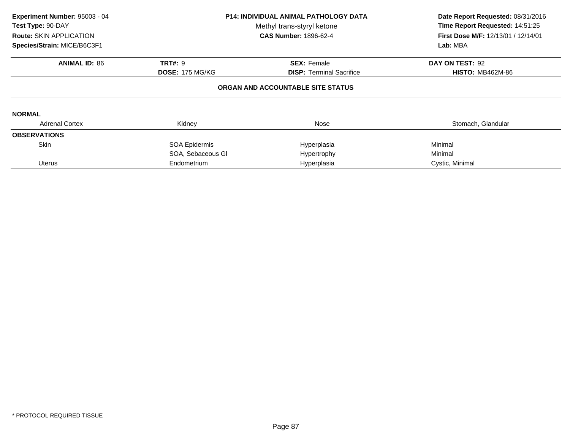| Experiment Number: 95003 - 04<br>Test Type: 90-DAY<br><b>Route: SKIN APPLICATION</b><br>Species/Strain: MICE/B6C3F1 |                        | <b>P14: INDIVIDUAL ANIMAL PATHOLOGY DATA</b><br>Methyl trans-styryl ketone<br><b>CAS Number: 1896-62-4</b> | Date Report Requested: 08/31/2016<br>Time Report Requested: 14:51:25<br><b>First Dose M/F: 12/13/01 / 12/14/01</b><br>Lab: MBA |
|---------------------------------------------------------------------------------------------------------------------|------------------------|------------------------------------------------------------------------------------------------------------|--------------------------------------------------------------------------------------------------------------------------------|
| <b>ANIMAL ID: 86</b>                                                                                                | <b>TRT#: 9</b>         | <b>SEX: Female</b>                                                                                         | DAY ON TEST: 92                                                                                                                |
|                                                                                                                     | <b>DOSE: 175 MG/KG</b> | <b>DISP:</b> Terminal Sacrifice                                                                            | <b>HISTO: MB462M-86</b>                                                                                                        |
|                                                                                                                     |                        | ORGAN AND ACCOUNTABLE SITE STATUS                                                                          |                                                                                                                                |
| <b>NORMAL</b>                                                                                                       |                        |                                                                                                            |                                                                                                                                |
| <b>Adrenal Cortex</b>                                                                                               | Kidney                 | Nose                                                                                                       | Stomach, Glandular                                                                                                             |
| <b>OBSERVATIONS</b>                                                                                                 |                        |                                                                                                            |                                                                                                                                |
| <b>Skin</b>                                                                                                         | SOA Epidermis          | Hyperplasia                                                                                                | Minimal                                                                                                                        |
|                                                                                                                     | SOA, Sebaceous GI      | Hypertrophy                                                                                                | Minimal                                                                                                                        |
| <b>Uterus</b>                                                                                                       | Endometrium            | Hyperplasia                                                                                                | Cystic, Minimal                                                                                                                |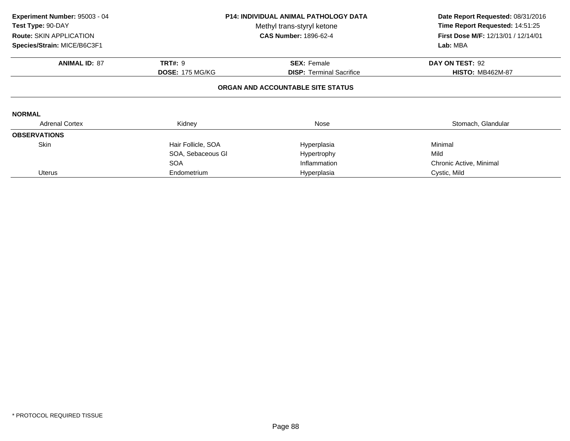| Experiment Number: 95003 - 04<br>Test Type: 90-DAY<br>Route: SKIN APPLICATION<br>Species/Strain: MICE/B6C3F1 |                        | <b>P14: INDIVIDUAL ANIMAL PATHOLOGY DATA</b><br>Methyl trans-styryl ketone<br><b>CAS Number: 1896-62-4</b> | Date Report Requested: 08/31/2016<br>Time Report Requested: 14:51:25<br>First Dose M/F: 12/13/01 / 12/14/01<br>Lab: MBA |
|--------------------------------------------------------------------------------------------------------------|------------------------|------------------------------------------------------------------------------------------------------------|-------------------------------------------------------------------------------------------------------------------------|
| <b>ANIMAL ID: 87</b>                                                                                         | <b>TRT#: 9</b>         | <b>SEX: Female</b>                                                                                         | DAY ON TEST: 92                                                                                                         |
|                                                                                                              | <b>DOSE: 175 MG/KG</b> | <b>DISP:</b> Terminal Sacrifice                                                                            | <b>HISTO: MB462M-87</b>                                                                                                 |
|                                                                                                              |                        | ORGAN AND ACCOUNTABLE SITE STATUS                                                                          |                                                                                                                         |
| <b>NORMAL</b>                                                                                                |                        |                                                                                                            |                                                                                                                         |
| <b>Adrenal Cortex</b>                                                                                        | Kidney                 | Nose                                                                                                       | Stomach, Glandular                                                                                                      |
| <b>OBSERVATIONS</b>                                                                                          |                        |                                                                                                            |                                                                                                                         |
| <b>Skin</b>                                                                                                  | Hair Follicle, SOA     | Hyperplasia                                                                                                | Minimal                                                                                                                 |
|                                                                                                              | SOA, Sebaceous GI      | Hypertrophy                                                                                                | Mild                                                                                                                    |
|                                                                                                              | <b>SOA</b>             | Inflammation                                                                                               | Chronic Active, Minimal                                                                                                 |
| <b>Uterus</b>                                                                                                | Endometrium            | Hyperplasia                                                                                                | Cystic, Mild                                                                                                            |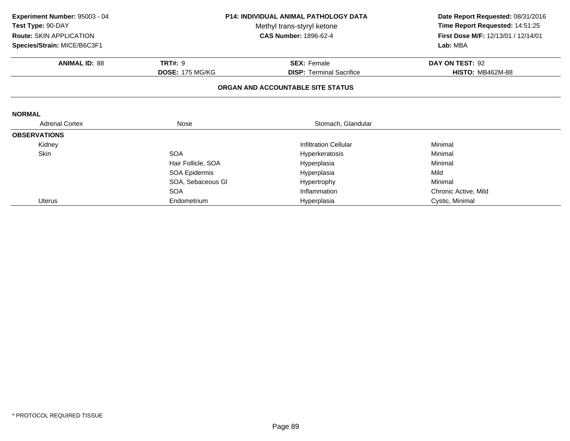| Experiment Number: 95003 - 04                   |                        | <b>P14: INDIVIDUAL ANIMAL PATHOLOGY DATA</b> | Date Report Requested: 08/31/2016   |  |
|-------------------------------------------------|------------------------|----------------------------------------------|-------------------------------------|--|
| Test Type: 90-DAY<br>Methyl trans-styryl ketone |                        |                                              | Time Report Requested: 14:51:25     |  |
| Route: SKIN APPLICATION                         |                        | <b>CAS Number: 1896-62-4</b>                 | First Dose M/F: 12/13/01 / 12/14/01 |  |
| Species/Strain: MICE/B6C3F1                     |                        |                                              | Lab: MBA                            |  |
| <b>ANIMAL ID: 88</b>                            | <b>TRT#: 9</b>         | <b>SEX: Female</b>                           | DAY ON TEST: 92                     |  |
|                                                 | <b>DOSE: 175 MG/KG</b> | <b>DISP: Terminal Sacrifice</b>              | <b>HISTO: MB462M-88</b>             |  |
|                                                 |                        | ORGAN AND ACCOUNTABLE SITE STATUS            |                                     |  |
| <b>NORMAL</b>                                   |                        |                                              |                                     |  |
| <b>Adrenal Cortex</b>                           | Nose                   | Stomach, Glandular                           |                                     |  |
| <b>OBSERVATIONS</b>                             |                        |                                              |                                     |  |
| Kidney                                          |                        | <b>Infiltration Cellular</b>                 | Minimal                             |  |
| Skin                                            | <b>SOA</b>             | Hyperkeratosis                               | Minimal                             |  |
|                                                 | Hair Follicle, SOA     | Hyperplasia                                  | Minimal                             |  |
|                                                 | SOA Epidermis          | Hyperplasia                                  | Mild                                |  |
|                                                 | SOA, Sebaceous GI      | Hypertrophy                                  | Minimal                             |  |
|                                                 | <b>SOA</b>             | Inflammation                                 | Chronic Active, Mild                |  |
| <b>Uterus</b>                                   | Endometrium            | Hyperplasia                                  | Cystic, Minimal                     |  |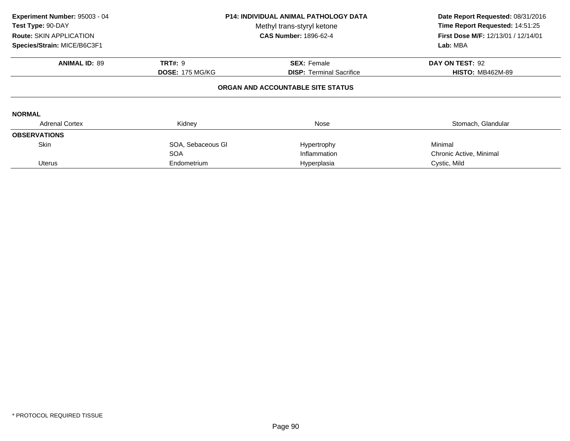| Experiment Number: 95003 - 04<br>Test Type: 90-DAY<br><b>Route: SKIN APPLICATION</b><br>Species/Strain: MICE/B6C3F1 |                        | <b>P14: INDIVIDUAL ANIMAL PATHOLOGY DATA</b><br>Methyl trans-styryl ketone<br><b>CAS Number: 1896-62-4</b> | Date Report Requested: 08/31/2016<br>Time Report Requested: 14:51:25<br>First Dose M/F: 12/13/01 / 12/14/01<br>Lab: MBA |
|---------------------------------------------------------------------------------------------------------------------|------------------------|------------------------------------------------------------------------------------------------------------|-------------------------------------------------------------------------------------------------------------------------|
| <b>ANIMAL ID: 89</b>                                                                                                | <b>TRT#: 9</b>         | <b>SEX: Female</b>                                                                                         | DAY ON TEST: 92                                                                                                         |
|                                                                                                                     | <b>DOSE: 175 MG/KG</b> | <b>DISP: Terminal Sacrifice</b>                                                                            | <b>HISTO: MB462M-89</b>                                                                                                 |
|                                                                                                                     |                        | ORGAN AND ACCOUNTABLE SITE STATUS                                                                          |                                                                                                                         |
| <b>NORMAL</b>                                                                                                       |                        |                                                                                                            |                                                                                                                         |
| <b>Adrenal Cortex</b>                                                                                               | Kidney                 | Nose                                                                                                       | Stomach, Glandular                                                                                                      |
| <b>OBSERVATIONS</b>                                                                                                 |                        |                                                                                                            |                                                                                                                         |
| <b>Skin</b>                                                                                                         | SOA, Sebaceous GI      | Hypertrophy                                                                                                | Minimal                                                                                                                 |
|                                                                                                                     | <b>SOA</b>             | Inflammation                                                                                               | Chronic Active, Minimal                                                                                                 |
| <b>Uterus</b>                                                                                                       | Endometrium            | Hyperplasia                                                                                                | Cystic, Mild                                                                                                            |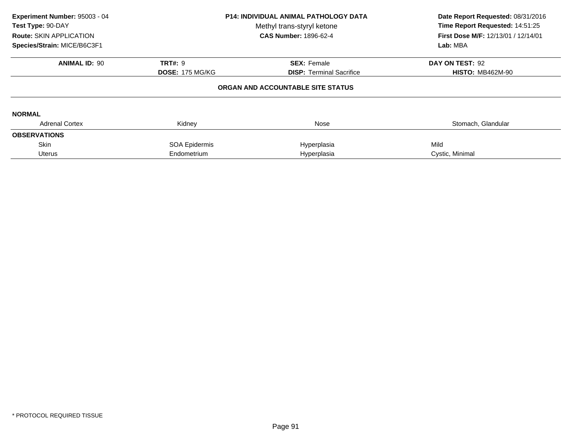| Experiment Number: 95003 - 04<br>Test Type: 90-DAY<br>Route: SKIN APPLICATION<br>Species/Strain: MICE/B6C3F1 | <b>P14: INDIVIDUAL ANIMAL PATHOLOGY DATA</b><br>Methyl trans-styryl ketone<br><b>CAS Number: 1896-62-4</b> |                                   | Date Report Requested: 08/31/2016<br>Time Report Requested: 14:51:25<br>First Dose M/F: 12/13/01 / 12/14/01<br>Lab: MBA |
|--------------------------------------------------------------------------------------------------------------|------------------------------------------------------------------------------------------------------------|-----------------------------------|-------------------------------------------------------------------------------------------------------------------------|
| <b>ANIMAL ID: 90</b>                                                                                         | <b>TRT#: 9</b>                                                                                             | <b>SEX: Female</b>                | DAY ON TEST: 92                                                                                                         |
|                                                                                                              | <b>DOSE: 175 MG/KG</b>                                                                                     | <b>DISP:</b> Terminal Sacrifice   | <b>HISTO: MB462M-90</b>                                                                                                 |
|                                                                                                              |                                                                                                            | ORGAN AND ACCOUNTABLE SITE STATUS |                                                                                                                         |
| <b>NORMAL</b>                                                                                                |                                                                                                            |                                   |                                                                                                                         |
| <b>Adrenal Cortex</b>                                                                                        | Kidney                                                                                                     | Nose                              | Stomach, Glandular                                                                                                      |
| <b>OBSERVATIONS</b>                                                                                          |                                                                                                            |                                   |                                                                                                                         |
| <b>Skin</b>                                                                                                  | SOA Epidermis                                                                                              | Hyperplasia                       | Mild                                                                                                                    |
| <b>Uterus</b>                                                                                                | Endometrium                                                                                                | Hyperplasia                       | Cystic, Minimal                                                                                                         |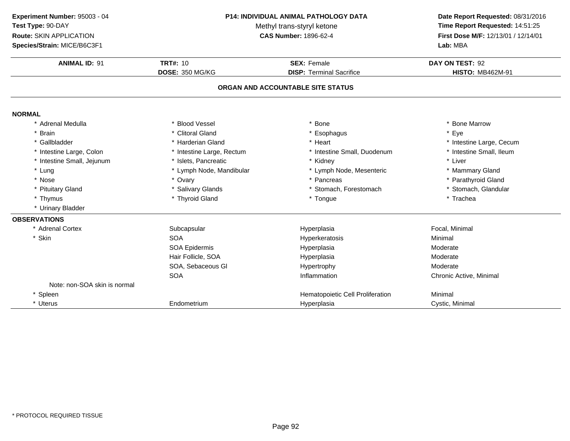| Experiment Number: 95003 - 04      |                           | <b>P14: INDIVIDUAL ANIMAL PATHOLOGY DATA</b> | Date Report Requested: 08/31/2016   |
|------------------------------------|---------------------------|----------------------------------------------|-------------------------------------|
| Test Type: 90-DAY                  |                           | Methyl trans-styryl ketone                   | Time Report Requested: 14:51:25     |
| Route: SKIN APPLICATION            |                           | <b>CAS Number: 1896-62-4</b>                 | First Dose M/F: 12/13/01 / 12/14/01 |
| Species/Strain: MICE/B6C3F1        |                           |                                              | Lab: MBA                            |
| <b>ANIMAL ID: 91</b>               | <b>TRT#: 10</b>           | <b>SEX: Female</b>                           | DAY ON TEST: 92                     |
|                                    | <b>DOSE: 350 MG/KG</b>    | <b>DISP: Terminal Sacrifice</b>              | <b>HISTO: MB462M-91</b>             |
|                                    |                           | ORGAN AND ACCOUNTABLE SITE STATUS            |                                     |
|                                    |                           |                                              |                                     |
| <b>NORMAL</b><br>* Adrenal Medulla | * Blood Vessel            | <b>Bone</b>                                  | * Bone Marrow                       |
| * Brain                            | * Clitoral Gland          | * Esophagus                                  | * Eye                               |
| * Gallbladder                      | * Harderian Gland         | * Heart                                      | * Intestine Large, Cecum            |
| * Intestine Large, Colon           | * Intestine Large, Rectum | * Intestine Small, Duodenum                  | * Intestine Small, Ileum            |
| * Intestine Small, Jejunum         | * Islets, Pancreatic      | * Kidney                                     | * Liver                             |
| * Lung                             | * Lymph Node, Mandibular  | * Lymph Node, Mesenteric                     | * Mammary Gland                     |
| * Nose                             | * Ovary                   | * Pancreas                                   | * Parathyroid Gland                 |
| * Pituitary Gland                  | * Salivary Glands         | * Stomach, Forestomach                       | * Stomach, Glandular                |
| * Thymus                           | * Thyroid Gland           | * Tongue                                     | * Trachea                           |
| * Urinary Bladder                  |                           |                                              |                                     |
| <b>OBSERVATIONS</b>                |                           |                                              |                                     |
| * Adrenal Cortex                   | Subcapsular               | Hyperplasia                                  | Focal, Minimal                      |
| * Skin                             | <b>SOA</b>                | Hyperkeratosis                               | Minimal                             |
|                                    | SOA Epidermis             | Hyperplasia                                  | Moderate                            |
|                                    | Hair Follicle, SOA        | Hyperplasia                                  | Moderate                            |
|                                    | SOA, Sebaceous Gl         | Hypertrophy                                  | Moderate                            |
|                                    | <b>SOA</b>                | Inflammation                                 | Chronic Active, Minimal             |
| Note: non-SOA skin is normal       |                           |                                              |                                     |
| * Spleen                           |                           | Hematopoietic Cell Proliferation             | Minimal                             |
| * Uterus                           | Endometrium               | Hyperplasia                                  | Cystic, Minimal                     |

\* Uterus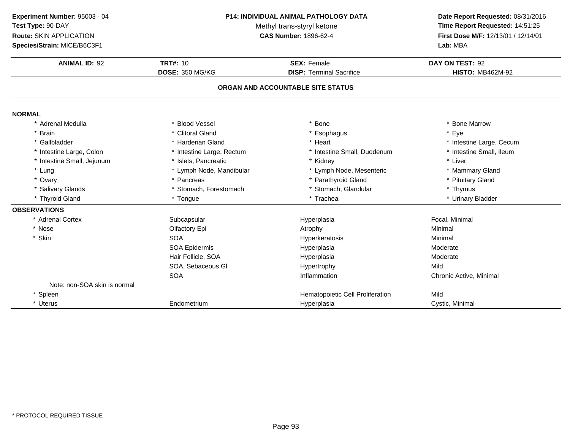**ANIMAL ID:** <sup>92</sup> **TRT#:** <sup>10</sup> **SEX:** Female **DAY ON TEST:** <sup>92</sup> **DOSE:** 350 MG/KG**DISP:** Terminal Sacrifice **HISTO:** MB462M-92 **ORGAN AND ACCOUNTABLE SITE STATUSNORMAL** \* Adrenal Medullaa the set of the Second Vessel that the set of the set of the set of the set of the set of the Marrow  $\ast$  Bone Marrow \* Brain \* Clitoral Gland \* Esophagus \* Eye \* Gallbladder \* Harderian Gland \* Heart \* Intestine Large, Cecum \* Intestine Small, Ileum \* Intestine Large, Colon\* Intestine Large, Rectum<br>\* Islets, Pancreatic \* Intestine Small, Duodenum \* 11test<br>
\* Kidney \* Liver \* Intestine Small, Jejunum \* Islets, Pancreatic \* Kidney \* Liver \* Lung\* Lymph Node, Mandibular \* Lymph Node, Mesenteric \* Mammary Gland<br>\* Pancreas \* Mammary Gland \* Parathyroid Gland \* Parathyroid Gland \* Ptuitary Gland \* Ovary\* Parathyroid Gland \* Pituitary Gland<br>\* Thymus \* Salivary Glands \* Stomach, Forestomach\* Stomach, Glandular \* Thymus \* Thymus<br>\* Trachea \* \* Urinary Bladder \* Thyroid Gland \* Tongue \* Trachea \* Urinary Bladder **OBSERVATIONS** \* Adrenal CortexSubcapsular Hyperplasia Focal, Minimal \* Nosee and the Colfactory Epi and the Atrophy Atrophy and the Minimal \* Skinn SOA A Research Minimal Research Hyperkeratosis and the Minimal Minimal Research Minimal Research Minimal Research Minimal Research Minimal Research Minimal Research Minimal Research Minimal Research Minimal Research Minimal Re SOA Epidermis Hyperplasia Moderate Hair Follicle, SOAA merupakan Hyperplasia (Moderate Moderate Moderate Moderate Moderate Moderate Mo SOA, Sebaceous Gl Hypertrophyy Mild A contraction contraction and the Inflammation contractive Chronic Active, Minimal SOANote: non-SOA skin is normal\* SpleenHematopoietic Cell Proliferation Mild<br>
Hyperplasia Cystic, Minimal \* Uterus**Endometrium**  Hyperplasia Cystic, Minimal **Experiment Number:** 95003 - 04 **P14: INDIVIDUAL ANIMAL PATHOLOGY DATA Date Report Requested:** 08/31/2016 **Test Type:** 90-DAYMethyl trans-styryl ketone<br>CAS Number: 1896-62-4 **Time Report Requested:** 14:51:25 **Route:** SKIN APPLICATION**First Dose M/F:** 12/13/01 / 12/14/01<br>**Lab:** MBA **Species/Strain:** MICE/B6C3F1**Lab:** MBA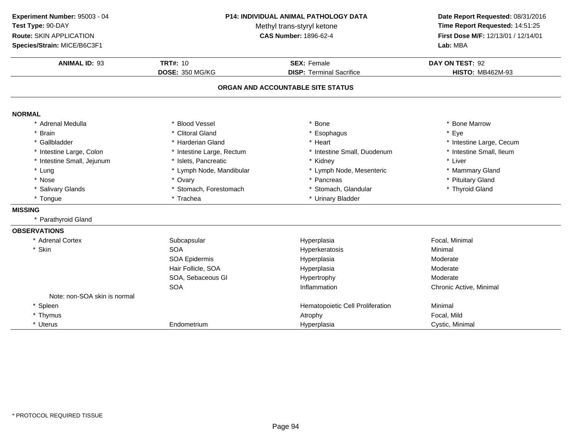| Experiment Number: 95003 - 04 | <b>P14: INDIVIDUAL ANIMAL PATHOLOGY DATA</b><br>Methyl trans-styryl ketone<br><b>CAS Number: 1896-62-4</b> |                                   | Date Report Requested: 08/31/2016<br>Time Report Requested: 14:51:25<br>First Dose M/F: 12/13/01 / 12/14/01 |  |
|-------------------------------|------------------------------------------------------------------------------------------------------------|-----------------------------------|-------------------------------------------------------------------------------------------------------------|--|
| Test Type: 90-DAY             |                                                                                                            |                                   |                                                                                                             |  |
| Route: SKIN APPLICATION       |                                                                                                            |                                   |                                                                                                             |  |
| Species/Strain: MICE/B6C3F1   |                                                                                                            |                                   | Lab: MBA                                                                                                    |  |
|                               |                                                                                                            |                                   |                                                                                                             |  |
| <b>ANIMAL ID: 93</b>          | <b>TRT#: 10</b>                                                                                            | <b>SEX: Female</b>                | DAY ON TEST: 92                                                                                             |  |
|                               | <b>DOSE: 350 MG/KG</b>                                                                                     | <b>DISP: Terminal Sacrifice</b>   | <b>HISTO: MB462M-93</b>                                                                                     |  |
|                               |                                                                                                            | ORGAN AND ACCOUNTABLE SITE STATUS |                                                                                                             |  |
| <b>NORMAL</b>                 |                                                                                                            |                                   |                                                                                                             |  |
| * Adrenal Medulla             | * Blood Vessel                                                                                             | * Bone                            | * Bone Marrow                                                                                               |  |
| <b>Brain</b>                  | * Clitoral Gland                                                                                           | * Esophagus                       | * Eye                                                                                                       |  |
| * Gallbladder                 | * Harderian Gland                                                                                          | * Heart                           | * Intestine Large, Cecum                                                                                    |  |
| * Intestine Large, Colon      | * Intestine Large, Rectum                                                                                  | * Intestine Small, Duodenum       | * Intestine Small, Ileum                                                                                    |  |
| * Intestine Small, Jejunum    | * Islets, Pancreatic                                                                                       | * Kidney                          | * Liver                                                                                                     |  |
| * Lung                        | * Lymph Node, Mandibular                                                                                   | * Lymph Node, Mesenteric          | * Mammary Gland                                                                                             |  |
| * Nose                        | * Ovary                                                                                                    | * Pancreas                        | * Pituitary Gland                                                                                           |  |
| * Salivary Glands             | * Stomach, Forestomach                                                                                     | * Stomach, Glandular              | * Thyroid Gland                                                                                             |  |
| * Tongue                      | * Trachea                                                                                                  | * Urinary Bladder                 |                                                                                                             |  |
| <b>MISSING</b>                |                                                                                                            |                                   |                                                                                                             |  |
| * Parathyroid Gland           |                                                                                                            |                                   |                                                                                                             |  |
| <b>OBSERVATIONS</b>           |                                                                                                            |                                   |                                                                                                             |  |
| * Adrenal Cortex              | Subcapsular                                                                                                | Hyperplasia                       | Focal, Minimal                                                                                              |  |
| * Skin                        | <b>SOA</b>                                                                                                 | Hyperkeratosis                    | Minimal                                                                                                     |  |
|                               | SOA Epidermis                                                                                              | Hyperplasia                       | Moderate                                                                                                    |  |
|                               | Hair Follicle, SOA                                                                                         | Hyperplasia                       | Moderate                                                                                                    |  |
|                               | SOA, Sebaceous Gl                                                                                          | Hypertrophy                       | Moderate                                                                                                    |  |
|                               | <b>SOA</b>                                                                                                 | Inflammation                      | Chronic Active, Minimal                                                                                     |  |
| Note: non-SOA skin is normal  |                                                                                                            |                                   |                                                                                                             |  |
| * Spleen                      |                                                                                                            | Hematopoietic Cell Proliferation  | Minimal                                                                                                     |  |
| * Thymus                      |                                                                                                            | Atrophy                           | Focal, Mild                                                                                                 |  |
| * Uterus                      | Endometrium                                                                                                | Hyperplasia                       | Cystic, Minimal                                                                                             |  |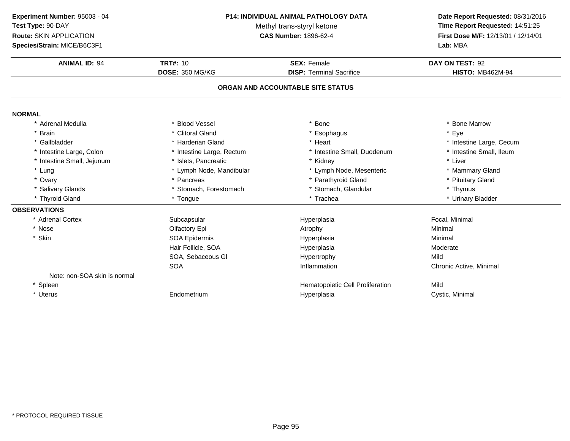**ANIMAL ID:** <sup>94</sup> **TRT#:** <sup>10</sup> **SEX:** Female **DAY ON TEST:** <sup>92</sup> **DOSE:** 350 MG/KG**DISP:** Terminal Sacrifice **HISTO:** MB462M-94 **ORGAN AND ACCOUNTABLE SITE STATUSNORMAL** \* Adrenal Medullaa the set of the Second Vessel that the set of the set of the set of the set of the set of the Marrow  $\ast$  Bone Marrow \* Brain \* Clitoral Gland \* Esophagus \* Eye \* Gallbladder \* Harderian Gland \* Heart \* Intestine Large, Cecum \* Intestine Small, Ileum \* Intestine Large, Colon\* Intestine Large, Rectum<br>\* Islets, Pancreatic \* Intestine Small, Duodenum \* 11test<br>
\* Kidney \* Liver \* Intestine Small, Jejunum \* Islets, Pancreatic \* Kidney \* Liver \* Lung\* Lymph Node, Mandibular \* Lymph Node, Mesenteric \* Mammary Gland<br>\* Pancreas \* Mammary Gland \* Parathyroid Gland \* Parathyroid Gland \* Ptuitary Gland \* Ovary\* Parathyroid Gland \* Pituitary Gland<br>\* Thymus \* Salivary Glands \* Stomach, Forestomach\* Stomach, Glandular \* Thymus \* Thymus<br>\* Trachea \* \* Urinary Bladder \* Thyroid Gland \* Tongue \* Trachea \* Urinary Bladder **OBSERVATIONS** \* Adrenal CortexSubcapsular Hyperplasia Focal, Minimal \* Nosee and the Colfactory Epi and the Atrophy Atrophy and the Minimal \* Skinn and the SOA Epidermis and the Hyperplasia Hyperplasia and Minimal Hair Follicle, SOAA Research Moderate Hyperplasia SOA, Sebaceous Gl Hypertrophyy Mild A contraction contraction and the Inflammation contractive Chronic Active, Minimal **SOA** Note: non-SOA skin is normal\* SpleenHematopoietic Cell Proliferation Mild<br>
Hyperplasia Cystic, Minimal \* Uterus Endometriumm **Exercise Cystic, Minimal** Hyperplasia **Cystic, Minimal Experiment Number:** 95003 - 04 **P14: INDIVIDUAL ANIMAL PATHOLOGY DATA Date Report Requested:** 08/31/2016 **Test Type:** 90-DAYMethyl trans-styryl ketone<br>CAS Number: 1896-62-4 **Time Report Requested:** 14:51:25 **Route:** SKIN APPLICATION**First Dose M/F:** 12/13/01 / 12/14/01<br>**Lab:** MBA **Species/Strain:** MICE/B6C3F1**Lab:** MBA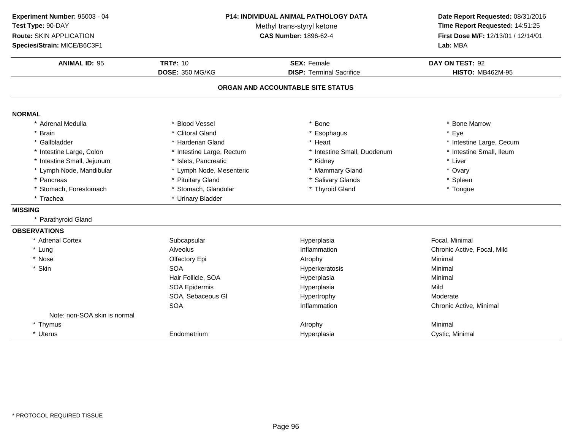**ANIMAL ID:** <sup>95</sup> **TRT#:** <sup>10</sup> **SEX:** Female **DAY ON TEST:** <sup>92</sup> **DOSE:** 350 MG/KG**DISP:** Terminal Sacrifice **HISTO:** MB462M-95 **ORGAN AND ACCOUNTABLE SITE STATUSNORMAL** \* Adrenal Medullaa the set of the Second Vessel that the set of the set of the set of the set of the set of the Marrow  $\ast$  Bone Marrow \* Brain \* Clitoral Gland \* Esophagus \* Eye \* Gallbladder \* Harderian Gland \* Heart \* Intestine Large, Cecum \* Intestine Small, Ileum \* Intestine Large, Colon\* Intestine Large, Rectum<br>\* Islets, Pancreatic \* Intestine Small, Duodenum \* 11test<br>
\* Kidney \* Liver \* Intestine Small, Jejunumm \* Islets, Pancreatic \* Kidney \* Liver \* Lymph Node, Mandibular \* Lymph Node, Mesenteric \* Mammary Gland\* Ovary<br>\* Spleen \* Pancreas \* Pituitary Gland\* Salivary Glands<br>
\* Thyroid Gland<br>
\* Thyroid Gland \* Stomach, Forestomach\* Stomach, Glandular \* Trachea \* Urinary Bladder **MISSING** \* Parathyroid Gland**OBSERVATIONS** \* Adrenal Cortexx Subcapsular Subcapsular Hyperplasia Focal, Minimal \* Lung Alveolus Inflammation Chronic Active, Focal, Mild \* Nosee and the Colfactory Epi and the Atrophy Atrophy and the Minimal \* Skinn SOA A Research Minimal Research Hyperkeratosis and the Minimal Minimal Research Minimal Research Minimal Research Minimal Research Minimal Research Minimal Research Minimal Research Minimal Research Minimal Research Minimal Re Hair Follicle, SOA Hyperplasia Minimal SOA Epidermis Hyperplasiaa Mild SOA, Sebaceous Gl Hypertrophy ModerateA contraction contraction and the Inflammation contractive Chronic Active, Minimal SOANote: non-SOA skin is normal\* Thymus Atrophy Minimal \* Uterus Endometrium Hyperplasia Cystic, Minimal **Experiment Number:** 95003 - 04 **P14: INDIVIDUAL ANIMAL PATHOLOGY DATA Date Report Requested:** 08/31/2016 **Test Type:** 90-DAYMethyl trans-styryl ketone<br>CAS Number: 1896-62-4 **Time Report Requested:** 14:51:25 **Route:** SKIN APPLICATION**First Dose M/F:** 12/13/01 / 12/14/01<br>**Lab:** MBA **Species/Strain:** MICE/B6C3F1**Lab:** MBA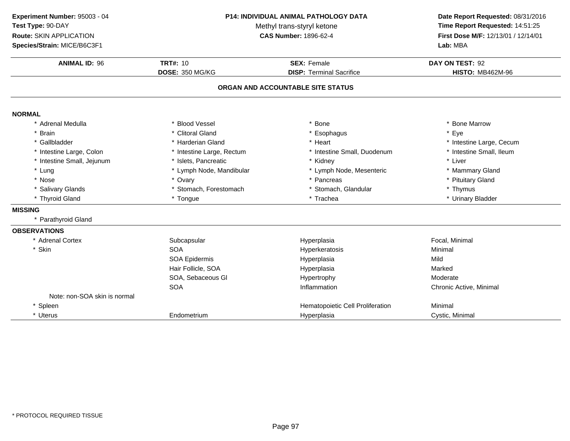**ANIMAL ID:** <sup>96</sup> **TRT#:** <sup>10</sup> **SEX:** Female **DAY ON TEST:** <sup>92</sup> **DOSE:** 350 MG/KG**DISP:** Terminal Sacrifice **HISTO:** MB462M-96 **ORGAN AND ACCOUNTABLE SITE STATUSNORMAL** \* Adrenal Medullaa the set of the Second Vessel that the set of the set of the set of the set of the set of the Marrow  $\ast$  Bone Marrow \* Brain \* Clitoral Gland \* Esophagus \* Eye \* Gallbladder \* Harderian Gland \* Heart \* Intestine Large, Cecum \* Intestine Small, Ileum \* Intestine Large, Colon\* Intestine Large, Rectum<br>\* Islets, Pancreatic \* Intestine Small, Duodenum \* 11test<br>
\* Kidney \* Liver \* Intestine Small, Jejunum \* Islets, Pancreatic \* Kidney \* Liver \* Lung\* Lymph Node, Mandibular \* 1990 \* Lymph Node, Mesenteric \* \* Mammary Gland<br>\* Ovary \* Pancreas \* Pancreas \* Pancreas \* Pituitary Gland \* Nosee entitled by the state of the state of the state of the state of the state of the state of the state of the state of the state of the state of the state of the state of the state of the state of the state of the state of \* Salivary Glands \* Stomach, Forestomach\* Stomach, Glandular \* Thymus \* Thymus<br>\* Trachea \* \* Urinary Bladder \* Thyroid Gland \* Tongue \* Trachea \* Urinary Bladder **MISSING** \* Parathyroid Gland**OBSERVATIONS** \* Adrenal Cortexx Subcapsular Subcapsular Hyperplasia Focal, Minimal \* Skinn SOA A Research of the Hyperkeratosis and the Minimal Minimal Service of the Minimal Service of the Minimal Service of the Minimal Service of the Minimal Service of the Minimal Service of the Minimal Service of the Minimal Serv SOA Epidermis Hyperplasiaa Mild Hair Follicle, SOA Hyperplasia Marked SOA, Sebaceous Gl Hypertrophy ModerateA contraction contraction and the Inflammation contractive Chronic Active, Minimal **SOA** Note: non-SOA skin is normal\* SpleenHematopoietic Cell Proliferation<br>
Hyperplasia<br>
Cystic, Minimal \* Uterus**Endometrium** m **Exercise Cystic, Minimal** Hyperplasia **Cystic, Minimal Experiment Number:** 95003 - 04 **P14: INDIVIDUAL ANIMAL PATHOLOGY DATA Date Report Requested:** 08/31/2016 **Test Type:** 90-DAYMethyl trans-styryl ketone<br>CAS Number: 1896-62-4 **Time Report Requested:** 14:51:25 **Route:** SKIN APPLICATION**First Dose M/F:** 12/13/01 / 12/14/01<br>**Lab:** MBA **Species/Strain:** MICE/B6C3F1**Lab:** MBA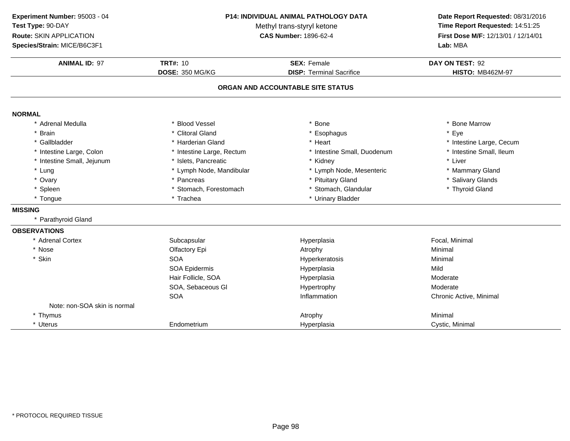| Experiment Number: 95003 - 04 | <b>P14: INDIVIDUAL ANIMAL PATHOLOGY DATA</b><br>Methyl trans-styryl ketone |                                   | Date Report Requested: 08/31/2016<br>Time Report Requested: 14:51:25 |  |
|-------------------------------|----------------------------------------------------------------------------|-----------------------------------|----------------------------------------------------------------------|--|
| Test Type: 90-DAY             |                                                                            |                                   |                                                                      |  |
| Route: SKIN APPLICATION       |                                                                            | <b>CAS Number: 1896-62-4</b>      | First Dose M/F: 12/13/01 / 12/14/01<br>Lab: MBA                      |  |
| Species/Strain: MICE/B6C3F1   |                                                                            |                                   |                                                                      |  |
| <b>ANIMAL ID: 97</b>          | <b>TRT#: 10</b>                                                            | <b>SEX: Female</b>                | DAY ON TEST: 92                                                      |  |
|                               | <b>DOSE: 350 MG/KG</b>                                                     | <b>DISP: Terminal Sacrifice</b>   | <b>HISTO: MB462M-97</b>                                              |  |
|                               |                                                                            | ORGAN AND ACCOUNTABLE SITE STATUS |                                                                      |  |
| <b>NORMAL</b>                 |                                                                            |                                   |                                                                      |  |
| * Adrenal Medulla             | * Blood Vessel                                                             | * Bone                            | * Bone Marrow                                                        |  |
| * Brain                       | * Clitoral Gland                                                           | * Esophagus                       | * Eye                                                                |  |
| * Gallbladder                 | * Harderian Gland                                                          | * Heart                           | * Intestine Large, Cecum                                             |  |
| * Intestine Large, Colon      | * Intestine Large, Rectum                                                  | * Intestine Small, Duodenum       | * Intestine Small, Ileum                                             |  |
| * Intestine Small, Jejunum    | * Islets, Pancreatic                                                       | * Kidney                          | * Liver                                                              |  |
| * Lung                        | * Lymph Node, Mandibular                                                   | * Lymph Node, Mesenteric          | * Mammary Gland                                                      |  |
| * Ovary                       | * Pancreas                                                                 | * Pituitary Gland                 | * Salivary Glands                                                    |  |
| * Spleen                      | * Stomach, Forestomach                                                     | * Stomach, Glandular              | * Thyroid Gland                                                      |  |
| * Tongue                      | * Trachea                                                                  | * Urinary Bladder                 |                                                                      |  |
| <b>MISSING</b>                |                                                                            |                                   |                                                                      |  |
| * Parathyroid Gland           |                                                                            |                                   |                                                                      |  |
| <b>OBSERVATIONS</b>           |                                                                            |                                   |                                                                      |  |
| * Adrenal Cortex              | Subcapsular                                                                | Hyperplasia                       | Focal, Minimal                                                       |  |
| * Nose                        | Olfactory Epi                                                              | Atrophy                           | Minimal                                                              |  |
| * Skin                        | <b>SOA</b>                                                                 | Hyperkeratosis                    | Minimal                                                              |  |
|                               | SOA Epidermis                                                              | Hyperplasia                       | Mild                                                                 |  |
|                               | Hair Follicle, SOA                                                         | Hyperplasia                       | Moderate                                                             |  |
|                               | SOA, Sebaceous GI                                                          | Hypertrophy                       | Moderate                                                             |  |
|                               | <b>SOA</b>                                                                 | Inflammation                      | Chronic Active, Minimal                                              |  |
| Note: non-SOA skin is normal  |                                                                            |                                   |                                                                      |  |
| * Thymus                      |                                                                            | Atrophy                           | Minimal                                                              |  |
| * Uterus                      | Endometrium                                                                | Hyperplasia                       | Cystic, Minimal                                                      |  |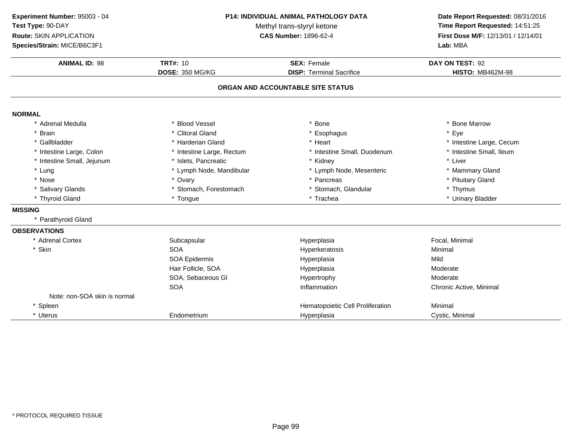**ANIMAL ID:** <sup>98</sup> **TRT#:** <sup>10</sup> **SEX:** Female **DAY ON TEST:** <sup>92</sup> **DOSE:** 350 MG/KG**DISP:** Terminal Sacrifice **HISTO:** MB462M-98 **ORGAN AND ACCOUNTABLE SITE STATUSNORMAL** \* Adrenal Medullaa the set of the Second Vessel that the set of the set of the set of the set of the set of the Marrow  $\ast$  Bone Marrow \* Brain \* Clitoral Gland \* Esophagus \* Eye \* Gallbladder \* Harderian Gland \* Heart \* Intestine Large, Cecum \* Intestine Small, Ileum \* Intestine Large, Colon\* Intestine Large, Rectum<br>\* Islets, Pancreatic \* Intestine Small, Duodenum \* 11test<br>
\* Kidney \* Liver \* Intestine Small, Jejunum \* Islets, Pancreatic \* Kidney \* Liver \* Lung\* Lymph Node, Mandibular \* 1990 \* Lymph Node, Mesenteric \* \* Mammary Gland<br>\* Ovary \* Pancreas \* Pancreas \* Pancreas \* Pituitary Gland \* Nosee entitled by the state of the state of the state of the state of the state of the state of the state of the state of the state of the state of the state of the state of the state of the state of the state of the state of \* Salivary Glands \* Stomach, Forestomach\* Stomach, Glandular \* Thymus \* Thymus<br>\* Trachea \* \* Urinary Bladder \* Thyroid Gland \* Tongue \* Trachea \* Urinary Bladder **MISSING** \* Parathyroid Gland**OBSERVATIONS** \* Adrenal Cortexx Subcapsular Subcapsular Hyperplasia Focal, Minimal \* Skinn SOA A Research of the Hyperkeratosis and the Minimal Minimal Service of the Minimal Service of the Minimal Service of the Minimal Service of the Minimal Service of the Minimal Service of the Minimal Service of the Minimal Serv SOA Epidermis Hyperplasiaa Mild Hair Follicle, SOAA merupakan Hyperplasia (Moderate Moderate Moderate Moderate Moderate Moderate Mo SOA, Sebaceous Gl Hypertrophy ModerateA contraction contraction and the Inflammation contractive Chronic Active, Minimal **SOA** Note: non-SOA skin is normal\* SpleenHematopoietic Cell Proliferation<br>
Hyperplasia<br>
Cystic, Minimal \* Uterus**Endometrium** m **Exercise Cystic, Minimal** Hyperplasia **Cystic, Minimal Experiment Number:** 95003 - 04 **P14: INDIVIDUAL ANIMAL PATHOLOGY DATA Date Report Requested:** 08/31/2016 **Test Type:** 90-DAYMethyl trans-styryl ketone<br>CAS Number: 1896-62-4 **Time Report Requested:** 14:51:25 **Route:** SKIN APPLICATION**First Dose M/F:** 12/13/01 / 12/14/01<br>**Lab:** MBA **Species/Strain:** MICE/B6C3F1**Lab:** MBA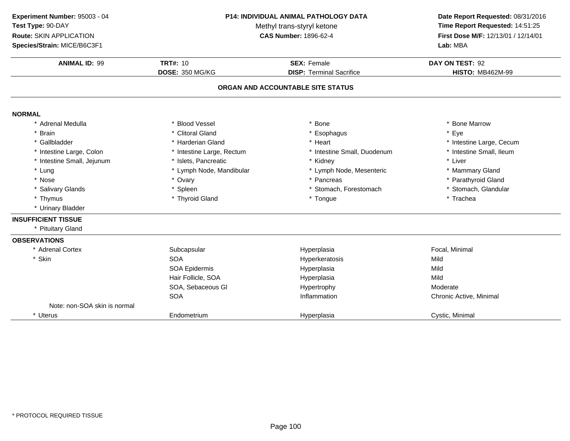**ANIMAL ID:** <sup>99</sup> **TRT#:** <sup>10</sup> **SEX:** Female **DAY ON TEST:** <sup>92</sup> **DOSE:** 350 MG/KG**DISP:** Terminal Sacrifice **HISTO:** MB462M-99 **ORGAN AND ACCOUNTABLE SITE STATUSNORMAL** \* Adrenal Medullaa the set of the Second Vessel that the set of the set of the set of the set of the set of the Marrow  $\ast$  Bone Marrow \* Brain \* Clitoral Gland \* Esophagus \* Eye \* Gallbladder \* Harderian Gland \* Heart \* Intestine Large, Cecum \* Intestine Small, Ileum \* Intestine Large, Colon\* Intestine Large, Rectum<br>\* Islets, Pancreatic \* Intestine Small, Duodenum \* \* Intest<br>\* Kidney \* \* Liver \* Intestine Small, Jejunum \* Islets, Pancreatic \* Kidney \* Liver \* Lung\* Lymph Node, Mandibular \* 1990 \* Lymph Node, Mesenteric \* \* Mammary Gland<br>\* Ovary \* \* Pancreas \* Pancreas \* Pancreas \* \* Parathyroid Gland \* Nosee the second of the second of the second of the second of the second of the second of the second of the second  $^*$  Parathyroid Gland \* Salivary Glands \* Spleen\* Stomach, Forestomach \* Stomach, Glandular<br>\* Tongue \* Trachea \* Thymus \* Thyroid Gland \* Tongue \* Trachea \* Urinary Bladder **INSUFFICIENT TISSUE** \* Pituitary Gland**OBSERVATIONS** \* Adrenal Cortexx Subcapsular Subcapsular Hyperplasia Hyperplasia<br>
Hyperkeratosis<br>
Hyperkeratosis<br>
The Mild \* Skinn SOA A Superversion of Hyperkeratosis Contraction of the Mild SOA Epidermis Hyperplasiaa Mild Hair Follicle, SOAA Mild SOA, Sebaceous Gl Hypertrophy ModerateA contraction contraction and the Inflammation contractive Chronic Active, Minimal SOANote: non-SOA skin is normal\* Uterus**Endometrium** m **Exercise Cystic, Minimal** Hyperplasia **Cystic, Minimal Experiment Number:** 95003 - 04 **P14: INDIVIDUAL ANIMAL PATHOLOGY DATA Date Report Requested:** 08/31/2016 **Test Type:** 90-DAYMethyl trans-styryl ketone<br>CAS Number: 1896-62-4 **Time Report Requested:** 14:51:25 **Route:** SKIN APPLICATION**First Dose M/F:** 12/13/01 / 12/14/01<br>**Lab:** MBA **Species/Strain:** MICE/B6C3F1**Lab:** MBA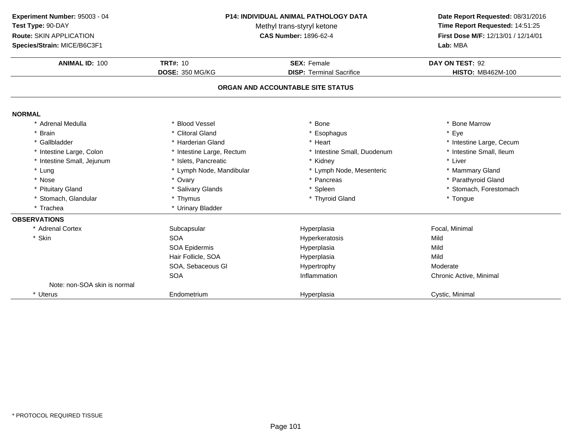| Experiment Number: 95003 - 04 |  |  |
|-------------------------------|--|--|
| Test Type: 90-DAY             |  |  |

**Route:** SKIN APPLICATION

**Species/Strain:** MICE/B6C3F1

## **P14: INDIVIDUAL ANIMAL PATHOLOGY DATA**

Methyl trans-styryl ketone<br>CAS Number: 1896-62-4

## **Date Report Requested:** 08/31/2016 **Time Report Requested:** 14:51:25 **First Dose M/F:** 12/13/01 / 12/14/01<br>Lab: MBA

| <b>Species/Strain: MICE/B6C3F1</b> |                           | Lab: MBA                          |                          |
|------------------------------------|---------------------------|-----------------------------------|--------------------------|
| <b>ANIMAL ID: 100</b>              | <b>TRT#: 10</b>           | <b>SEX: Female</b>                | DAY ON TEST: 92          |
|                                    | <b>DOSE: 350 MG/KG</b>    | <b>DISP: Terminal Sacrifice</b>   | <b>HISTO: MB462M-100</b> |
|                                    |                           | ORGAN AND ACCOUNTABLE SITE STATUS |                          |
| <b>NORMAL</b>                      |                           |                                   |                          |
| * Adrenal Medulla                  | * Blood Vessel            | <b>Bone</b>                       | * Bone Marrow            |
| * Brain                            | * Clitoral Gland          | * Esophagus                       | * Eye                    |
| * Gallbladder                      | * Harderian Gland         | * Heart                           | * Intestine Large, Cecum |
| * Intestine Large, Colon           | * Intestine Large, Rectum | * Intestine Small, Duodenum       | * Intestine Small, Ileum |
| * Intestine Small, Jejunum         | * Islets, Pancreatic      | * Kidney                          | * Liver                  |
| * Lung                             | * Lymph Node, Mandibular  | * Lymph Node, Mesenteric          | * Mammary Gland          |
| * Nose                             | * Ovary                   | * Pancreas                        | * Parathyroid Gland      |
| * Pituitary Gland                  | * Salivary Glands         | * Spleen                          | * Stomach, Forestomach   |
| * Stomach, Glandular               | * Thymus                  | * Thyroid Gland                   | * Tongue                 |
| * Trachea                          | * Urinary Bladder         |                                   |                          |
| <b>OBSERVATIONS</b>                |                           |                                   |                          |
| * Adrenal Cortex                   | Subcapsular               | Hyperplasia                       | Focal, Minimal           |
| * Skin                             | <b>SOA</b>                | Hyperkeratosis                    | Mild                     |
|                                    | <b>SOA Epidermis</b>      | Hyperplasia                       | Mild                     |
|                                    | Hair Follicle, SOA        | Hyperplasia                       | Mild                     |
|                                    | SOA, Sebaceous Gl         | Hypertrophy                       | Moderate                 |
|                                    | <b>SOA</b>                | Inflammation                      | Chronic Active, Minimal  |
| Note: non-SOA skin is normal       |                           |                                   |                          |
| * Uterus                           | Endometrium               | Hyperplasia                       | Cystic, Minimal          |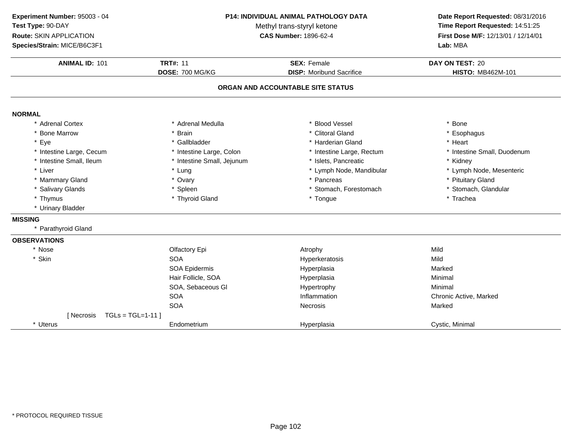**ANIMAL ID:** <sup>101</sup> **TRT#:** <sup>11</sup> **SEX:** Female **DAY ON TEST:** <sup>20</sup> **DOSE:** 700 MG/KG**DISP:** Moribund Sacrifice **HISTO:** MB462M-101 **ORGAN AND ACCOUNTABLE SITE STATUSNORMAL** \* Adrenal Cortex \* Adrenal Medullaa the set of the set of the set of the set of the set of the set of the set of the set of the set of the set o<br>Set of the set of the set of the set of the set of the set of the set of the set of the set of the set of the s \* Bone Marrow \* Brain \* Clitoral Gland \* Esophagus \* Eyee the second of the set of the set of the set of the set of the set of the set of the set of the set of the set of the set of the set of the set of the set of the set of the set of the set of the set of the set of the set \* Intestine Large, Cecumm and the state of the state of the state of the state of the state of the state of the state of the state of the state of the state of the state of the state of the state of the state of the state of the state of the stat \* Intestine Small, Ileum\* Intestine Small, Jejunum \* 1990 \* 1991 \* Islets, Pancreatic \* The many \* Kidney \* Kidney<br>
\* Lung \* Lymph Nome, Mandibular \* Kymph Node, Mesenteric \* Liver Liver \* Lung \* Lymph Node, Mandibular \* Lymph Node, Mesenteric \* Mammary Gland \* Ovary \* Pancreas \* Pituitary Gland \* Salivary Glands \* Spleen\* Stomach, Forestomach \* Stomach, Glandular<br>\* Tongue \* Trachea \* Thymus \* Thyroid Gland \* Tongue \* Trachea \* Urinary Bladder **MISSING** \* Parathyroid Gland**OBSERVATIONS**\* Nosee the contract of the Clfactory Epi the contract of the Atrophy Mild Atrophy Mild \* Skinn SOA A Superversion of Hyperkeratosis Contraction of the Mild SOA Epidermis Hyperplasiaa Marked Hair Follicle, SOA Hyperplasia Minimal SOA, Sebaceous Gl Hypertrophyy Minimal SOAInflammation Chronic Active, Marked<br>
Necrosis Marked<br>
Narked SOAA Constant of the Constant of Necrosis Constant of the Marked Marked Street and Marked Street and Marked Street Australian Marked Street Australian Street Australian Marked Street Australian Street Australian Street Austra  $[$  Necrosis  $TGL = TGL = 1-11$  ] \* Uterus Endometriumm **Exercise Cystic, Minimal** Hyperplasia **Cystic, Minimal Experiment Number:** 95003 - 04 **P14: INDIVIDUAL ANIMAL PATHOLOGY DATA Date Report Requested:** 08/31/2016 **Test Type:** 90-DAYMethyl trans-styryl ketone<br>CAS Number: 1896-62-4 **Time Report Requested:** 14:51:25 **Route:** SKIN APPLICATION**First Dose M/F:** 12/13/01 / 12/14/01<br>**Lab:** MBA **Species/Strain:** MICE/B6C3F1**Lab:** MBA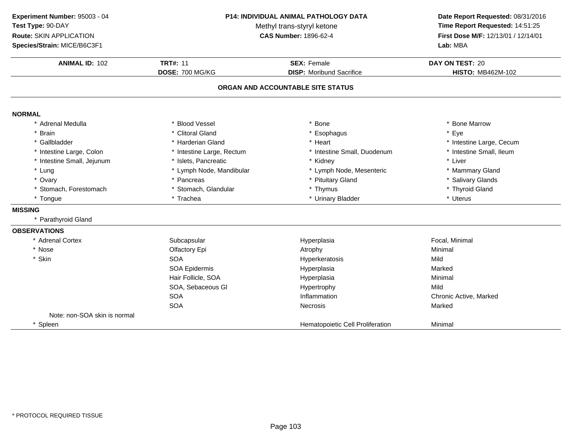**ANIMAL ID:** <sup>102</sup> **TRT#:** <sup>11</sup> **SEX:** Female **DAY ON TEST:** <sup>20</sup> **DOSE:** 700 MG/KG**DISP:** Moribund Sacrifice **HISTO:** MB462M-102 **ORGAN AND ACCOUNTABLE SITE STATUSNORMAL** \* Adrenal Medullaa the set of the Second Vessel that the set of the set of the set of the set of the set of the Marrow  $\ast$  Bone Marrow \* Brain \* Clitoral Gland \* Esophagus \* Eye \* Gallbladder \* Harderian Gland \* Heart \* Intestine Large, Cecum \* Intestine Small, Ileum \* Intestine Large, Colon\* Intestine Large, Rectum<br>\* Islets, Pancreatic \* Intestine Small, Duodenum \* \* Intest<br>\* Kidney \* \* Liver \* Intestine Small, Jejunum \* Islets, Pancreatic \* Kidney \* Liver \* Lung\* Lymph Node, Mandibular \* Lymph Node, Mesenteric \* Mammary Gland<br>\* Pancreas \* Pancreas \* Pituitary Gland \* Ovary\* Pituitary Gland \* Salivary Glands<br>\* Thyroid Gland \* Stomach, Forestomach \* Stomach, Glandular \* Thymus \* Thyroid Gland \* Tonguee the second of the second term  $\ast$  Trachea  $\ast$  Urinary Bladder  $\ast$  Urinary Bladder  $\ast$  Uterus **MISSING** \* Parathyroid Gland**OBSERVATIONS** \* Adrenal Cortexx Subcapsular Subcapsular Hyperplasia Focal, Minimal \* Nosee and the Colfactory Epi and the Atrophy Atrophy and the Minimal \* Skinn SOA A Superversion of Hyperkeratosis Contraction of the Mild SOA Epidermis Hyperplasiaa Marked Hair Follicle, SOA Hyperplasia Minimal SOA, Sebaceous Gl Hypertrophyy Mild A chronic Active, Marked and American chronic Active, Marked and American chronic Active, Marked SOASOAA Constant of the Constant of Necrosis Constant of the Marked Marked Street and Marked Street and Marked Street Australian Marked Street Australian Street Australian Marked Street Australian Street Australian Street Austra Note: non-SOA skin is normal\* SpleenHematopoietic Cell Proliferation **Minimal Experiment Number:** 95003 - 04 **P14: INDIVIDUAL ANIMAL PATHOLOGY DATA Date Report Requested:** 08/31/2016 **Test Type:** 90-DAYMethyl trans-styryl ketone<br>CAS Number: 1896-62-4 **Time Report Requested:** 14:51:25 **Route:** SKIN APPLICATION**First Dose M/F:** 12/13/01 / 12/14/01<br>**Lab:** MBA **Species/Strain:** MICE/B6C3F1**Lab:** MBA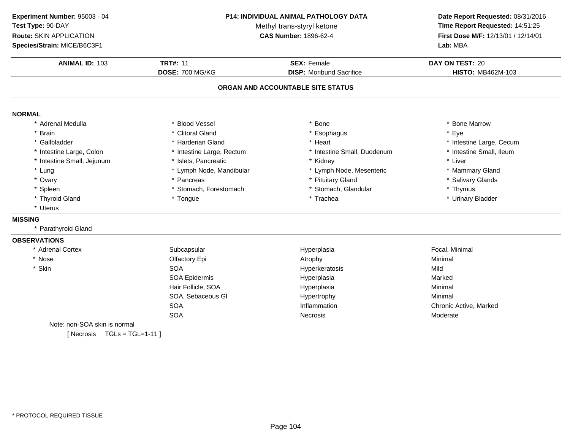**ANIMAL ID:** <sup>103</sup> **TRT#:** <sup>11</sup> **SEX:** Female **DAY ON TEST:** <sup>20</sup> **DOSE:** 700 MG/KG**DISP:** Moribund Sacrifice **HISTO:** MB462M-103 **ORGAN AND ACCOUNTABLE SITE STATUSNORMAL** \* Adrenal Medullaa the set of the Second Vessel that the set of the set of the set of the set of the set of the Marrow  $\ast$  Bone Marrow \* Brain \* Clitoral Gland \* Esophagus \* Eye \* Gallbladder \* Harderian Gland \* Heart \* Intestine Large, Cecum \* Intestine Small, Ileum \* Intestine Large, Colon\* Intestine Large, Rectum<br>\* Islets, Pancreatic \* Intestine Small, Duodenum \* 11test<br>
\* Kidney \* Liver \* Intestine Small, Jejunum \* Islets, Pancreatic \* Kidney \* Liver \* Lung\* Lymph Node, Mandibular \* Lymph Node, Mesenteric \* Mammary Gland<br>\* Pancreas \* Pancreas \* Pituitary Gland \* Ovary\* Pancreas \* Pituitary Gland<br>\* Stomach, Forestomach \* \* Stomach, Glandular \* Salivary Glands<br>\* Thymus \* Spleenn that is to the stomach, Forestomach that is to the stomach, Glandular that the stomach, Stomach, Glandular that the storm of thymus \* Thyroid Gland \* Tongue \* Trachea \* Urinary Bladder \* Uterus**MISSING** \* Parathyroid Gland**OBSERVATIONS** \* Adrenal Cortexx Subcapsular Subcapsular Hyperplasia Hyperplasia **Executive Control** Focal, Minimal<br>Atrophy Minimal \* Nosee and the Colfactory Epi and the Atrophy Atrophy and the Minimal \* Skinn SOA A Superversion of Hyperkeratosis Contraction of the Mild SOA Epidermis Hyperplasiaa and a study of the Marked Hair Follicle, SOA Hyperplasia Minimal SOA, Sebaceous Gl Hypertrophy Minimal SOAInflammation **Chronic Active, Marked Necrosis**<br>
Noderate Mecrosis SOAA contract to the Necrosis Contract of the Moderate Moderate Note: non-SOA skin is normal $[$  Necrosis  $TGL = TGL = 1-11$  ] **Experiment Number:** 95003 - 04 **P14: INDIVIDUAL ANIMAL PATHOLOGY DATA Date Report Requested:** 08/31/2016 **Test Type:** 90-DAYMethyl trans-styryl ketone<br>CAS Number: 1896-62-4 **Time Report Requested:** 14:51:25 **Route:** SKIN APPLICATION**First Dose M/F:** 12/13/01 / 12/14/01<br>**Lab:** MBA **Species/Strain:** MICE/B6C3F1**Lab:** MBA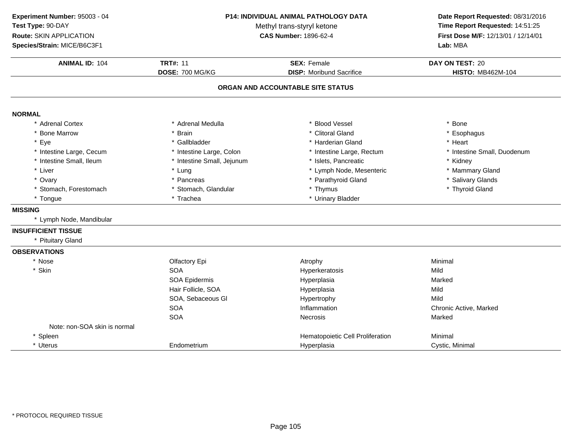| Experiment Number: 95003 - 04 | P14: INDIVIDUAL ANIMAL PATHOLOGY DATA<br>Methyl trans-styryl ketone |                                   | Date Report Requested: 08/31/2016<br>Time Report Requested: 14:51:25 |
|-------------------------------|---------------------------------------------------------------------|-----------------------------------|----------------------------------------------------------------------|
| Test Type: 90-DAY             |                                                                     |                                   |                                                                      |
| Route: SKIN APPLICATION       |                                                                     | <b>CAS Number: 1896-62-4</b>      |                                                                      |
| Species/Strain: MICE/B6C3F1   |                                                                     |                                   | First Dose M/F: 12/13/01 / 12/14/01<br>Lab: MBA                      |
| <b>ANIMAL ID: 104</b>         | <b>TRT#: 11</b>                                                     | <b>SEX: Female</b>                | DAY ON TEST: 20                                                      |
|                               | DOSE: 700 MG/KG                                                     | <b>DISP:</b> Moribund Sacrifice   | <b>HISTO: MB462M-104</b>                                             |
|                               |                                                                     | ORGAN AND ACCOUNTABLE SITE STATUS |                                                                      |
| <b>NORMAL</b>                 |                                                                     |                                   |                                                                      |
| * Adrenal Cortex              | * Adrenal Medulla                                                   | * Blood Vessel                    | * Bone                                                               |
| * Bone Marrow                 | * Brain                                                             | * Clitoral Gland                  | * Esophagus                                                          |
| * Eye                         | * Gallbladder                                                       | * Harderian Gland                 | * Heart                                                              |
| * Intestine Large, Cecum      | * Intestine Large, Colon                                            | * Intestine Large, Rectum         | * Intestine Small, Duodenum                                          |
| * Intestine Small, Ileum      | * Intestine Small, Jejunum                                          | * Islets, Pancreatic              | * Kidney                                                             |
| * Liver                       | * Lung                                                              | * Lymph Node, Mesenteric          | * Mammary Gland                                                      |
| * Ovary                       | * Pancreas                                                          | * Parathyroid Gland               | * Salivary Glands                                                    |
| * Stomach, Forestomach        | * Stomach, Glandular                                                | * Thymus                          | * Thyroid Gland                                                      |
| * Tongue                      | * Trachea                                                           | * Urinary Bladder                 |                                                                      |
| <b>MISSING</b>                |                                                                     |                                   |                                                                      |
| * Lymph Node, Mandibular      |                                                                     |                                   |                                                                      |
| <b>INSUFFICIENT TISSUE</b>    |                                                                     |                                   |                                                                      |
| * Pituitary Gland             |                                                                     |                                   |                                                                      |
| <b>OBSERVATIONS</b>           |                                                                     |                                   |                                                                      |
| * Nose                        | Olfactory Epi                                                       | Atrophy                           | Minimal                                                              |
| * Skin                        | <b>SOA</b>                                                          | Hyperkeratosis                    | Mild                                                                 |
|                               | SOA Epidermis                                                       | Hyperplasia                       | Marked                                                               |
|                               | Hair Follicle, SOA                                                  | Hyperplasia                       | Mild                                                                 |
|                               | SOA, Sebaceous GI                                                   | Hypertrophy                       | Mild                                                                 |
|                               | <b>SOA</b>                                                          | Inflammation                      | Chronic Active, Marked                                               |
|                               | <b>SOA</b>                                                          | Necrosis                          | Marked                                                               |
| Note: non-SOA skin is normal  |                                                                     |                                   |                                                                      |
| * Spleen                      |                                                                     | Hematopoietic Cell Proliferation  | Minimal                                                              |
| * Uterus                      | Endometrium                                                         | Hyperplasia                       | Cystic, Minimal                                                      |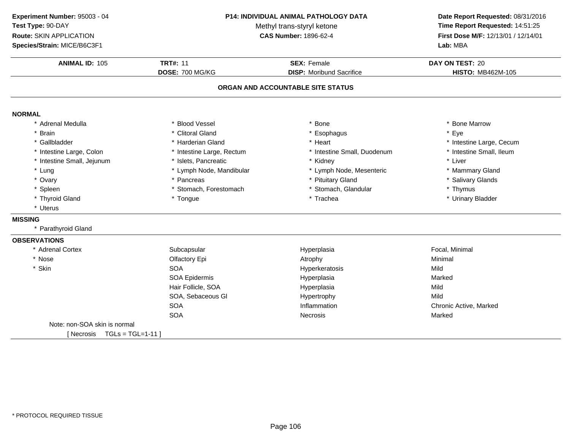**ANIMAL ID:** <sup>105</sup> **TRT#:** <sup>11</sup> **SEX:** Female **DAY ON TEST:** <sup>20</sup> **DOSE:** 700 MG/KG**DISP:** Moribund Sacrifice **HISTO:** MB462M-105 **ORGAN AND ACCOUNTABLE SITE STATUSNORMAL** \* Adrenal Medullaa the set of the Second Vessel that the set of the set of the set of the set of the set of the Marrow  $\ast$  Bone Marrow \* Brain \* Clitoral Gland \* Esophagus \* Eye \* Gallbladder \* Harderian Gland \* Heart \* Intestine Large, Cecum \* Intestine Small, Ileum \* Intestine Large, Colon\* Intestine Large, Rectum<br>\* Islets, Pancreatic \* Intestine Small, Duodenum \* 11test<br>
\* Kidney \* Liver \* Intestine Small, Jejunum \* Islets, Pancreatic \* Kidney \* Liver \* Lung\* Lymph Node, Mandibular \* Lymph Node, Mesenteric \* Mammary Gland<br>\* Pancreas \* Pancreas \* Pituitary Gland \* Ovary\* Pancreas \* Pituitary Gland<br>\* Stomach, Forestomach \* \* Stomach, Glandular \* Salivary Glands<br>\* Thymus \* Spleenn that is to the stomach, Forestomach that is to the stomach, Glandular that the stomach, Stomach, Glandular that the storm of thymus \* Thyroid Gland \* Tongue \* Trachea \* Urinary Bladder \* Uterus**MISSING** \* Parathyroid Gland**OBSERVATIONS** \* Adrenal Cortexx Subcapsular Subcapsular Hyperplasia Hyperplasia **Executive Control** Focal, Minimal<br>Atrophy Minimal \* Nosee and the Colfactory Epi and the Atrophy Atrophy and the Minimal \* Skinn SOA A Superversion of Hyperkeratosis Contraction of the Mild SOA Epidermis Hyperplasiaa and a study of the Marked Hair Follicle, SOAA Mild SOA, Sebaceous Gl Hypertrophyy Mild A Chronic Active, Marked SOASOAA Contract Contract Necrosis Contract Contract Contract Marked Marked Note: non-SOA skin is normal $[$  Necrosis  $TGL = TGL = 1-11$  ] **Experiment Number:** 95003 - 04 **P14: INDIVIDUAL ANIMAL PATHOLOGY DATA Date Report Requested:** 08/31/2016 **Test Type:** 90-DAYMethyl trans-styryl ketone<br>CAS Number: 1896-62-4 **Time Report Requested:** 14:51:25 **Route:** SKIN APPLICATION**First Dose M/F:** 12/13/01 / 12/14/01<br>**Lab:** MBA **Species/Strain:** MICE/B6C3F1**Lab:** MBA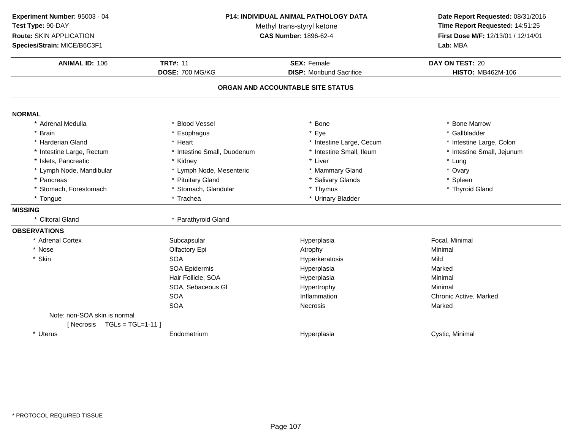**ANIMAL ID:** <sup>106</sup> **TRT#:** <sup>11</sup> **SEX:** Female **DAY ON TEST:** <sup>20</sup> **DOSE:** 700 MG/KG**DISP:** Moribund Sacrifice **HISTO:** MB462M-106 **ORGAN AND ACCOUNTABLE SITE STATUSNORMAL** \* Adrenal Medullaa the set of the Second Vessel that the set of the set of the set of the set of the set of the Marrow  $\ast$  Bone Marrow \* Gallbladder \* Brainn and the substitute of the substitute of the set of the set of the set of the set of the set of the set of the set of the set of the set of the set of the set of the set of the set of the set of the set of the set of the \* Harderian Gland\* Heart \* 11testine Large, Cecum<br>
\* Intestine Small, Duodenum \* 11testine Small, Ileum \* Intestine Large, Colon<br>\* Intestine Small, Jejunum \* Intestine Large, Rectum\* Intestine Small, Duodenum \* 1992 \* Intestine Small, Ileum \* 1994 \* Intestine Small, Ileum \* 1994 \* Lung \* Islets, Pancreaticc \* Kidney \* Kidney \* Liver \* Liver \* Liver \* Lung \* Ovary \* Lymph Node, Mandibular \* Lymph Node, Mesenteric \* Mammary Gland\* Pancreas \* Pituitary Gland\* Salivary Glands<br>
\* Thymus \* Thymus \* Thymus \* Thymus \* Thymus \* Thymus \* Thymus \* Thymus \* Thymus \* Thymus \* Thymus \* Thymus \* Thymus \* Thymus \* Thymus \* Thymus \* Thymus \* Thymus \* Thymus \* Thymus \* Thymus \* Thymus \* Thy \* Stomach, Forestomach\* Stomach, Glandular<br>\* Trachea \* Tongue\* Urinary Bladder **MISSING** \* Clitoral Gland \* Parathyroid Gland **OBSERVATIONS** \* Adrenal Cortexx Subcapsular Subcapsular Hyperplasia Focal, Minimal \* Nosee and the Colfactory Epi and the Atrophy Atrophy and the Minimal \* Skinn SOA A Superversion of Hyperkeratosis Contraction of the Mild SOA Epidermis Hyperplasiaa Marked Hair Follicle, SOA Hyperplasia Minimal SOA, Sebaceous Gl Hypertrophyy Minimal SOAInflammation Chronic Active, Marked<br>
Necrosis Marked<br>
Narked SOAA Constant of the Constant of Necrosis Constant of the Marked Marked Street and Marked Street and Marked Street Australian Marked Street Australian Street Australian Marked Street Australian Street Australian Street Austra Note: non-SOA skin is normal[ Necrosis TGLs = TGL=1-11 ]\* Uterus Endometrium Hyperplasia Cystic, Minimal **Experiment Number:** 95003 - 04 **P14: INDIVIDUAL ANIMAL PATHOLOGY DATA Date Report Requested:** 08/31/2016 **Test Type:** 90-DAYMethyl trans-styryl ketone<br>CAS Number: 1896-62-4 **Time Report Requested:** 14:51:25 **Route:** SKIN APPLICATION**First Dose M/F:** 12/13/01 / 12/14/01<br>**Lab:** MBA **Species/Strain:** MICE/B6C3F1**Lab:** MBA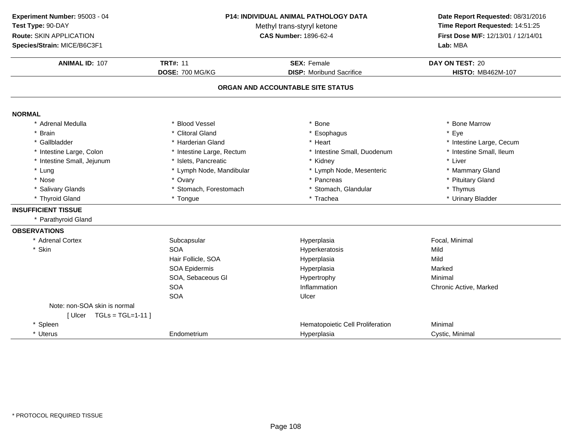**ANIMAL ID:** <sup>107</sup> **TRT#:** <sup>11</sup> **SEX:** Female **DAY ON TEST:** <sup>20</sup> **DOSE:** 700 MG/KG**DISP:** Moribund Sacrifice **HISTO:** MB462M-107 **ORGAN AND ACCOUNTABLE SITE STATUSNORMAL** \* Adrenal Medullaa the set of the Second Vessel that the set of the set of the set of the set of the set of the Marrow  $\ast$  Bone Marrow \* Brain \* Clitoral Gland \* Esophagus \* Eye \* Gallbladder \* Harderian Gland \* Heart \* Intestine Large, Cecum \* Intestine Small, Ileum \* Intestine Large, Colon\* Intestine Large, Rectum<br>\* Islets, Pancreatic \* Intestine Small, Duodenum \* 11test<br>
\* Kidney \* Liver \* Intestine Small, Jejunum \* Islets, Pancreatic \* Kidney \* Liver \* Lung\* Lymph Node, Mandibular \* 1990 \* Lymph Node, Mesenteric \* \* Mammary Gland<br>\* Ovary \* Pancreas \* Pancreas \* Pancreas \* Pituitary Gland \* Nosee entitled by the state of the state of the state of the state of the state of the state of the state of the state of the state of the state of the state of the state of the state of the state of the state of the state of \* Salivary Glands \* Stomach, Forestomach\* Stomach, Glandular \* Thymus \* Thymus<br>\* Trachea \* \* Urinary Bladder \* Thyroid Gland \* Tongue \* Trachea \* Urinary Bladder **INSUFFICIENT TISSUE** \* Parathyroid Gland**OBSERVATIONS** \* Adrenal Cortexx Subcapsular Subcapsular Hyperplasia Focal, Minimal \* Skinn SOA Hyperkeratosis Mild Hair Follicle, SOA Hyperplasia Mild SOA Epidermis Hyperplasiaa Marked SOA, Sebaceous Gl Hypertrophy Minimal **SOA** Inflammation **Chronic Active, Marked Ulcer** SOAA Ulcer Note: non-SOA skin is normal $[$  Ulcer  $TGLs = TGL=1-11$  ] \* SpleenHematopoietic Cell Proliferation<br>
Hyperplasia<br>
Cystic, Minimal \* Uterus Endometrium Hyperplasia Cystic, Minimal **Experiment Number:** 95003 - 04 **P14: INDIVIDUAL ANIMAL PATHOLOGY DATA Date Report Requested:** 08/31/2016 **Test Type:** 90-DAYMethyl trans-styryl ketone<br>CAS Number: 1896-62-4 **Time Report Requested:** 14:51:25 **Route:** SKIN APPLICATION**First Dose M/F:** 12/13/01 / 12/14/01<br>**Lab:** MBA **Species/Strain:** MICE/B6C3F1**Lab:** MBA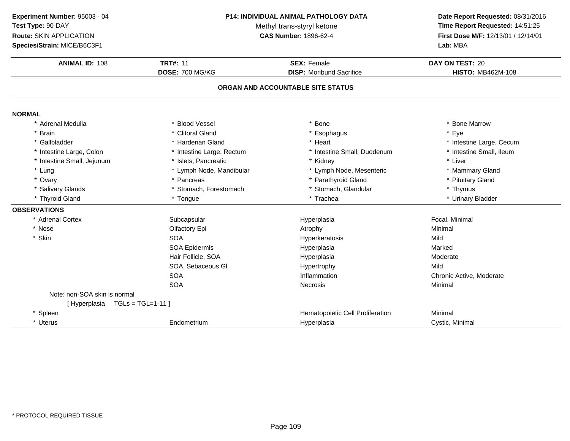**Experiment Number:** 95003 - 04**Test Type:** 90-DAY

**Route:** SKIN APPLICATION

**Species/Strain:** MICE/B6C3F1

## **P14: INDIVIDUAL ANIMAL PATHOLOGY DATA**

Methyl trans-styryl ketone<br>CAS Number: 1896-62-4

# **Date Report Requested:** 08/31/2016 **Time Report Requested:** 14:51:25 **First Dose M/F:** 12/13/01 / 12/14/01<br>Lab: MBA

| <b>Species/Strain: MICE/B6C3F1</b> |                           |                                   | Lab: MBA                 |
|------------------------------------|---------------------------|-----------------------------------|--------------------------|
| <b>ANIMAL ID: 108</b>              | <b>TRT#: 11</b>           | <b>SEX: Female</b>                | DAY ON TEST: 20          |
|                                    | <b>DOSE: 700 MG/KG</b>    | <b>DISP:</b> Moribund Sacrifice   | <b>HISTO: MB462M-108</b> |
|                                    |                           | ORGAN AND ACCOUNTABLE SITE STATUS |                          |
| <b>NORMAL</b>                      |                           |                                   |                          |
| * Adrenal Medulla                  | * Blood Vessel            | * Bone                            | * Bone Marrow            |
| * Brain                            | * Clitoral Gland          | * Esophagus                       | * Eye                    |
| * Gallbladder                      | * Harderian Gland         | * Heart                           | * Intestine Large, Cecum |
| * Intestine Large, Colon           | * Intestine Large, Rectum | * Intestine Small, Duodenum       | * Intestine Small, Ileum |
| * Intestine Small, Jejunum         | * Islets, Pancreatic      | * Kidney                          | * Liver                  |
| * Lung                             | * Lymph Node, Mandibular  | * Lymph Node, Mesenteric          | * Mammary Gland          |
| * Ovary                            | * Pancreas                | * Parathyroid Gland               | * Pituitary Gland        |
| * Salivary Glands                  | * Stomach, Forestomach    | * Stomach, Glandular              | * Thymus                 |
| * Thyroid Gland                    | * Tongue                  | * Trachea                         | * Urinary Bladder        |
| <b>OBSERVATIONS</b>                |                           |                                   |                          |
| * Adrenal Cortex                   | Subcapsular               | Hyperplasia                       | Focal, Minimal           |
| * Nose                             | Olfactory Epi             | Atrophy                           | Minimal                  |
| * Skin                             | <b>SOA</b>                | Hyperkeratosis                    | Mild                     |
|                                    | SOA Epidermis             | Hyperplasia                       | Marked                   |
|                                    | Hair Follicle, SOA        | Hyperplasia                       | Moderate                 |
|                                    | SOA, Sebaceous Gl         | Hypertrophy                       | Mild                     |
|                                    | <b>SOA</b>                | Inflammation                      | Chronic Active, Moderate |
|                                    | <b>SOA</b>                | Necrosis                          | Minimal                  |
| Note: non-SOA skin is normal       |                           |                                   |                          |
| [Hyperplasia TGLs = TGL=1-11]      |                           |                                   |                          |
| * Spleen                           |                           | Hematopoietic Cell Proliferation  | Minimal                  |
| * Uterus                           | Endometrium               | Hyperplasia                       | Cystic, Minimal          |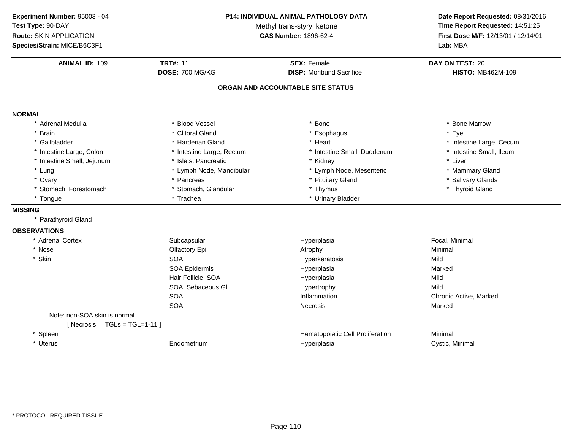**ANIMAL ID:** <sup>109</sup> **TRT#:** <sup>11</sup> **SEX:** Female **DAY ON TEST:** <sup>20</sup> **DOSE:** 700 MG/KG**DISP:** Moribund Sacrifice **HISTO:** MB462M-109 **ORGAN AND ACCOUNTABLE SITE STATUSNORMAL** \* Adrenal Medullaa the set of the Second Vessel that the set of the set of the set of the set of the set of the Marrow  $\ast$  Bone Marrow \* Brain \* Clitoral Gland \* Esophagus \* Eye \* Gallbladder \* Harderian Gland \* Heart \* Intestine Large, Cecum \* Intestine Small, Ileum \* Intestine Large, Colon\* Intestine Large, Rectum<br>\* Islets, Pancreatic \* Intestine Small, Duodenum \* 11test<br>
\* Kidney \* Liver \* Intestine Small, Jejunum \* Islets, Pancreatic \* Kidney \* Liver \* Lung\* Lymph Node, Mandibular \* Lymph Node, Mesenteric \* Mammary Gland<br>\* Pancreas \* Pituitary Gland \* Mammary Glands \* Ovary\* Pituitary Gland \* Salivary Glands<br>\* Thyroid Gland \* Stomach, Forestomach \* Stomach, Glandular \* Thymus \* Thyroid Gland \* Tongue\* Trachea \* Vrinary Bladder **MISSING** \* Parathyroid Gland**OBSERVATIONS** \* Adrenal Cortexx Subcapsular Subcapsular Hyperplasia Focal, Minimal \* Nosee and the Colfactory Epi and the Atrophy Atrophy and the Minimal \* Skinn SOA A Superversion of Hyperkeratosis Contraction of the Mild SOA Epidermis Hyperplasiaa Marked Hair Follicle, SOAA Mild SOA, Sebaceous Gl Hypertrophyy Mild A chronic Active, Marked SOASOAA the cross of the Mecrosis and the Marked Marked Marked Street and Marked Street and Marked Street and Marked Street and Marked Street and Marked Street and Marked Street and Marked Street and Marked Street and Marked Str Note: non-SOA skin is normal[ Necrosis TGLs = TGL=1-11 ]\* SpleenHematopoietic Cell Proliferation<br>
Hyperplasia<br>
Cystic, Minimal \* Uterus Endometrium Hyperplasia Cystic, Minimal **Experiment Number:** 95003 - 04 **P14: INDIVIDUAL ANIMAL PATHOLOGY DATA Date Report Requested:** 08/31/2016 **Test Type:** 90-DAYMethyl trans-styryl ketone<br>CAS Number: 1896-62-4 **Time Report Requested:** 14:51:25 **Route:** SKIN APPLICATION**First Dose M/F:** 12/13/01 / 12/14/01<br>**Lab:** MBA **Species/Strain:** MICE/B6C3F1**Lab:** MBA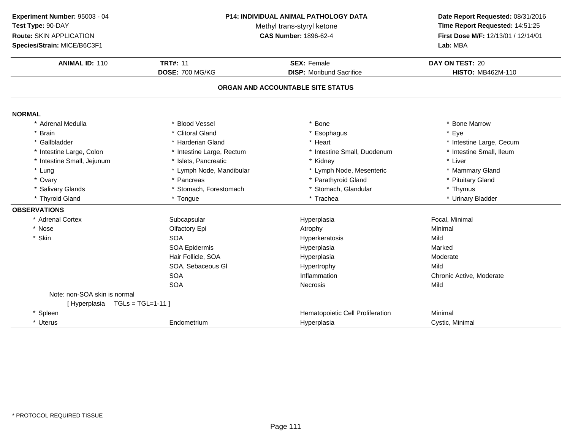**ANIMAL ID:** <sup>110</sup> **TRT#:** <sup>11</sup> **SEX:** Female **DAY ON TEST:** <sup>20</sup> **DOSE:** 700 MG/KG**DISP:** Moribund Sacrifice **HISTO:** MB462M-110 **ORGAN AND ACCOUNTABLE SITE STATUSNORMAL** \* Adrenal Medullaa the set of the Second Vessel that the set of the set of the set of the set of the set of the Marrow  $\ast$  Bone Marrow \* Brain \* Clitoral Gland \* Esophagus \* Eye \* Gallbladder \* Harderian Gland \* Heart \* Intestine Large, Cecum \* Intestine Small, Ileum \* Intestine Large, Colon\* Intestine Large, Rectum<br>\* Islets, Pancreatic \* Intestine Small, Duodenum \* 11test<br>
\* Kidney \* Liver \* Intestine Small, Jejunum \* Islets, Pancreatic \* Kidney \* Liver \* Lung\* Lymph Node, Mandibular \* Lymph Node, Mesenteric \* Mammary Gland<br>\* Pancreas \* Mammary Gland \* Parathyroid Gland \* Mammary Gland \* Ptuitary Gland \* Ovary\* Parathyroid Gland \* Pituitary Gland<br>\* Thymus \* Salivary Glands \* Stomach, Forestomach\* Stomach, Glandular \* Thymus \* Thymus<br>\* Trachea \* \* Urinary Bladder \* Thyroid Gland \* Tongue \* Trachea \* Urinary Bladder **OBSERVATIONS** \* Adrenal Cortexx Subcapsular Subcapsular Hyperplasia Focal, Minimal \* Nosee and the Colfactory Epi and the Atrophy Atrophy and the Minimal \* Skinn SOA A Superversion of Hyperkeratosis Contraction of the Mild SOA Epidermis Hyperplasia Marked Hair Follicle, SOAA merupakan Hyperplasia (Moderate Moderate Moderate Moderate Moderate Moderate Mo SOA, Sebaceous Gl Hypertrophyy Mild A chronic Active, Moderate and Inflammation chronic Active, Moderate and Inflammation chronic Active, Moderate **SOA** SOAA Secretary Mecrosis and the Mild Note: non-SOA skin is normal[ Hyperplasia TGLs = TGL=1-11 ]\* SpleenHematopoietic Cell Proliferation<br>
Hyperplasia<br>
Cystic, Minimal \* Uterus**Endometrium** m **Exercise Cystic, Minimal** Hyperplasia **Cystic, Minimal Experiment Number:** 95003 - 04 **P14: INDIVIDUAL ANIMAL PATHOLOGY DATA Date Report Requested:** 08/31/2016 **Test Type:** 90-DAYMethyl trans-styryl ketone<br>CAS Number: 1896-62-4 **Time Report Requested:** 14:51:25 **Route:** SKIN APPLICATION**First Dose M/F:** 12/13/01 / 12/14/01<br>**Lab:** MBA **Species/Strain:** MICE/B6C3F1**Lab:** MBA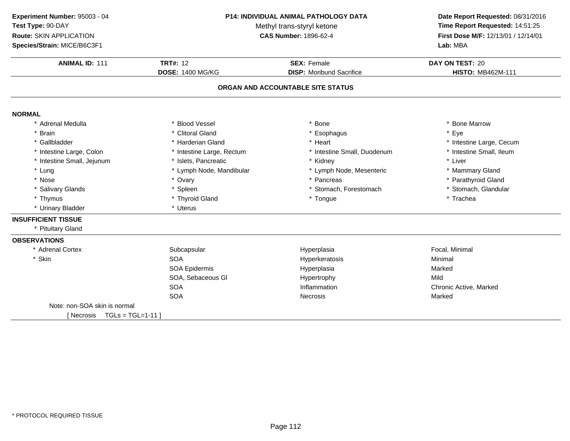**ANIMAL ID:** <sup>111</sup> **TRT#:** <sup>12</sup> **SEX:** Female **DAY ON TEST:** <sup>20</sup> **DOSE:** 1400 MG/KG**DISP:** Moribund Sacrifice **HISTO:** MB462M-111 **ORGAN AND ACCOUNTABLE SITE STATUSNORMAL** \* Adrenal Medullaa the set of the Second Vessel that the set of the set of the set of the set of the set of the Marrow  $\ast$  Bone Marrow \* Brain \* Clitoral Gland \* Esophagus \* Eye \* Gallbladder \* Harderian Gland \* Heart \* Intestine Large, Cecum \* Intestine Small, Ileum \* Intestine Large, Colon\* Intestine Large, Rectum<br>\* Islets, Pancreatic \* Intestine Small, Duodenum \* \* Intest<br>\* Kidney \* \* Liver \* Intestine Small, Jejunum \* Islets, Pancreatic \* Kidney \* Liver \* Lung\* Lymph Node, Mandibular \* 1990 \* Lymph Node, Mesenteric \* \* Mammary Gland<br>\* Ovary \* \* Pancreas \* Pancreas \* Pancreas \* \* Parathyroid Gland \* Nosee the second of the second of the second of the second of the second of the second of the second of the second  $^*$  Parathyroid Gland \* Salivary Glands \* Spleen\* Stomach, Forestomach \* Stomach, Glandular<br>\* Tongue \* Trachea \* Thymus \* Thyroid Gland \* Tongue \* Trachea \* Urinary Bladder \* Uterus **INSUFFICIENT TISSUE** \* Pituitary Gland**OBSERVATIONS** \* Adrenal Cortexx Subcapsular Subcapsular Hyperplasia Hyperplasia<br>
Hyperkeratosis<br>
Hyperkeratosis<br>
The Minimal \* Skinn SOA A Research Minimal Research Hyperkeratosis and the Minimal Minimal Research Minimal Research Minimal Research M<br>A Research Minimal Research Minimal Research Minimal Research Minimal Research Minimal Research Minimal Resear SOA Epidermis Hyperplasiaa Marked SOA, Sebaceous Gl Hypertrophyy Mild A contraction and inflammation contractive chronic Active, Marked **SOA** SOAA contract the Contract of Necrosis and Marked Marked Marked Structure of Marked Marked Structure of Marked Structure of Marked Structure of Marked Structure of Marked Structure of Marked Structure of Marked Structure of M Note: non-SOA skin is normal $[$  Necrosis  $TGL = TGL = 1-11$  ] **Experiment Number:** 95003 - 04 **P14: INDIVIDUAL ANIMAL PATHOLOGY DATA Date Report Requested:** 08/31/2016 **Test Type:** 90-DAYMethyl trans-styryl ketone<br>CAS Number: 1896-62-4 **Time Report Requested:** 14:51:25 **Route:** SKIN APPLICATION**First Dose M/F:** 12/13/01 / 12/14/01<br>**Lab:** MBA **Species/Strain:** MICE/B6C3F1**Lab:** MBA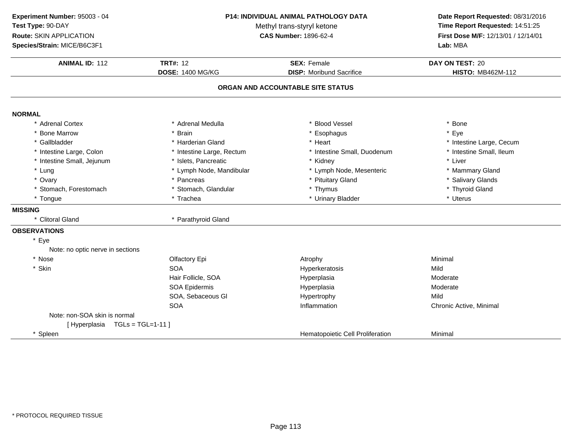| Experiment Number: 95003 - 04    |                            | P14: INDIVIDUAL ANIMAL PATHOLOGY DATA |                                                                      |  |
|----------------------------------|----------------------------|---------------------------------------|----------------------------------------------------------------------|--|
| Test Type: 90-DAY                | Methyl trans-styryl ketone |                                       | Date Report Requested: 08/31/2016<br>Time Report Requested: 14:51:25 |  |
| Route: SKIN APPLICATION          |                            | <b>CAS Number: 1896-62-4</b>          | First Dose M/F: 12/13/01 / 12/14/01                                  |  |
| Species/Strain: MICE/B6C3F1      |                            |                                       | Lab: MBA                                                             |  |
| <b>ANIMAL ID: 112</b>            | <b>TRT#: 12</b>            | <b>SEX: Female</b>                    | DAY ON TEST: 20                                                      |  |
|                                  | <b>DOSE: 1400 MG/KG</b>    | <b>DISP:</b> Moribund Sacrifice       | <b>HISTO: MB462M-112</b>                                             |  |
|                                  |                            | ORGAN AND ACCOUNTABLE SITE STATUS     |                                                                      |  |
| <b>NORMAL</b>                    |                            |                                       |                                                                      |  |
| * Adrenal Cortex                 | * Adrenal Medulla          | * Blood Vessel                        | * Bone                                                               |  |
| * Bone Marrow                    | * Brain                    | Esophagus                             | * Eye                                                                |  |
| * Gallbladder                    | * Harderian Gland          | * Heart                               | * Intestine Large, Cecum                                             |  |
| * Intestine Large, Colon         | * Intestine Large, Rectum  | * Intestine Small, Duodenum           | * Intestine Small, Ileum                                             |  |
| * Intestine Small, Jejunum       | * Islets, Pancreatic       | * Kidney                              | * Liver                                                              |  |
| * Lung                           | * Lymph Node, Mandibular   | * Lymph Node, Mesenteric              | * Mammary Gland                                                      |  |
| * Ovary                          | * Pancreas                 | * Pituitary Gland                     | * Salivary Glands                                                    |  |
| * Stomach, Forestomach           | * Stomach, Glandular       | * Thymus                              | * Thyroid Gland                                                      |  |
| * Tongue                         | * Trachea                  | * Urinary Bladder                     | * Uterus                                                             |  |
| <b>MISSING</b>                   |                            |                                       |                                                                      |  |
| * Clitoral Gland                 | * Parathyroid Gland        |                                       |                                                                      |  |
| <b>OBSERVATIONS</b>              |                            |                                       |                                                                      |  |
| * Eye                            |                            |                                       |                                                                      |  |
| Note: no optic nerve in sections |                            |                                       |                                                                      |  |
| * Nose                           | Olfactory Epi              | Atrophy                               | Minimal                                                              |  |
| * Skin                           | <b>SOA</b>                 | Hyperkeratosis                        | Mild                                                                 |  |
|                                  | Hair Follicle, SOA         | Hyperplasia                           | Moderate                                                             |  |
|                                  | <b>SOA Epidermis</b>       | Hyperplasia                           | Moderate                                                             |  |
|                                  | SOA, Sebaceous Gl          | Hypertrophy                           | Mild                                                                 |  |
|                                  | SOA                        | Inflammation                          | Chronic Active, Minimal                                              |  |
| Note: non-SOA skin is normal     |                            |                                       |                                                                      |  |
| [Hyperplasia TGLs = TGL=1-11]    |                            |                                       |                                                                      |  |
| * Spleen                         |                            | Hematopoietic Cell Proliferation      | Minimal                                                              |  |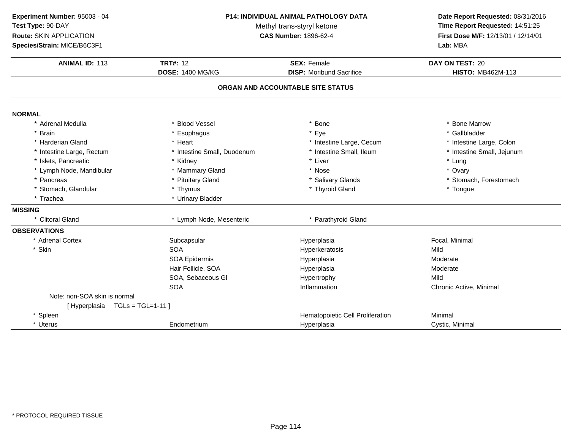| Experiment Number: 95003 - 04<br>Test Type: 90-DAY<br>Route: SKIN APPLICATION<br>Species/Strain: MICE/B6C3F1 | <b>P14: INDIVIDUAL ANIMAL PATHOLOGY DATA</b><br>Methyl trans-styryl ketone<br><b>CAS Number: 1896-62-4</b> |                                                       | Date Report Requested: 08/31/2016<br>Time Report Requested: 14:51:25<br>First Dose M/F: 12/13/01 / 12/14/01<br>Lab: MBA |  |
|--------------------------------------------------------------------------------------------------------------|------------------------------------------------------------------------------------------------------------|-------------------------------------------------------|-------------------------------------------------------------------------------------------------------------------------|--|
| <b>ANIMAL ID: 113</b>                                                                                        | <b>TRT#: 12</b><br><b>DOSE: 1400 MG/KG</b>                                                                 | <b>SEX: Female</b><br><b>DISP:</b> Moribund Sacrifice | DAY ON TEST: 20<br><b>HISTO: MB462M-113</b>                                                                             |  |
|                                                                                                              |                                                                                                            | ORGAN AND ACCOUNTABLE SITE STATUS                     |                                                                                                                         |  |
|                                                                                                              |                                                                                                            |                                                       |                                                                                                                         |  |
| <b>NORMAL</b>                                                                                                |                                                                                                            |                                                       |                                                                                                                         |  |
| * Adrenal Medulla                                                                                            | <b>Blood Vessel</b>                                                                                        | <b>Bone</b>                                           | * Bone Marrow                                                                                                           |  |
| * Brain                                                                                                      | * Esophagus                                                                                                | Eye                                                   | * Gallbladder                                                                                                           |  |
| * Harderian Gland                                                                                            | * Heart                                                                                                    | * Intestine Large, Cecum                              | * Intestine Large, Colon                                                                                                |  |
| * Intestine Large, Rectum                                                                                    | * Intestine Small, Duodenum                                                                                | * Intestine Small, Ileum                              | * Intestine Small, Jejunum                                                                                              |  |
| * Islets, Pancreatic                                                                                         | * Kidney                                                                                                   | * Liver<br>* Nose                                     | * Lung                                                                                                                  |  |
| * Lymph Node, Mandibular<br>* Pancreas                                                                       | * Mammary Gland<br>* Pituitary Gland                                                                       |                                                       | * Ovary<br>* Stomach, Forestomach                                                                                       |  |
| * Stomach, Glandular                                                                                         | * Thymus                                                                                                   | * Salivary Glands<br>* Thyroid Gland                  | * Tongue                                                                                                                |  |
| * Trachea                                                                                                    | * Urinary Bladder                                                                                          |                                                       |                                                                                                                         |  |
|                                                                                                              |                                                                                                            |                                                       |                                                                                                                         |  |
| <b>MISSING</b><br>* Clitoral Gland                                                                           | * Lymph Node, Mesenteric                                                                                   | * Parathyroid Gland                                   |                                                                                                                         |  |
| <b>OBSERVATIONS</b>                                                                                          |                                                                                                            |                                                       |                                                                                                                         |  |
| * Adrenal Cortex                                                                                             | Subcapsular                                                                                                | Hyperplasia                                           | Focal, Minimal                                                                                                          |  |
| * Skin                                                                                                       | <b>SOA</b>                                                                                                 | Hyperkeratosis                                        | Mild                                                                                                                    |  |
|                                                                                                              | <b>SOA Epidermis</b>                                                                                       | Hyperplasia                                           | Moderate                                                                                                                |  |
|                                                                                                              | Hair Follicle, SOA                                                                                         | Hyperplasia                                           | Moderate                                                                                                                |  |
|                                                                                                              | SOA, Sebaceous GI                                                                                          | Hypertrophy                                           | Mild                                                                                                                    |  |
|                                                                                                              | <b>SOA</b>                                                                                                 | Inflammation                                          | Chronic Active, Minimal                                                                                                 |  |
| Note: non-SOA skin is normal                                                                                 |                                                                                                            |                                                       |                                                                                                                         |  |
| [Hyperplasia TGLs = TGL=1-11]                                                                                |                                                                                                            |                                                       |                                                                                                                         |  |
| * Spleen                                                                                                     |                                                                                                            | Hematopoietic Cell Proliferation                      | Minimal                                                                                                                 |  |
| * Uterus                                                                                                     | Endometrium                                                                                                | Hyperplasia                                           | Cystic, Minimal                                                                                                         |  |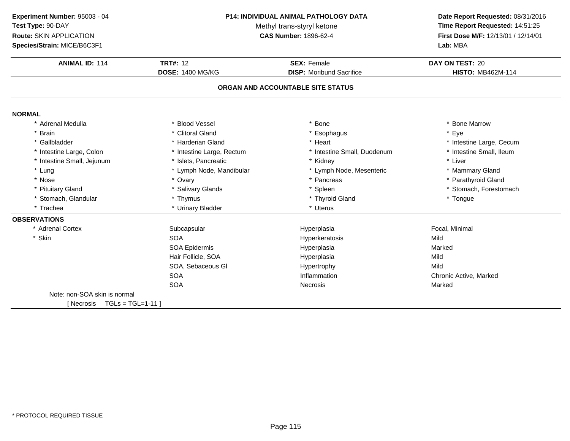**Experiment Number:** 95003 - 04**Test Type:** 90-DAY**Route:** SKIN APPLICATION

**Species/Strain:** MICE/B6C3F1

#### **P14: INDIVIDUAL ANIMAL PATHOLOGY DATA**

Methyl trans-styryl ketone<br>CAS Number: 1896-62-4

### **Date Report Requested:** 08/31/2016 **Time Report Requested:** 14:51:25 **First Dose M/F:** 12/13/01 / 12/14/01<br>Lab: MBA **Lab:** MBA

| <b>ANIMAL ID: 114</b>             | <b>TRT#: 12</b>           | <b>SEX: Female</b>                | DAY ON TEST: 20          |
|-----------------------------------|---------------------------|-----------------------------------|--------------------------|
|                                   | <b>DOSE: 1400 MG/KG</b>   | <b>DISP:</b> Moribund Sacrifice   | <b>HISTO: MB462M-114</b> |
|                                   |                           | ORGAN AND ACCOUNTABLE SITE STATUS |                          |
| <b>NORMAL</b>                     |                           |                                   |                          |
| * Adrenal Medulla                 | * Blood Vessel            | Bone                              | * Bone Marrow            |
| * Brain                           | * Clitoral Gland          | * Esophagus                       | * Eye                    |
| * Gallbladder                     | * Harderian Gland         | * Heart                           | * Intestine Large, Cecum |
| * Intestine Large, Colon          | * Intestine Large, Rectum | * Intestine Small, Duodenum       | * Intestine Small, Ileum |
| * Intestine Small, Jejunum        | * Islets, Pancreatic      | * Kidney                          | * Liver                  |
| * Lung                            | * Lymph Node, Mandibular  | * Lymph Node, Mesenteric          | * Mammary Gland          |
| * Nose                            | * Ovary                   | * Pancreas                        | * Parathyroid Gland      |
| * Pituitary Gland                 | * Salivary Glands         | * Spleen                          | * Stomach, Forestomach   |
| * Stomach, Glandular              | * Thymus                  | * Thyroid Gland                   | * Tongue                 |
| * Trachea                         | * Urinary Bladder         | * Uterus                          |                          |
| <b>OBSERVATIONS</b>               |                           |                                   |                          |
| * Adrenal Cortex                  | Subcapsular               | Hyperplasia                       | Focal, Minimal           |
| * Skin                            | <b>SOA</b>                | Hyperkeratosis                    | Mild                     |
|                                   | <b>SOA Epidermis</b>      | Hyperplasia                       | Marked                   |
|                                   | Hair Follicle, SOA        | Hyperplasia                       | Mild                     |
|                                   | SOA, Sebaceous GI         | Hypertrophy                       | Mild                     |
|                                   | <b>SOA</b>                | Inflammation                      | Chronic Active, Marked   |
|                                   | <b>SOA</b>                | <b>Necrosis</b>                   | Marked                   |
| Note: non-SOA skin is normal      |                           |                                   |                          |
| $TGLs = TGL=1-11$ ]<br>[ Necrosis |                           |                                   |                          |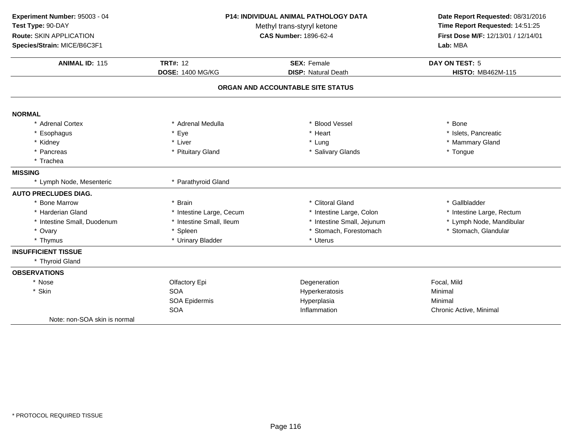| Experiment Number: 95003 - 04 |                            | <b>P14: INDIVIDUAL ANIMAL PATHOLOGY DATA</b> |                                 |  |
|-------------------------------|----------------------------|----------------------------------------------|---------------------------------|--|
| Test Type: 90-DAY             | Methyl trans-styryl ketone |                                              | Time Report Requested: 14:51:25 |  |
| Route: SKIN APPLICATION       |                            | <b>CAS Number: 1896-62-4</b>                 |                                 |  |
| Species/Strain: MICE/B6C3F1   |                            |                                              | Lab: MBA                        |  |
| <b>ANIMAL ID: 115</b>         | <b>TRT#: 12</b>            | <b>SEX: Female</b>                           | DAY ON TEST: 5                  |  |
|                               | <b>DOSE: 1400 MG/KG</b>    | <b>DISP: Natural Death</b>                   | <b>HISTO: MB462M-115</b>        |  |
|                               |                            | ORGAN AND ACCOUNTABLE SITE STATUS            |                                 |  |
| <b>NORMAL</b>                 |                            |                                              |                                 |  |
| * Adrenal Cortex              | * Adrenal Medulla          | * Blood Vessel                               | * Bone                          |  |
| * Esophagus                   | * Eye                      | * Heart                                      | * Islets, Pancreatic            |  |
| * Kidney                      | * Liver                    | * Lung                                       | * Mammary Gland                 |  |
| * Pancreas                    | * Pituitary Gland          | * Salivary Glands                            | * Tongue                        |  |
| * Trachea                     |                            |                                              |                                 |  |
| <b>MISSING</b>                |                            |                                              |                                 |  |
| * Lymph Node, Mesenteric      | * Parathyroid Gland        |                                              |                                 |  |
| <b>AUTO PRECLUDES DIAG.</b>   |                            |                                              |                                 |  |
| * Bone Marrow                 | * Brain                    | * Clitoral Gland                             | * Gallbladder                   |  |
| * Harderian Gland             | * Intestine Large, Cecum   | * Intestine Large, Colon                     | * Intestine Large, Rectum       |  |
| * Intestine Small, Duodenum   | * Intestine Small, Ileum   | * Intestine Small, Jejunum                   | * Lymph Node, Mandibular        |  |
| * Ovary                       | * Spleen                   | * Stomach, Forestomach                       | * Stomach, Glandular            |  |
| * Thymus                      | * Urinary Bladder          | * Uterus                                     |                                 |  |
| <b>INSUFFICIENT TISSUE</b>    |                            |                                              |                                 |  |
| * Thyroid Gland               |                            |                                              |                                 |  |
| <b>OBSERVATIONS</b>           |                            |                                              |                                 |  |
| * Nose                        | Olfactory Epi              | Degeneration                                 | Focal, Mild                     |  |
| * Skin                        | <b>SOA</b>                 | Hyperkeratosis                               | Minimal                         |  |
|                               | SOA Epidermis              | Hyperplasia                                  | Minimal                         |  |
|                               | <b>SOA</b>                 | Inflammation                                 | Chronic Active, Minimal         |  |
| Note: non-SOA skin is normal  |                            |                                              |                                 |  |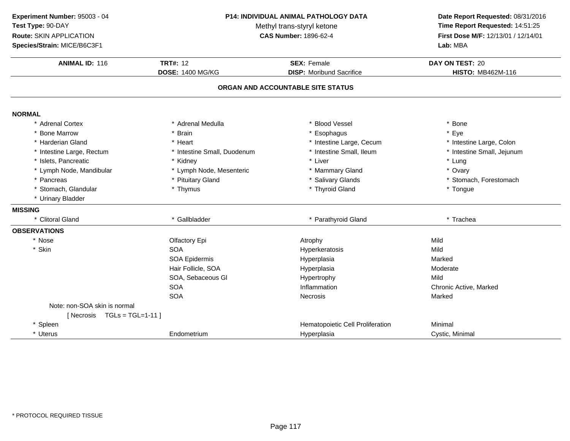| Experiment Number: 95003 - 04  |                             | <b>P14: INDIVIDUAL ANIMAL PATHOLOGY DATA</b> |                                     |
|--------------------------------|-----------------------------|----------------------------------------------|-------------------------------------|
| Test Type: 90-DAY              | Methyl trans-styryl ketone  |                                              | Time Report Requested: 14:51:25     |
| Route: SKIN APPLICATION        |                             | <b>CAS Number: 1896-62-4</b>                 | First Dose M/F: 12/13/01 / 12/14/01 |
| Species/Strain: MICE/B6C3F1    |                             |                                              | Lab: MBA                            |
| <b>ANIMAL ID: 116</b>          | <b>TRT#: 12</b>             | <b>SEX: Female</b>                           | DAY ON TEST: 20                     |
|                                | <b>DOSE: 1400 MG/KG</b>     | <b>DISP:</b> Moribund Sacrifice              | <b>HISTO: MB462M-116</b>            |
|                                |                             |                                              |                                     |
|                                |                             | ORGAN AND ACCOUNTABLE SITE STATUS            |                                     |
| <b>NORMAL</b>                  |                             |                                              |                                     |
| * Adrenal Cortex               | * Adrenal Medulla           | * Blood Vessel                               | * Bone                              |
| * Bone Marrow                  | * Brain                     | Esophagus                                    | * Eye                               |
| * Harderian Gland              | * Heart                     | * Intestine Large, Cecum                     | * Intestine Large, Colon            |
| * Intestine Large, Rectum      | * Intestine Small, Duodenum | * Intestine Small, Ileum                     | * Intestine Small, Jejunum          |
| * Islets, Pancreatic           | * Kidney                    | * Liver                                      | * Lung                              |
| * Lymph Node, Mandibular       | * Lymph Node, Mesenteric    | * Mammary Gland                              | * Ovary                             |
| * Pancreas                     | * Pituitary Gland           | * Salivary Glands                            | * Stomach, Forestomach              |
| * Stomach, Glandular           | * Thymus                    | * Thyroid Gland                              | * Tongue                            |
| * Urinary Bladder              |                             |                                              |                                     |
| <b>MISSING</b>                 |                             |                                              |                                     |
| * Clitoral Gland               | * Gallbladder               | * Parathyroid Gland                          | * Trachea                           |
| <b>OBSERVATIONS</b>            |                             |                                              |                                     |
| * Nose                         | Olfactory Epi               | Atrophy                                      | Mild                                |
| * Skin                         | <b>SOA</b>                  | Hyperkeratosis                               | Mild                                |
|                                | SOA Epidermis               | Hyperplasia                                  | Marked                              |
|                                | Hair Follicle, SOA          | Hyperplasia                                  | Moderate                            |
|                                | SOA, Sebaceous GI           | Hypertrophy                                  | Mild                                |
|                                | <b>SOA</b>                  | Inflammation                                 | Chronic Active, Marked              |
|                                | <b>SOA</b>                  | <b>Necrosis</b>                              | Marked                              |
| Note: non-SOA skin is normal   |                             |                                              |                                     |
| [Necrosis $TGL = TGL = 1-11$ ] |                             |                                              |                                     |
| * Spleen                       |                             | Hematopoietic Cell Proliferation             | Minimal                             |
| * Uterus                       | Endometrium                 | Hyperplasia                                  | Cystic, Minimal                     |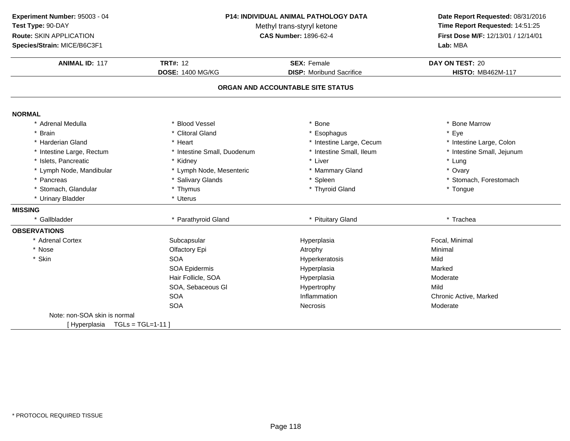| Experiment Number: 95003 - 04<br>Test Type: 90-DAY<br>Route: SKIN APPLICATION<br>Species/Strain: MICE/B6C3F1 | P14: INDIVIDUAL ANIMAL PATHOLOGY DATA<br>Methyl trans-styryl ketone<br><b>CAS Number: 1896-62-4</b> |                                   | Date Report Requested: 08/31/2016<br>Time Report Requested: 14:51:25<br>First Dose M/F: 12/13/01 / 12/14/01<br>Lab: MBA |
|--------------------------------------------------------------------------------------------------------------|-----------------------------------------------------------------------------------------------------|-----------------------------------|-------------------------------------------------------------------------------------------------------------------------|
|                                                                                                              |                                                                                                     |                                   |                                                                                                                         |
| <b>ANIMAL ID: 117</b>                                                                                        | <b>TRT#: 12</b>                                                                                     | <b>SEX: Female</b>                | DAY ON TEST: 20                                                                                                         |
|                                                                                                              | <b>DOSE: 1400 MG/KG</b>                                                                             | <b>DISP:</b> Moribund Sacrifice   | <b>HISTO: MB462M-117</b>                                                                                                |
|                                                                                                              |                                                                                                     | ORGAN AND ACCOUNTABLE SITE STATUS |                                                                                                                         |
| <b>NORMAL</b>                                                                                                |                                                                                                     |                                   |                                                                                                                         |
| * Adrenal Medulla                                                                                            | * Blood Vessel                                                                                      | <b>Bone</b>                       | * Bone Marrow                                                                                                           |
| * Brain                                                                                                      | * Clitoral Gland                                                                                    | Esophagus                         | * Eye                                                                                                                   |
| * Harderian Gland                                                                                            | * Heart                                                                                             | * Intestine Large, Cecum          | * Intestine Large, Colon                                                                                                |
| * Intestine Large, Rectum                                                                                    | * Intestine Small, Duodenum                                                                         | * Intestine Small, Ileum          | * Intestine Small, Jejunum                                                                                              |
| * Islets, Pancreatic                                                                                         | * Kidney                                                                                            | * Liver                           | * Lung                                                                                                                  |
| * Lymph Node, Mandibular                                                                                     | * Lymph Node, Mesenteric                                                                            | * Mammary Gland                   | * Ovary                                                                                                                 |
| * Pancreas                                                                                                   | * Salivary Glands                                                                                   | * Spleen                          | * Stomach, Forestomach                                                                                                  |
| * Stomach, Glandular                                                                                         | * Thymus                                                                                            | * Thyroid Gland                   | * Tongue                                                                                                                |
| * Urinary Bladder                                                                                            | * Uterus                                                                                            |                                   |                                                                                                                         |
| <b>MISSING</b>                                                                                               |                                                                                                     |                                   |                                                                                                                         |
| * Gallbladder                                                                                                | * Parathyroid Gland                                                                                 | * Pituitary Gland                 | * Trachea                                                                                                               |
| <b>OBSERVATIONS</b>                                                                                          |                                                                                                     |                                   |                                                                                                                         |
| * Adrenal Cortex                                                                                             | Subcapsular                                                                                         | Hyperplasia                       | Focal, Minimal                                                                                                          |
| * Nose                                                                                                       | Olfactory Epi                                                                                       | Atrophy                           | Minimal                                                                                                                 |
| * Skin                                                                                                       | <b>SOA</b>                                                                                          | Hyperkeratosis                    | Mild                                                                                                                    |
|                                                                                                              | <b>SOA Epidermis</b>                                                                                | Hyperplasia                       | Marked                                                                                                                  |
|                                                                                                              | Hair Follicle, SOA                                                                                  | Hyperplasia                       | Moderate                                                                                                                |
|                                                                                                              | SOA, Sebaceous GI                                                                                   | Hypertrophy                       | Mild                                                                                                                    |
|                                                                                                              | <b>SOA</b>                                                                                          | Inflammation                      | Chronic Active, Marked                                                                                                  |
|                                                                                                              | <b>SOA</b>                                                                                          | Necrosis                          | Moderate                                                                                                                |
| Note: non-SOA skin is normal                                                                                 |                                                                                                     |                                   |                                                                                                                         |
| [Hyperplasia TGLs = TGL=1-11]                                                                                |                                                                                                     |                                   |                                                                                                                         |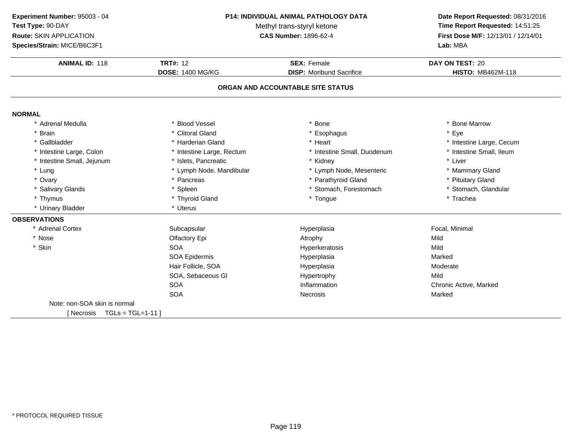**Experiment Number:** 95003 - 04**Test Type:** 90-DAY

**Route:** SKIN APPLICATION

**Species/Strain:** MICE/B6C3F1

### **P14: INDIVIDUAL ANIMAL PATHOLOGY DATA**

Methyl trans-styryl ketone<br>CAS Number: 1896-62-4

# **Date Report Requested:** 08/31/2016 **Time Report Requested:** 14:51:25 **First Dose M/F:** 12/13/01 / 12/14/01<br>Lab: MBA

| <b>ANIMAL ID: 118</b>           | <b>TRT#: 12</b>           | <b>SEX: Female</b>                | DAY ON TEST: 20          |
|---------------------------------|---------------------------|-----------------------------------|--------------------------|
|                                 | <b>DOSE: 1400 MG/KG</b>   | <b>DISP:</b> Moribund Sacrifice   | <b>HISTO: MB462M-118</b> |
|                                 |                           | ORGAN AND ACCOUNTABLE SITE STATUS |                          |
| <b>NORMAL</b>                   |                           |                                   |                          |
| * Adrenal Medulla               | * Blood Vessel            | * Bone                            | * Bone Marrow            |
| <b>Brain</b>                    | * Clitoral Gland          | * Esophagus                       | * Eye                    |
| * Gallbladder                   | * Harderian Gland         | * Heart                           | * Intestine Large, Cecum |
| * Intestine Large, Colon        | * Intestine Large, Rectum | * Intestine Small, Duodenum       | * Intestine Small, Ileum |
| * Intestine Small, Jejunum      | * Islets, Pancreatic      | * Kidney                          | * Liver                  |
| * Lung                          | * Lymph Node, Mandibular  | * Lymph Node, Mesenteric          | * Mammary Gland          |
| * Ovary                         | * Pancreas                | * Parathyroid Gland               | * Pituitary Gland        |
| * Salivary Glands               | * Spleen                  | * Stomach, Forestomach            | * Stomach, Glandular     |
| * Thymus                        | * Thyroid Gland           | * Tongue                          | * Trachea                |
| * Urinary Bladder               | * Uterus                  |                                   |                          |
| <b>OBSERVATIONS</b>             |                           |                                   |                          |
| * Adrenal Cortex                | Subcapsular               | Hyperplasia                       | Focal, Minimal           |
| * Nose                          | Olfactory Epi             | Atrophy                           | Mild                     |
| * Skin                          | <b>SOA</b>                | Hyperkeratosis                    | Mild                     |
|                                 | SOA Epidermis             | Hyperplasia                       | Marked                   |
|                                 | Hair Follicle, SOA        | Hyperplasia                       | Moderate                 |
|                                 | SOA, Sebaceous GI         | Hypertrophy                       | Mild                     |
|                                 | <b>SOA</b>                | Inflammation                      | Chronic Active, Marked   |
|                                 | <b>SOA</b>                | <b>Necrosis</b>                   | Marked                   |
| Note: non-SOA skin is normal    |                           |                                   |                          |
| $TGLs = TGL=1-11$<br>[ Necrosis |                           |                                   |                          |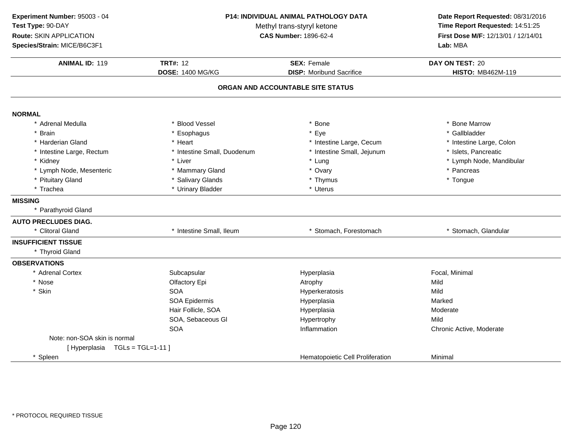| Experiment Number: 95003 - 04 |                             | P14: INDIVIDUAL ANIMAL PATHOLOGY DATA | Date Report Requested: 08/31/2016               |  |
|-------------------------------|-----------------------------|---------------------------------------|-------------------------------------------------|--|
| Test Type: 90-DAY             | Methyl trans-styryl ketone  |                                       | Time Report Requested: 14:51:25                 |  |
| Route: SKIN APPLICATION       |                             | <b>CAS Number: 1896-62-4</b>          |                                                 |  |
| Species/Strain: MICE/B6C3F1   |                             |                                       | First Dose M/F: 12/13/01 / 12/14/01<br>Lab: MBA |  |
| <b>ANIMAL ID: 119</b>         | <b>TRT#: 12</b>             | <b>SEX: Female</b>                    | DAY ON TEST: 20                                 |  |
|                               | <b>DOSE: 1400 MG/KG</b>     | <b>DISP:</b> Moribund Sacrifice       | <b>HISTO: MB462M-119</b>                        |  |
|                               |                             | ORGAN AND ACCOUNTABLE SITE STATUS     |                                                 |  |
| <b>NORMAL</b>                 |                             |                                       |                                                 |  |
| * Adrenal Medulla             | * Blood Vessel              | * Bone                                | * Bone Marrow                                   |  |
| * Brain                       | Esophagus                   | * Eye                                 | * Gallbladder                                   |  |
| * Harderian Gland             | * Heart                     | * Intestine Large, Cecum              | * Intestine Large, Colon                        |  |
| * Intestine Large, Rectum     | * Intestine Small, Duodenum | * Intestine Small, Jejunum            | * Islets, Pancreatic                            |  |
| * Kidney                      | * Liver                     | * Lung                                | * Lymph Node, Mandibular                        |  |
| * Lymph Node, Mesenteric      | * Mammary Gland             | * Ovary                               | * Pancreas                                      |  |
| * Pituitary Gland             | * Salivary Glands           | * Thymus                              | * Tongue                                        |  |
| * Trachea                     | * Urinary Bladder           | * Uterus                              |                                                 |  |
| <b>MISSING</b>                |                             |                                       |                                                 |  |
| * Parathyroid Gland           |                             |                                       |                                                 |  |
| <b>AUTO PRECLUDES DIAG.</b>   |                             |                                       |                                                 |  |
| * Clitoral Gland              | * Intestine Small, Ileum    | * Stomach, Forestomach                | * Stomach, Glandular                            |  |
| <b>INSUFFICIENT TISSUE</b>    |                             |                                       |                                                 |  |
| * Thyroid Gland               |                             |                                       |                                                 |  |
| <b>OBSERVATIONS</b>           |                             |                                       |                                                 |  |
| * Adrenal Cortex              | Subcapsular                 | Hyperplasia                           | Focal, Minimal                                  |  |
| * Nose                        | Olfactory Epi               | Atrophy                               | Mild                                            |  |
| * Skin                        | <b>SOA</b>                  | Hyperkeratosis                        | Mild                                            |  |
|                               | SOA Epidermis               | Hyperplasia                           | Marked                                          |  |
|                               | Hair Follicle, SOA          | Hyperplasia                           | Moderate                                        |  |
|                               | SOA, Sebaceous GI           | Hypertrophy                           | Mild                                            |  |
|                               | <b>SOA</b>                  | Inflammation                          | Chronic Active, Moderate                        |  |
| Note: non-SOA skin is normal  |                             |                                       |                                                 |  |
| [Hyperplasia TGLs = TGL=1-11] |                             |                                       |                                                 |  |
| * Spleen                      |                             | Hematopoietic Cell Proliferation      | Minimal                                         |  |